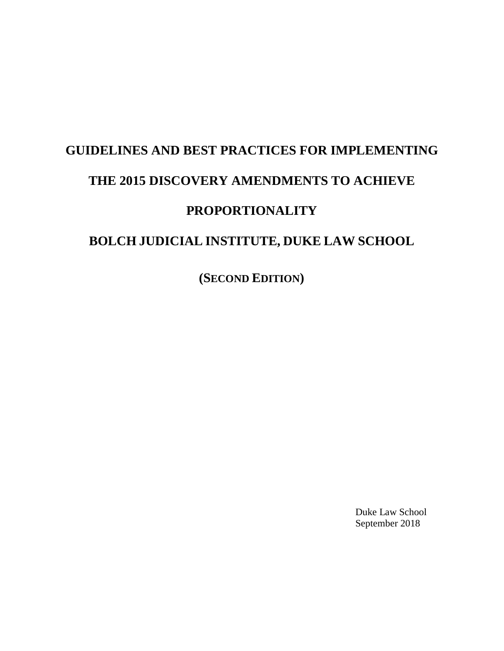# **GUIDELINES AND BEST PRACTICES FOR IMPLEMENTING THE 2015 DISCOVERY AMENDMENTS TO ACHIEVE PROPORTIONALITY BOLCH JUDICIAL INSTITUTE, DUKE LAW SCHOOL**

**(SECOND EDITION)**

Duke Law School September 2018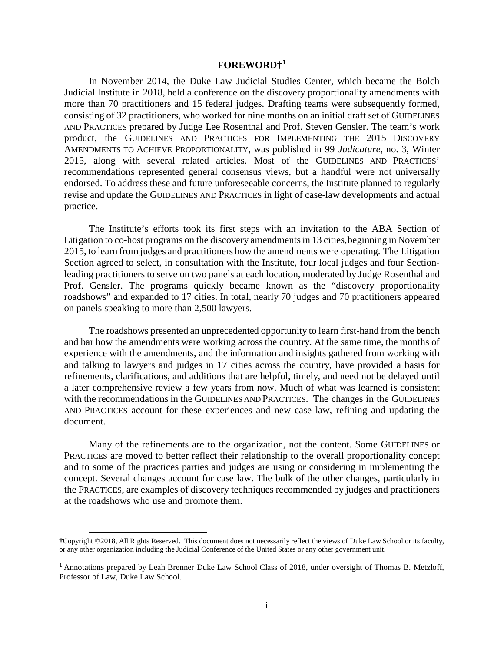# **FOREWORD†[1](#page-1-0)**

In November 2014, the Duke Law Judicial Studies Center, which became the Bolch Judicial Institute in 2018, held a conference on the discovery proportionality amendments with more than 70 practitioners and 15 federal judges. Drafting teams were subsequently formed, consisting of 32 practitioners, who worked for nine months on an initial draft set of GUIDELINES AND PRACTICES prepared by Judge Lee Rosenthal and Prof. Steven Gensler. The team's work product, the GUIDELINES AND PRACTICES FOR IMPLEMENTING THE 2015 DISCOVERY AMENDMENTS TO ACHIEVE PROPORTIONALITY, was published in 99 *Judicature*, no. 3, Winter 2015, along with several related articles. Most of the GUIDELINES AND PRACTICES' recommendations represented general consensus views, but a handful were not universally endorsed. To address these and future unforeseeable concerns, the Institute planned to regularly revise and update the GUIDELINES AND PRACTICES in light of case-law developments and actual practice.

The Institute's efforts took its first steps with an invitation to the ABA Section of Litigation to co-host programs on the discovery amendments in 13 cities, beginning in November 2015, to learn from judges and practitioners how the amendments were operating. The Litigation Section agreed to select, in consultation with the Institute, four local judges and four Sectionleading practitioners to serve on two panels at each location, moderated by Judge Rosenthal and Prof. Gensler. The programs quickly became known as the "discovery proportionality roadshows" and expanded to 17 cities. In total, nearly 70 judges and 70 practitioners appeared on panels speaking to more than 2,500 lawyers.

The roadshows presented an unprecedented opportunity to learn first-hand from the bench and bar how the amendments were working across the country. At the same time, the months of experience with the amendments, and the information and insights gathered from working with and talking to lawyers and judges in 17 cities across the country, have provided a basis for refinements, clarifications, and additions that are helpful, timely, and need not be delayed until a later comprehensive review a few years from now. Much of what was learned is consistent with the recommendations in the GUIDELINES AND PRACTICES. The changes in the GUIDELINES AND PRACTICES account for these experiences and new case law, refining and updating the document.

Many of the refinements are to the organization, not the content. Some GUIDELINES or PRACTICES are moved to better reflect their relationship to the overall proportionality concept and to some of the practices parties and judges are using or considering in implementing the concept. Several changes account for case law. The bulk of the other changes, particularly in the PRACTICES, are examples of discovery techniques recommended by judges and practitioners at the roadshows who use and promote them.

l

<span id="page-1-0"></span>**<sup>†</sup>**Copyright ©2018, All Rights Reserved. This document does not necessarily reflect the views of Duke Law School or its faculty, or any other organization including the Judicial Conference of the United States or any other government unit.

<sup>1</sup> Annotations prepared by Leah Brenner Duke Law School Class of 2018, under oversight of Thomas B. Metzloff, Professor of Law, Duke Law School.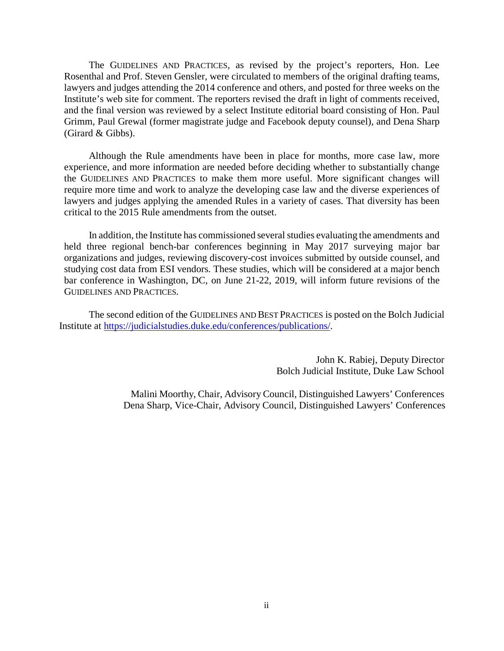The GUIDELINES AND PRACTICES*,* as revised by the project's reporters, Hon. Lee Rosenthal and Prof. Steven Gensler, were circulated to members of the original drafting teams, lawyers and judges attending the 2014 conference and others, and posted for three weeks on the Institute's web site for comment. The reporters revised the draft in light of comments received, and the final version was reviewed by a select Institute editorial board consisting of Hon. Paul Grimm, Paul Grewal (former magistrate judge and Facebook deputy counsel), and Dena Sharp (Girard & Gibbs).

Although the Rule amendments have been in place for months, more case law, more experience, and more information are needed before deciding whether to substantially change the GUIDELINES AND PRACTICES to make them more useful. More significant changes will require more time and work to analyze the developing case law and the diverse experiences of lawyers and judges applying the amended Rules in a variety of cases. That diversity has been critical to the 2015 Rule amendments from the outset.

In addition, the Institute has commissioned several studies evaluating the amendments and held three regional bench-bar conferences beginning in May 2017 surveying major bar organizations and judges, reviewing discovery-cost invoices submitted by outside counsel, and studying cost data from ESI vendors. These studies, which will be considered at a major bench bar conference in Washington, DC, on June 21-22, 2019, will inform future revisions of the GUIDELINES AND PRACTICES*.*

The second edition of the GUIDELINES AND BEST PRACTICES is posted on the Bolch Judicial Institute at [https://judicialstudies.duke.edu/conferences/publications/.](https://judicialstudies.duke.edu/conferences/publications/)

> John K. Rabiej, Deputy Director Bolch Judicial Institute, Duke Law School

 Malini Moorthy, Chair, Advisory Council, Distinguished Lawyers' Conferences Dena Sharp, Vice-Chair, Advisory Council, Distinguished Lawyers' Conferences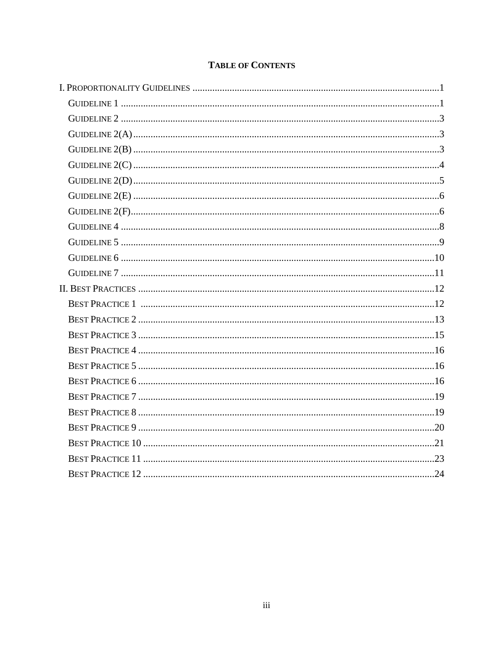# **TABLE OF CONTENTS**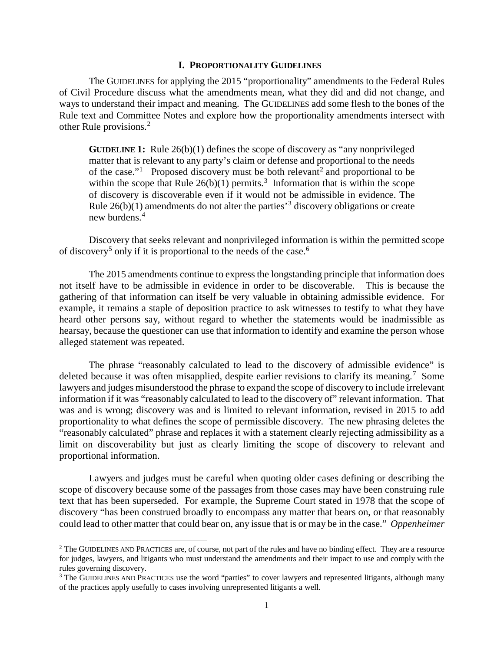## **I. PROPORTIONALITY GUIDELINES**

The GUIDELINES for applying the 2015 "proportionality" amendments to the Federal Rules of Civil Procedure discuss what the amendments mean, what they did and did not change, and ways to understand their impact and meaning. The GUIDELINES add some flesh to the bones of the Rule text and Committee Notes and explore how the proportionality amendments intersect with other Rule provisions.[2](#page-4-0)

**GUIDELINE 1:** Rule 26(b)(1) defines the scope of discovery as "any nonprivileged matter that is relevant to any party's claim or defense and proportional to the needs of the case."<sup>[1](#page-27-0)</sup> Proposed discovery must be both relevant<sup>[2](#page-27-1)</sup> and proportional to be within the scope that Rule  $26(b)(1)$  permits.<sup>[3](#page-27-2)</sup> Information that is within the scope of discovery is discoverable even if it would not be admissible in evidence. The Rule  $26(b)(1)$  amendments do not alter the parties<sup>[3](#page-4-1)</sup> discovery obligations or create new burdens.<sup>[4](#page-27-2)</sup>

Discovery that seeks relevant and nonprivileged information is within the permitted scope of discovery<sup>[5](#page-27-3)</sup> only if it is proportional to the needs of the case.<sup>[6](#page-28-0)</sup>

The 2015 amendments continue to express the longstanding principle that information does not itself have to be admissible in evidence in order to be discoverable. This is because the gathering of that information can itself be very valuable in obtaining admissible evidence. For example, it remains a staple of deposition practice to ask witnesses to testify to what they have heard other persons say, without regard to whether the statements would be inadmissible as hearsay, because the questioner can use that information to identify and examine the person whose alleged statement was repeated.

The phrase "reasonably calculated to lead to the discovery of admissible evidence" is deleted because it was often misapplied, despite earlier revisions to clarify its meaning.<sup>[7](#page-28-1)</sup> Some lawyers and judges misunderstood the phrase to expand the scope of discovery to include irrelevant information if it was "reasonably calculated to lead to the discovery of" relevant information. That was and is wrong; discovery was and is limited to relevant information, revised in 2015 to add proportionality to what defines the scope of permissible discovery. The new phrasing deletes the "reasonably calculated" phrase and replaces it with a statement clearly rejecting admissibility as a limit on discoverability but just as clearly limiting the scope of discovery to relevant and proportional information.

Lawyers and judges must be careful when quoting older cases defining or describing the scope of discovery because some of the passages from those cases may have been construing rule text that has been superseded. For example, the Supreme Court stated in 1978 that the scope of discovery "has been construed broadly to encompass any matter that bears on, or that reasonably could lead to other matter that could bear on, any issue that is or may be in the case." *Oppenheimer* 

l

<span id="page-4-0"></span> $2$  The GUIDELINES AND PRACTICES are, of course, not part of the rules and have no binding effect. They are a resource for judges, lawyers, and litigants who must understand the amendments and their impact to use and comply with the rules governing discovery.

<span id="page-4-1"></span><sup>&</sup>lt;sup>3</sup> The GUIDELINES AND PRACTICES use the word "parties" to cover lawyers and represented litigants, although many of the practices apply usefully to cases involving unrepresented litigants a well.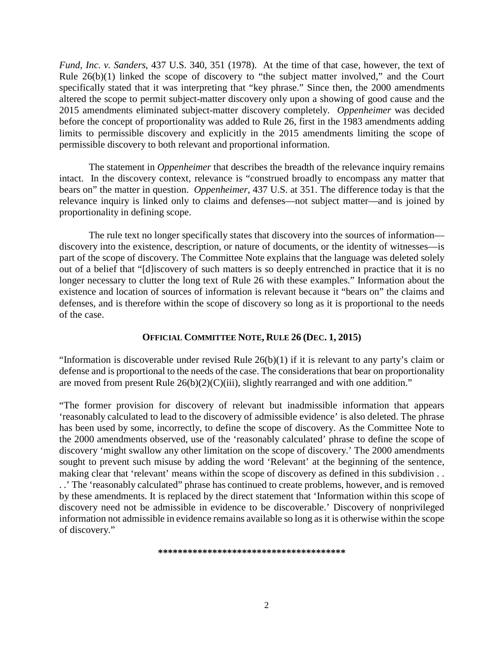*Fund, Inc. v. Sanders*, 437 U.S. 340, 351 (1978). At the time of that case, however, the text of Rule 26(b)(1) linked the scope of discovery to "the subject matter involved," and the Court specifically stated that it was interpreting that "key phrase." Since then, the 2000 amendments altered the scope to permit subject-matter discovery only upon a showing of good cause and the 2015 amendments eliminated subject-matter discovery completely. *Oppenheimer* was decided before the concept of proportionality was added to Rule 26, first in the 1983 amendments adding limits to permissible discovery and explicitly in the 2015 amendments limiting the scope of permissible discovery to both relevant and proportional information.

The statement in *Oppenheimer* that describes the breadth of the relevance inquiry remains intact. In the discovery context, relevance is "construed broadly to encompass any matter that bears on" the matter in question. *Oppenheimer*, 437 U.S. at 351. The difference today is that the relevance inquiry is linked only to claims and defenses—not subject matter—and is joined by proportionality in defining scope.

The rule text no longer specifically states that discovery into the sources of information discovery into the existence, description, or nature of documents, or the identity of witnesses—is part of the scope of discovery. The Committee Note explains that the language was deleted solely out of a belief that "[d]iscovery of such matters is so deeply entrenched in practice that it is no longer necessary to clutter the long text of Rule 26 with these examples." Information about the existence and location of sources of information is relevant because it "bears on" the claims and defenses, and is therefore within the scope of discovery so long as it is proportional to the needs of the case.

# **OFFICIAL COMMITTEE NOTE, RULE 26 (DEC. 1, 2015)**

"Information is discoverable under revised Rule  $26(b)(1)$  if it is relevant to any party's claim or defense and is proportional to the needs of the case. The considerations that bear on proportionality are moved from present Rule  $26(b)(2)(C)(iii)$ , slightly rearranged and with one addition."

"The former provision for discovery of relevant but inadmissible information that appears 'reasonably calculated to lead to the discovery of admissible evidence' is also deleted. The phrase has been used by some, incorrectly, to define the scope of discovery. As the Committee Note to the 2000 amendments observed, use of the 'reasonably calculated' phrase to define the scope of discovery 'might swallow any other limitation on the scope of discovery.' The 2000 amendments sought to prevent such misuse by adding the word 'Relevant' at the beginning of the sentence, making clear that 'relevant' means within the scope of discovery as defined in this subdivision . . . .' The 'reasonably calculated" phrase has continued to create problems, however, and is removed by these amendments. It is replaced by the direct statement that 'Information within this scope of discovery need not be admissible in evidence to be discoverable.' Discovery of nonprivileged information not admissible in evidence remains available so long as it is otherwise within the scope of discovery."

**\*\*\*\*\*\*\*\*\*\*\*\*\*\*\*\*\*\*\*\*\*\*\*\*\*\*\*\*\*\*\*\*\*\*\*\*\*\***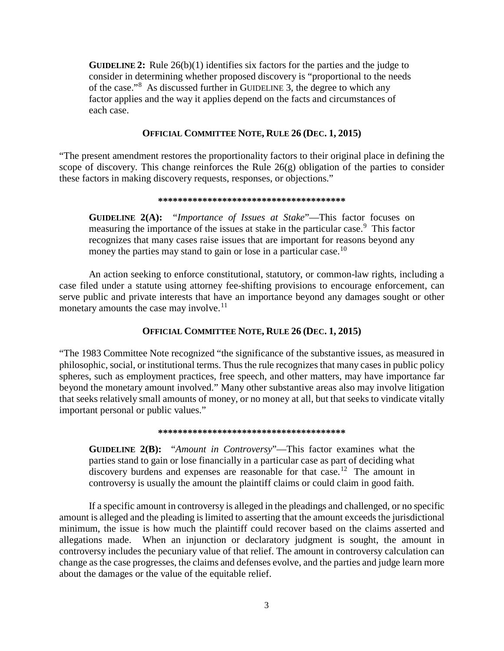**GUIDELINE 2:** Rule 26(b)(1) identifies six factors for the parties and the judge to consider in determining whether proposed discovery is "proportional to the needs of the case."[8](#page-29-0) As discussed further in GUIDELINE 3, the degree to which any factor applies and the way it applies depend on the facts and circumstances of each case.

# **OFFICIAL COMMITTEE NOTE, RULE 26 (DEC. 1, 2015)**

"The present amendment restores the proportionality factors to their original place in defining the scope of discovery. This change reinforces the Rule  $26(g)$  obligation of the parties to consider these factors in making discovery requests, responses, or objections."

#### **\*\*\*\*\*\*\*\*\*\*\*\*\*\*\*\*\*\*\*\*\*\*\*\*\*\*\*\*\*\*\*\*\*\*\*\*\*\***

**GUIDELINE 2(A):** "*Importance of Issues at Stake*"—This factor focuses on measuring the importance of the issues at stake in the particular case.<sup>[9](#page-30-0)</sup> This factor recognizes that many cases raise issues that are important for reasons beyond any money the parties may stand to gain or lose in a particular case.<sup>[10](#page-30-1)</sup>

An action seeking to enforce constitutional, statutory, or common-law rights, including a case filed under a statute using attorney fee-shifting provisions to encourage enforcement, can serve public and private interests that have an importance beyond any damages sought or other monetary amounts the case may involve.<sup>[11](#page-30-2)</sup>

# **OFFICIAL COMMITTEE NOTE, RULE 26 (DEC. 1, 2015)**

"The 1983 Committee Note recognized "the significance of the substantive issues, as measured in philosophic, social, or institutional terms. Thus the rule recognizes that many cases in public policy spheres, such as employment practices, free speech, and other matters, may have importance far beyond the monetary amount involved." Many other substantive areas also may involve litigation that seeks relatively small amounts of money, or no money at all, but that seeks to vindicate vitally important personal or public values."

#### **\*\*\*\*\*\*\*\*\*\*\*\*\*\*\*\*\*\*\*\*\*\*\*\*\*\*\*\*\*\*\*\*\*\*\*\*\*\***

**GUIDELINE 2(B):** "*Amount in Controversy*"—This factor examines what the parties stand to gain or lose financially in a particular case as part of deciding what discovery burdens and expenses are reasonable for that case.<sup>[12](#page-31-0)</sup> The amount in controversy is usually the amount the plaintiff claims or could claim in good faith.

If a specific amount in controversy is alleged in the pleadings and challenged, or no specific amount is alleged and the pleading is limited to asserting that the amount exceeds the jurisdictional minimum, the issue is how much the plaintiff could recover based on the claims asserted and allegations made.When an injunction or declaratory judgment is sought, the amount in controversy includes the pecuniary value of that relief. The amount in controversy calculation can change as the case progresses, the claims and defenses evolve, and the parties and judge learn more about the damages or the value of the equitable relief.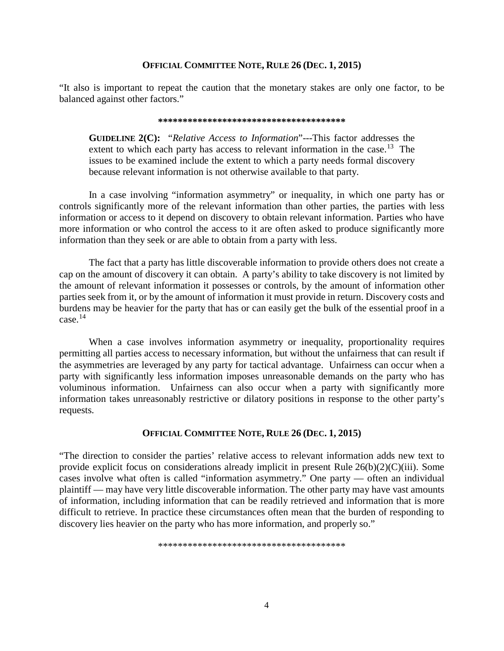# **OFFICIAL COMMITTEE NOTE, RULE 26 (DEC. 1, 2015)**

"It also is important to repeat the caution that the monetary stakes are only one factor, to be balanced against other factors."

#### **\*\*\*\*\*\*\*\*\*\*\*\*\*\*\*\*\*\*\*\*\*\*\*\*\*\*\*\*\*\*\*\*\*\*\*\*\*\***

**GUIDELINE 2(C):** "*Relative Access to Information*"---This factor addresses the extent to which each party has access to relevant information in the case.<sup>[13](#page-31-1)</sup> The issues to be examined include the extent to which a party needs formal discovery because relevant information is not otherwise available to that party.

In a case involving "information asymmetry" or inequality, in which one party has or controls significantly more of the relevant information than other parties, the parties with less information or access to it depend on discovery to obtain relevant information. Parties who have more information or who control the access to it are often asked to produce significantly more information than they seek or are able to obtain from a party with less.

The fact that a party has little discoverable information to provide others does not create a cap on the amount of discovery it can obtain. A party's ability to take discovery is not limited by the amount of relevant information it possesses or controls, by the amount of information other parties seek from it, or by the amount of information it must provide in return. Discovery costs and burdens may be heavier for the party that has or can easily get the bulk of the essential proof in a case.[14](#page-32-0)

When a case involves information asymmetry or inequality, proportionality requires permitting all parties access to necessary information, but without the unfairness that can result if the asymmetries are leveraged by any party for tactical advantage. Unfairness can occur when a party with significantly less information imposes unreasonable demands on the party who has voluminous information. Unfairness can also occur when a party with significantly more information takes unreasonably restrictive or dilatory positions in response to the other party's requests.

# **OFFICIAL COMMITTEE NOTE, RULE 26 (DEC. 1, 2015)**

"The direction to consider the parties' relative access to relevant information adds new text to provide explicit focus on considerations already implicit in present Rule 26(b)(2)(C)(iii). Some cases involve what often is called "information asymmetry." One party — often an individual plaintiff — may have very little discoverable information. The other party may have vast amounts of information, including information that can be readily retrieved and information that is more difficult to retrieve. In practice these circumstances often mean that the burden of responding to discovery lies heavier on the party who has more information, and properly so."

\*\*\*\*\*\*\*\*\*\*\*\*\*\*\*\*\*\*\*\*\*\*\*\*\*\*\*\*\*\*\*\*\*\*\*\*\*\*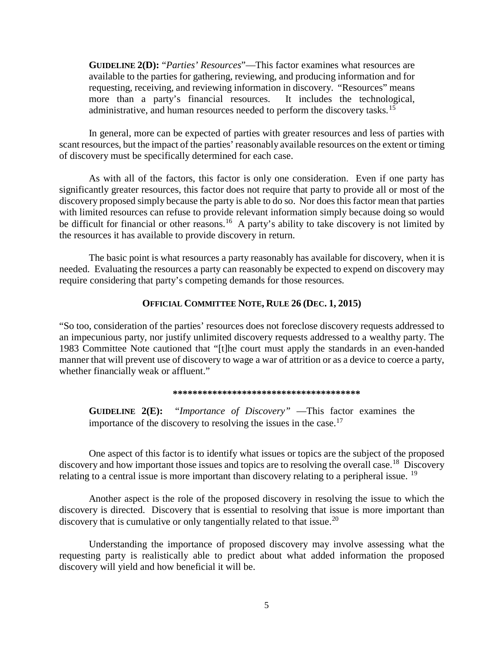**GUIDELINE 2(D):** "*Parties' Resources*"—This factor examines what resources are available to the parties for gathering, reviewing, and producing information and for requesting, receiving, and reviewing information in discovery. "Resources" means more than a party's financial resources. It includes the technological, administrative, and human resources needed to perform the discovery tasks.[15](#page-32-1)

In general, more can be expected of parties with greater resources and less of parties with scant resources, but the impact of the parties' reasonably available resources on the extent or timing of discovery must be specifically determined for each case.

As with all of the factors, this factor is only one consideration. Even if one party has significantly greater resources, this factor does not require that party to provide all or most of the discovery proposed simply because the party is able to do so. Nor does this factor mean that parties with limited resources can refuse to provide relevant information simply because doing so would be difficult for financial or other reasons.<sup>[16](#page-32-2)</sup> A party's ability to take discovery is not limited by the resources it has available to provide discovery in return.

The basic point is what resources a party reasonably has available for discovery, when it is needed. Evaluating the resources a party can reasonably be expected to expend on discovery may require considering that party's competing demands for those resources.

# **OFFICIAL COMMITTEE NOTE, RULE 26 (DEC. 1, 2015)**

"So too, consideration of the parties' resources does not foreclose discovery requests addressed to an impecunious party, nor justify unlimited discovery requests addressed to a wealthy party. The 1983 Committee Note cautioned that "[t]he court must apply the standards in an even-handed manner that will prevent use of discovery to wage a war of attrition or as a device to coerce a party, whether financially weak or affluent."

#### **\*\*\*\*\*\*\*\*\*\*\*\*\*\*\*\*\*\*\*\*\*\*\*\*\*\*\*\*\*\*\*\*\*\*\*\*\*\***

**GUIDELINE 2(E):** "*Importance of Discovery"* —This factor examines the importance of the discovery to resolving the issues in the case.<sup>[17](#page-33-0)</sup>

One aspect of this factor is to identify what issues or topics are the subject of the proposed discovery and how important those issues and topics are to resolving the overall case.<sup>[18](#page-34-0)</sup> Discovery relating to a central issue is more important than discovery relating to a peripheral issue. <sup>[19](#page-34-1)</sup>

Another aspect is the role of the proposed discovery in resolving the issue to which the discovery is directed. Discovery that is essential to resolving that issue is more important than discovery that is cumulative or only tangentially related to that issue.<sup>[20](#page-34-2)</sup>

Understanding the importance of proposed discovery may involve assessing what the requesting party is realistically able to predict about what added information the proposed discovery will yield and how beneficial it will be.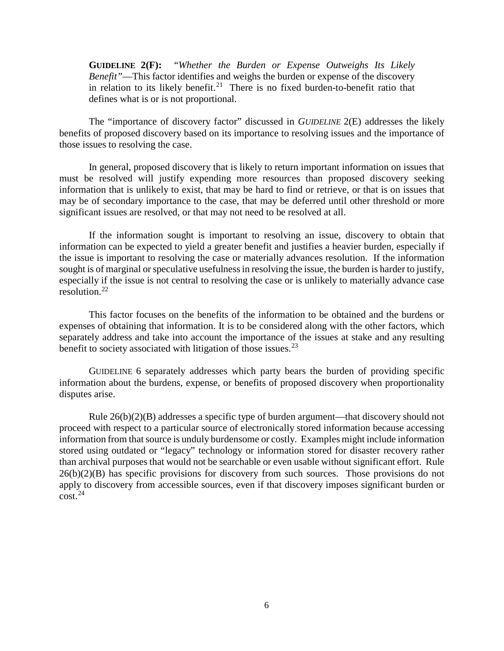**GUIDELINE 2(F):** "*Whether the Burden or Expense Outweighs Its Likely Benefit"*—This factor identifies and weighs the burden or expense of the discovery in relation to its likely benefit.<sup>[21](#page-35-0)</sup> There is no fixed burden-to-benefit ratio that defines what is or is not proportional.

The "importance of discovery factor" discussed in *GUIDELINE* 2(E) addresses the likely benefits of proposed discovery based on its importance to resolving issues and the importance of those issues to resolving the case.

In general, proposed discovery that is likely to return important information on issues that must be resolved will justify expending more resources than proposed discovery seeking information that is unlikely to exist, that may be hard to find or retrieve, or that is on issues that may be of secondary importance to the case, that may be deferred until other threshold or more significant issues are resolved, or that may not need to be resolved at all.

If the information sought is important to resolving an issue, discovery to obtain that information can be expected to yield a greater benefit and justifies a heavier burden, especially if the issue is important to resolving the case or materially advances resolution. If the information sought is of marginal or speculative usefulness in resolving the issue, the burden is harder to justify, especially if the issue is not central to resolving the case or is unlikely to materially advance case resolution.[22](#page-36-0)

This factor focuses on the benefits of the information to be obtained and the burdens or expenses of obtaining that information. It is to be considered along with the other factors, which separately address and take into account the importance of the issues at stake and any resulting benefit to society associated with litigation of those issues.<sup>[23](#page-36-1)</sup>

GUIDELINE 6 separately addresses which party bears the burden of providing specific information about the burdens, expense, or benefits of proposed discovery when proportionality disputes arise.

Rule 26(b)(2)(B) addresses a specific type of burden argument—that discovery should not proceed with respect to a particular source of electronically stored information because accessing information from that source is unduly burdensome or costly. Examples might include information stored using outdated or "legacy" technology or information stored for disaster recovery rather than archival purposes that would not be searchable or even usable without significant effort. Rule  $26(b)(2)(B)$  has specific provisions for discovery from such sources. Those provisions do not apply to discovery from accessible sources, even if that discovery imposes significant burden or  $cost.<sup>24</sup>$  $cost.<sup>24</sup>$  $cost.<sup>24</sup>$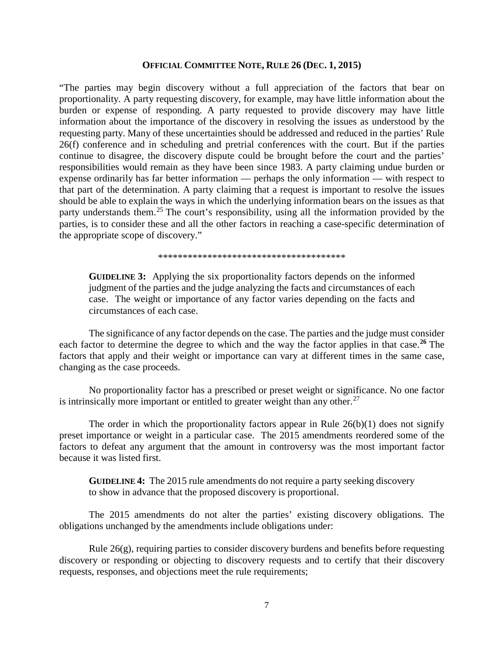# **OFFICIAL COMMITTEE NOTE, RULE 26 (DEC. 1, 2015)**

"The parties may begin discovery without a full appreciation of the factors that bear on proportionality. A party requesting discovery, for example, may have little information about the burden or expense of responding. A party requested to provide discovery may have little information about the importance of the discovery in resolving the issues as understood by the requesting party. Many of these uncertainties should be addressed and reduced in the parties' Rule 26(f) conference and in scheduling and pretrial conferences with the court. But if the parties continue to disagree, the discovery dispute could be brought before the court and the parties' responsibilities would remain as they have been since 1983. A party claiming undue burden or expense ordinarily has far better information — perhaps the only information — with respect to that part of the determination. A party claiming that a request is important to resolve the issues should be able to explain the ways in which the underlying information bears on the issues as that party understands them.<sup>[25](#page-37-0)</sup> The court's responsibility, using all the information provided by the parties, is to consider these and all the other factors in reaching a case-specific determination of the appropriate scope of discovery."

\*\*\*\*\*\*\*\*\*\*\*\*\*\*\*\*\*\*\*\*\*\*\*\*\*\*\*\*\*\*\*\*\*\*\*\*\*\*

**GUIDELINE 3:** Applying the six proportionality factors depends on the informed judgment of the parties and the judge analyzing the facts and circumstances of each case. The weight or importance of any factor varies depending on the facts and circumstances of each case.

The significance of any factor depends on the case. The parties and the judge must consider each factor to determine the degree to which and the way the factor applies in that case.**[26](#page-37-1)** The factors that apply and their weight or importance can vary at different times in the same case, changing as the case proceeds.

No proportionality factor has a prescribed or preset weight or significance. No one factor is intrinsically more important or entitled to greater weight than any other.<sup>[27](#page-37-2)</sup>

The order in which the proportionality factors appear in Rule  $26(b)(1)$  does not signify preset importance or weight in a particular case. The 2015 amendments reordered some of the factors to defeat any argument that the amount in controversy was the most important factor because it was listed first.

**GUIDELINE 4:** The 2015 rule amendments do not require a party seeking discovery to show in advance that the proposed discovery is proportional.

The 2015 amendments do not alter the parties' existing discovery obligations. The obligations unchanged by the amendments include obligations under:

Rule  $26(g)$ , requiring parties to consider discovery burdens and benefits before requesting discovery or responding or objecting to discovery requests and to certify that their discovery requests, responses, and objections meet the rule requirements;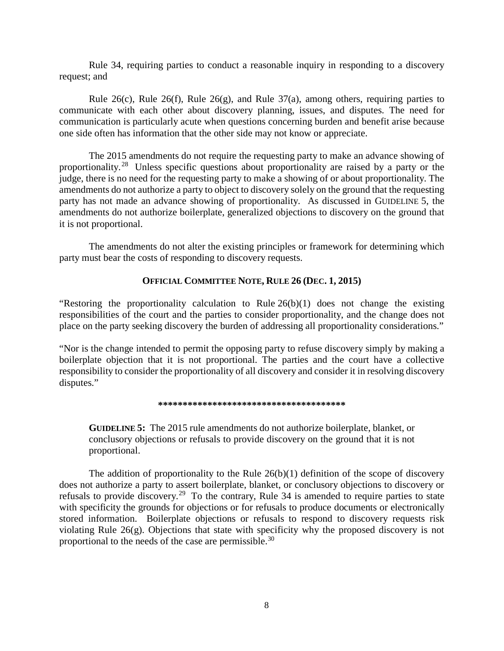Rule 34, requiring parties to conduct a reasonable inquiry in responding to a discovery request; and

Rule 26(c), Rule 26(f), Rule 26(g), and Rule 37(a), among others, requiring parties to communicate with each other about discovery planning, issues, and disputes. The need for communication is particularly acute when questions concerning burden and benefit arise because one side often has information that the other side may not know or appreciate.

The 2015 amendments do not require the requesting party to make an advance showing of proportionality. [28](#page-37-3) Unless specific questions about proportionality are raised by a party or the judge, there is no need for the requesting party to make a showing of or about proportionality. The amendments do not authorize a party to object to discovery solely on the ground that the requesting party has not made an advance showing of proportionality. As discussed in GUIDELINE 5, the amendments do not authorize boilerplate, generalized objections to discovery on the ground that it is not proportional.

The amendments do not alter the existing principles or framework for determining which party must bear the costs of responding to discovery requests.

# **OFFICIAL COMMITTEE NOTE, RULE 26 (DEC. 1, 2015)**

"Restoring the proportionality calculation to Rule 26(b)(1) does not change the existing responsibilities of the court and the parties to consider proportionality, and the change does not place on the party seeking discovery the burden of addressing all proportionality considerations."

"Nor is the change intended to permit the opposing party to refuse discovery simply by making a boilerplate objection that it is not proportional. The parties and the court have a collective responsibility to consider the proportionality of all discovery and consider it in resolving discovery disputes."

## **\*\*\*\*\*\*\*\*\*\*\*\*\*\*\*\*\*\*\*\*\*\*\*\*\*\*\*\*\*\*\*\*\*\*\*\*\*\***

**GUIDELINE 5:** The 2015 rule amendments do not authorize boilerplate, blanket, or conclusory objections or refusals to provide discovery on the ground that it is not proportional.

The addition of proportionality to the Rule  $26(b)(1)$  definition of the scope of discovery does not authorize a party to assert boilerplate, blanket, or conclusory objections to discovery or refusals to provide discovery.<sup>[29](#page-38-0)</sup> To the contrary, Rule 34 is amended to require parties to state with specificity the grounds for objections or for refusals to produce documents or electronically stored information. Boilerplate objections or refusals to respond to discovery requests risk violating Rule 26(g). Objections that state with specificity why the proposed discovery is not proportional to the needs of the case are permissible.[30](#page-38-1)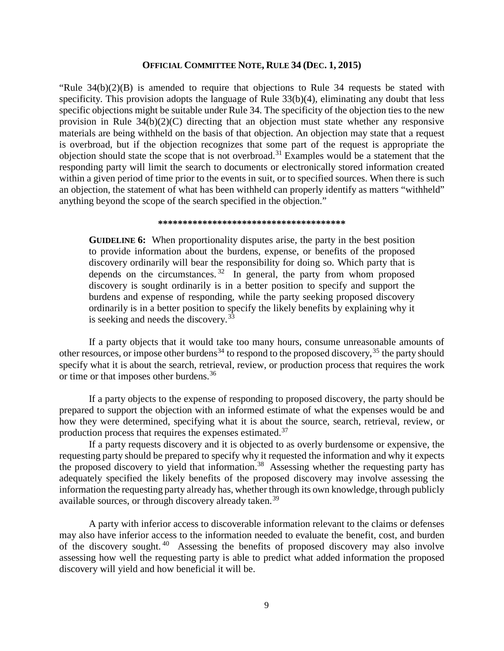# **OFFICIAL COMMITTEE NOTE, RULE 34 (DEC. 1, 2015)**

"Rule  $34(b)(2)(B)$  is amended to require that objections to Rule 34 requests be stated with specificity. This provision adopts the language of Rule 33(b)(4), eliminating any doubt that less specific objections might be suitable under Rule 34. The specificity of the objection ties to the new provision in Rule 34(b)(2)(C) directing that an objection must state whether any responsive materials are being withheld on the basis of that objection. An objection may state that a request is overbroad, but if the objection recognizes that some part of the request is appropriate the objection should state the scope that is not overbroad.[31](#page-38-2) Examples would be a statement that the responding party will limit the search to documents or electronically stored information created within a given period of time prior to the events in suit, or to specified sources. When there is such an objection, the statement of what has been withheld can properly identify as matters "withheld" anything beyond the scope of the search specified in the objection."

#### **\*\*\*\*\*\*\*\*\*\*\*\*\*\*\*\*\*\*\*\*\*\*\*\*\*\*\*\*\*\*\*\*\*\*\*\*\*\***

**GUIDELINE 6:** When proportionality disputes arise, the party in the best position to provide information about the burdens, expense, or benefits of the proposed discovery ordinarily will bear the responsibility for doing so. Which party that is depends on the circumstances.  $32 \text{ In general, the party from whom proposed}$  $32 \text{ In general, the party from whom proposed}$ discovery is sought ordinarily is in a better position to specify and support the burdens and expense of responding, while the party seeking proposed discovery ordinarily is in a better position to specify the likely benefits by explaining why it is seeking and needs the discovery.<sup>[33](#page-39-1)</sup>

If a party objects that it would take too many hours, consume unreasonable amounts of other resources, or impose other burdens<sup>[34](#page-40-0)</sup> to respond to the proposed discovery,  $35$  the party should specify what it is about the search, retrieval, review, or production process that requires the work or time or that imposes other burdens.<sup>36</sup>

If a party objects to the expense of responding to proposed discovery, the party should be prepared to support the objection with an informed estimate of what the expenses would be and how they were determined, specifying what it is about the source, search, retrieval, review, or production process that requires the expenses estimated.[37](#page-41-0)

If a party requests discovery and it is objected to as overly burdensome or expensive, the requesting party should be prepared to specify why it requested the information and why it expects the proposed discovery to yield that information.<sup>38</sup> Assessing whether the requesting party has adequately specified the likely benefits of the proposed discovery may involve assessing the information the requesting party already has, whether through its own knowledge, through publicly available sources, or through discovery already taken.<sup>[39](#page-42-1)</sup>

A party with inferior access to discoverable information relevant to the claims or defenses may also have inferior access to the information needed to evaluate the benefit, cost, and burden of the discovery sought. [40](#page-43-0) Assessing the benefits of proposed discovery may also involve assessing how well the requesting party is able to predict what added information the proposed discovery will yield and how beneficial it will be.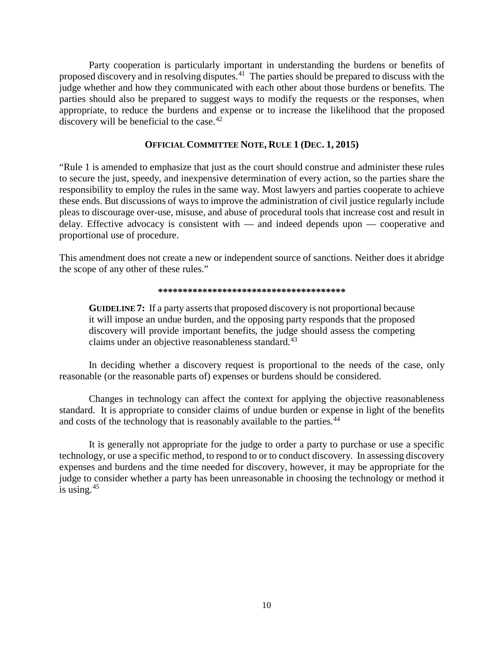Party cooperation is particularly important in understanding the burdens or benefits of proposed discovery and in resolving disputes.[41](#page-43-1) The parties should be prepared to discuss with the judge whether and how they communicated with each other about those burdens or benefits. The parties should also be prepared to suggest ways to modify the requests or the responses, when appropriate, to reduce the burdens and expense or to increase the likelihood that the proposed discovery will be beneficial to the case. $42$ 

# **OFFICIAL COMMITTEE NOTE, RULE 1 (DEC. 1, 2015)**

"Rule 1 is amended to emphasize that just as the court should construe and administer these rules to secure the just, speedy, and inexpensive determination of every action, so the parties share the responsibility to employ the rules in the same way. Most lawyers and parties cooperate to achieve these ends. But discussions of ways to improve the administration of civil justice regularly include pleas to discourage over-use, misuse, and abuse of procedural tools that increase cost and result in delay. Effective advocacy is consistent with — and indeed depends upon — cooperative and proportional use of procedure.

This amendment does not create a new or independent source of sanctions. Neither does it abridge the scope of any other of these rules."

#### **\*\*\*\*\*\*\*\*\*\*\*\*\*\*\*\*\*\*\*\*\*\*\*\*\*\*\*\*\*\*\*\*\*\*\*\*\*\***

**GUIDELINE 7:** If a party asserts that proposed discovery is not proportional because it will impose an undue burden, and the opposing party responds that the proposed discovery will provide important benefits, the judge should assess the competing claims under an objective reasonableness standard.<sup>[43](#page-43-3)</sup>

In deciding whether a discovery request is proportional to the needs of the case, only reasonable (or the reasonable parts of) expenses or burdens should be considered.

Changes in technology can affect the context for applying the objective reasonableness standard.It is appropriate to consider claims of undue burden or expense in light of the benefits and costs of the technology that is reasonably available to the parties.<sup>[44](#page-43-4)</sup>

It is generally not appropriate for the judge to order a party to purchase or use a specific technology, or use a specific method, to respond to or to conduct discovery. In assessing discovery expenses and burdens and the time needed for discovery, however, it may be appropriate for the judge to consider whether a party has been unreasonable in choosing the technology or method it is using. $45$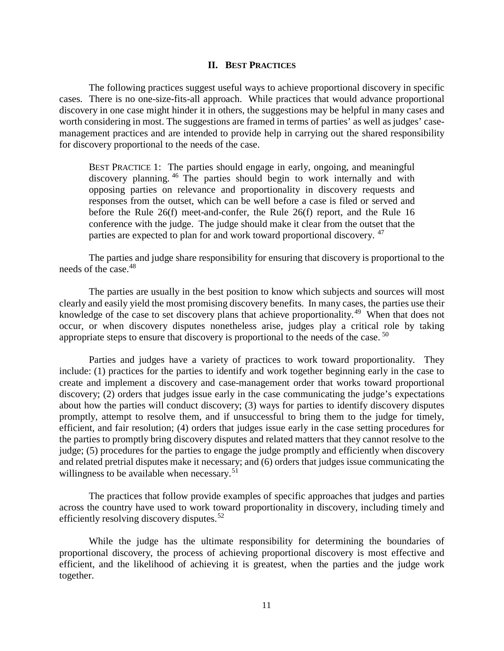# **II. BEST PRACTICES**

The following practices suggest useful ways to achieve proportional discovery in specific cases. There is no one-size-fits-all approach. While practices that would advance proportional discovery in one case might hinder it in others, the suggestions may be helpful in many cases and worth considering in most. The suggestions are framed in terms of parties' as well as judges' casemanagement practices and are intended to provide help in carrying out the shared responsibility for discovery proportional to the needs of the case.

BEST PRACTICE 1:The parties should engage in early, ongoing, and meaningful discovery planning. [46](#page-44-0) The parties should begin to work internally and with opposing parties on relevance and proportionality in discovery requests and responses from the outset, which can be well before a case is filed or served and before the Rule 26(f) meet-and-confer, the Rule 26(f) report, and the Rule 16 conference with the judge. The judge should make it clear from the outset that the parties are expected to plan for and work toward proportional discovery.<sup>[47](#page-44-1)</sup>

The parties and judge share responsibility for ensuring that discovery is proportional to the needs of the case.<sup>[48](#page-44-2)</sup>

The parties are usually in the best position to know which subjects and sources will most clearly and easily yield the most promising discovery benefits. In many cases, the parties use their knowledge of the case to set discovery plans that achieve proportionality.<sup>49</sup> When that does not occur, or when discovery disputes nonetheless arise, judges play a critical role by taking appropriate steps to ensure that discovery is proportional to the needs of the case.  $50$ 

Parties and judges have a variety of practices to work toward proportionality. They include: (1) practices for the parties to identify and work together beginning early in the case to create and implement a discovery and case-management order that works toward proportional discovery; (2) orders that judges issue early in the case communicating the judge's expectations about how the parties will conduct discovery; (3) ways for parties to identify discovery disputes promptly, attempt to resolve them, and if unsuccessful to bring them to the judge for timely, efficient, and fair resolution; (4) orders that judges issue early in the case setting procedures for the parties to promptly bring discovery disputes and related matters that they cannot resolve to the judge; (5) procedures for the parties to engage the judge promptly and efficiently when discovery and related pretrial disputes make it necessary; and (6) orders that judges issue communicating the willingness to be available when necessary.<sup>51</sup>

The practices that follow provide examples of specific approaches that judges and parties across the country have used to work toward proportionality in discovery, including timely and efficiently resolving discovery disputes. $52$ 

While the judge has the ultimate responsibility for determining the boundaries of proportional discovery, the process of achieving proportional discovery is most effective and efficient, and the likelihood of achieving it is greatest, when the parties and the judge work together.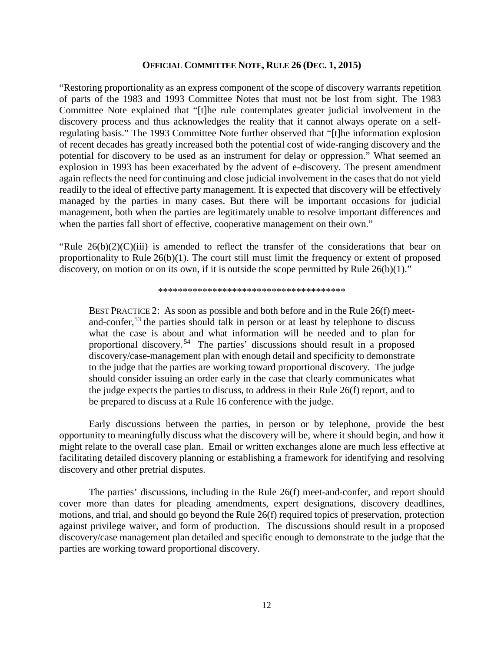# **OFFICIAL COMMITTEE NOTE, RULE 26 (DEC. 1, 2015)**

"Restoring proportionality as an express component of the scope of discovery warrants repetition of parts of the 1983 and 1993 Committee Notes that must not be lost from sight. The 1983 Committee Note explained that "[t]he rule contemplates greater judicial involvement in the discovery process and thus acknowledges the reality that it cannot always operate on a selfregulating basis." The 1993 Committee Note further observed that "[t]he information explosion of recent decades has greatly increased both the potential cost of wide-ranging discovery and the potential for discovery to be used as an instrument for delay or oppression." What seemed an explosion in 1993 has been exacerbated by the advent of e-discovery. The present amendment again reflects the need for continuing and close judicial involvement in the cases that do not yield readily to the ideal of effective party management. It is expected that discovery will be effectively managed by the parties in many cases. But there will be important occasions for judicial management, both when the parties are legitimately unable to resolve important differences and when the parties fall short of effective, cooperative management on their own."

"Rule  $26(b)(2)(C)(iii)$  is amended to reflect the transfer of the considerations that bear on proportionality to Rule 26(b)(1). The court still must limit the frequency or extent of proposed discovery, on motion or on its own, if it is outside the scope permitted by Rule  $26(b)(1)$ ."

\*\*\*\*\*\*\*\*\*\*\*\*\*\*\*\*\*\*\*\*\*\*\*\*\*\*\*\*\*\*\*\*\*\*\*\*\*\*

BEST PRACTICE 2:As soon as possible and both before and in the Rule 26(f) meet-and-confer,<sup>[53](#page-46-0)</sup> the parties should talk in person or at least by telephone to discuss what the case is about and what information will be needed and to plan for proportional discovery. [54](#page-46-1) The parties' discussions should result in a proposed discovery/case-management plan with enough detail and specificity to demonstrate to the judge that the parties are working toward proportional discovery. The judge should consider issuing an order early in the case that clearly communicates what the judge expects the parties to discuss, to address in their Rule 26(f) report, and to be prepared to discuss at a Rule 16 conference with the judge.

Early discussions between the parties, in person or by telephone, provide the best opportunity to meaningfully discuss what the discovery will be, where it should begin, and how it might relate to the overall case plan. Email or written exchanges alone are much less effective at facilitating detailed discovery planning or establishing a framework for identifying and resolving discovery and other pretrial disputes.

The parties' discussions, including in the Rule 26(f) meet-and-confer, and report should cover more than dates for pleading amendments, expert designations, discovery deadlines, motions, and trial, and should go beyond the Rule 26(f) required topics of preservation, protection against privilege waiver, and form of production. The discussions should result in a proposed discovery/case management plan detailed and specific enough to demonstrate to the judge that the parties are working toward proportional discovery.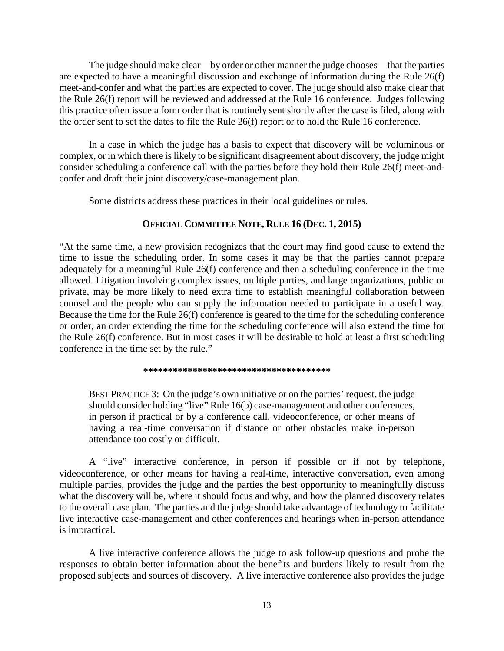The judge should make clear—by order or other manner the judge chooses—that the parties are expected to have a meaningful discussion and exchange of information during the Rule 26(f) meet-and-confer and what the parties are expected to cover. The judge should also make clear that the Rule 26(f) report will be reviewed and addressed at the Rule 16 conference. Judges following this practice often issue a form order that is routinely sent shortly after the case is filed, along with the order sent to set the dates to file the Rule 26(f) report or to hold the Rule 16 conference.

In a case in which the judge has a basis to expect that discovery will be voluminous or complex, or in which there is likely to be significant disagreement about discovery, the judge might consider scheduling a conference call with the parties before they hold their Rule 26(f) meet-andconfer and draft their joint discovery/case-management plan.

Some districts address these practices in their local guidelines or rules.

# **OFFICIAL COMMITTEE NOTE, RULE 16 (DEC. 1, 2015)**

"At the same time, a new provision recognizes that the court may find good cause to extend the time to issue the scheduling order. In some cases it may be that the parties cannot prepare adequately for a meaningful Rule 26(f) conference and then a scheduling conference in the time allowed. Litigation involving complex issues, multiple parties, and large organizations, public or private, may be more likely to need extra time to establish meaningful collaboration between counsel and the people who can supply the information needed to participate in a useful way. Because the time for the Rule 26(f) conference is geared to the time for the scheduling conference or order, an order extending the time for the scheduling conference will also extend the time for the Rule 26(f) conference. But in most cases it will be desirable to hold at least a first scheduling conference in the time set by the rule."

**\*\*\*\*\*\*\*\*\*\*\*\*\*\*\*\*\*\*\*\*\*\*\*\*\*\*\*\*\*\*\*\*\*\*\*\*\*\***

BEST PRACTICE 3:On the judge's own initiative or on the parties' request, the judge should consider holding "live" Rule 16(b) case-management and other conferences, in person if practical or by a conference call, videoconference, or other means of having a real-time conversation if distance or other obstacles make in-person attendance too costly or difficult.

A "live" interactive conference, in person if possible or if not by telephone, videoconference, or other means for having a real-time, interactive conversation, even among multiple parties, provides the judge and the parties the best opportunity to meaningfully discuss what the discovery will be, where it should focus and why, and how the planned discovery relates to the overall case plan. The parties and the judge should take advantage of technology to facilitate live interactive case-management and other conferences and hearings when in-person attendance is impractical.

A live interactive conference allows the judge to ask follow-up questions and probe the responses to obtain better information about the benefits and burdens likely to result from the proposed subjects and sources of discovery. A live interactive conference also provides the judge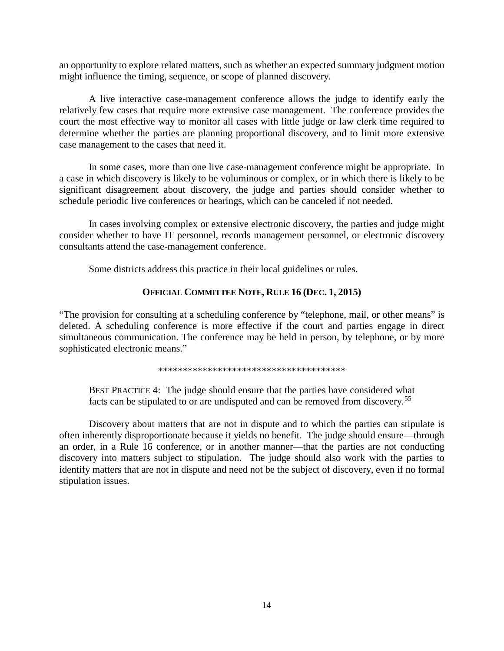an opportunity to explore related matters, such as whether an expected summary judgment motion might influence the timing, sequence, or scope of planned discovery.

A live interactive case-management conference allows the judge to identify early the relatively few cases that require more extensive case management. The conference provides the court the most effective way to monitor all cases with little judge or law clerk time required to determine whether the parties are planning proportional discovery, and to limit more extensive case management to the cases that need it.

In some cases, more than one live case-management conference might be appropriate. In a case in which discovery is likely to be voluminous or complex, or in which there is likely to be significant disagreement about discovery, the judge and parties should consider whether to schedule periodic live conferences or hearings, which can be canceled if not needed.

In cases involving complex or extensive electronic discovery, the parties and judge might consider whether to have IT personnel, records management personnel, or electronic discovery consultants attend the case-management conference.

Some districts address this practice in their local guidelines or rules.

# **OFFICIAL COMMITTEE NOTE, RULE 16 (DEC. 1, 2015)**

"The provision for consulting at a scheduling conference by "telephone, mail, or other means" is deleted. A scheduling conference is more effective if the court and parties engage in direct simultaneous communication. The conference may be held in person, by telephone, or by more sophisticated electronic means."

\*\*\*\*\*\*\*\*\*\*\*\*\*\*\*\*\*\*\*\*\*\*\*\*\*\*\*\*\*\*\*\*\*\*\*\*\*\*

BEST PRACTICE 4:The judge should ensure that the parties have considered what facts can be stipulated to or are undisputed and can be removed from discovery.[55](#page-46-2)

Discovery about matters that are not in dispute and to which the parties can stipulate is often inherently disproportionate because it yields no benefit. The judge should ensure—through an order, in a Rule 16 conference, or in another manner—that the parties are not conducting discovery into matters subject to stipulation. The judge should also work with the parties to identify matters that are not in dispute and need not be the subject of discovery, even if no formal stipulation issues.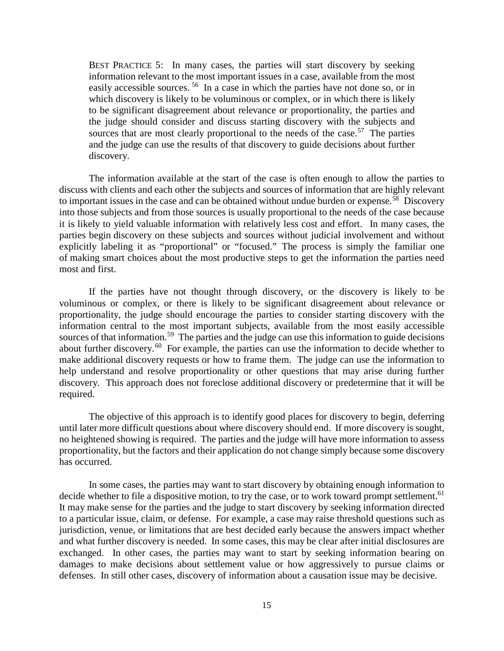BEST PRACTICE 5:In many cases, the parties will start discovery by seeking information relevant to the most important issues in a case, available from the most easily accessible sources. <sup>[56](#page-46-3)</sup> In a case in which the parties have not done so, or in which discovery is likely to be voluminous or complex, or in which there is likely to be significant disagreement about relevance or proportionality, the parties and the judge should consider and discuss starting discovery with the subjects and sources that are most clearly proportional to the needs of the case.<sup>57</sup> The parties and the judge can use the results of that discovery to guide decisions about further discovery.

The information available at the start of the case is often enough to allow the parties to discuss with clients and each other the subjects and sources of information that are highly relevant to important issues in the case and can be obtained without undue burden or expense.<sup>[58](#page-47-0)</sup> Discovery into those subjects and from those sources is usually proportional to the needs of the case because it is likely to yield valuable information with relatively less cost and effort. In many cases, the parties begin discovery on these subjects and sources without judicial involvement and without explicitly labeling it as "proportional" or "focused." The process is simply the familiar one of making smart choices about the most productive steps to get the information the parties need most and first.

If the parties have not thought through discovery, or the discovery is likely to be voluminous or complex, or there is likely to be significant disagreement about relevance or proportionality, the judge should encourage the parties to consider starting discovery with the information central to the most important subjects, available from the most easily accessible sources of that information.<sup>[59](#page-47-1)</sup> The parties and the judge can use this information to guide decisions about further discovery.<sup>[60](#page-47-2)</sup> For example, the parties can use the information to decide whether to make additional discovery requests or how to frame them. The judge can use the information to help understand and resolve proportionality or other questions that may arise during further discovery. This approach does not foreclose additional discovery or predetermine that it will be required.

The objective of this approach is to identify good places for discovery to begin, deferring until later more difficult questions about where discovery should end. If more discovery is sought, no heightened showing is required. The parties and the judge will have more information to assess proportionality, but the factors and their application do not change simply because some discovery has occurred.

In some cases, the parties may want to start discovery by obtaining enough information to decide whether to file a dispositive motion, to try the case, or to work toward prompt settlement.<sup>[61](#page-48-0)</sup> It may make sense for the parties and the judge to start discovery by seeking information directed to a particular issue, claim, or defense. For example, a case may raise threshold questions such as jurisdiction, venue, or limitations that are best decided early because the answers impact whether and what further discovery is needed. In some cases, this may be clear after initial disclosures are exchanged. In other cases, the parties may want to start by seeking information bearing on damages to make decisions about settlement value or how aggressively to pursue claims or defenses. In still other cases, discovery of information about a causation issue may be decisive.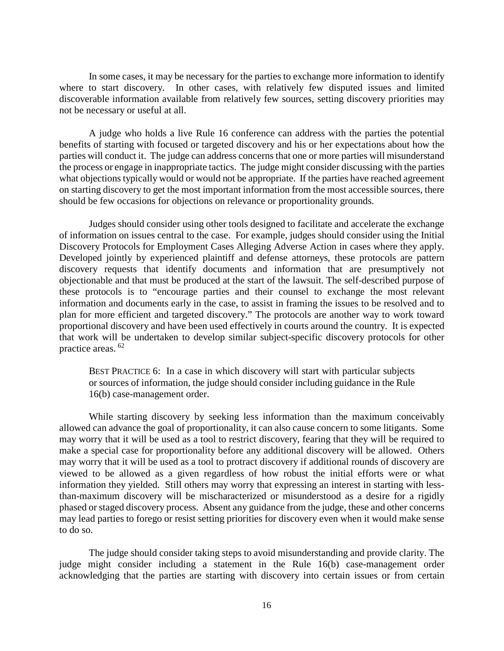In some cases, it may be necessary for the parties to exchange more information to identify where to start discovery. In other cases, with relatively few disputed issues and limited discoverable information available from relatively few sources, setting discovery priorities may not be necessary or useful at all.

A judge who holds a live Rule 16 conference can address with the parties the potential benefits of starting with focused or targeted discovery and his or her expectations about how the parties will conduct it. The judge can address concerns that one or more parties will misunderstand the process or engage in inappropriate tactics. The judge might consider discussing with the parties what objections typically would or would not be appropriate. If the parties have reached agreement on starting discovery to get the most important information from the most accessible sources, there should be few occasions for objections on relevance or proportionality grounds.

Judges should consider using other tools designed to facilitate and accelerate the exchange of information on issues central to the case. For example, judges should consider using the Initial Discovery Protocols for Employment Cases Alleging Adverse Action in cases where they apply. Developed jointly by experienced plaintiff and defense attorneys, these protocols are pattern discovery requests that identify documents and information that are presumptively not objectionable and that must be produced at the start of the lawsuit. The self-described purpose of these protocols is to "encourage parties and their counsel to exchange the most relevant information and documents early in the case, to assist in framing the issues to be resolved and to plan for more efficient and targeted discovery." The protocols are another way to work toward proportional discovery and have been used effectively in courts around the country. It is expected that work will be undertaken to develop similar subject-specific discovery protocols for other practice areas. [62](#page-48-1)

BEST PRACTICE 6: In a case in which discovery will start with particular subjects or sources of information, the judge should consider including guidance in the Rule 16(b) case-management order.

While starting discovery by seeking less information than the maximum conceivably allowed can advance the goal of proportionality, it can also cause concern to some litigants. Some may worry that it will be used as a tool to restrict discovery, fearing that they will be required to make a special case for proportionality before any additional discovery will be allowed. Others may worry that it will be used as a tool to protract discovery if additional rounds of discovery are viewed to be allowed as a given regardless of how robust the initial efforts were or what information they yielded. Still others may worry that expressing an interest in starting with lessthan-maximum discovery will be mischaracterized or misunderstood as a desire for a rigidly phased or staged discovery process. Absent any guidance from the judge, these and other concerns may lead parties to forego or resist setting priorities for discovery even when it would make sense to do so.

The judge should consider taking steps to avoid misunderstanding and provide clarity. The judge might consider including a statement in the Rule 16(b) case-management order acknowledging that the parties are starting with discovery into certain issues or from certain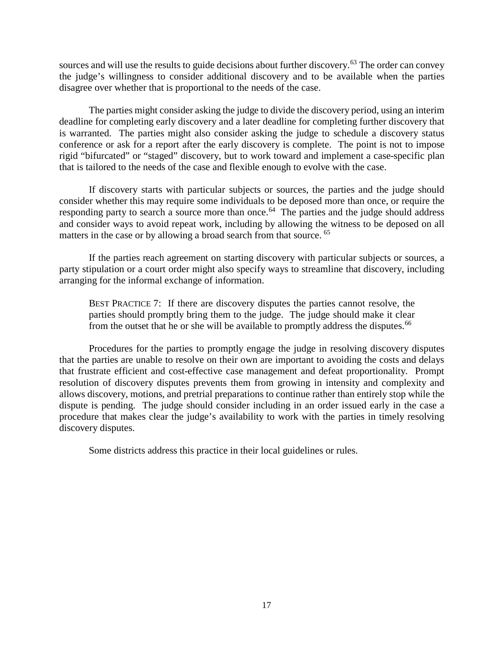sources and will use the results to guide decisions about further discovery.<sup>[63](#page-48-2)</sup> The order can convey the judge's willingness to consider additional discovery and to be available when the parties disagree over whether that is proportional to the needs of the case.

The parties might consider asking the judge to divide the discovery period, using an interim deadline for completing early discovery and a later deadline for completing further discovery that is warranted. The parties might also consider asking the judge to schedule a discovery status conference or ask for a report after the early discovery is complete. The point is not to impose rigid "bifurcated" or "staged" discovery, but to work toward and implement a case-specific plan that is tailored to the needs of the case and flexible enough to evolve with the case.

If discovery starts with particular subjects or sources, the parties and the judge should consider whether this may require some individuals to be deposed more than once, or require the responding party to search a source more than once.<sup>64</sup> The parties and the judge should address and consider ways to avoid repeat work, including by allowing the witness to be deposed on all matters in the case or by allowing a broad search from that source. <sup>[65](#page-49-1)</sup>

If the parties reach agreement on starting discovery with particular subjects or sources, a party stipulation or a court order might also specify ways to streamline that discovery, including arranging for the informal exchange of information.

BEST PRACTICE 7:If there are discovery disputes the parties cannot resolve, the parties should promptly bring them to the judge. The judge should make it clear from the outset that he or she will be available to promptly address the disputes.<sup>[66](#page-49-2)</sup>

Procedures for the parties to promptly engage the judge in resolving discovery disputes that the parties are unable to resolve on their own are important to avoiding the costs and delays that frustrate efficient and cost-effective case management and defeat proportionality. Prompt resolution of discovery disputes prevents them from growing in intensity and complexity and allows discovery, motions, and pretrial preparations to continue rather than entirely stop while the dispute is pending. The judge should consider including in an order issued early in the case a procedure that makes clear the judge's availability to work with the parties in timely resolving discovery disputes.

Some districts address this practice in their local guidelines or rules.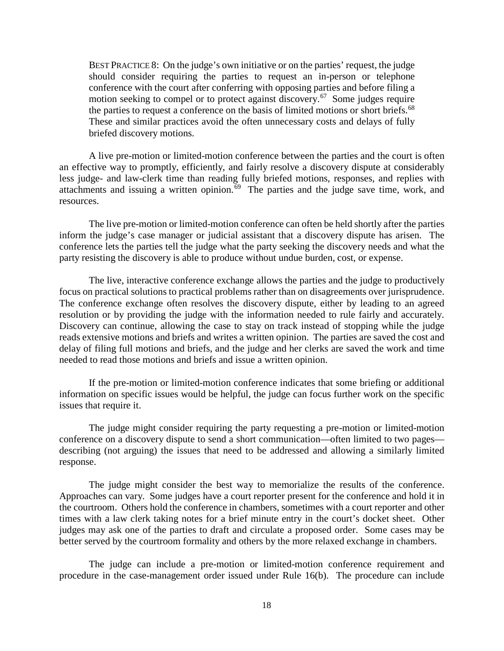BEST PRACTICE 8:On the judge's own initiative or on the parties' request, the judge should consider requiring the parties to request an in-person or telephone conference with the court after conferring with opposing parties and before filing a motion seeking to compel or to protect against discovery.<sup>[67](#page-50-0)</sup> Some judges require the parties to request a conference on the basis of limited motions or short briefs.<sup>[68](#page-50-1)</sup> These and similar practices avoid the often unnecessary costs and delays of fully briefed discovery motions.

A live pre-motion or limited-motion conference between the parties and the court is often an effective way to promptly, efficiently, and fairly resolve a discovery dispute at considerably less judge- and law-clerk time than reading fully briefed motions, responses, and replies with attachments and issuing a written opinion. $69$  The parties and the judge save time, work, and resources.

The live pre-motion or limited-motion conference can often be held shortly after the parties inform the judge's case manager or judicial assistant that a discovery dispute has arisen. The conference lets the parties tell the judge what the party seeking the discovery needs and what the party resisting the discovery is able to produce without undue burden, cost, or expense.

The live, interactive conference exchange allows the parties and the judge to productively focus on practical solutions to practical problems rather than on disagreements over jurisprudence. The conference exchange often resolves the discovery dispute, either by leading to an agreed resolution or by providing the judge with the information needed to rule fairly and accurately. Discovery can continue, allowing the case to stay on track instead of stopping while the judge reads extensive motions and briefs and writes a written opinion. The parties are saved the cost and delay of filing full motions and briefs, and the judge and her clerks are saved the work and time needed to read those motions and briefs and issue a written opinion.

If the pre-motion or limited-motion conference indicates that some briefing or additional information on specific issues would be helpful, the judge can focus further work on the specific issues that require it.

The judge might consider requiring the party requesting a pre-motion or limited-motion conference on a discovery dispute to send a short communication—often limited to two pages describing (not arguing) the issues that need to be addressed and allowing a similarly limited response.

The judge might consider the best way to memorialize the results of the conference. Approaches can vary. Some judges have a court reporter present for the conference and hold it in the courtroom. Others hold the conference in chambers, sometimes with a court reporter and other times with a law clerk taking notes for a brief minute entry in the court's docket sheet. Other judges may ask one of the parties to draft and circulate a proposed order. Some cases may be better served by the courtroom formality and others by the more relaxed exchange in chambers.

The judge can include a pre-motion or limited-motion conference requirement and procedure in the case-management order issued under Rule 16(b). The procedure can include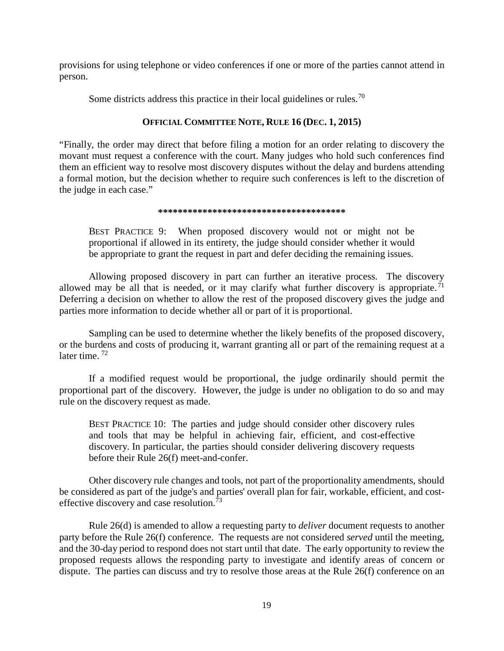provisions for using telephone or video conferences if one or more of the parties cannot attend in person.

Some districts address this practice in their local guidelines or rules.<sup>[70](#page-51-1)</sup>

# **OFFICIAL COMMITTEE NOTE, RULE 16 (DEC. 1, 2015)**

"Finally, the order may direct that before filing a motion for an order relating to discovery the movant must request a conference with the court. Many judges who hold such conferences find them an efficient way to resolve most discovery disputes without the delay and burdens attending a formal motion, but the decision whether to require such conferences is left to the discretion of the judge in each case."

## **\*\*\*\*\*\*\*\*\*\*\*\*\*\*\*\*\*\*\*\*\*\*\*\*\*\*\*\*\*\*\*\*\*\*\*\*\*\***

BEST PRACTICE 9:When proposed discovery would not or might not be proportional if allowed in its entirety, the judge should consider whether it would be appropriate to grant the request in part and defer deciding the remaining issues.

Allowing proposed discovery in part can further an iterative process. The discovery allowed may be all that is needed, or it may clarify what further discovery is appropriate.<sup>[71](#page-51-2)</sup> Deferring a decision on whether to allow the rest of the proposed discovery gives the judge and parties more information to decide whether all or part of it is proportional.

Sampling can be used to determine whether the likely benefits of the proposed discovery, or the burdens and costs of producing it, warrant granting all or part of the remaining request at a later time.<sup>[72](#page-51-3)</sup>

If a modified request would be proportional, the judge ordinarily should permit the proportional part of the discovery. However, the judge is under no obligation to do so and may rule on the discovery request as made.

BEST PRACTICE 10: The parties and judge should consider other discovery rules and tools that may be helpful in achieving fair, efficient, and cost-effective discovery. In particular, the parties should consider delivering discovery requests before their Rule 26(f) meet-and-confer.

Other discovery rule changes and tools, not part of the proportionality amendments, should be considered as part of the judge's and parties' overall plan for fair, workable, efficient, and costeffective discovery and case resolution.<sup> $\frac{73}{2}$  $\frac{73}{2}$  $\frac{73}{2}$ </sup>

Rule 26(d) is amended to allow a requesting party to *deliver* document requests to another party before the Rule 26(f) conference. The requests are not considered *served* until the meeting, and the 30-day period to respond does not start until that date. The early opportunity to review the proposed requests allows the responding party to investigate and identify areas of concern or dispute. The parties can discuss and try to resolve those areas at the Rule 26(f) conference on an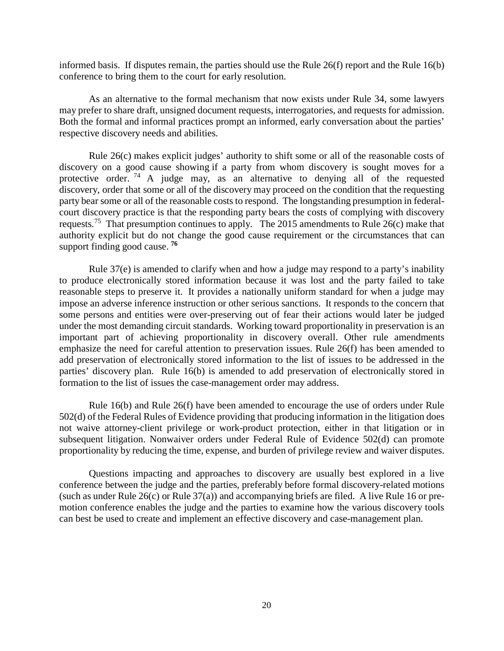informed basis. If disputes remain, the parties should use the Rule  $26(f)$  report and the Rule  $16(b)$ conference to bring them to the court for early resolution.

As an alternative to the formal mechanism that now exists under Rule 34, some lawyers may prefer to share draft, unsigned document requests, interrogatories, and requests for admission. Both the formal and informal practices prompt an informed, early conversation about the parties' respective discovery needs and abilities.

Rule 26(c) makes explicit judges' authority to shift some or all of the reasonable costs of discovery on a good cause showing if a party from whom discovery is sought moves for a protective order.<sup>[74](#page-52-0)</sup> A judge may, as an alternative to denying all of the requested discovery, order that some or all of the discovery may proceed on the condition that the requesting party bear some or all of the reasonable costs to respond. The longstanding presumption in federalcourt discovery practice is that the responding party bears the costs of complying with discovery requests.<sup>[75](#page-52-1)</sup> That presumption continues to apply. The 2015 amendments to Rule 26(c) make that authority explicit but do not change the good cause requirement or the circumstances that can support finding good cause. **[76](#page-53-0)**

Rule 37(e) is amended to clarify when and how a judge may respond to a party's inability to produce electronically stored information because it was lost and the party failed to take reasonable steps to preserve it. It provides a nationally uniform standard for when a judge may impose an adverse inference instruction or other serious sanctions. It responds to the concern that some persons and entities were over-preserving out of fear their actions would later be judged under the most demanding circuit standards. Working toward proportionality in preservation is an important part of achieving proportionality in discovery overall. Other rule amendments emphasize the need for careful attention to preservation issues. Rule 26(f) has been amended to add preservation of electronically stored information to the list of issues to be addressed in the parties' discovery plan. Rule 16(b) is amended to add preservation of electronically stored in formation to the list of issues the case-management order may address.

Rule 16(b) and Rule 26(f) have been amended to encourage the use of orders under Rule 502(d) of the Federal Rules of Evidence providing that producing information in the litigation does not waive attorney-client privilege or work-product protection, either in that litigation or in subsequent litigation. Nonwaiver orders under Federal Rule of Evidence 502(d) can promote proportionality by reducing the time, expense, and burden of privilege review and waiver disputes.

Questions impacting and approaches to discovery are usually best explored in a live conference between the judge and the parties, preferably before formal discovery-related motions (such as under Rule  $26(c)$  or Rule  $37(a)$ ) and accompanying briefs are filed. A live Rule 16 or premotion conference enables the judge and the parties to examine how the various discovery tools can best be used to create and implement an effective discovery and case-management plan.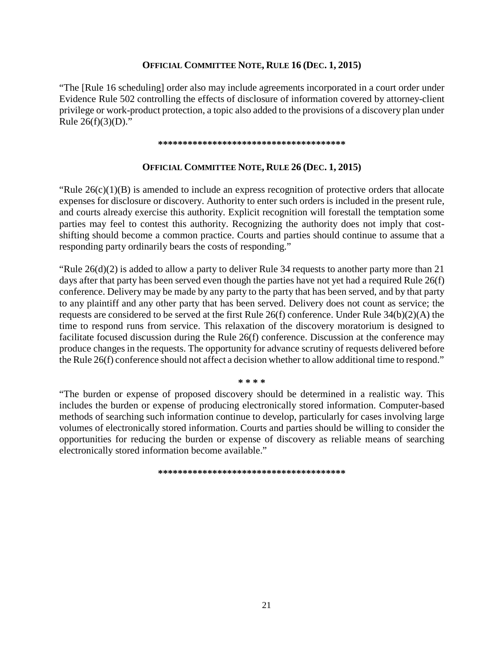# **OFFICIAL COMMITTEE NOTE, RULE 16 (DEC. 1, 2015)**

"The [Rule 16 scheduling] order also may include agreements incorporated in a court order under Evidence Rule 502 controlling the effects of disclosure of information covered by attorney-client privilege or work-product protection, a topic also added to the provisions of a discovery plan under Rule  $26(f)(3)(D)$ ."

#### **\*\*\*\*\*\*\*\*\*\*\*\*\*\*\*\*\*\*\*\*\*\*\*\*\*\*\*\*\*\*\*\*\*\*\*\*\*\***

# **OFFICIAL COMMITTEE NOTE, RULE 26 (DEC. 1, 2015)**

"Rule  $26(c)(1)(B)$  is amended to include an express recognition of protective orders that allocate expenses for disclosure or discovery. Authority to enter such orders is included in the present rule, and courts already exercise this authority. Explicit recognition will forestall the temptation some parties may feel to contest this authority. Recognizing the authority does not imply that costshifting should become a common practice. Courts and parties should continue to assume that a responding party ordinarily bears the costs of responding."

"Rule  $26(d)(2)$  is added to allow a party to deliver Rule 34 requests to another party more than 21 days after that party has been served even though the parties have not yet had a required Rule 26(f) conference. Delivery may be made by any party to the party that has been served, and by that party to any plaintiff and any other party that has been served. Delivery does not count as service; the requests are considered to be served at the first Rule 26(f) conference. Under Rule 34(b)(2)(A) the time to respond runs from service. This relaxation of the discovery moratorium is designed to facilitate focused discussion during the Rule 26(f) conference. Discussion at the conference may produce changes in the requests. The opportunity for advance scrutiny of requests delivered before the Rule 26(f) conference should not affect a decision whether to allow additional time to respond."

**\* \* \* \***

"The burden or expense of proposed discovery should be determined in a realistic way. This includes the burden or expense of producing electronically stored information. Computer-based methods of searching such information continue to develop, particularly for cases involving large volumes of electronically stored information. Courts and parties should be willing to consider the opportunities for reducing the burden or expense of discovery as reliable means of searching electronically stored information become available."

**\*\*\*\*\*\*\*\*\*\*\*\*\*\*\*\*\*\*\*\*\*\*\*\*\*\*\*\*\*\*\*\*\*\*\*\*\*\***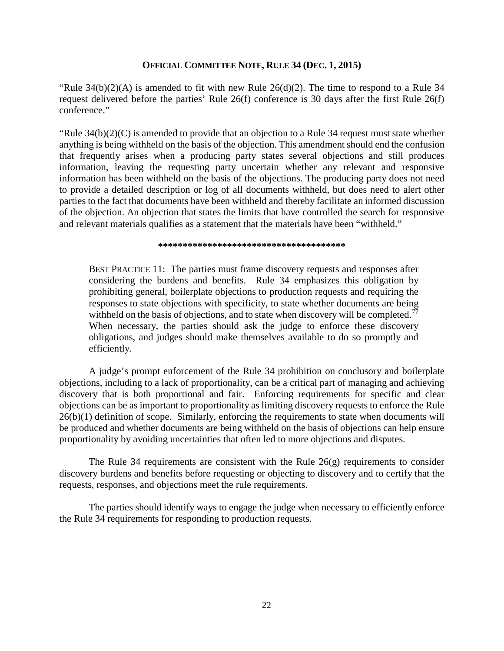# **OFFICIAL COMMITTEE NOTE, RULE 34 (DEC. 1, 2015)**

"Rule 34(b)(2)(A) is amended to fit with new Rule 26(d)(2). The time to respond to a Rule 34 request delivered before the parties' Rule 26(f) conference is 30 days after the first Rule 26(f) conference."

"Rule  $34(b)(2)(C)$  is amended to provide that an objection to a Rule 34 request must state whether anything is being withheld on the basis of the objection. This amendment should end the confusion that frequently arises when a producing party states several objections and still produces information, leaving the requesting party uncertain whether any relevant and responsive information has been withheld on the basis of the objections. The producing party does not need to provide a detailed description or log of all documents withheld, but does need to alert other parties to the fact that documents have been withheld and thereby facilitate an informed discussion of the objection. An objection that states the limits that have controlled the search for responsive and relevant materials qualifies as a statement that the materials have been "withheld."

#### **\*\*\*\*\*\*\*\*\*\*\*\*\*\*\*\*\*\*\*\*\*\*\*\*\*\*\*\*\*\*\*\*\*\*\*\*\*\***

BEST PRACTICE 11:The parties must frame discovery requests and responses after considering the burdens and benefits. Rule 34 emphasizes this obligation by prohibiting general, boilerplate objections to production requests and requiring the responses to state objections with specificity, to state whether documents are being withheld on the basis of objections, and to state when discovery will be completed.<sup>77</sup> When necessary, the parties should ask the judge to enforce these discovery obligations, and judges should make themselves available to do so promptly and efficiently.

A judge's prompt enforcement of the Rule 34 prohibition on conclusory and boilerplate objections, including to a lack of proportionality, can be a critical part of managing and achieving discovery that is both proportional and fair. Enforcing requirements for specific and clear objections can be as important to proportionality as limiting discovery requests to enforce the Rule 26(b)(1) definition of scope. Similarly, enforcing the requirements to state when documents will be produced and whether documents are being withheld on the basis of objections can help ensure proportionality by avoiding uncertainties that often led to more objections and disputes.

The Rule 34 requirements are consistent with the Rule  $26(g)$  requirements to consider discovery burdens and benefits before requesting or objecting to discovery and to certify that the requests, responses, and objections meet the rule requirements.

The parties should identify ways to engage the judge when necessary to efficiently enforce the Rule 34 requirements for responding to production requests.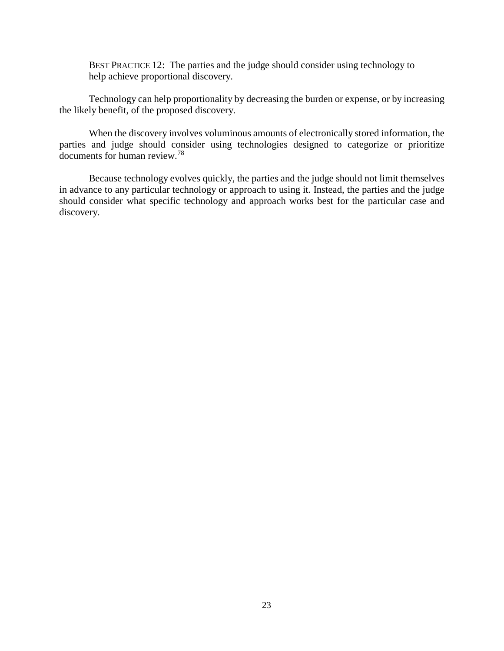BEST PRACTICE 12:The parties and the judge should consider using technology to help achieve proportional discovery.

Technology can help proportionality by decreasing the burden or expense, or by increasing the likely benefit, of the proposed discovery.

When the discovery involves voluminous amounts of electronically stored information, the parties and judge should consider using technologies designed to categorize or prioritize documents for human review.[78](#page-53-2)

Because technology evolves quickly, the parties and the judge should not limit themselves in advance to any particular technology or approach to using it. Instead, the parties and the judge should consider what specific technology and approach works best for the particular case and discovery.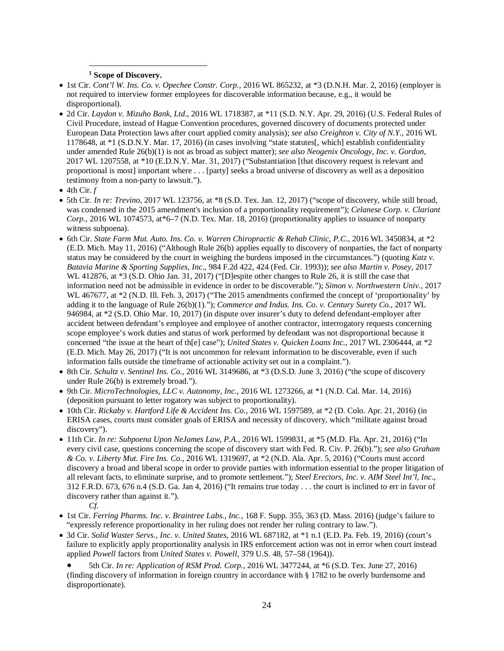## **<sup>1</sup> Scope of Discovery.**

- <span id="page-27-1"></span><span id="page-27-0"></span>• 1st Cir. *Cont'l W. Ins. Co. v. Opechee Constr. Corp.*, 2016 WL 865232, at \*3 (D.N.H. Mar. 2, 2016) (employer is not required to interview former employees for discoverable information because, e.g., it would be disproportional).
- 2d Cir. *Laydon v. Mizuho Bank, Ltd*., 2016 WL 1718387, at \*11 (S.D. N.Y. Apr. 29, 2016) (U.S. Federal Rules of Civil Procedure, instead of Hague Convention procedures, governed discovery of documents protected under European Data Protection laws after court applied comity analysis); *see also Creighton v. City of N.Y*., 2016 WL 1178648, at \*1 (S.D.N.Y. Mar. 17, 2016) (in cases involving "state statutes[, which] establish confidentiality under amended Rule 26(b)(1) is not as broad as subject matter); *see also Neogenix Oncology, Inc. v. Gordon*, 2017 WL 1207558, at \*10 (E.D.N.Y. Mar. 31, 2017) ("Substantiation [that discovery request is relevant and proportional is most] important where . . . [party] seeks a broad universe of discovery as well as a deposition testimony from a non-party to lawsuit.").
- $\bullet$  4th Cir.  $f$

- 5th Cir. *In re: Trevino*, 2017 WL 123756, at \*8 (S.D. Tex. Jan. 12, 2017) ("scope of discovery, while still broad, was condensed in the 2015 amendment's inclusion of a proportionality requirement"); *Celanese Corp. v. Clariant Corp.*, 2016 WL 1074573, at\*6–7 (N.D. Tex. Mar. 18, 2016) (proportionality applies to issuance of nonparty witness subpoena).
- <span id="page-27-2"></span>• 6th Cir. *State Farm Mut. Auto. Ins. Co. v. Warren Chiropractic & Rehab Clinic, P.C*., 2016 WL 3450834, at \*2 (E.D. Mich. May 11, 2016) ("Although Rule 26(b) applies equally to discovery of nonparties, the fact of nonparty status may be considered by the court in weighing the burdens imposed in the circumstances.") (quoting *Katz v. Batavia Marine & Sporting Supplies, Inc*., 984 F.2d 422, 424 (Fed. Cir. 1993)); *see also Martin v. Posey*, 2017 WL 412876, at \*3 (S.D. Ohio Jan. 31, 2017) ("[D]espite other changes to Rule 26, it is still the case that information need not be admissible in evidence in order to be discoverable."); *Simon v. Northwestern Univ.*, 2017 WL 467677, at \*2 (N.D. Ill. Feb. 3, 2017) ("The 2015 amendments confirmed the concept of 'proportionality' by adding it to the language of Rule 26(b)(1)."); *Commerce and Indus. Ins. Co. v. Century Surety Co.*, 2017 WL 946984, at \*2 (S.D. Ohio Mar. 10, 2017) (in dispute over insurer's duty to defend defendant-employer after accident between defendant's employee and employee of another contractor, interrogatory requests concerning scope employee's work duties and status of work performed by defendant was not disproportional because it concerned "the issue at the heart of th[e] case"); *United States v. Quicken Loans Inc.*, 2017 WL 2306444, at \*2 (E.D. Mich. May 26, 2017) ("It is not uncommon for relevant information to be discoverable, even if such information falls outside the timeframe of actionable activity set out in a complaint.").
- 8th Cir. *Schultz v. Sentinel Ins. Co.*, 2016 WL 3149686, at \*3 (D.S.D. June 3, 2016) ("the scope of discovery under Rule 26(b) is extremely broad.").
- 9th Cir. *MicroTechnologies, LLC v. Autonomy, Inc*., 2016 WL 1273266, at \*1 (N.D. Cal. Mar. 14, 2016) (deposition pursuant to letter rogatory was subject to proportionality).
- <span id="page-27-3"></span>• 10th Cir. *Rickaby v. Hartford Life & Accident Ins. Co*., 2016 WL 1597589, at \*2 (D. Colo. Apr. 21, 2016) (in ERISA cases, courts must consider goals of ERISA and necessity of discovery, which "militate against broad discovery").
- 11th Cir. *In re: Subpoena Upon NeJames Law, P.A.*, 2016 WL 1599831, at \*5 (M.D. Fla. Apr. 21, 2016) ("In every civil case, questions concerning the scope of discovery start with Fed. R. Civ. P. 26(b)."); *see also Graham & Co. v. Liberty Mut. Fire Ins. Co.*, 2016 WL 1319697, at \*2 (N.D. Ala. Apr. 5, 2016) ("Courts must accord discovery a broad and liberal scope in order to provide parties with information essential to the proper litigation of all relevant facts, to eliminate surprise, and to promote settlement."); *Steel Erectors, Inc. v. AIM Steel Int'l, Inc*., 312 F.R.D. 673, 676 n.4 (S.D. Ga. Jan 4, 2016) ("It remains true today . . . the court is inclined to err in favor of discovery rather than against it.").
	- *Cf.*
- 1st Cir. *Ferring Pharms. Inc. v. Braintree Labs., Inc.*, 168 F. Supp. 355, 363 (D. Mass. 2016) (judge's failure to "expressly reference proportionality in her ruling does not render her ruling contrary to law.").
- 3d Cir. *Solid Waster Servs., Inc. v. United States*, 2016 WL 687182, at \*1 n.1 (E.D. Pa. Feb. 19, 2016) (court's failure to explicitly apply proportionality analysis in IRS enforcement action was not in error when court instead applied *Powell* factors from *United States v. Powell*, 379 U.S. 48, 57–58 (1964)).
	- 5th Cir. *In re: Application of RSM Prod. Corp.*, 2016 WL 3477244, at \*6 (S.D. Tex. June 27, 2016) (finding discovery of information in foreign country in accordance with § 1782 to be overly burdensome and disproportionate).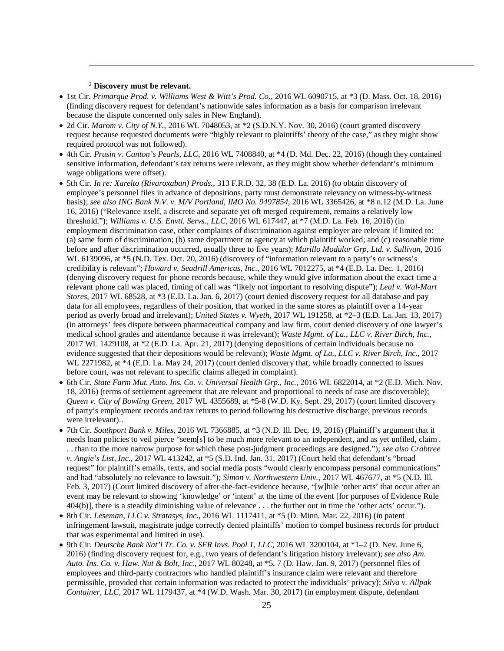### <sup>2</sup> **Discovery must be relevant.**

- 1st Cir. *Primarque Prod. v. Williams West & Witt's Prod. Co.*, 2016 WL 6090715, at \*3 (D. Mass. Oct. 18, 2016) (finding discovery request for defendant's nationwide sales information as a basis for comparison irrelevant because the dispute concerned only sales in New England).
- 2d Cir. *Marom v. City of N.Y.*, 2016 WL 7048053, at  $*2$  (S.D.N.Y. Nov. 30, 2016) (court granted discovery request because requested documents were "highly relevant to plaintiffs' theory of the case," as they might show required protocol was not followed).
- 4th Cir. *Prusin v. Canton's Pearls, LLC*, 2016 WL 7408840, at \*4 (D. Md. Dec. 22, 2016) (though they contained sensitive information, defendant's tax returns were relevant, as they might show whether defendant's minimum wage obligations were offset).
- <span id="page-28-0"></span>• 5th Cir. *In re: Xarelto (Rivaroxaban) Prods.*, 313 F.R.D. 32, 38 (E.D. La. 2016) (to obtain discovery of employee's personnel files in advance of depositions, party must demonstrate relevancy on witness-by-witness basis); *see also ING Bank N.V. v. M/V Portland, IMO No. 9497854*, 2016 WL 3365426, at \*8 n.12 (M.D. La. June 16, 2016) ("Relevance itself, a discrete and separate yet oft merged requirement, remains a relatively low threshold."); *Williams v. U.S. Envtl. Servs., LLC*, 2016 WL 617447, at \*7 (M.D. La. Feb. 16, 2016) (in employment discrimination case, other complaints of discrimination against employer are relevant if limited to: (a) same form of discrimination; (b) same department or agency at which plaintiff worked; and (c) reasonable time before and after discrimination occurred, usually three to five years); *Murillo Modular Grp, Ltd. v. Sullivan*, 2016 WL 6139096, at  $*5$  (N.D. Tex. Oct. 20, 2016) (discovery of "information relevant to a party's or witness's credibility is relevant"; *Howard v. Seadrill Americas, Inc.*, 2016 WL 7012275, at \*4 (E.D. La. Dec. 1, 2016) (denying discovery request for phone records because, while they would give information about the exact time a relevant phone call was placed, timing of call was "likely not important to resolving dispute"); *Leal v. Wal-Mart Stores*, 2017 WL 68528, at \*3 (E.D. La. Jan. 6, 2017) (court denied discovery request for all database and pay data for all employees, regardless of their position, that worked in the same stores as plaintiff over a 14-year period as overly broad and irrelevant); *United States v. Wyeth*, 2017 WL 191258, at \*2–3 (E.D. La. Jan. 13, 2017) (in attorneys' fees dispute between pharmaceutical company and law firm, court denied discovery of one lawyer's medical school grades and attendance because it was irrelevant); *Waste Mgmt. of La., LLC v. River Birch, Inc.*, 2017 WL 1429108, at \*2 (E.D. La. Apr. 21, 2017) (denying depositions of certain individuals because no evidence suggested that their depositions would be relevant); *Waste Mgmt. of La., LLC v. River Birch, Inc.*, 2017 WL 2271982, at \*4 (E.D. La. May 24, 2017) (court denied discovery that, while broadly connected to issues before court, was not relevant to specific claims alleged in complaint).
- <span id="page-28-1"></span>• 6th Cir. *State Farm Mut. Auto. Ins. Co. v. Universal Health Grp., Inc.*, 2016 WL 6822014, at \*2 (E.D. Mich. Nov. 18, 2016) (terms of settlement agreement that are relevant and proportional to needs of case are discoverable); *Queen v. City of Bowling Green*, 2017 WL 4355689, at \*5-8 (W.D. Ky. Sept. 29, 2017) (court limited discovery of party's employment records and tax returns to period following his destructive discharge; previous records were irrelevant)..
- 7th Cir. *Southport Bank v. Miles*, 2016 WL 7366885, at \*3 (N.D. Ill. Dec. 19, 2016) (Plaintiff's argument that it needs loan policies to veil pierce "seem[s] to be much more relevant to an independent, and as yet unfiled, claim . . . than to the more narrow purpose for which these post-judgment proceedings are designed."); *see also Crabtree v. Angie's List, Inc.*, 2017 WL 413242, at \*5 (S.D. Ind. Jan. 31, 2017) (Court held that defendant's "broad request" for plaintiff's emails, texts, and social media posts "would clearly encompass personal communications" and had "absolutely no relevance to lawsuit."); *Simon v. Northwestern Univ.*, 2017 WL 467677, at \*5 (N.D. Ill. Feb. 3, 2017) (Court limited discovery of after-the-fact-evidence because, "[w]hile 'other acts' that occur after an event may be relevant to showing 'knowledge' or 'intent' at the time of the event [for purposes of Evidence Rule 404(b)], there is a steadily diminishing value of relevance . . . the further out in time the 'other acts' occur.").
- 8th Cir. *Leseman, LLC v. Stratasys, Inc*., 2016 WL 1117411, at \*5 (D. Minn. Mar. 22, 2016) (in patent infringement lawsuit, magistrate judge correctly denied plaintiffs' motion to compel business records for product that was experimental and limited in use).
- 9th Cir. *Deutsche Bank Nat'l Tr. Co. v. SFR Invs. Pool 1, LLC*, 2016 WL 3200104, at \*1–2 (D. Nev. June 6, 2016) (finding discovery request for, e.g., two years of defendant's litigation history irrelevant); *see also Am. Auto. Ins. Co. v. Haw. Nut & Bolt, Inc.*, 2017 WL 80248, at \*5, 7 (D. Haw. Jan. 9, 2017) (personnel files of employees and third-party contractors who handled plaintiff's insurance claim were relevant and therefore permissible, provided that certain information was redacted to protect the individuals' privacy); *Silva v. Allpak Container, LLC*, 2017 WL 1179437, at \*4 (W.D. Wash. Mar. 30, 2017) (in employment dispute, defendant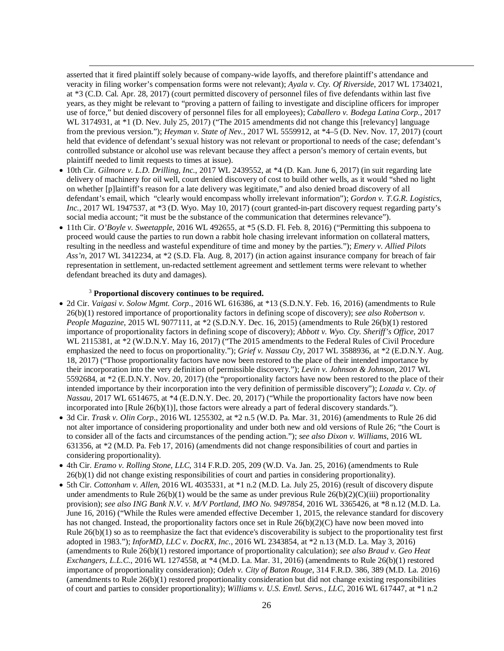asserted that it fired plaintiff solely because of company-wide layoffs, and therefore plaintiff's attendance and veracity in filing worker's compensation forms were not relevant); *Ayala v. Cty. Of Riverside*, 2017 WL 1734021, at \*3 (C.D. Cal. Apr. 28, 2017) (court permitted discovery of personnel files of five defendants within last five years, as they might be relevant to "proving a pattern of failing to investigate and discipline officers for improper use of force," but denied discovery of personnel files for all employees); *Caballero v. Bodega Latina Corp.*, 2017 WL 3174931, at \*1 (D. Nev. July 25, 2017) ("The 2015 amendments did not change this [relevancy] language from the previous version."); *Heyman v. State of Nev.*, 2017 WL 5559912, at \*4–5 (D. Nev. Nov. 17, 2017) (court held that evidence of defendant's sexual history was not relevant or proportional to needs of the case; defendant's controlled substance or alcohol use was relevant because they affect a person's memory of certain events, but plaintiff needed to limit requests to times at issue).

- 10th Cir. *Gilmore v. L.D. Drilling, Inc.*, 2017 WL 2439552, at \*4 (D. Kan. June 6, 2017) (in suit regarding late delivery of machinery for oil well, court denied discovery of cost to build other wells, as it would "shed no light on whether [p]laintiff's reason for a late delivery was legitimate," and also denied broad discovery of all defendant's email, which "clearly would encompass wholly irrelevant information"); *Gordon v. T.G.R. Logistics, Inc.*, 2017 WL 1947537, at \*3 (D. Wyo. May 10, 2017) (court granted-in-part discovery request regarding party's social media account; "it must be the substance of the communication that determines relevance").
- 11th Cir. *O'Boyle v. Sweetapple*, 2016 WL 492655, at \*5 (S.D. Fl. Feb. 8, 2016) ("Permitting this subpoena to proceed would cause the parties to run down a rabbit hole chasing irrelevant information on collateral matters, resulting in the needless and wasteful expenditure of time and money by the parties."); *Emery v. Allied Pilots Ass'n*, 2017 WL 3412234, at \*2 (S.D. Fla. Aug. 8, 2017) (in action against insurance company for breach of fair representation in settlement, un-redacted settlement agreement and settlement terms were relevant to whether defendant breached its duty and damages).

#### <sup>3</sup> **Proportional discovery continues to be required.**

- <span id="page-29-0"></span>• 2d Cir. *Vaigasi v. Solow Mgmt. Corp*., 2016 WL 616386, at \*13 (S.D.N.Y. Feb. 16, 2016) (amendments to Rule 26(b)(1) restored importance of proportionality factors in defining scope of discovery); *see also Robertson v. People Magazine*, 2015 WL 9077111, at \*2 (S.D.N.Y. Dec. 16, 2015) (amendments to Rule 26(b)(1) restored importance of proportionality factors in defining scope of discovery); *Abbott v. Wyo. Cty. Sheriff's Office*, 2017 WL 2115381, at \*2 (W.D.N.Y. May 16, 2017) ("The 2015 amendments to the Federal Rules of Civil Procedure emphasized the need to focus on proportionality."); *Grief v. Nassau Cty*, 2017 WL 3588936, at \*2 (E.D.N.Y. Aug. 18, 2017) ("Those proportionality factors have now been restored to the place of their intended importance by their incorporation into the very definition of permissible discovery."); *Levin v. Johnson & Johnson*, 2017 WL 5592684, at \*2 (E.D.N.Y. Nov. 20, 2017) (the "proportionality factors have now been restored to the place of their intended importance by their incorporation into the very definition of permissible discovery"); *Lozada v. Cty. of Nassau*, 2017 WL 6514675, at \*4 (E.D.N.Y. Dec. 20, 2017) ("While the proportionality factors have now been incorporated into [Rule 26(b)(1)], those factors were already a part of federal discovery standards.").
- 3d Cir. *Trask v. Olin Corp*., 2016 WL 1255302, at \*2 n.5 (W.D. Pa. Mar. 31, 2016) (amendments to Rule 26 did not alter importance of considering proportionality and under both new and old versions of Rule 26; "the Court is to consider all of the facts and circumstances of the pending action."); *see also Dixon v. Williams*, 2016 WL 631356, at \*2 (M.D. Pa. Feb 17, 2016) (amendments did not change responsibilities of court and parties in considering proportionality).
- 4th Cir. *Eramo v. Rolling Stone, LLC*, 314 F.R.D. 205, 209 (W.D. Va. Jan. 25, 2016) (amendments to Rule 26(b)(1) did not change existing responsibilities of court and parties in considering proportionality).
- 5th Cir. *Cottonham v. Allen*, 2016 WL 4035331, at \*1 n.2 (M.D. La. July 25, 2016) (result of discovery dispute under amendments to Rule  $26(b)(1)$  would be the same as under previous Rule  $26(b)(2)(C)(iii)$  proportionality provision); *see also ING Bank N.V. v. M/V Portland, IMO No. 9497854*, 2016 WL 3365426, at \*8 n.12 (M.D. La. June 16, 2016) ("While the Rules were amended effective December 1, 2015, the relevance standard for discovery has not changed. Instead, the proportionality factors once set in Rule 26(b)(2)(C) have now been moved into Rule  $26(b)(1)$  so as to reemphasize the fact that evidence's discoverability is subject to the proportionality test first adopted in 1983."); *InforMD, LLC v. DocRX, Inc.*, 2016 WL 2343854, at \*2 n.13 (M.D. La. May 3, 2016) (amendments to Rule 26(b)(1) restored importance of proportionality calculation); *see also Braud v. Geo Heat Exchangers, L.L.C.*, 2016 WL 1274558, at \*4 (M.D. La. Mar. 31, 2016) (amendments to Rule 26(b)(1) restored importance of proportionality consideration); *Odeh v. City of Baton Rouge*, 314 F.R.D. 386, 389 (M.D. La. 2016) (amendments to Rule 26(b)(1) restored proportionality consideration but did not change existing responsibilities of court and parties to consider proportionality); *Williams v. U.S. Envtl. Servs., LLC*, 2016 WL 617447, at \*1 n.2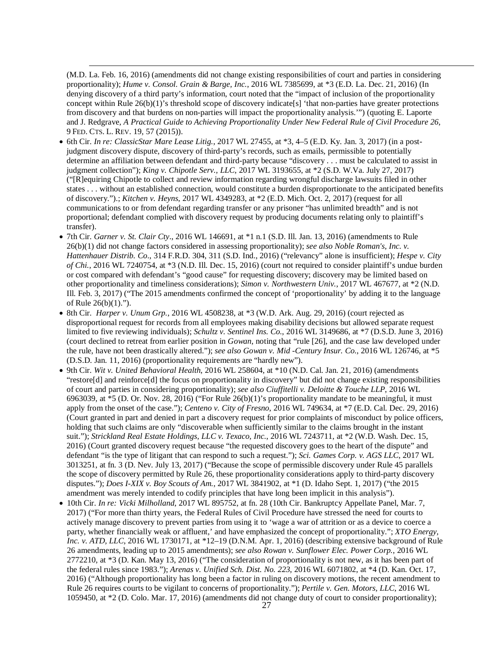(M.D. La. Feb. 16, 2016) (amendments did not change existing responsibilities of court and parties in considering proportionality); *Hume v. Consol. Grain & Barge, Inc.*, 2016 WL 7385699, at \*3 (E.D. La. Dec. 21, 2016) (In denying discovery of a third party's information, court noted that the "impact of inclusion of the proportionality concept within Rule 26(b)(1)'s threshold scope of discovery indicate[s] 'that non-parties have greater protections from discovery and that burdens on non-parties will impact the proportionality analysis.'") (quoting E. Laporte and J. Redgrave, *A Practical Guide to Achieving Proportionality Under New Federal Rule of Civil Procedure 26*, 9 FED. CTS. L. REV. 19, 57 (2015)).

- <span id="page-30-0"></span>• 6th Cir. *In re: ClassicStar Mare Lease Litig.*, 2017 WL 27455, at \*3, 4–5 (E.D. Ky. Jan. 3, 2017) (in a postjudgment discovery dispute, discovery of third-party's records, such as emails, permissible to potentially determine an affiliation between defendant and third-party because "discovery . . . must be calculated to assist in judgment collection"); *King v. Chipotle Serv., LLC*, 2017 WL 3193655, at \*2 (S.D. W.Va. July 27, 2017) ("[R]equiring Chipotle to collect and review information regarding wrongful discharge lawsuits filed in other states . . . without an established connection, would constitute a burden disproportionate to the anticipated benefits of discovery.").; *Kitchen v. Heyns*, 2017 WL 4349283, at \*2 (E.D. Mich. Oct. 2, 2017) (request for all communications to or from defendant regarding transfer or any prisoner "has unlimited breadth" and is not proportional; defendant complied with discovery request by producing documents relating only to plaintiff's transfer).
- 7th Cir. *Garner v. St. Clair Cty*., 2016 WL 146691, at \*1 n.1 (S.D. Ill. Jan. 13, 2016) (amendments to Rule 26(b)(1) did not change factors considered in assessing proportionality); *see also Noble Roman's, Inc. v. Hattenhauer Distrib. Co*., 314 F.R.D. 304, 311 (S.D. Ind., 2016) ("relevancy" alone is insufficient); *Hespe v. City of Chi.*, 2016 WL 7240754, at \*3 (N.D. Ill. Dec. 15, 2016) (court not required to consider plaintiff's undue burden or cost compared with defendant's "good cause" for requesting discovery; discovery may be limited based on other proportionality and timeliness considerations); *Simon v. Northwestern Univ.*, 2017 WL 467677, at \*2 (N.D. Ill. Feb. 3, 2017) ("The 2015 amendments confirmed the concept of 'proportionality' by adding it to the language of Rule 26(b)(1).").
- <span id="page-30-1"></span>• 8th Cir. *Harper v. Unum Grp.*, 2016 WL 4508238, at \*3 (W.D. Ark. Aug. 29, 2016) (court rejected as disproportional request for records from all employees making disability decisions but allowed separate request limited to five reviewing individuals); *Schultz v. Sentinel Ins. Co.*, 2016 WL 3149686, at \*7 (D.S.D. June 3, 2016) (court declined to retreat from earlier position in *Gowan*, noting that "rule [26], and the case law developed under the rule, have not been drastically altered."); *see also Gowan v. Mid -Century Insur. Co.*, 2016 WL 126746, at \*5 (D.S.D. Jan. 11, 2016) (proportionality requirements are "hardly new").
- 9th Cir. *Wit v. United Behavioral Health*, 2016 WL 258604, at \*10 (N.D. Cal. Jan. 21, 2016) (amendments "restore[d] and reinforce[d] the focus on proportionality in discovery" but did not change existing responsibilities of court and parties in considering proportionality); *see also Ciuffitelli v. Deloitte & Touche LLP*, 2016 WL 6963039, at \*5 (D. Or. Nov. 28, 2016) ("For Rule 26(b)(1)'s proportionality mandate to be meaningful, it must apply from the onset of the case."); *Centeno v. City of Fresno*, 2016 WL 749634, at \*7 (E.D. Cal. Dec. 29, 2016) (Court granted in part and denied in part a discovery request for prior complaints of misconduct by police officers, holding that such claims are only "discoverable when sufficiently similar to the claims brought in the instant suit."); *Strickland Real Estate Holdings, LLC v. Texaco, Inc.*, 2016 WL 7243711, at \*2 (W.D. Wash. Dec. 15, 2016) (Court granted discovery request because "the requested discovery goes to the heart of the dispute" and defendant "is the type of litigant that can respond to such a request."); *Sci. Games Corp. v. AGS LLC*, 2017 WL 3013251, at fn. 3 (D. Nev. July 13, 2017) ("Because the scope of permissible discovery under Rule 45 parallels the scope of discovery permitted by Rule 26, these proportionality considerations apply to third-party discovery disputes."); *Does I-XIX v. Boy Scouts of Am.*, 2017 WL 3841902, at \*1 (D. Idaho Sept. 1, 2017) ("the 2015 amendment was merely intended to codify principles that have long been implicit in this analysis").
- <span id="page-30-2"></span>• 10th Cir. *In re: Vicki Milholland*, 2017 WL 895752, at fn. 28 (10th Cir. Bankruptcy Appellate Panel, Mar. 7, 2017) ("For more than thirty years, the Federal Rules of Civil Procedure have stressed the need for courts to actively manage discovery to prevent parties from using it to 'wage a war of attrition or as a device to coerce a party, whether financially weak or affluent,' and have emphasized the concept of proportionality."; *XTO Energy, Inc. v. ATD, LLC*, 2016 WL 1730171, at \*12–19 (D.N.M. Apr. 1, 2016) (describing extensive background of Rule 26 amendments, leading up to 2015 amendments); *see also Rowan v. Sunflower Elec. Power Corp.*, 2016 WL 2772210, at \*3 (D. Kan. May 13, 2016) ("The consideration of proportionality is not new, as it has been part of the federal rules since 1983."); *Arenas v. Unified Sch. Dist. No. 223*, 2016 WL 6071802, at \*4 (D. Kan. Oct. 17, 2016) ("Although proportionality has long been a factor in ruling on discovery motions, the recent amendment to Rule 26 requires courts to be vigilant to concerns of proportionality."); *Pertile v. Gen. Motors, LLC*, 2016 WL 1059450, at \*2 (D. Colo. Mar. 17, 2016) (amendments did not change duty of court to consider proportionality);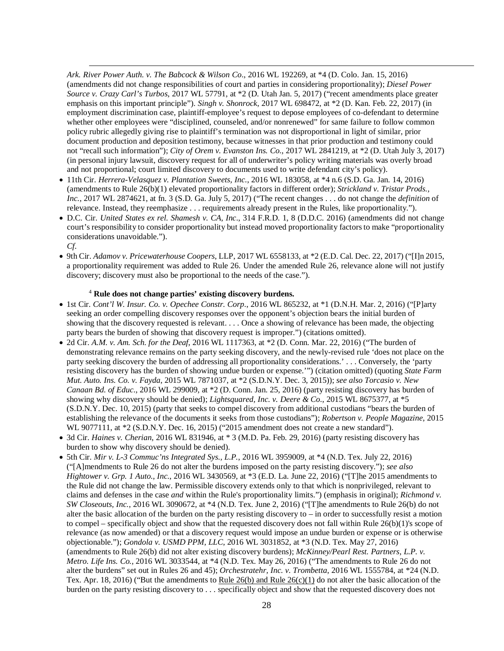*Ark. River Power Auth. v. The Babcock & Wilson Co*., 2016 WL 192269, at \*4 (D. Colo. Jan. 15, 2016) (amendments did not change responsibilities of court and parties in considering proportionality); *Diesel Power Source v. Crazy Carl's Turbos*, 2017 WL 57791, at \*2 (D. Utah Jan. 5, 2017) ("recent amendments place greater emphasis on this important principle"). *Singh v. Shonrock*, 2017 WL 698472, at \*2 (D. Kan. Feb. 22, 2017) (in employment discrimination case, plaintiff-employee's request to depose employees of co-defendant to determine whether other employees were "disciplined, counseled, and/or nonrenewed" for same failure to follow common policy rubric allegedly giving rise to plaintiff's termination was not disproportional in light of similar, prior document production and deposition testimony, because witnesses in that prior production and testimony could not "recall such information"); *City of Orem v. Evanston Ins. Co.*, 2017 WL 2841219, at \*2 (D. Utah July 3, 2017) (in personal injury lawsuit, discovery request for all of underwriter's policy writing materials was overly broad and not proportional; court limited discovery to documents used to write defendant city's policy).

- <span id="page-31-0"></span>• 11th Cir. *Herrera-Velasquez v. Plantation Sweets, Inc.*, 2016 WL 183058, at \*4 n.6 (S.D. Ga. Jan. 14, 2016) (amendments to Rule 26(b)(1) elevated proportionality factors in different order); *Strickland v. Tristar Prods., Inc.*, 2017 WL 2874621, at fn. 3 (S.D. Ga. July 5, 2017) ("The recent changes . . . do not change the *definition* of relevance. Instead, they reemphasize . . . requirements already present in the Rules, like proportionality.").
- D.C. Cir. *United States ex rel. Shamesh v. CA, Inc*., 314 F.R.D. 1, 8 (D.D.C. 2016) (amendments did not change court's responsibility to consider proportionality but instead moved proportionality factors to make "proportionality considerations unavoidable."). *Cf.*
- 9th Cir. *Adamov v. Pricewaterhouse Coopers*, LLP, 2017 WL 6558133, at \*2 (E.D. Cal. Dec. 22, 2017) ("[I]n 2015, a proportionality requirement was added to Rule 26. Under the amended Rule 26, relevance alone will not justify discovery; discovery must also be proportional to the needs of the case.").

#### <sup>4</sup> **Rule does not change parties' existing discovery burdens.**

- 1st Cir. *Cont'l W. Insur. Co. v. Opechee Constr. Corp*., 2016 WL 865232, at \*1 (D.N.H. Mar. 2, 2016) ("[P]arty seeking an order compelling discovery responses over the opponent's objection bears the initial burden of showing that the discovery requested is relevant. . . . Once a showing of relevance has been made, the objecting party bears the burden of showing that discovery request is improper.") (citations omitted).
- <span id="page-31-1"></span>• 2d Cir. *A.M. v. Am. Sch. for the Deaf*, 2016 WL 1117363, at \*2 (D. Conn. Mar. 22, 2016) ("The burden of demonstrating relevance remains on the party seeking discovery, and the newly-revised rule 'does not place on the party seeking discovery the burden of addressing all proportionality considerations.' . . . Conversely, the 'party resisting discovery has the burden of showing undue burden or expense.'") (citation omitted) (quoting *State Farm Mut. Auto. Ins. Co. v. Fayda*, 2015 WL 7871037, at \*2 (S.D.N.Y. Dec. 3, 2015)); *see also Torcasio v. New Canaan Bd. of Educ*., 2016 WL 299009, at \*2 (D. Conn. Jan. 25, 2016) (party resisting discovery has burden of showing why discovery should be denied); *Lightsquared, Inc. v. Deere & Co*., 2015 WL 8675377, at \*5 (S.D.N.Y. Dec. 10, 2015) (party that seeks to compel discovery from additional custodians "bears the burden of establishing the relevance of the documents it seeks from those custodians"); *Robertson v. People Magazine*, 2015 WL 9077111, at \*2 (S.D.N.Y. Dec. 16, 2015) ("2015 amendment does not create a new standard").
- 3d Cir. *Haines v. Cherian*, 2016 WL 831946, at \* 3 (M.D. Pa. Feb. 29, 2016) (party resisting discovery has burden to show why discovery should be denied).
- 5th Cir. *Mir v. L-3 Commuc'ns Integrated Sys., L.P.*, 2016 WL 3959009, at \*4 (N.D. Tex. July 22, 2016) ("[A]mendments to Rule 26 do not alter the burdens imposed on the party resisting discovery."); *see also Hightower v. Grp. 1 Auto., Inc.*, 2016 WL 3430569, at \*3 (E.D. La. June 22, 2016) ("[T]he 2015 amendments to the Rule did not change the law. Permissible discovery extends only to that which is nonprivileged, relevant to claims and defenses in the case *and* within the Rule's proportionality limits.") (emphasis in original); *Richmond v. SW Closeouts, Inc.*, 2016 WL 3090672, at \*4 (N.D. Tex. June 2, 2016) ("[T]he amendments to Rule 26(b) do not alter the basic allocation of the burden on the party resisting discovery to  $-$  in order to successfully resist a motion to compel – specifically object and show that the requested discovery does not fall within Rule 26(b)(1)'s scope of relevance (as now amended) or that a discovery request would impose an undue burden or expense or is otherwise objectionable."); *Gondola v. USMD PPM, LLC*, 2016 WL 3031852, at \*3 (N.D. Tex. May 27, 2016) (amendments to Rule 26(b) did not alter existing discovery burdens); *McKinney/Pearl Rest. Partners, L.P. v. Metro. Life Ins. Co.*, 2016 WL 3033544, at \*4 (N.D. Tex. May 26, 2016) ("The amendments to Rule 26 do not alter the burdens" set out in Rules 26 and 45); *Orchestratehr, Inc. v. Trombetta*, 2016 WL 1555784, at \*24 (N.D. Tex. Apr. 18, 2016) ("But the amendments to Rule  $26(b)$  and Rule  $26(c)(1)$  do not alter the basic allocation of the burden on the party resisting discovery to . . . specifically object and show that the requested discovery does not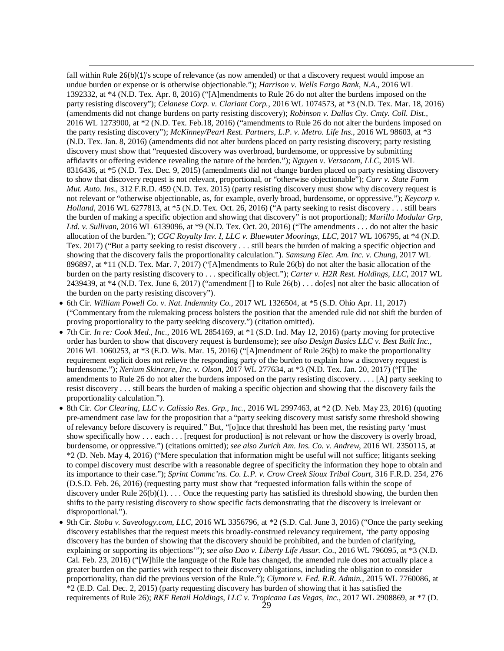<span id="page-32-0"></span>fall within Rule 26(b)(1)'s scope of relevance (as now amended) or that a discovery request would impose an undue burden or expense or is otherwise objectionable."); *Harrison v. Wells Fargo Bank, N.A.*, 2016 WL 1392332, at \*4 (N.D. Tex. Apr. 8, 2016) ("[A]mendments to Rule 26 do not alter the burdens imposed on the party resisting discovery"); *Celanese Corp. v. Clariant Corp.*, 2016 WL 1074573, at \*3 (N.D. Tex. Mar. 18, 2016) (amendments did not change burdens on party resisting discovery); *Robinson v. Dallas Cty. Cmty. Coll. Dist.*, 2016 WL 1273900, at \*2 (N.D. Tex. Feb.18, 2016) ("amendments to Rule 26 do not alter the burdens imposed on the party resisting discovery"); *McKinney/Pearl Rest. Partners, L.P*. *v. Metro. Life Ins.*, 2016 WL 98603, at \*3 (N.D. Tex. Jan. 8, 2016) (amendments did not alter burdens placed on party resisting discovery; party resisting discovery must show that "requested discovery was overbroad, burdensome, or oppressive by submitting affidavits or offering evidence revealing the nature of the burden."); *Nguyen v. Versacom, LLC*, 2015 WL 8316436, at \*5 (N.D. Tex. Dec. 9, 2015) (amendments did not change burden placed on party resisting discovery to show that discovery request is not relevant, proportional, or "otherwise objectionable"); *Carr v. State Farm Mut. Auto. Ins*., 312 F.R.D. 459 (N.D. Tex. 2015) (party resisting discovery must show why discovery request is not relevant or "otherwise objectionable, as, for example, overly broad, burdensome, or oppressive."); *Keycorp v. Holland*, 2016 WL 6277813, at \*5 (N.D. Tex. Oct. 26, 2016) ("A party seeking to resist discovery . . . still bears the burden of making a specific objection and showing that discovery" is not proportional); *Murillo Modular Grp, Ltd. v. Sullivan*, 2016 WL 6139096, at \*9 (N.D. Tex. Oct. 20, 2016) ("The amendments . . . do not alter the basic allocation of the burden."); *CGC Royalty Inv. I, LLC v. Bluewater Moorings, LLC*, 2017 WL 106795, at \*4 (N.D. Tex. 2017) ("But a party seeking to resist discovery . . . still bears the burden of making a specific objection and showing that the discovery fails the proportionality calculation."). *Samsung Elec. Am. Inc. v. Chung*, 2017 WL 896897, at \*11 (N.D. Tex. Mar. 7, 2017) ("[A]mendments to Rule 26(b) do not alter the basic allocation of the burden on the party resisting discovery to . . . specifically object."); *Carter v. H2R Rest. Holdings, LLC*, 2017 WL 2439439, at  $*4$  (N.D. Tex. June 6, 2017) ("amendment  $\lceil \cdot \rceil$  to Rule 26(b) ... do [es] not alter the basic allocation of the burden on the party resisting discovery").

- 6th Cir. *William Powell Co. v. Nat. Indemnity Co.*, 2017 WL 1326504, at \*5 (S.D. Ohio Apr. 11, 2017) ("Commentary from the rulemaking process bolsters the position that the amended rule did not shift the burden of proving proportionality to the party seeking discovery.") (citation omitted).
- 7th Cir. *In re: Cook Med., Inc.*, 2016 WL 2854169, at \*1 (S.D. Ind. May 12, 2016) (party moving for protective order has burden to show that discovery request is burdensome); *see also Design Basics LLC v. Best Built Inc.*, 2016 WL 1060253, at \*3 (E.D. Wis. Mar. 15, 2016) ("[A]mendment of Rule 26(b) to make the proportionality requirement explicit does not relieve the responding party of the burden to explain how a discovery request is burdensome."); *Nerium Skincare, Inc. v. Olson*, 2017 WL 277634, at \*3 (N.D. Tex. Jan. 20, 2017) ("[T]he amendments to Rule 26 do not alter the burdens imposed on the party resisting discovery. . . . [A] party seeking to resist discovery . . . still bears the burden of making a specific objection and showing that the discovery fails the proportionality calculation.").
- 8th Cir. *Cor Clearing, LLC v. Calissio Res. Grp., Inc.*, 2016 WL 2997463, at \*2 (D. Neb. May 23, 2016) (quoting pre-amendment case law for the proposition that a "party seeking discovery must satisfy some threshold showing of relevancy before discovery is required." But, "[o]nce that threshold has been met, the resisting party 'must show specifically how . . . each . . . [request for production] is not relevant or how the discovery is overly broad, burdensome, or oppressive.") (citations omitted); *see also Zurich Am. Ins. Co. v. Andrew*, 2016 WL 2350115, at \*2 (D. Neb. May 4, 2016) ("Mere speculation that information might be useful will not suffice; litigants seeking to compel discovery must describe with a reasonable degree of specificity the information they hope to obtain and its importance to their case."); *Sprint Commc'ns. Co. L.P. v. Crow Creek Sioux Tribal Court*, 316 F.R.D. 254, 276 (D.S.D. Feb. 26, 2016) (requesting party must show that "requested information falls within the scope of discovery under Rule  $26(b)(1)$ ... Once the requesting party has satisfied its threshold showing, the burden then shifts to the party resisting discovery to show specific facts demonstrating that the discovery is irrelevant or disproportional.").
- <span id="page-32-2"></span><span id="page-32-1"></span>• 9th Cir. *Stoba v. Saveology.com, LLC*, 2016 WL 3356796, at \*2 (S.D. Cal. June 3, 2016) ("Once the party seeking discovery establishes that the request meets this broadly-construed relevancy requirement, 'the party opposing discovery has the burden of showing that the discovery should be prohibited, and the burden of clarifying, explaining or supporting its objections'"); *see also Dao v. Liberty Life Assur. Co.*, 2016 WL 796095, at \*3 (N.D. Cal. Feb. 23, 2016) ("[W]hile the language of the Rule has changed, the amended rule does not actually place a greater burden on the parties with respect to their discovery obligations, including the obligation to consider proportionality, than did the previous version of the Rule."); *Clymore v. Fed. R.R. Admin.*, 2015 WL 7760086, at \*2 (E.D. Cal. Dec. 2, 2015) (party requesting discovery has burden of showing that it has satisfied the requirements of Rule 26); *RKF Retail Holdings, LLC v. Tropicana Las Vegas, Inc.*, 2017 WL 2908869, at \*7 (D.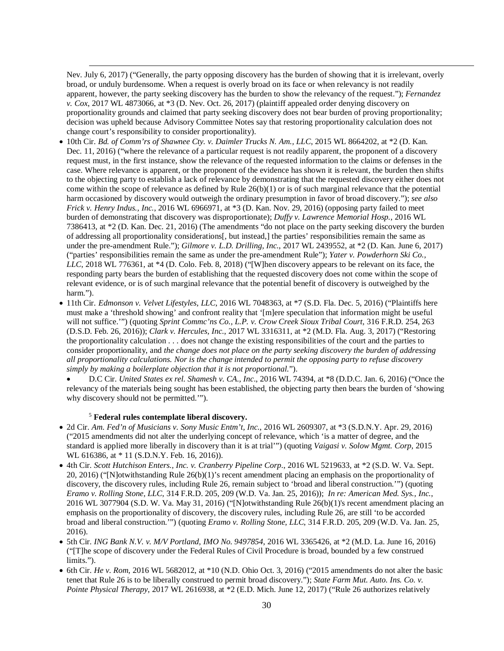Nev. July 6, 2017) ("Generally, the party opposing discovery has the burden of showing that it is irrelevant, overly broad, or unduly burdensome. When a request is overly broad on its face or when relevancy is not readily apparent, however, the party seeking discovery has the burden to show the relevancy of the request."); *Fernandez v. Cox*, 2017 WL 4873066, at \*3 (D. Nev. Oct. 26, 2017) (plaintiff appealed order denying discovery on proportionality grounds and claimed that party seeking discovery does not bear burden of proving proportionality; decision was upheld because Advisory Committee Notes say that restoring proportionality calculation does not change court's responsibility to consider proportionality).

- <span id="page-33-0"></span>• 10th Cir. *Bd. of Comm'rs of Shawnee Cty. v. Daimler Trucks N. Am., LLC*, 2015 WL 8664202, at \*2 (D. Kan. Dec. 11, 2016) ("where the relevance of a particular request is not readily apparent, the proponent of a discovery request must, in the first instance, show the relevance of the requested information to the claims or defenses in the case. Where relevance is apparent, or the proponent of the evidence has shown it is relevant, the burden then shifts to the objecting party to establish a lack of relevance by demonstrating that the requested discovery either does not come within the scope of relevance as defined by Rule 26(b)(1) or is of such marginal relevance that the potential harm occasioned by discovery would outweigh the ordinary presumption in favor of broad discovery."); *see also Frick v. Henry Indus., Inc.*, 2016 WL 6966971, at \*3 (D. Kan. Nov. 29, 2016) (opposing party failed to meet burden of demonstrating that discovery was disproportionate); *Duffy v. Lawrence Memorial Hosp.*, 2016 WL 7386413, at \*2 (D. Kan. Dec. 21, 2016) (The amendments "do not place on the party seeking discovery the burden of addressing all proportionality considerations[, but instead,] the parties' responsibilities remain the same as under the pre-amendment Rule."); *Gilmore v. L.D. Drilling, Inc.*, 2017 WL 2439552, at \*2 (D. Kan. June 6, 2017) ("parties' responsibilities remain the same as under the pre-amendment Rule"); *Yater v. Powderhorn Ski Co., LLC*, 2018 WL 776361, at \*4 (D. Colo. Feb. 8, 2018) ("[W]hen discovery appears to be relevant on its face, the responding party bears the burden of establishing that the requested discovery does not come within the scope of relevant evidence, or is of such marginal relevance that the potential benefit of discovery is outweighed by the harm.").
- 11th Cir. *Edmonson v. Velvet Lifestyles, LLC*, 2016 WL 7048363, at \*7 (S.D. Fla. Dec. 5, 2016) ("Plaintiffs here must make a 'threshold showing' and confront reality that '[m]ere speculation that information might be useful will not suffice."") (quoting *Sprint Commc'ns Co., L.P. v. Crow Creek Sioux Tribal Court*, 316 F.R.D. 254, 263 (D.S.D. Feb. 26, 2016)); *Clark v. Hercules, Inc.*, 2017 WL 3316311, at \*2 (M.D. Fla. Aug. 3, 2017) ("Restoring the proportionality calculation . . . does not change the existing responsibilities of the court and the parties to consider proportionality, and *the change does not place on the party seeking discovery the burden of addressing all proportionality calculations. Nor is the change intended to permit the opposing party to refuse discovery simply by making a boilerplate objection that it is not proportional.*").
	- D.C Cir. *United States ex rel. Shamesh v. CA., Inc*., 2016 WL 74394, at \*8 (D.D.C. Jan. 6, 2016) ("Once the relevancy of the materials being sought has been established, the objecting party then bears the burden of 'showing why discovery should not be permitted.'").

#### <sup>5</sup> **Federal rules contemplate liberal discovery.**

- 2d Cir. *Am. Fed'n of Musicians v. Sony Music Entm't, Inc.*, 2016 WL 2609307, at \*3 (S.D.N.Y. Apr. 29, 2016) ("2015 amendments did not alter the underlying concept of relevance, which 'is a matter of degree, and the standard is applied more liberally in discovery than it is at trial'") (quoting *Vaigasi v. Solow Mgmt. Corp*, 2015 WL 616386, at \* 11 (S.D.N.Y. Feb. 16, 2016)).
- 4th Cir. *Scott Hutchison Enters., Inc. v. Cranberry Pipeline Corp*., 2016 WL 5219633, at \*2 (S.D. W. Va. Sept. 20, 2016) ("[N]otwithstanding Rule 26(b)(1)'s recent amendment placing an emphasis on the proportionality of discovery, the discovery rules, including Rule 26, remain subject to 'broad and liberal construction.'") (quoting *Eramo v. Rolling Stone, LLC*, 314 F.R.D. 205, 209 (W.D. Va. Jan. 25, 2016)); *In re: American Med. Sys., Inc.*, 2016 WL 3077904 (S.D. W. Va. May 31, 2016) ("[N]otwithstanding Rule 26(b)(1)'s recent amendment placing an emphasis on the proportionality of discovery, the discovery rules, including Rule 26, are still 'to be accorded broad and liberal construction.'") (quoting *Eramo v. Rolling Stone, LLC*, 314 F.R.D. 205, 209 (W.D. Va. Jan. 25, 2016).
- 5th Cir. *ING Bank N.V. v. M/V Portland, IMO No. 9497854*, 2016 WL 3365426, at \*2 (M.D. La. June 16, 2016) ("[T]he scope of discovery under the Federal Rules of Civil Procedure is broad, bounded by a few construed limits.").
- 6th Cir. *He v. Rom*, 2016 WL 5682012, at \*10 (N.D. Ohio Oct. 3, 2016) ("2015 amendments do not alter the basic tenet that Rule 26 is to be liberally construed to permit broad discovery."); *State Farm Mut. Auto. Ins. Co. v. Pointe Physical Therapy*, 2017 WL 2616938, at \*2 (E.D. Mich. June 12, 2017) ("Rule 26 authorizes relatively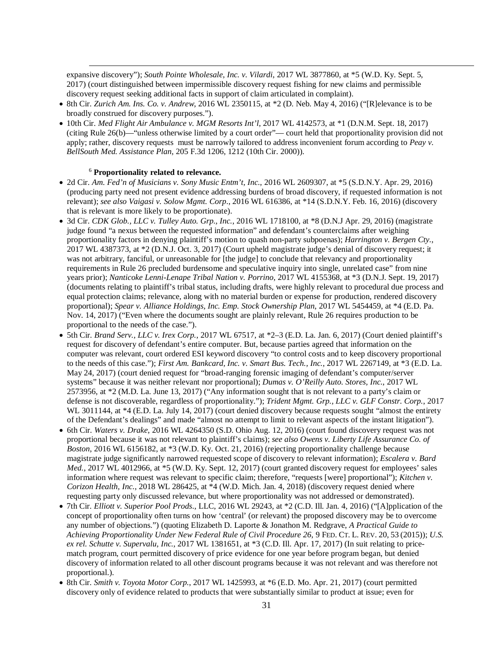expansive discovery"); *South Pointe Wholesale, Inc. v. Vilardi*, 2017 WL 3877860, at \*5 (W.D. Ky. Sept. 5, 2017) (court distinguished between impermissible discovery request fishing for new claims and permissible discovery request seeking additional facts in support of claim articulated in complaint).

- <span id="page-34-0"></span>• 8th Cir. *Zurich Am. Ins. Co. v. Andrew*, 2016 WL 2350115, at \*2 (D. Neb. May 4, 2016) ("[R]elevance is to be broadly construed for discovery purposes.").
- 10th Cir. *Med Flight Air Ambulance v. MGM Resorts Int'l*, 2017 WL 4142573, at \*1 (D.N.M. Sept. 18, 2017) (citing Rule 26(b)—"unless otherwise limited by a court order"— court held that proportionality provision did not apply; rather, discovery requests must be narrowly tailored to address inconvenient forum according to *Peay v. BellSouth Med. Assistance Plan*, 205 F.3d 1206, 1212 (10th Cir. 2000)).

#### <sup>6</sup> **Proportionality related to relevance.**

- 2d Cir. *Am. Fed'n of Musicians v. Sony Music Entm't, Inc.*, 2016 WL 2609307, at \*5 (S.D.N.Y. Apr. 29, 2016) (producing party need not present evidence addressing burdens of broad discovery, if requested information is not relevant); *see also Vaigasi v. Solow Mgmt. Corp*., 2016 WL 616386, at \*14 (S.D.N.Y. Feb. 16, 2016) (discovery that is relevant is more likely to be proportionate).
- 3d Cir. *CDK Glob., LLC v. Tulley Auto. Grp., Inc.*, 2016 WL 1718100, at \*8 (D.N.J Apr. 29, 2016) (magistrate judge found "a nexus between the requested information" and defendant's counterclaims after weighing proportionality factors in denying plaintiff's motion to quash non-party subpoenas); *Harrington v. Bergen Cty.*, 2017 WL 4387373, at \*2 (D.N.J. Oct. 3, 2017) (Court upheld magistrate judge's denial of discovery request; it was not arbitrary, fanciful, or unreasonable for [the judge] to conclude that relevancy and proportionality requirements in Rule 26 precluded burdensome and speculative inquiry into single, unrelated case" from nine years prior); *Nanticoke Lenni-Lenape Tribal Nation v. Porrino*, 2017 WL 4155368, at \*3 (D.N.J. Sept. 19, 2017) (documents relating to plaintiff's tribal status, including drafts, were highly relevant to procedural due process and equal protection claims; relevance, along with no material burden or expense for production, rendered discovery proportional); *Spear v. Alliance Holdings, Inc. Emp. Stock Ownership Plan*, 2017 WL 5454459, at \*4 (E.D. Pa. Nov. 14, 2017) ("Even where the documents sought are plainly relevant, Rule 26 requires production to be proportional to the needs of the case.").
- 5th Cir. *Brand Serv., LLC v. Irex Corp.*, 2017 WL 67517, at \*2–3 (E.D. La. Jan. 6, 2017) (Court denied plaintiff's request for discovery of defendant's entire computer. But, because parties agreed that information on the computer was relevant, court ordered ESI keyword discovery "to control costs and to keep discovery proportional to the needs of this case."); *First Am. Bankcard, Inc. v. Smart Bus. Tech., Inc.*, 2017 WL 2267149, at \*3 (E.D. La. May 24, 2017) (court denied request for "broad-ranging forensic imaging of defendant's computer/server systems" because it was neither relevant nor proportional); *Dumas v. O'Reilly Auto. Stores, Inc.*, 2017 WL 2573956, at \*2 (M.D. La. June 13, 2017) ("Any information sought that is not relevant to a party's claim or defense is not discoverable, regardless of proportionality."); *Trident Mgmt. Grp., LLC v. GLF Constr. Corp.*, 2017 WL 3011144, at \*4 (E.D. La. July 14, 2017) (court denied discovery because requests sought "almost the entirety of the Defendant's dealings" and made "almost no attempt to limit to relevant aspects of the instant litigation").
- 6th Cir. *Waters v. Drake*, 2016 WL 4264350 (S.D. Ohio Aug. 12, 2016) (court found discovery request was not proportional because it was not relevant to plaintiff's claims); *see also Owens v. Liberty Life Assurance Co. of Boston*, 2016 WL 6156182, at \*3 (W.D. Ky. Oct. 21, 2016) (rejecting proportionality challenge because magistrate judge significantly narrowed requested scope of discovery to relevant information); *Escalera v. Bard Med.*, 2017 WL 4012966, at \*5 (W.D. Ky. Sept. 12, 2017) (court granted discovery request for employees' sales information where request was relevant to specific claim; therefore, "requests [were] proportional"); *Kitchen v. Corizon Health, Inc.*, 2018 WL 286425, at \*4 (W.D. Mich. Jan. 4, 2018) (discovery request denied where requesting party only discussed relevance, but where proportionality was not addressed or demonstrated).
- <span id="page-34-1"></span>• 7th Cir. *Elliott v. Superior Pool Prods*., LLC, 2016 WL 29243, at \*2 (C.D. Ill. Jan. 4, 2016) ("[A]pplication of the concept of proportionality often turns on how 'central' (or relevant) the proposed discovery may be to overcome any number of objections.") (quoting Elizabeth D. Laporte & Jonathon M. Redgrave, *A Practical Guide to Achieving Proportionality Under New Federal Rule of Civil Procedure 26*, 9 FED. CT. L. REV. 20, 53 (2015)); *U.S. ex rel. Schutte v. Supervalu, Inc.*, 2017 WL 1381651, at \*3 (C.D. Ill. Apr. 17, 2017) (In suit relating to pricematch program, court permitted discovery of price evidence for one year before program began, but denied discovery of information related to all other discount programs because it was not relevant and was therefore not proportional.).
- <span id="page-34-2"></span>• 8th Cir. *Smith v. Toyota Motor Corp.*, 2017 WL 1425993, at \*6 (E.D. Mo. Apr. 21, 2017) (court permitted discovery only of evidence related to products that were substantially similar to product at issue; even for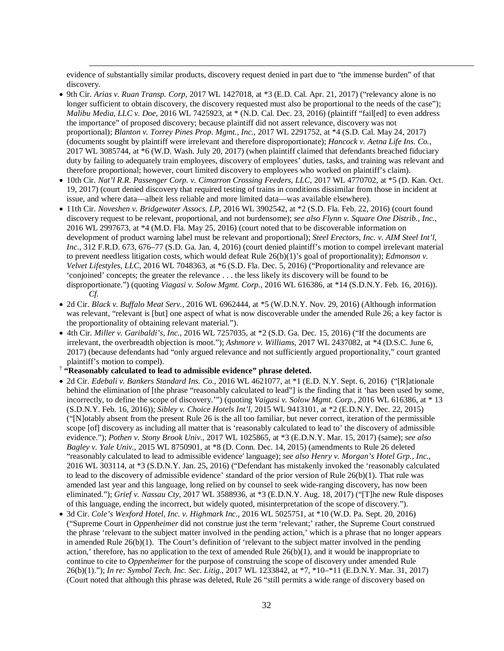evidence of substantially similar products, discovery request denied in part due to "the immense burden" of that discovery.

- 9th Cir. *Arias v. Ruan Transp. Corp*, 2017 WL 1427018, at \*3 (E.D. Cal. Apr. 21, 2017) ("relevancy alone is no longer sufficient to obtain discovery, the discovery requested must also be proportional to the needs of the case"); *Malibu Media, LLC v. Doe*, 2016 WL 7425923, at \* (N.D. Cal. Dec. 23, 2016) (plaintiff "fail[ed] to even address the importance" of proposed discovery; because plaintiff did not assert relevance, discovery was not proportional); *Blanton v. Torrey Pines Prop. Mgmt., Inc.*, 2017 WL 2291752, at \*4 (S.D. Cal. May 24, 2017) (documents sought by plaintiff were irrelevant and therefore disproportionate); *Hancock v. Aetna Life Ins. Co.*, 2017 WL 3085744, at \*6 (W.D. Wash. July 20, 2017) (when plaintiff claimed that defendants breached fiduciary duty by failing to adequately train employees, discovery of employees' duties, tasks, and training was relevant and therefore proportional; however, court limited discovery to employees who worked on plaintiff's claim).
- 10th Cir. *Nat'l R.R. Passenger Corp. v. Cimarron Crossing Feeders, LLC*, 2017 WL 4770702, at \*5 (D. Kan. Oct. 19, 2017) (court denied discovery that required testing of trains in conditions dissimilar from those in incident at issue, and where data—albeit less reliable and more limited data—was available elsewhere).
- 11th Cir. *Noveshen v. Bridgewater Assocs. LP*, 2016 WL 3902542, at \*2 (S.D. Fla. Feb. 22, 2016) (court found discovery request to be relevant, proportional, and not burdensome); *see also Flynn v. Square One Distrib., Inc.*, 2016 WL 2997673, at \*4 (M.D. Fla. May 25, 2016) (court noted that to be discoverable information on development of product warning label must be relevant and proportional); *Steel Erectors, Inc. v. AIM Steel Int'l, Inc*., 312 F.R.D. 673, 676–77 (S.D. Ga. Jan. 4, 2016) (court denied plaintiff's motion to compel irrelevant material to prevent needless litigation costs, which would defeat Rule 26(b)(1)'s goal of proportionality); *Edmonson v. Velvet Lifestyles, LLC*, 2016 WL 7048363, at \*6 (S.D. Fla. Dec. 5, 2016) ("Proportionality and relevance are 'conjoined' concepts; the greater the relevance . . . the less likely its discovery will be found to be disproportionate.") (quoting *Viagasi v. Solow Mgmt. Corp.*, 2016 WL 616386, at \*14 (S.D.N.Y. Feb. 16, 2016)). *Cf.*
- 2d Cir. *Black v. Buffalo Meat Serv.*, 2016 WL 6962444, at \*5 (W.D.N.Y. Nov. 29, 2016) (Although information was relevant, "relevant is [but] one aspect of what is now discoverable under the amended Rule 26; a key factor is the proportionality of obtaining relevant material.").
- 4th Cir. *Miller v. Garibaldi's, Inc.*, 2016 WL 7257035, at \*2 (S.D. Ga. Dec. 15, 2016) ("If the documents are irrelevant, the overbreadth objection is moot."); *Ashmore v. Williams*, 2017 WL 2437082, at \*4 (D.S.C. June 6, 2017) (because defendants had "only argued relevance and not sufficiently argued proportionality," court granted plaintiff's motion to compel).
- <sup>7</sup> **"Reasonably calculated to lead to admissible evidence" phrase deleted.**

- 2d Cir. *Edebali v. Bankers Standard Ins. Co.*, 2016 WL 4621077, at \*1 (E.D. N.Y. Sept. 6, 2016) ("[R]ationale behind the elimination of [the phrase "reasonably calculated to lead"] is the finding that it 'has been used by some, incorrectly, to define the scope of discovery.'") (quoting *Vaigasi v. Solow Mgmt. Corp.*, 2016 WL 616386, at \* 13 (S.D.N.Y. Feb. 16, 2016)); *Sibley v. Choice Hotels Int'l*, 2015 WL 9413101, at \*2 (E.D.N.Y. Dec. 22, 2015) ("[N]otably absent from the present Rule 26 is the all too familiar, but never correct, iteration of the permissible scope [of] discovery as including all matter that is 'reasonably calculated to lead to' the discovery of admissible evidence."); *Pothen v. Stony Brook Univ.*, 2017 WL 1025865, at \*3 (E.D.N.Y. Mar. 15, 2017) (same); *see also Bagley v. Yale Univ.*, 2015 WL 8750901, at \*8 (D. Conn. Dec. 14, 2015) (amendments to Rule 26 deleted "reasonably calculated to lead to admissible evidence' language); *see also Henry v. Morgan's Hotel Grp., Inc.*, 2016 WL 303114, at \*3 (S.D.N.Y. Jan. 25, 2016) ("Defendant has mistakenly invoked the 'reasonably calculated to lead to the discovery of admissible evidence' standard of the prior version of Rule 26(b)(1). That rule was amended last year and this language, long relied on by counsel to seek wide-ranging discovery, has now been eliminated."); *Grief v. Nassau Cty*, 2017 WL 3588936, at \*3 (E.D.N.Y. Aug. 18, 2017) ("[T]he new Rule disposes of this language, ending the incorrect, but widely quoted, misinterpretation of the scope of discovery.").
- <span id="page-35-0"></span>• 3d Cir. *Cole's Wexford Hotel, Inc. v. Highmark Inc*., 2016 WL 5025751, at \*10 (W.D. Pa. Sept. 20, 2016) ("Supreme Court in *Oppenheimer* did not construe just the term 'relevant;' rather, the Supreme Court construed the phrase 'relevant to the subject matter involved in the pending action,' which is a phrase that no longer appears in amended Rule 26(b)(1). The Court's definition of 'relevant to the subject matter involved in the pending action,' therefore, has no application to the text of amended Rule 26(b)(1), and it would be inappropriate to continue to cite to *Oppenheimer* for the purpose of construing the scope of discovery under amended Rule 26(b)(1)."); *In re: Symbol Tech. Inc. Sec. Litig.*, 2017 WL 1233842, at \*7, \*10–\*11 (E.D.N.Y. Mar. 31, 2017) (Court noted that although this phrase was deleted, Rule 26 "still permits a wide range of discovery based on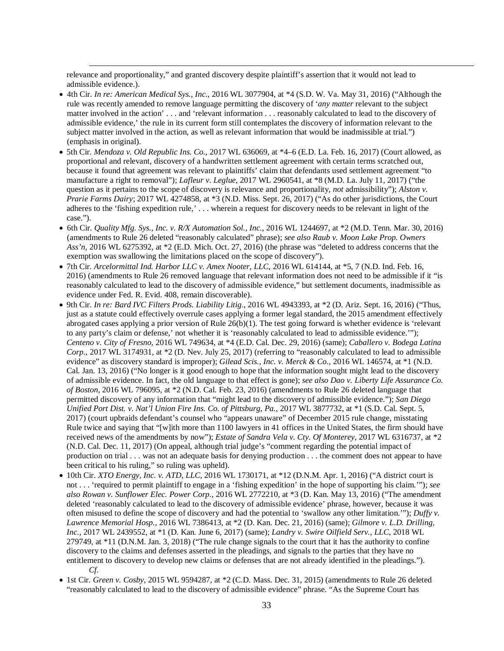relevance and proportionality," and granted discovery despite plaintiff's assertion that it would not lead to admissible evidence.).

- 4th Cir. *In re: American Medical Sys., Inc.*, 2016 WL 3077904, at \*4 (S.D. W. Va. May 31, 2016) ("Although the rule was recently amended to remove language permitting the discovery of '*any matter* relevant to the subject matter involved in the action' . . . and 'relevant information . . . reasonably calculated to lead to the discovery of admissible evidence,' the rule in its current form still contemplates the discovery of information relevant to the subject matter involved in the action, as well as relevant information that would be inadmissible at trial.") (emphasis in original).
- 5th Cir. *Mendoza v. Old Republic Ins. Co.*, 2017 WL 636069, at \*4–6 (E.D. La. Feb. 16, 2017) (Court allowed, as proportional and relevant, discovery of a handwritten settlement agreement with certain terms scratched out, because it found that agreement was relevant to plaintiffs' claim that defendants used settlement agreement "to manufacture a right to removal"); *Lafleur v. Leglue*, 2017 WL 2960541, at \*8 (M.D. La. July 11, 2017) ("the question as it pertains to the scope of discovery is relevance and proportionality, *not* admissibility"); *Alston v. Prarie Farms Dairy*; 2017 WL 4274858, at \*3 (N.D. Miss. Sept. 26, 2017) ("As do other jurisdictions, the Court adheres to the 'fishing expedition rule,' . . . wherein a request for discovery needs to be relevant in light of the case.").
- 6th Cir. *Quality Mfg. Sys., Inc. v. R/X Automation Sol., Inc.*, 2016 WL 1244697, at \*2 (M.D. Tenn. Mar. 30, 2016) (amendments to Rule 26 deleted "reasonably calculated" phrase); *see also Raub v. Moon Lake Prop. Owners Ass'n*, 2016 WL 6275392, at \*2 (E.D. Mich. Oct. 27, 2016) (the phrase was "deleted to address concerns that the exemption was swallowing the limitations placed on the scope of discovery").
- 7th Cir. *Arcelormittal Ind. Harbor LLC v. Amex Nooter, LLC*, 2016 WL 614144, at \*5, 7 (N.D. Ind. Feb. 16, 2016) (amendments to Rule 26 removed language that relevant information does not need to be admissible if it "is reasonably calculated to lead to the discovery of admissible evidence," but settlement documents, inadmissible as evidence under Fed. R. Evid. 408, remain discoverable).
- 9th Cir. *In re: Bard IVC Filters Prods. Liability Litig*., 2016 WL 4943393, at \*2 (D. Ariz. Sept. 16, 2016) ("Thus, just as a statute could effectively overrule cases applying a former legal standard, the 2015 amendment effectively abrogated cases applying a prior version of Rule 26(b)(1). The test going forward is whether evidence is 'relevant to any party's claim or defense,' not whether it is 'reasonably calculated to lead to admissible evidence.'"); *Centeno v. City of Fresno*, 2016 WL 749634, at \*4 (E.D. Cal. Dec. 29, 2016) (same); *Caballero v. Bodega Latina Corp.*, 2017 WL 3174931, at \*2 (D. Nev. July 25, 2017) (referring to "reasonably calculated to lead to admissible evidence" as discovery standard is improper); *Gilead Scis., Inc. v. Merck & Co*., 2016 WL 146574, at \*1 (N.D. Cal. Jan. 13, 2016) ("No longer is it good enough to hope that the information sought might lead to the discovery of admissible evidence. In fact, the old language to that effect is gone); *see also Dao v. Liberty Life Assurance Co. of Boston*, 2016 WL 796095, at \*2 (N.D. Cal. Feb. 23, 2016) (amendments to Rule 26 deleted language that permitted discovery of any information that "might lead to the discovery of admissible evidence."); *San Diego Unified Port Dist. v. Nat'l Union Fire Ins. Co. of Pittsburg, Pa.*, 2017 WL 3877732, at \*1 (S.D. Cal. Sept. 5, 2017) (court upbraids defendant's counsel who "appears unaware" of December 2015 rule change, misstating Rule twice and saying that "[w]ith more than 1100 lawyers in 41 offices in the United States, the firm should have received news of the amendments by now"); *Estate of Sandra Vela v. Cty. Of Monterey*, 2017 WL 6316737, at \*2 (N.D. Cal. Dec. 11, 2017) (On appeal, although trial judge's "comment regarding the potential impact of production on trial . . . was not an adequate basis for denying production . . . the comment does not appear to have been critical to his ruling," so ruling was upheld).
- 10th Cir. *XTO Energy, Inc. v. ATD, LLC*, 2016 WL 1730171, at \*12 (D.N.M. Apr. 1, 2016) ("A district court is not . . . 'required to permit plaintiff to engage in a 'fishing expedition' in the hope of supporting his claim.'"); *see also Rowan v. Sunflower Elec. Power Corp.*, 2016 WL 2772210, at \*3 (D. Kan. May 13, 2016) ("The amendment deleted 'reasonably calculated to lead to the discovery of admissible evidence' phrase, however, because it was often misused to define the scope of discovery and had the potential to 'swallow any other limitation.'"); *Duffy v. Lawrence Memorial Hosp.*, 2016 WL 7386413, at \*2 (D. Kan. Dec. 21, 2016) (same); *Gilmore v. L.D. Drilling, Inc.*, 2017 WL 2439552, at \*1 (D. Kan. June 6, 2017) (same); *Landry v. Swire Oilfield Serv., LLC*, 2018 WL 279749, at \*11 (D.N.M. Jan. 3, 2018) ("The rule change signals to the court that it has the authority to confine discovery to the claims and defenses asserted in the pleadings, and signals to the parties that they have no entitlement to discovery to develop new claims or defenses that are not already identified in the pleadings."). *Cf.*
- 1st Cir. *Green v. Cosby*, 2015 WL 9594287, at \*2 (C.D. Mass. Dec. 31, 2015) (amendments to Rule 26 deleted "reasonably calculated to lead to the discovery of admissible evidence" phrase. "As the Supreme Court has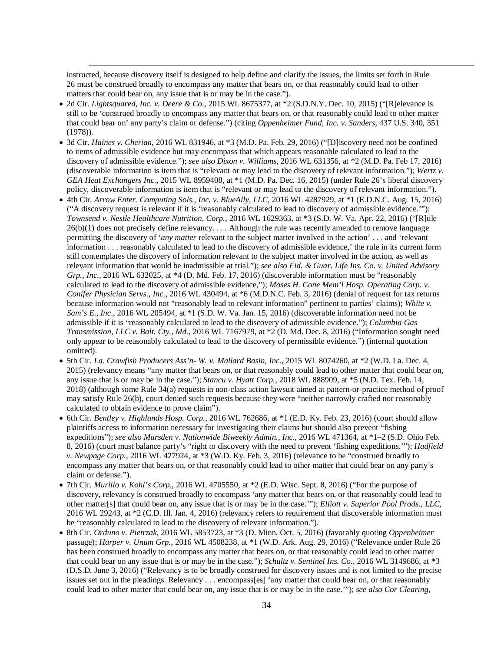instructed, because discovery itself is designed to help define and clarify the issues, the limits set forth in Rule 26 must be construed broadly to encompass any matter that bears on, or that reasonably could lead to other matters that could bear on, any issue that is or may be in the case.").

- 2d Cir. *Lightsquared, Inc. v. Deere & Co*., 2015 WL 8675377, at \*2 (S.D.N.Y. Dec. 10, 2015) ("[R]elevance is still to be 'construed broadly to encompass any matter that bears on, or that reasonably could lead to other matter that could bear on' any party's claim or defense.") (citing *Oppenheimer Fund, Inc. v. Sanders*, 437 U.S. 340, 351 (1978)).
- 3d Cir. *Haines v. Cherian*, 2016 WL 831946, at \*3 (M.D. Pa. Feb. 29, 2016) ("[D]iscovery need not be confined to items of admissible evidence but may encompass that which appears reasonable calculated to lead to the discovery of admissible evidence."); *see also Dixon v. Williams*, 2016 WL 631356, at \*2 (M.D. Pa. Feb 17, 2016) (discoverable information is item that is "relevant or may lead to the discovery of relevant information."); *Wertz v. GEA Heat Exchangers Inc*., 2015 WL 8959408, at \*1 (M.D. Pa. Dec. 16, 2015) (under Rule 26's liberal discovery policy, discoverable information is item that is "relevant or may lead to the discovery of relevant information.").
- 4th Cir. *Arrow Enter. Computing Sols., Inc. v. BlueAlly*, *LLC*, 2016 WL 4287929, at \*1 (E.D.N.C. Aug. 15, 2016) ("A discovery request is relevant if it is 'reasonably calculated to lead to discovery of admissible evidence.'"); *Townsend v. Nestle Healthcare Nutrition, Corp.*, 2016 WL 1629363, at \*3 (S.D. W. Va. Apr. 22, 2016) ("[R]ule  $26(b)(1)$  does not precisely define relevancy.  $\dots$  Although the rule was recently amended to remove language permitting the discovery of '*any matter* relevant to the subject matter involved in the action' . . . and 'relevant information . . . reasonably calculated to lead to the discovery of admissible evidence,' the rule in its current form still contemplates the discovery of information relevant to the subject matter involved in the action, as well as relevant information that would be inadmissible at trial."); *see also Fid. & Guar. Life Ins. Co. v. United Advisory Grp., Inc*., 2016 WL 632025, at \*4 (D. Md. Feb. 17, 2016) (discoverable information must be "reasonably calculated to lead to the discovery of admissible evidence,"); *Moses H. Cone Mem'l Hosp. Operating Corp. v. Conifer Physician Servs*.*, Inc.*, 2016 WL 430494, at \*6 (M.D.N.C. Feb. 3, 2016) (denial of request for tax returns because information would not "reasonably lead to relevant information" pertinent to parties' claims); *White v. Sam's E., Inc*., 2016 WL 205494, at \*1 (S.D. W. Va. Jan. 15, 2016) (discoverable information need not be admissible if it is "reasonably calculated to lead to the discovery of admissible evidence."); *Columbia Gas Transmission, LLC v. Balt. Cty., Md.*, 2016 WL 7167979, at \*2 (D. Md. Dec. 8, 2016) ("Information sought need only appear to be reasonably calculated to lead to the discovery of permissible evidence.") (internal quotation omitted).
- 5th Cir. *La. Crawfish Producers Ass'n- W. v. Mallard Basin, Inc*., 2015 WL 8074260, at \*2 (W.D. La. Dec. 4, 2015) (relevancy means "any matter that bears on, or that reasonably could lead to other matter that could bear on, any issue that is or may be in the case."); *Stancu v. Hyatt Corp.*, 2018 WL 888909, at \*5 (N.D. Tex. Feb. 14, 2018) (although some Rule 34(a) requests in non-class action lawsuit aimed at pattern-or-practice method of proof may satisfy Rule 26(b), court denied such requests because they were "neither narrowly crafted nor reasonably calculated to obtain evidence to prove claim").
- 6th Cir. *Bentley v. Highlands Hosp. Corp.*, 2016 WL 762686, at \*1 (E.D. Ky. Feb. 23, 2016) (court should allow plaintiffs access to information necessary for investigating their claims but should also prevent "fishing expeditions"); *see also Marsden v. Nationwide Biweekly Admin., Inc*., 2016 WL 471364, at \*1–2 (S.D. Ohio Feb. 8, 2016) (court must balance party's "right to discovery with the need to prevent 'fishing expeditions.'"); *Hadfield v. Newpage Corp*., 2016 WL 427924, at \*3 (W.D. Ky. Feb. 3, 2016) (relevance to be "construed broadly to encompass any matter that bears on, or that reasonably could lead to other matter that could bear on any party's claim or defense.").
- 7th Cir. *Murillo v. Kohl's Corp*., 2016 WL 4705550, at \*2 (E.D. Wisc. Sept. 8, 2016) ("For the purpose of discovery, relevancy is construed broadly to encompass 'any matter that bears on, or that reasonably could lead to other matter[s] that could bear on, any issue that is or may be in the case.'"); *Elliott v. Superior Pool Prods., LLC*, 2016 WL 29243, at \*2 (C.D. Ill. Jan. 4, 2016) (relevancy refers to requirement that discoverable information must be "reasonably calculated to lead to the discovery of relevant information.").
- 8th Cir. *Orduno v. Pietrzak*, 2016 WL 5853723, at \*3 (D. Minn. Oct. 5, 2016) (favorably quoting *Oppenheimer* passage); *Harper v. Unum Grp.*, 2016 WL 4508238, at \*1 (W.D. Ark. Aug. 29, 2016) ("Relevance under Rule 26 has been construed broadly to encompass any matter that bears on, or that reasonably could lead to other matter that could bear on any issue that is or may be in the case."); *Schultz v. Sentinel Ins. Co.*, 2016 WL 3149686, at \*3 (D.S.D. June 3, 2016) ("Relevancy is to be broadly construed for discovery issues and is not limited to the precise issues set out in the pleadings. Relevancy . . . encompass[es] 'any matter that could bear on, or that reasonably could lead to other matter that could bear on, any issue that is or may be in the case.'"); *see also Cor Clearing,*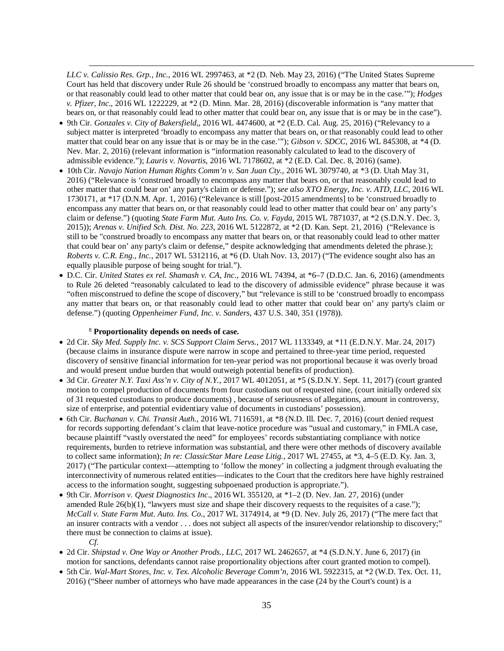*LLC v. Calissio Res. Grp., Inc.*, 2016 WL 2997463, at \*2 (D. Neb. May 23, 2016) ("The United States Supreme Court has held that discovery under Rule 26 should be 'construed broadly to encompass any matter that bears on, or that reasonably could lead to other matter that could bear on, any issue that is or may be in the case.'"); *Hodges v. Pfizer, Inc*., 2016 WL 1222229, at \*2 (D. Minn. Mar. 28, 2016) (discoverable information is "any matter that bears on, or that reasonably could lead to other matter that could bear on, any issue that is or may be in the case").

- 9th Cir. *Gonzales v. City of Bakersfield*,, 2016 WL 4474600, at \*2 (E.D. Cal. Aug. 25, 2016) ("Relevancy to a subject matter is interpreted 'broadly to encompass any matter that bears on, or that reasonably could lead to other matter that could bear on any issue that is or may be in the case.'"); *Gibson v. SDCC*, 2016 WL 845308, at \*4 (D. Nev. Mar. 2, 2016) (relevant information is "information reasonably calculated to lead to the discovery of admissible evidence."); *Lauris v. Novartis*, 2016 WL 7178602, at \*2 (E.D. Cal. Dec. 8, 2016) (same).
- 10th Cir. *Navajo Nation Human Rights Comm'n v. San Juan Cty.,* 2016 WL 3079740, at \*3 (D. Utah May 31, 2016) ("Relevance is 'construed broadly to encompass any matter that bears on, or that reasonably could lead to other matter that could bear on' any party's claim or defense."); *see also XTO Energy, Inc. v. ATD, LLC*, 2016 WL 1730171, at \*17 (D.N.M. Apr. 1, 2016) ("Relevance is still [post-2015 amendments] to be 'construed broadly to encompass any matter that bears on, or that reasonably could lead to other matter that could bear on' any party's claim or defense.") (quoting *State Farm Mut. Auto Ins. Co. v. Fayda*, 2015 WL 7871037, at \*2 (S.D.N.Y. Dec. 3, 2015)); *Arenas v. Unified Sch. Dist. No. 223*, 2016 WL 5122872, at \*2 (D. Kan. Sept. 21, 2016) ("Relevance is still to be "construed broadly to encompass any matter that bears on, or that reasonably could lead to other matter that could bear on' any party's claim or defense," despite acknowledging that amendments deleted the phrase.); *Roberts v. C.R. Eng., Inc.*, 2017 WL 5312116, at \*6 (D. Utah Nov. 13, 2017) ("The evidence sought also has an equally plausible purpose of being sought for trial.").
- D.C. Cir. *United States ex rel. Shamash v. CA, Inc*., 2016 WL 74394, at \*6–7 (D.D.C. Jan. 6, 2016) (amendments to Rule 26 deleted "reasonably calculated to lead to the discovery of admissible evidence" phrase because it was "often misconstrued to define the scope of discovery," but "relevance is still to be 'construed broadly to encompass any matter that bears on, or that reasonably could lead to other matter that could bear on' any party's claim or defense.") (quoting *Oppenheimer Fund, Inc. v. Sanders*, 437 U.S. 340, 351 (1978)).

### <sup>8</sup> **Proportionality depends on needs of case.**

- 2d Cir. *Sky Med. Supply Inc. v. SCS Support Claim Servs.*, 2017 WL 1133349, at \*11 (E.D.N.Y. Mar. 24, 2017) (because claims in insurance dispute were narrow in scope and pertained to three-year time period, requested discovery of sensitive financial information for ten-year period was not proportional because it was overly broad and would present undue burden that would outweigh potential benefits of production).
- 3d Cir. *Greater N.Y. Taxi Ass'n v. City of N.Y.*, 2017 WL 4012051, at \*5 (S.D.N.Y. Sept. 11, 2017) (court granted motion to compel production of documents from four custodians out of requested nine, (court initially ordered six of 31 requested custodians to produce documents) , because of seriousness of allegations, amount in controversy, size of enterprise, and potential evidentiary value of documents in custodians' possession).
- 6th Cir. *Buchanan v. Chi. Transit Auth.*, 2016 WL 7116591, at \*8 (N.D. Ill. Dec. 7, 2016) (court denied request for records supporting defendant's claim that leave-notice procedure was "usual and customary," in FMLA case, because plaintiff "vastly overstated the need" for employees' records substantiating compliance with notice requirements, burden to retrieve information was substantial, and there were other methods of discovery available to collect same information); *In re: ClassicStar Mare Lease Litig.*, 2017 WL 27455, at \*3, 4–5 (E.D. Ky. Jan. 3, 2017) ("The particular context—attempting to 'follow the money' in collecting a judgment through evaluating the interconnectivity of numerous related entities—indicates to the Court that the creditors here have highly restrained access to the information sought, suggesting subpoenaed production is appropriate.").
- 9th Cir. *Morrison v. Quest Diagnostics Inc*., 2016 WL 355120, at \*1–2 (D. Nev. Jan. 27, 2016) (under amended Rule  $26(b)(1)$ , "lawyers must size and shape their discovery requests to the requisites of a case."); *McCall v. State Farm Mut. Auto. Ins. Co.*, 2017 WL 3174914, at \*9 (D. Nev. July 26, 2017) ("The mere fact that an insurer contracts with a vendor . . . does not subject all aspects of the insurer/vendor relationship to discovery;" there must be connection to claims at issue). *Cf.*
- 2d Cir. *Shipstad v. One Way or Another Prods., LLC*, 2017 WL 2462657, at \*4 (S.D.N.Y. June 6, 2017) (in motion for sanctions, defendants cannot raise proportionality objections after court granted motion to compel).
- 5th Cir. *Wal-Mart Stores, Inc. v. Tex. Alcoholic Beverage Comm'n,* 2016 WL 5922315, at \*2 (W.D. Tex. Oct. 11, 2016) ("Sheer number of attorneys who have made appearances in the case (24 by the Court's count) is a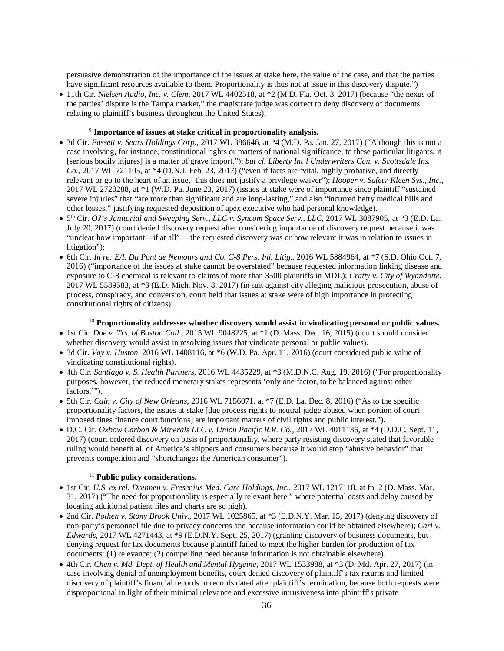persuasive demonstration of the importance of the issues at stake here, the value of the case, and that the parties have significant resources available to them. Proportionality is thus not at issue in this discovery dispute.")

• 11th Cir. *Nielsen Audio, Inc. v. Clem*, 2017 WL 4402518, at \*2 (M.D. Fla. Oct. 3, 2017) (because "the nexus of the parties' dispute is the Tampa market," the magistrate judge was correct to deny discovery of documents relating to plaintiff's business throughout the United States).

## <sup>9</sup> **Importance of issues at stake critical in proportionality analysis.**

 $\overline{a}$ 

- 3d Cir. *Fassett v. Sears Holdings Corp.*, 2017 WL 386646, at \*4 (M.D. Pa. Jan. 27, 2017) ("Although this is not a case involving, for instance, constitutional rights or matters of national significance, to these particular litigants, it [serious bodily injures] is a matter of grave import."); *but cf. Liberty Int'l Underwriters Can. v. Scottsdale Ins. Co.*, 2017 WL 721105, at \*4 (D.N.J. Feb. 23, 2017) ("even if facts are 'vital, highly probative, and directly relevant or go to the heart of an issue,' this does not justify a privilege waiver"); *Hooper v. Safety-Kleen Sys., Inc.*, 2017 WL 2720288, at \*1 (W.D. Pa. June 23, 2017) (issues at stake were of importance since plaintiff "sustained severe injuries" that "are more than significant and are long-lasting," and also "incurred hefty medical bills and other losses," justifying requested deposition of apex executive who had personal knowledge).
- 5th Cir. *OJ's Janitorial and Sweeping Serv., LLC v. Syncom Space Serv., LLC*, 2017 WL 3087905, at \*3 (E.D. La. July 20, 2017) (court denied discovery request after considering importance of discovery request because it was "unclear how important—if at all"— the requested discovery was or how relevant it was in relation to issues in litigation");
- 6th Cir*. In re: E/I. Du Pont de Nemours and Co. C-8 Pers. Inj. Litig*., 2016 WL 5884964, at \*7 (S.D. Ohio Oct. 7, 2016) ("importance of the issues at stake cannot be overstated" because requested information linking disease and exposure to C-8 chemical is relevant to claims of more than 3500 plaintiffs in MDL); *Cratty v. City of Wyandotte*, 2017 WL 5589583, at \*3 (E.D. Mich. Nov. 8, 2017) (in suit against city alleging malicious prosecution, abuse of process, conspiracy, and conversion, court held that issues at stake were of high importance in protecting constitutional rights of citizens).

## <sup>10</sup> **Proportionality addresses whether discovery would assist in vindicating personal or public values.**

- 1st Cir. *Doe v. Trs. of Boston Coll.*, 2015 WL 9048225, at \*1 (D. Mass. Dec. 16, 2015) (court should consider whether discovery would assist in resolving issues that vindicate personal or public values).
- 3d Cir. *Vay v. Huston*, 2016 WL 1408116, at \*6 (W.D. Pa. Apr. 11, 2016) (court considered public value of vindicating constitutional rights).
- 4th Cir. *Santiago v. S. Health Partners*, 2016 WL 4435229, at \*3 (M.D.N.C. Aug. 19, 2016) ("For proportionality purposes, however, the reduced monetary stakes represents 'only one factor, to be balanced against other factors.'").
- 5th Cir. *Cain v. City of New Orleans*, 2016 WL 7156071, at \*7 (E.D. La. Dec. 8, 2016) ("As to the specific proportionality factors, the issues at stake [due process rights to neutral judge abused when portion of courtimposed fines finance court functions] are important matters of civil rights and public interest.").
- D.C. Cir. *Oxbow Carbon & Minerals LLC v. Union Pacific R.R. Co.*, 2017 WL 4011136, at \*4 (D.D.C. Sept. 11, 2017) (court ordered discovery on basis of proportionality, where party resisting discovery stated that favorable ruling would benefit all of America's shippers and consumers because it would stop "abusive behavior" that prevents competition and "shortchanges the American consumer").

### <sup>11</sup> **Public policy considerations.**

- 1st Cir. *U.S. ex rel. Drennen v. Fresenius Med. Care Holdings, Inc.*, 2017 WL 1217118, at fn. 2 (D. Mass. Mar. 31, 2017) ("The need for proportionality is especially relevant here," where potential costs and delay caused by locating additional patient files and charts are so high).
- 2nd Cir. *Pothen v. Stony Brook Univ.*, 2017 WL 1025865, at \*3 (E.D.N.Y. Mar. 15, 2017) (denying discovery of non-party's personnel file due to privacy concerns and because information could be obtained elsewhere); *Carl v. Edwards*, 2017 WL 4271443, at \*9 (E.D.N.Y. Sept. 25, 2017) (granting discovery of business documents, but denying request for tax documents because plaintiff failed to meet the higher burden for production of tax documents: (1) relevance; (2) compelling need because information is not obtainable elsewhere).
- 4th Cir. *Chen v. Md. Dept. of Health and Mental Hygeine*, 2017 WL 1533988, at \*3 (D. Md. Apr. 27, 2017) (in case involving denial of unemployment benefits, court denied discovery of plaintiff's tax returns and limited discovery of plaintiff's financial records to records dated after plaintiff's termination, because both requests were disproportional in light of their minimal relevance and excessive intrusiveness into plaintiff's private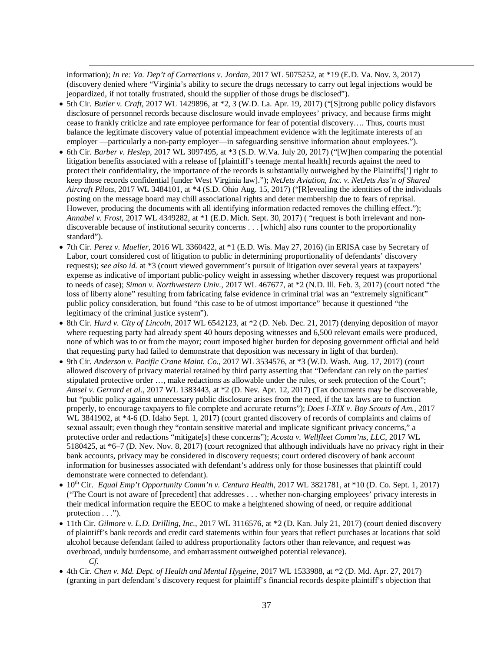information); *In re: Va. Dep't of Corrections v. Jordan*, 2017 WL 5075252, at \*19 (E.D. Va. Nov. 3, 2017) (discovery denied where "Virginia's ability to secure the drugs necessary to carry out legal injections would be jeopardized, if not totally frustrated, should the supplier of those drugs be disclosed").

- 5th Cir. *Butler v. Craft*, 2017 WL 1429896, at \*2, 3 (W.D. La. Apr. 19, 2017) ("[S]trong public policy disfavors disclosure of personnel records because disclosure would invade employees' privacy, and because firms might cease to frankly criticize and rate employee performance for fear of potential discovery…. Thus, courts must balance the legitimate discovery value of potential impeachment evidence with the legitimate interests of an employer —particularly a non-party employer—in safeguarding sensitive information about employees.").
- 6th Cir. *Barber v. Heslep*, 2017 WL 3097495, at \*3 (S.D. W.Va. July 20, 2017) ("[W]hen comparing the potential litigation benefits associated with a release of [plaintiff's teenage mental health] records against the need to protect their confidentiality, the importance of the records is substantially outweighed by the Plaintiffs['] right to keep those records confidential [under West Virginia law]."); *NetJets Aviation, Inc. v. NetJets Ass'n of Shared Aircraft Pilots*, 2017 WL 3484101, at \*4 (S.D. Ohio Aug. 15, 2017) ("[R]evealing the identities of the individuals posting on the message board may chill associational rights and deter membership due to fears of reprisal. However, producing the documents with all identifying information redacted removes the chilling effect."); *Annabel v. Frost*, 2017 WL 4349282, at \*1 (E.D. Mich. Sept. 30, 2017) ("request is both irrelevant and nondiscoverable because of institutional security concerns . . . [which] also runs counter to the proportionality standard").
- 7th Cir. *Perez v. Mueller*, 2016 WL 3360422, at \*1 (E.D. Wis. May 27, 2016) (in ERISA case by Secretary of Labor, court considered cost of litigation to public in determining proportionality of defendants' discovery requests); *see also id.* at \*3 (court viewed government's pursuit of litigation over several years at taxpayers' expense as indicative of important public-policy weight in assessing whether discovery request was proportional to needs of case); *Simon v. Northwestern Univ.*, 2017 WL 467677, at \*2 (N.D. Ill. Feb. 3, 2017) (court noted "the loss of liberty alone" resulting from fabricating false evidence in criminal trial was an "extremely significant" public policy consideration, but found "this case to be of utmost importance" because it questioned "the legitimacy of the criminal justice system").
- 8th Cir. *Hurd v. City of Lincoln*, 2017 WL 6542123, at \*2 (D. Neb. Dec. 21, 2017) (denying deposition of mayor where requesting party had already spent 40 hours deposing witnesses and 6,500 relevant emails were produced, none of which was to or from the mayor; court imposed higher burden for deposing government official and held that requesting party had failed to demonstrate that deposition was necessary in light of that burden).
- 9th Cir. *Anderson v. Pacific Crane Maint. Co.*, 2017 WL 3534576, at \*3 (W.D. Wash. Aug. 17, 2017) (court allowed discovery of privacy material retained by third party asserting that "Defendant can rely on the parties' stipulated protective order …, make redactions as allowable under the rules, or seek protection of the Court"; *Amsel v. Gerrard et al.*, 2017 WL 1383443, at \*2 (D. Nev. Apr. 12, 2017) (Tax documents may be discoverable, but "public policy against unnecessary public disclosure arises from the need, if the tax laws are to function properly, to encourage taxpayers to file complete and accurate returns"); *Does I-XIX v. Boy Scouts of Am.*, 2017 WL 3841902, at \*4-6 (D. Idaho Sept. 1, 2017) (court granted discovery of records of complaints and claims of sexual assault; even though they "contain sensitive material and implicate significant privacy concerns," a protective order and redactions "mitigate[s] these concerns"); *Acosta v. Wellfleet Comm'ns, LLC*, 2017 WL 5180425, at \*6–7 (D. Nev. Nov. 8, 2017) (court recognized that although individuals have no privacy right in their bank accounts, privacy may be considered in discovery requests; court ordered discovery of bank account information for businesses associated with defendant's address only for those businesses that plaintiff could demonstrate were connected to defendant).
- 10th Cir. *Equal Emp't Opportunity Comm'n v. Centura Health*, 2017 WL 3821781, at \*10 (D. Co. Sept. 1, 2017) ("The Court is not aware of [precedent] that addresses . . . whether non-charging employees' privacy interests in their medical information require the EEOC to make a heightened showing of need, or require additional protection  $\dots$ ").
- 11th Cir. *Gilmore v. L.D. Drilling, Inc.*, 2017 WL 3116576, at \*2 (D. Kan. July 21, 2017) (court denied discovery of plaintiff's bank records and credit card statements within four years that reflect purchases at locations that sold alcohol because defendant failed to address proportionality factors other than relevance, and request was overbroad, unduly burdensome, and embarrassment outweighed potential relevance). *Cf.*
- 4th Cir. *Chen v. Md. Dept. of Health and Mental Hygeine*, 2017 WL 1533988, at \*2 (D. Md. Apr. 27, 2017) (granting in part defendant's discovery request for plaintiff's financial records despite plaintiff's objection that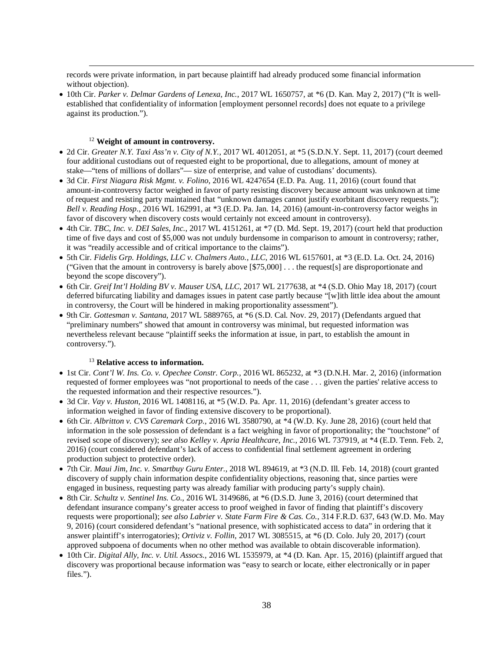records were private information, in part because plaintiff had already produced some financial information without objection).

• 10th Cir. *Parker v. Delmar Gardens of Lenexa, Inc.*, 2017 WL 1650757, at \*6 (D. Kan. May 2, 2017) ("It is wellestablished that confidentiality of information [employment personnel records] does not equate to a privilege against its production.").

# <sup>12</sup> **Weight of amount in controversy.**

 $\overline{a}$ 

- 2d Cir. *Greater N.Y. Taxi Ass'n v. City of N.Y.*, 2017 WL 4012051, at \*5 (S.D.N.Y. Sept. 11, 2017) (court deemed four additional custodians out of requested eight to be proportional, due to allegations, amount of money at stake—"tens of millions of dollars"— size of enterprise, and value of custodians' documents).
- 3d Cir. *First Niagara Risk Mgmt. v. Folino*, 2016 WL 4247654 (E.D. Pa. Aug. 11, 2016) (court found that amount-in-controversy factor weighed in favor of party resisting discovery because amount was unknown at time of request and resisting party maintained that "unknown damages cannot justify exorbitant discovery requests."); *Bell v. Reading Hosp*., 2016 WL 162991, at \*3 (E.D. Pa. Jan. 14, 2016) (amount-in-controversy factor weighs in favor of discovery when discovery costs would certainly not exceed amount in controversy).
- 4th Cir. *TBC, Inc. v. DEI Sales, Inc.*, 2017 WL 4151261, at \*7 (D. Md. Sept. 19, 2017) (court held that production time of five days and cost of \$5,000 was not unduly burdensome in comparison to amount in controversy; rather, it was "readily accessible and of critical importance to the claims").
- 5th Cir. *Fidelis Grp. Holdings, LLC v. Chalmers Auto., LLC*, 2016 WL 6157601, at \*3 (E.D. La. Oct. 24, 2016) ("Given that the amount in controversy is barely above [\$75,000] . . . the request[s] are disproportionate and beyond the scope discovery").
- 6th Cir. *Greif Int'l Holding BV v. Mauser USA, LLC*, 2017 WL 2177638, at \*4 (S.D. Ohio May 18, 2017) (court deferred bifurcating liability and damages issues in patent case partly because "[w]ith little idea about the amount in controversy, the Court will be hindered in making proportionality assessment").
- 9th Cir. *Gottesman v. Santana*, 2017 WL 5889765, at \*6 (S.D. Cal. Nov. 29, 2017) (Defendants argued that "preliminary numbers" showed that amount in controversy was minimal, but requested information was nevertheless relevant because "plaintiff seeks the information at issue, in part, to establish the amount in controversy.").

### <sup>13</sup> **Relative access to information.**

- 1st Cir. *Cont'l W. Ins. Co. v. Opechee Constr. Corp.*, 2016 WL 865232, at \*3 (D.N.H. Mar. 2, 2016) (information requested of former employees was "not proportional to needs of the case . . . given the parties' relative access to the requested information and their respective resources.").
- 3d Cir. *Vay v. Huston*, 2016 WL 1408116, at \*5 (W.D. Pa. Apr. 11, 2016) (defendant's greater access to information weighed in favor of finding extensive discovery to be proportional).
- 6th Cir. *Albritton v. CVS Caremark Corp.*, 2016 WL 3580790, at \*4 (W.D. Ky. June 28, 2016) (court held that information in the sole possession of defendant is a fact weighing in favor of proportionality; the "touchstone" of revised scope of discovery); *see also Kelley v. Apria Healthcare, Inc.*, 2016 WL 737919, at \*4 (E.D. Tenn. Feb. 2, 2016) (court considered defendant's lack of access to confidential final settlement agreement in ordering production subject to protective order).
- 7th Cir. *Maui Jim, Inc. v. Smartbuy Guru Enter.*, 2018 WL 894619, at \*3 (N.D. Ill. Feb. 14, 2018) (court granted discovery of supply chain information despite confidentiality objections, reasoning that, since parties were engaged in business, requesting party was already familiar with producing party's supply chain).
- 8th Cir. *Schultz v. Sentinel Ins. Co.*, 2016 WL 3149686, at \*6 (D.S.D. June 3, 2016) (court determined that defendant insurance company's greater access to proof weighed in favor of finding that plaintiff's discovery requests were proportional); *see also Labrier v. State Farm Fire & Cas. Co.*, 314 F.R.D. 637, 643 (W.D. Mo. May 9, 2016) (court considered defendant's "national presence, with sophisticated access to data" in ordering that it answer plaintiff's interrogatories); *Ortiviz v. Follin*, 2017 WL 3085515, at \*6 (D. Colo. July 20, 2017) (court approved subpoena of documents when no other method was available to obtain discoverable information).
- 10th Cir. *Digital Ally, Inc. v. Util. Assocs.*, 2016 WL 1535979, at \*4 (D. Kan. Apr. 15, 2016) (plaintiff argued that discovery was proportional because information was "easy to search or locate, either electronically or in paper files.").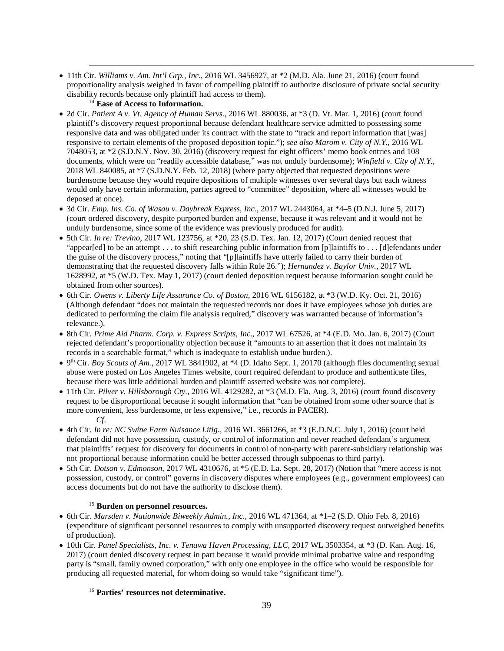• 11th Cir. *Williams v. Am. Int'l Grp., Inc.*, 2016 WL 3456927, at \*2 (M.D. Ala. June 21, 2016) (court found proportionality analysis weighed in favor of compelling plaintiff to authorize disclosure of private social security disability records because only plaintiff had access to them).

# <sup>14</sup> **Ease of Access to Information.**

 $\overline{a}$ 

- 2d Cir. *Patient A v. Vt. Agency of Human Servs.*, 2016 WL 880036, at \*3 (D. Vt. Mar. 1, 2016) (court found plaintiff's discovery request proportional because defendant healthcare service admitted to possessing some responsive data and was obligated under its contract with the state to "track and report information that [was] responsive to certain elements of the proposed deposition topic."); *see also Marom v. City of N.Y.*, 2016 WL 7048053, at \*2 (S.D.N.Y. Nov. 30, 2016) (discovery request for eight officers' memo book entries and 108 documents, which were on "readily accessible database," was not unduly burdensome); *Winfield v. City of N.Y.*, 2018 WL 840085, at \*7 (S.D.N.Y. Feb. 12, 2018) (where party objected that requested depositions were burdensome because they would require depositions of multiple witnesses over several days but each witness would only have certain information, parties agreed to "committee" deposition, where all witnesses would be deposed at once).
- 3d Cir. *Emp. Ins. Co. of Wasau v. Daybreak Express, Inc.*, 2017 WL 2443064, at \*4–5 (D.N.J. June 5, 2017) (court ordered discovery, despite purported burden and expense, because it was relevant and it would not be unduly burdensome, since some of the evidence was previously produced for audit).
- 5th Cir. *In re: Trevino*, 2017 WL 123756, at \*20, 23 (S.D. Tex. Jan. 12, 2017) (Court denied request that "appear[ed] to be an attempt . . . to shift researching public information from [p]laintiffs to . . . [d]efendants under the guise of the discovery process," noting that "[p]laintiffs have utterly failed to carry their burden of demonstrating that the requested discovery falls within Rule 26."); *Hernandez v. Baylor Univ.*, 2017 WL 1628992, at \*5 (W.D. Tex. May 1, 2017) (court denied deposition request because information sought could be obtained from other sources).
- 6th Cir. *Owens v. Liberty Life Assurance Co. of Boston*, 2016 WL 6156182, at \*3 (W.D. Ky. Oct. 21, 2016) (Although defendant "does not maintain the requested records nor does it have employees whose job duties are dedicated to performing the claim file analysis required," discovery was warranted because of information's relevance.).
- 8th Cir. *Prime Aid Pharm. Corp. v. Express Scripts, Inc.*, 2017 WL 67526, at \*4 (E.D. Mo. Jan. 6, 2017) (Court rejected defendant's proportionality objection because it "amounts to an assertion that it does not maintain its records in a searchable format," which is inadequate to establish undue burden.).
- $\bullet$  9<sup>th</sup> Cir. *Boy Scouts of Am.*, 2017 WL 3841902, at \*4 (D. Idaho Sept. 1, 20170 (although files documenting sexual abuse were posted on Los Angeles Times website, court required defendant to produce and authenticate files, because there was little additional burden and plaintiff asserted website was not complete).
- 11th Cir. *Pilver v. Hillsborough Cty.*, 2016 WL 4129282, at \*3 (M.D. Fla. Aug. 3, 2016) (court found discovery request to be disproportional because it sought information that "can be obtained from some other source that is more convenient, less burdensome, or less expensive," i.e., records in PACER). *Cf.*
- 4th Cir. *In re: NC Swine Farm Nuisance Litig.*, 2016 WL 3661266, at \*3 (E.D.N.C. July 1, 2016) (court held defendant did not have possession, custody, or control of information and never reached defendant's argument that plaintiffs' request for discovery for documents in control of non-party with parent-subsidiary relationship was not proportional because information could be better accessed through subpoenas to third party).
- 5th Cir. *Dotson v. Edmonson*, 2017 WL 4310676, at \*5 (E.D. La. Sept. 28, 2017) (Notion that "mere access is not possession, custody, or control" governs in discovery disputes where employees (e.g., government employees) can access documents but do not have the authority to disclose them).

# <sup>15</sup> **Burden on personnel resources.**

- 6th Cir. *Marsden v. Nationwide Biweekly Admin., Inc*., 2016 WL 471364, at \*1–2 (S.D. Ohio Feb. 8, 2016) (expenditure of significant personnel resources to comply with unsupported discovery request outweighed benefits of production).
- 10th Cir. *Panel Specialists, Inc. v. Tenawa Haven Processing, LLC*, 2017 WL 3503354, at \*3 (D. Kan. Aug. 16, 2017) (court denied discovery request in part because it would provide minimal probative value and responding party is "small, family owned corporation," with only one employee in the office who would be responsible for producing all requested material, for whom doing so would take "significant time").

# <sup>16</sup> **Parties' resources not determinative.**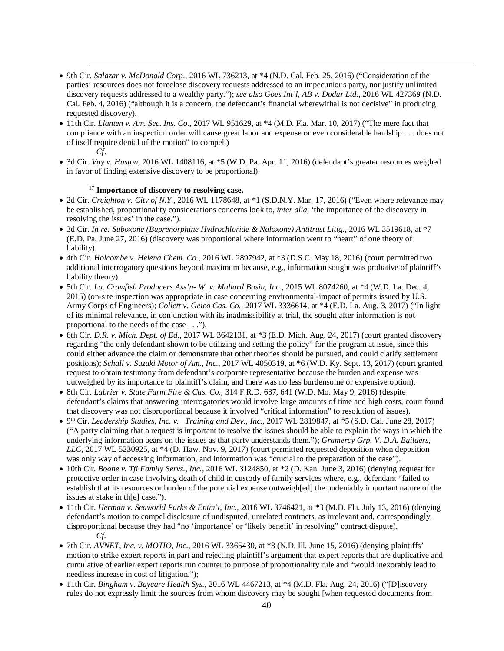- 9th Cir. *Salazar v. McDonald Corp*., 2016 WL 736213, at \*4 (N.D. Cal. Feb. 25, 2016) ("Consideration of the parties' resources does not foreclose discovery requests addressed to an impecunious party, nor justify unlimited discovery requests addressed to a wealthy party."); *see also Goes Int'l, AB v. Dodur Ltd.*, 2016 WL 427369 (N.D. Cal. Feb. 4, 2016) ("although it is a concern, the defendant's financial wherewithal is not decisive" in producing requested discovery).
- 11th Cir. *Llanten v. Am. Sec. Ins. Co.*, 2017 WL 951629, at \*4 (M.D. Fla. Mar. 10, 2017) ("The mere fact that compliance with an inspection order will cause great labor and expense or even considerable hardship . . . does not of itself require denial of the motion" to compel.)
	- *Cf*.

 $\overline{a}$ 

• 3d Cir*. Vay v. Huston*, 2016 WL 1408116, at \*5 (W.D. Pa. Apr. 11, 2016) (defendant's greater resources weighed in favor of finding extensive discovery to be proportional).

# <sup>17</sup> **Importance of discovery to resolving case.**

- 2d Cir. *Creighton v. City of N.Y*., 2016 WL 1178648, at \*1 (S.D.N.Y. Mar. 17, 2016) ("Even where relevance may be established, proportionality considerations concerns look to, *inter alia*, 'the importance of the discovery in resolving the issues' in the case.").
- 3d Cir. *In re: Suboxone (Buprenorphine Hydrochloride & Naloxone) Antitrust Litig.*, 2016 WL 3519618, at \*7 (E.D. Pa. June 27, 2016) (discovery was proportional where information went to "heart" of one theory of liability).
- 4th Cir. *Holcombe v. Helena Chem. Co.*, 2016 WL 2897942, at \*3 (D.S.C. May 18, 2016) (court permitted two additional interrogatory questions beyond maximum because, e.g., information sought was probative of plaintiff's liability theory).
- 5th Cir. *La. Crawfish Producers Ass'n- W. v. Mallard Basin, Inc*., 2015 WL 8074260, at \*4 (W.D. La. Dec. 4, 2015) (on-site inspection was appropriate in case concerning environmental-impact of permits issued by U.S. Army Corps of Engineers); *Collett v. Geico Cas. Co.*, 2017 WL 3336614, at \*4 (E.D. La. Aug. 3, 2017) ("In light of its minimal relevance, in conjunction with its inadmissibility at trial, the sought after information is not proportional to the needs of the case . . .").
- 6th Cir. *D.R. v. Mich. Dept. of Ed.*, 2017 WL 3642131, at \*3 (E.D. Mich. Aug. 24, 2017) (court granted discovery regarding "the only defendant shown to be utilizing and setting the policy" for the program at issue, since this could either advance the claim or demonstrate that other theories should be pursued, and could clarify settlement positions); *Schall v. Suzuki Motor of Am., Inc.*, 2017 WL 4050319, at \*6 (W.D. Ky. Sept. 13, 2017) (court granted request to obtain testimony from defendant's corporate representative because the burden and expense was outweighed by its importance to plaintiff's claim, and there was no less burdensome or expensive option).
- 8th Cir. *Labrier v. State Farm Fire & Cas. Co.*, 314 F.R.D. 637, 641 (W.D. Mo. May 9, 2016) (despite defendant's claims that answering interrogatories would involve large amounts of time and high costs, court found that discovery was not disproportional because it involved "critical information" to resolution of issues).
- 9th Cir. *Leadership Studies, Inc. v. Training and Dev., Inc.*, 2017 WL 2819847, at \*5 (S.D. Cal. June 28, 2017) ("A party claiming that a request is important to resolve the issues should be able to explain the ways in which the underlying information bears on the issues as that party understands them."); *Gramercy Grp. V. D.A. Builders, LLC*, 2017 WL 5230925, at \*4 (D. Haw. Nov. 9, 2017) (court permitted requested deposition when deposition was only way of accessing information, and information was "crucial to the preparation of the case").
- 10th Cir. *Boone v. Tfi Family Servs., Inc.*, 2016 WL 3124850, at \*2 (D. Kan. June 3, 2016) (denying request for protective order in case involving death of child in custody of family services where, e.g., defendant "failed to establish that its resources or burden of the potential expense outweigh[ed] the undeniably important nature of the issues at stake in th[e] case.").
- 11th Cir. *Herman v. Seaworld Parks & Entm't, Inc.*, 2016 WL 3746421, at \*3 (M.D. Fla. July 13, 2016) (denying defendant's motion to compel disclosure of undisputed, unrelated contracts, as irrelevant and, correspondingly, disproportional because they had "no 'importance' or 'likely benefit' in resolving" contract dispute). *Cf.*
- 7th Cir. *AVNET, Inc. v. MOTIO, Inc.*, 2016 WL 3365430, at \*3 (N.D. Ill. June 15, 2016) (denying plaintiffs' motion to strike expert reports in part and rejecting plaintiff's argument that expert reports that are duplicative and cumulative of earlier expert reports run counter to purpose of proportionality rule and "would inexorably lead to needless increase in cost of litigation.");
- 11th Cir. *Bingham v. Baycare Health Sys.*, 2016 WL 4467213, at \*4 (M.D. Fla. Aug. 24, 2016) ("[D]iscovery rules do not expressly limit the sources from whom discovery may be sought [when requested documents from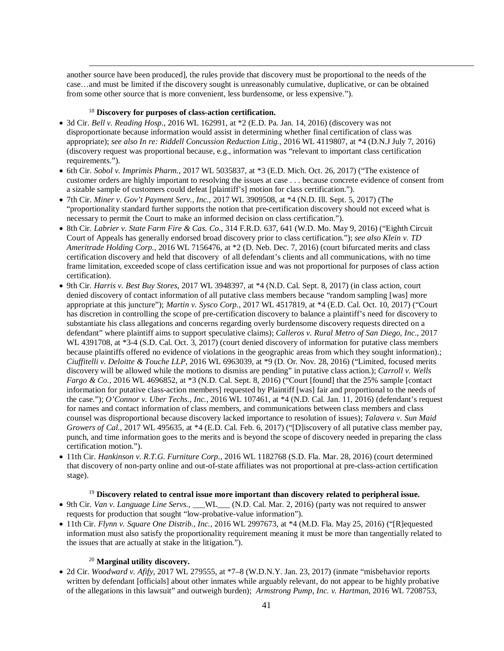another source have been produced], the rules provide that discovery must be proportional to the needs of the case…and must be limited if the discovery sought is unreasonably cumulative, duplicative, or can be obtained from some other source that is more convenient, less burdensome, or less expensive.").

# <sup>18</sup> **Discovery for purposes of class-action certification.**

 $\overline{a}$ 

- 3d Cir. *Bell v. Reading Hosp*., 2016 WL 162991, at \*2 (E.D. Pa. Jan. 14, 2016) (discovery was not disproportionate because information would assist in determining whether final certification of class was appropriate); *see also In re: Riddell Concussion Reduction Litig.*, 2016 WL 4119807, at \*4 (D.N.J July 7, 2016) (discovery request was proportional because, e.g., information was "relevant to important class certification requirements.").
- 6th Cir. *Sobol v. Imprimis Pharm.*, 2017 WL 5035837, at \*3 (E.D. Mich. Oct. 26, 2017) ("The existence of customer orders are highly important to resolving the issues at case . . . because concrete evidence of consent from a sizable sample of customers could defeat [plaintiff's] motion for class certification.").
- 7th Cir. *Miner v. Gov't Payment Serv., Inc.*, 2017 WL 3909508, at \*4 (N.D. Ill. Sept. 5, 2017) (The "proportionality standard further supports the notion that pre-certification discovery should not exceed what is necessary to permit the Court to make an informed decision on class certification.").
- 8th Cir. *Labrier v. State Farm Fire & Cas. Co.*, 314 F.R.D. 637, 641 (W.D. Mo. May 9, 2016) ("Eighth Circuit Court of Appeals has generally endorsed broad discovery prior to class certification."); *see also Klein v. TD Ameritrade Holding Corp.*, 2016 WL 7156476, at \*2 (D. Neb. Dec. 7, 2016) (court bifurcated merits and class certification discovery and held that discovery of all defendant's clients and all communications, with no time frame limitation, exceeded scope of class certification issue and was not proportional for purposes of class action certification).
- 9th Cir*. Harris v. Best Buy Stores*, 2017 WL 3948397, at \*4 (N.D. Cal. Sept. 8, 2017) (in class action, court denied discovery of contact information of all putative class members because "random sampling [was] more appropriate at this juncture"); *Martin v. Sysco Corp.*, 2017 WL 4517819, at \*4 (E.D. Cal. Oct. 10, 2017) ("Court has discretion in controlling the scope of pre-certification discovery to balance a plaintiff's need for discovery to substantiate his class allegations and concerns regarding overly burdensome discovery requests directed on a defendant" where plaintiff aims to support speculative claims); *Calleros v. Rural Metro of San Diego, Inc*., 2017 WL 4391708, at \*3-4 (S.D. Cal. Oct. 3, 2017) (court denied discovery of information for putative class members because plaintiffs offered no evidence of violations in the geographic areas from which they sought information).; *Ciuffitelli v. Deloitte & Touche LLP*, 2016 WL 6963039, at \*9 (D. Or. Nov. 28, 2016) ("Limited, focused merits discovery will be allowed while the motions to dismiss are pending" in putative class action.); *Carroll v. Wells Fargo & Co.*, 2016 WL 4696852, at \*3 (N.D. Cal. Sept. 8, 2016) ("Court [found] that the 25% sample [contact] information for putative class-action members] requested by Plaintiff [was] fair and proportional to the needs of the case."); *O'Connor v. Uber Techs*., *Inc.*, 2016 WL 107461, at \*4 (N.D. Cal. Jan. 11, 2016) (defendant's request for names and contact information of class members, and communications between class members and class counsel was disproportional because discovery lacked importance to resolution of issues); *Talavera v. Sun Maid Growers of Cal.*, 2017 WL 495635, at \*4 (E.D. Cal. Feb. 6, 2017) ("[D] iscovery of all putative class member pay, punch, and time information goes to the merits and is beyond the scope of discovery needed in preparing the class certification motion.").
- 11th Cir. *Hankinson v. R.T.G. Furniture Corp*., 2016 WL 1182768 (S.D. Fla. Mar. 28, 2016) (court determined that discovery of non-party online and out-of-state affiliates was not proportional at pre-class-action certification stage).

# <sup>19</sup> **Discovery related to central issue more important than discovery related to peripheral issue.**

- 9th Cir. *Van v. Language Line Servs.*, \_\_\_WL\_\_\_ (N.D. Cal. Mar. 2, 2016) (party was not required to answer requests for production that sought "low-probative-value information").
- 11th Cir. *Flynn v. Square One Distrib., Inc.*, 2016 WL 2997673, at \*4 (M.D. Fla. May 25, 2016) ("[R]equested information must also satisfy the proportionality requirement meaning it must be more than tangentially related to the issues that are actually at stake in the litigation.").

## <sup>20</sup> **Marginal utility discovery.**

• 2d Cir. *Woodward v. Afify*, 2017 WL 279555, at \*7–8 (W.D.N.Y. Jan. 23, 2017) (inmate "misbehavior reports written by defendant [officials] about other inmates while arguably relevant, do not appear to be highly probative of the allegations in this lawsuit" and outweigh burden); *Armstrong Pump, Inc. v. Hartman*, 2016 WL 7208753,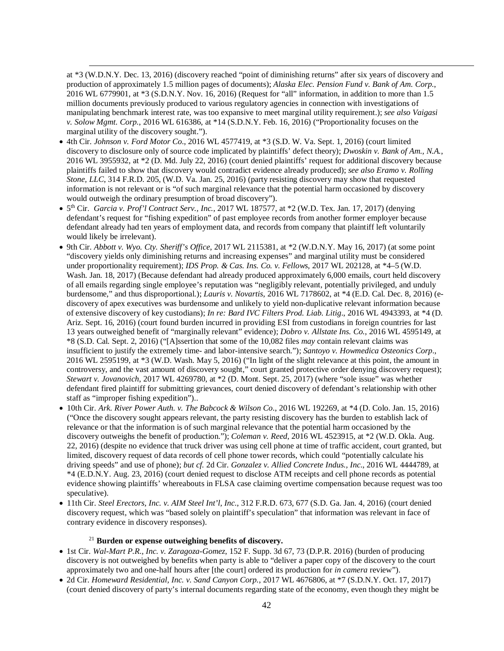at \*3 (W.D.N.Y. Dec. 13, 2016) (discovery reached "point of diminishing returns" after six years of discovery and production of approximately 1.5 million pages of documents); *Alaska Elec. Pension Fund v. Bank of Am. Corp.*, 2016 WL 6779901, at \*3 (S.D.N.Y. Nov. 16, 2016) (Request for "all" information, in addition to more than 1.5 million documents previously produced to various regulatory agencies in connection with investigations of manipulating benchmark interest rate, was too expansive to meet marginal utility requirement.); *see also Vaigasi v. Solow Mgmt. Corp.*, 2016 WL 616386, at \*14 (S.D.N.Y. Feb. 16, 2016) ("Proportionality focuses on the marginal utility of the discovery sought.").

 $\overline{a}$ 

- 4th Cir. *Johnson v. Ford Motor Co*., 2016 WL 4577419, at \*3 (S.D. W. Va. Sept. 1, 2016) (court limited discovery to disclosure only of source code implicated by plaintiffs' defect theory); *Dwoskin v. Bank of Am., N.A.*, 2016 WL 3955932, at \*2 (D. Md. July 22, 2016) (court denied plaintiffs' request for additional discovery because plaintiffs failed to show that discovery would contradict evidence already produced); *see also Eramo v. Rolling Stone, LLC*, 314 F.R.D. 205, (W.D. Va. Jan. 25, 2016) (party resisting discovery may show that requested information is not relevant or is "of such marginal relevance that the potential harm occasioned by discovery would outweigh the ordinary presumption of broad discovery").
- 5th Cir. *Garcia v. Prof'l Contract Serv., Inc.*, 2017 WL 187577, at \*2 (W.D. Tex. Jan. 17, 2017) (denying defendant's request for "fishing expedition" of past employee records from another former employer because defendant already had ten years of employment data, and records from company that plaintiff left voluntarily would likely be irrelevant).
- 9th Cir. *Abbott v. Wyo. Cty. Sheriff's Office*, 2017 WL 2115381, at \*2 (W.D.N.Y. May 16, 2017) (at some point "discovery yields only diminishing returns and increasing expenses" and marginal utility must be considered under proportionality requirement); *IDS Prop. & Cas. Ins. Co. v. Fellows*, 2017 WL 202128, at \*4–5 (W.D. Wash. Jan. 18, 2017) (Because defendant had already produced approximately 6,000 emails, court held discovery of all emails regarding single employee's reputation was "negligibly relevant, potentially privileged, and unduly burdensome," and thus disproportional.); *Lauris v. Novartis*, 2016 WL 7178602, at \*4 (E.D. Cal. Dec. 8, 2016) (ediscovery of apex executives was burdensome and unlikely to yield non-duplicative relevant information because of extensive discovery of key custodians); *In re: Bard IVC Filters Prod. Liab. Litig*., 2016 WL 4943393, at \*4 (D. Ariz. Sept. 16, 2016) (court found burden incurred in providing ESI from custodians in foreign countries for last 13 years outweighed benefit of "marginally relevant" evidence); *Dobro v. Allstate Ins. Co.*, 2016 WL 4595149, at \*8 (S.D. Cal. Sept. 2, 2016) ("[A]ssertion that some of the 10,082 files *may* contain relevant claims was insufficient to justify the extremely time- and labor-intensive search."); *Santoyo v. Howmedica Osteonics Corp*., 2016 WL 2595199, at \*3 (W.D. Wash. May 5, 2016) ("In light of the slight relevance at this point, the amount in controversy, and the vast amount of discovery sought," court granted protective order denying discovery request); *Stewart v. Jovanovich*, 2017 WL 4269780, at \*2 (D. Mont. Sept. 25, 2017) (where "sole issue" was whether defendant fired plaintiff for submitting grievances, court denied discovery of defendant's relationship with other staff as "improper fishing expedition")..
- 10th Cir. *Ark. River Power Auth. v. The Babcock & Wilson Co*., 2016 WL 192269, at \*4 (D. Colo. Jan. 15, 2016) ("Once the discovery sought appears relevant, the party resisting discovery has the burden to establish lack of relevance or that the information is of such marginal relevance that the potential harm occasioned by the discovery outweighs the benefit of production."); *Coleman v. Reed*, 2016 WL 4523915, at \*2 (W.D. Okla. Aug. 22, 2016) (despite no evidence that truck driver was using cell phone at time of traffic accident, court granted, but limited, discovery request of data records of cell phone tower records, which could "potentially calculate his driving speeds" and use of phone); *but cf.* 2d Cir. *Gonzalez v. Allied Concrete Indus., Inc*., 2016 WL 4444789, at \*4 (E.D.N.Y. Aug. 23, 2016) (court denied request to disclose ATM receipts and cell phone records as potential evidence showing plaintiffs' whereabouts in FLSA case claiming overtime compensation because request was too speculative).
- 11th Cir. *Steel Erectors, Inc. v. AIM Steel Int'l, Inc*., 312 F.R.D. 673, 677 (S.D. Ga. Jan. 4, 2016) (court denied discovery request, which was "based solely on plaintiff's speculation" that information was relevant in face of contrary evidence in discovery responses).

## <sup>21</sup> **Burden or expense outweighing benefits of discovery.**

- 1st Cir. *Wal-Mart P.R., Inc. v. Zaragoza-Gomez*, 152 F. Supp. 3d 67, 73 (D.P.R. 2016) (burden of producing discovery is not outweighed by benefits when party is able to "deliver a paper copy of the discovery to the court approximately two and one-half hours after [the court] ordered its production for *in camera* review").
- 2d Cir. *Homeward Residential, Inc. v. Sand Canyon Corp.*, 2017 WL 4676806, at \*7 (S.D.N.Y. Oct. 17, 2017) (court denied discovery of party's internal documents regarding state of the economy, even though they might be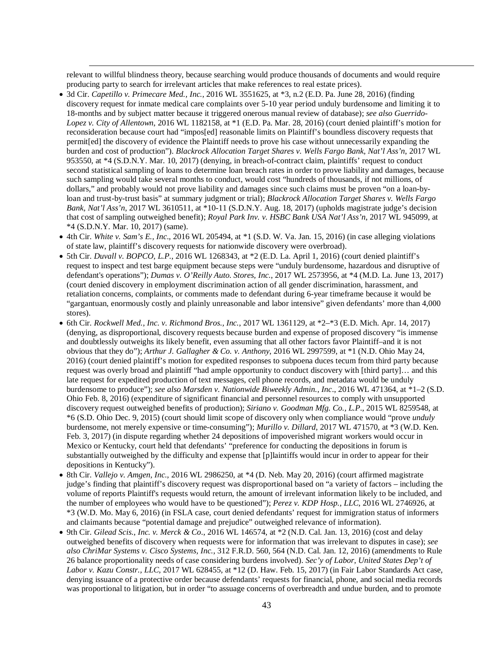relevant to willful blindness theory, because searching would produce thousands of documents and would require producing party to search for irrelevant articles that make references to real estate prices).

- 3d Cir. *Capetillo v. Primecare Med., Inc.*, 2016 WL 3551625, at \*3, n.2 (E.D. Pa. June 28, 2016) (finding discovery request for inmate medical care complaints over 5-10 year period unduly burdensome and limiting it to 18-months and by subject matter because it triggered onerous manual review of database); *see also Guerrido-Lopez v. City of Allentown*, 2016 WL 1182158, at \*1 (E.D. Pa. Mar. 28, 2016) (court denied plaintiff's motion for reconsideration because court had "impos[ed] reasonable limits on Plaintiff's boundless discovery requests that permit[ed] the discovery of evidence the Plaintiff needs to prove his case without unnecessarily expanding the burden and cost of production"). *Blackrock Allocation Target Shares v. Wells Fargo Bank, Nat'l Ass'n*, 2017 WL 953550, at \*4 (S.D.N.Y. Mar. 10, 2017) (denying, in breach-of-contract claim, plaintiffs' request to conduct second statistical sampling of loans to determine loan breach rates in order to prove liability and damages, because such sampling would take several months to conduct, would cost "hundreds of thousands, if not millions, of dollars," and probably would not prove liability and damages since such claims must be proven "on a loan-byloan and trust-by-trust basis" at summary judgment or trial); *Blackrock Allocation Target Shares v. Wells Fargo Bank, Nat'l Ass'n*, 2017 WL 3610511, at \*10-11 (S.D.N.Y. Aug. 18, 2017) (upholds magistrate judge's decision that cost of sampling outweighed benefit); *Royal Park Inv. v. HSBC Bank USA Nat'l Ass'n*, 2017 WL 945099, at \*4 (S.D.N.Y. Mar. 10, 2017) (same).
- 4th Cir. *White v. Sam's E., Inc*., 2016 WL 205494, at \*1 (S.D. W. Va. Jan. 15, 2016) (in case alleging violations of state law, plaintiff's discovery requests for nationwide discovery were overbroad).
- 5th Cir. *Duvall v. BOPCO, L.P.*, 2016 WL 1268343, at \*2 (E.D. La. April 1, 2016) (court denied plaintiff's request to inspect and test barge equipment because steps were "unduly burdensome, hazardous and disruptive of defendant's operations"); *Dumas v. O'Reilly Auto. Stores, Inc.*, 2017 WL 2573956, at \*4 (M.D. La. June 13, 2017) (court denied discovery in employment discrimination action of all gender discrimination, harassment, and retaliation concerns, complaints, or comments made to defendant during 6-year timeframe because it would be "gargantuan, enormously costly and plainly unreasonable and labor intensive" given defendants' more than 4,000 stores).
- 6th Cir. *Rockwell Med., Inc. v. Richmond Bros., Inc.*, 2017 WL 1361129, at \*2–\*3 (E.D. Mich. Apr. 14, 2017) (denying, as disproportional, discovery requests because burden and expense of proposed discovery "is immense and doubtlessly outweighs its likely benefit, even assuming that all other factors favor Plaintiff–and it is not obvious that they do"); *Arthur J. Gallagher & Co. v. Anthony*, 2016 WL 2997599, at \*1 (N.D. Ohio May 24, 2016) (court denied plaintiff's motion for expedited responses to subpoena duces tecum from third party because request was overly broad and plaintiff "had ample opportunity to conduct discovery with [third party]… and this late request for expedited production of text messages, cell phone records, and metadata would be unduly burdensome to produce"); *see also Marsden v. Nationwide Biweekly Admin., Inc*., 2016 WL 471364, at \*1–2 (S.D. Ohio Feb. 8, 2016) (expenditure of significant financial and personnel resources to comply with unsupported discovery request outweighed benefits of production); *Siriano v. Goodman Mfg. Co., L.P*., 2015 WL 8259548, at \*6 (S.D. Ohio Dec. 9, 2015) (court should limit scope of discovery only when compliance would "prove *unduly*  burdensome, not merely expensive or time-consuming"); *Murillo v. Dillard*, 2017 WL 471570, at \*3 (W.D. Ken. Feb. 3, 2017) (in dispute regarding whether 24 depositions of impoverished migrant workers would occur in Mexico or Kentucky, court held that defendants' "preference for conducting the depositions in forum is substantially outweighed by the difficulty and expense that [p]laintiffs would incur in order to appear for their depositions in Kentucky").
- 8th Cir. *Vallejo v. Amgen, Inc.*, 2016 WL 2986250, at \*4 (D. Neb. May 20, 2016) (court affirmed magistrate judge's finding that plaintiff's discovery request was disproportional based on "a variety of factors – including the volume of reports Plaintiff's requests would return, the amount of irrelevant information likely to be included, and the number of employees who would have to be questioned"); *Perez v. KDP Hosp., LLC*, 2016 WL 2746926, at \*3 (W.D. Mo. May 6, 2016) (in FSLA case, court denied defendants' request for immigration status of informers and claimants because "potential damage and prejudice" outweighed relevance of information).
- 9th Cir. *Gilead Scis., Inc. v. Merck & Co*., 2016 WL 146574, at \*2 (N.D. Cal. Jan. 13, 2016) (cost and delay outweighed benefits of discovery when requests were for information that was irrelevant to disputes in case); *see also ChriMar Systems v. Cisco Systems, Inc.*, 312 F.R.D. 560, 564 (N.D. Cal. Jan. 12, 2016) (amendments to Rule 26 balance proportionality needs of case considering burdens involved). *Sec'y of Labor, United States Dep't of Labor v. Kazu Constr., LLC*, 2017 WL 628455, at \*12 (D. Haw. Feb. 15, 2017) (in Fair Labor Standards Act case, denying issuance of a protective order because defendants' requests for financial, phone, and social media records was proportional to litigation, but in order "to assuage concerns of overbreadth and undue burden, and to promote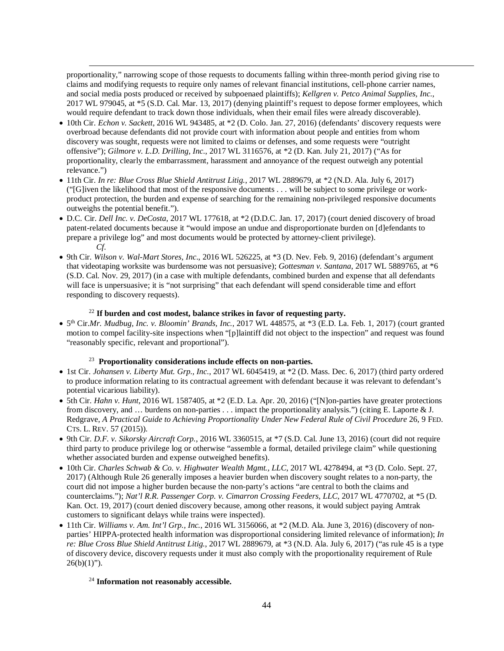proportionality," narrowing scope of those requests to documents falling within three-month period giving rise to claims and modifying requests to require only names of relevant financial institutions, cell-phone carrier names, and social media posts produced or received by subpoenaed plaintiffs); *Kellgren v. Petco Animal Supplies, Inc.*, 2017 WL 979045, at \*5 (S.D. Cal. Mar. 13, 2017) (denying plaintiff's request to depose former employees, which would require defendant to track down those individuals, when their email files were already discoverable).

 $\overline{a}$ 

- 10th Cir. *Echon v. Sackett*, 2016 WL 943485, at \*2 (D. Colo. Jan. 27, 2016) (defendants' discovery requests were overbroad because defendants did not provide court with information about people and entities from whom discovery was sought, requests were not limited to claims or defenses, and some requests were "outright offensive"); *Gilmore v. L.D. Drilling, Inc.*, 2017 WL 3116576, at \*2 (D. Kan. July 21, 2017) ("As for proportionality, clearly the embarrassment, harassment and annoyance of the request outweigh any potential relevance.")
- 11th Cir. *In re: Blue Cross Blue Shield Antitrust Litig.*, 2017 WL 2889679, at \*2 (N.D. Ala. July 6, 2017) ("[G]iven the likelihood that most of the responsive documents . . . will be subject to some privilege or workproduct protection, the burden and expense of searching for the remaining non-privileged responsive documents outweighs the potential benefit.").
- D.C. Cir. *Dell Inc. v. DeCosta*, 2017 WL 177618, at \*2 (D.D.C. Jan. 17, 2017) (court denied discovery of broad patent-related documents because it "would impose an undue and disproportionate burden on [d]efendants to prepare a privilege log" and most documents would be protected by attorney-client privilege). *Cf.*
- 9th Cir. *Wilson v. Wal-Mart Stores, Inc*., 2016 WL 526225, at \*3 (D. Nev. Feb. 9, 2016) (defendant's argument that videotaping worksite was burdensome was not persuasive); *Gottesman v. Santana*, 2017 WL 5889765, at \*6 (S.D. Cal. Nov. 29, 2017) (in a case with multiple defendants, combined burden and expense that all defendants will face is unpersuasive; it is "not surprising" that each defendant will spend considerable time and effort responding to discovery requests).

# <sup>22</sup> **If burden and cost modest, balance strikes in favor of requesting party.**

• 5<sup>th</sup> Cir.*Mr. Mudbug, Inc. v. Bloomin' Brands, Inc.*, 2017 WL 448575, at \*3 (E.D. La. Feb. 1, 2017) (court granted motion to compel facility-site inspections when "[p]laintiff did not object to the inspection" and request was found "reasonably specific, relevant and proportional").

# 23 **Proportionality considerations include effects on non-parties.**

- 1st Cir. *Johansen v. Liberty Mut. Grp., Inc.*, 2017 WL 6045419, at \*2 (D. Mass. Dec. 6, 2017) (third party ordered to produce information relating to its contractual agreement with defendant because it was relevant to defendant's potential vicarious liability).
- 5th Cir. *Hahn v. Hunt*, 2016 WL 1587405, at \*2 (E.D. La. Apr. 20, 2016) ("[N]on-parties have greater protections from discovery, and … burdens on non-parties . . . impact the proportionality analysis.") (citing E. Laporte & J. Redgrave, *A Practical Guide to Achieving Proportionality Under New Federal Rule of Civil Procedure* 26, 9 FED. CTS. L. REV. 57 (2015)).
- 9th Cir. *D.F. v. Sikorsky Aircraft Corp.*, 2016 WL 3360515, at \*7 (S.D. Cal. June 13, 2016) (court did not require third party to produce privilege log or otherwise "assemble a formal, detailed privilege claim" while questioning whether associated burden and expense outweighed benefits).
- 10th Cir. *Charles Schwab & Co. v. Highwater Wealth Mgmt., LLC*, 2017 WL 4278494, at \*3 (D. Colo. Sept. 27, 2017) (Although Rule 26 generally imposes a heavier burden when discovery sought relates to a non-party, the court did not impose a higher burden because the non-party's actions "are central to both the claims and counterclaims."); *Nat'l R.R. Passenger Corp. v. Cimarron Crossing Feeders, LLC*, 2017 WL 4770702, at \*5 (D. Kan. Oct. 19, 2017) (court denied discovery because, among other reasons, it would subject paying Amtrak customers to significant delays while trains were inspected).
- 11th Cir. *Williams v. Am. Int'l Grp., Inc.*, 2016 WL 3156066, at \*2 (M.D. Ala. June 3, 2016) (discovery of nonparties' HIPPA-protected health information was disproportional considering limited relevance of information); *In re: Blue Cross Blue Shield Antitrust Litig.*, 2017 WL 2889679, at \*3 (N.D. Ala. July 6, 2017) ("as rule 45 is a type of discovery device, discovery requests under it must also comply with the proportionality requirement of Rule  $26(b)(1)$ ").

### <sup>24</sup> **Information not reasonably accessible.**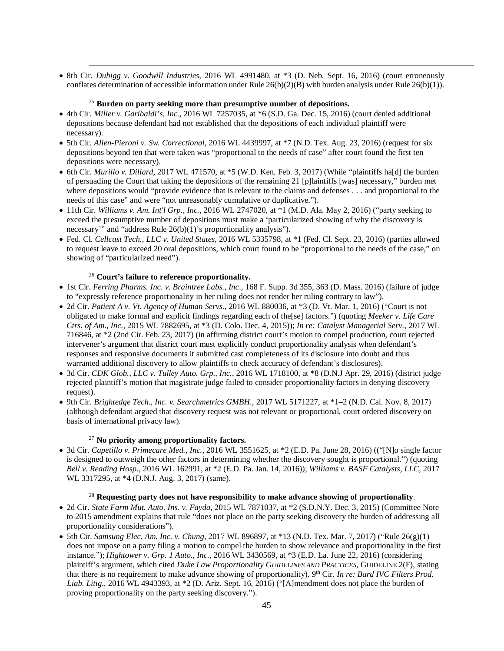• 8th Cir*. Duhigg v. Goodwill Industries*, 2016 WL 4991480, at \*3 (D. Neb. Sept. 16, 2016) (court erroneously conflates determination of accessible information under Rule  $26(b)(2)(B)$  with burden analysis under Rule  $26(b)(1)$ ).

## <sup>25</sup> **Burden on party seeking more than presumptive number of depositions.**

- 4th Cir. *Miller v. Garibaldi's, Inc.*, 2016 WL 7257035, at \*6 (S.D. Ga. Dec. 15, 2016) (court denied additional depositions because defendant had not established that the depositions of each individual plaintiff were necessary).
- 5th Cir. *Allen-Pieroni v. Sw. Correctional*, 2016 WL 4439997, at \*7 (N.D. Tex. Aug. 23, 2016) (request for six depositions beyond ten that were taken was "proportional to the needs of case" after court found the first ten depositions were necessary).
- 6th Cir. *Murillo v. Dillard*, 2017 WL 471570, at \*5 (W.D. Ken. Feb. 3, 2017) (While "plaintiffs ha[d] the burden of persuading the Court that taking the depositions of the remaining 21 [p]laintiffs [was] necessary," burden met where depositions would "provide evidence that is relevant to the claims and defenses . . . and proportional to the needs of this case" and were "not unreasonably cumulative or duplicative.").
- 11th Cir. *Williams v. Am. Int'l Grp., Inc.*, 2016 WL 2747020, at \*1 (M.D. Ala. May 2, 2016) ("party seeking to exceed the presumptive number of depositions must make a 'particularized showing of why the discovery is necessary"<sup>7</sup> and "address Rule 26(b)(1)'s proportionality analysis").
- Fed. Cl. *Cellcast Tech., LLC v. United States*, 2016 WL 5335798, at \*1 (Fed. Cl. Sept. 23, 2016) (parties allowed to request leave to exceed 20 oral depositions, which court found to be "proportional to the needs of the case," on showing of "particularized need").

# <sup>26</sup> **Court's failure to reference proportionality.**

 $\overline{a}$ 

- 1st Cir. *Ferring Pharms. Inc. v. Braintree Labs., Inc*., 168 F. Supp. 3d 355, 363 (D. Mass. 2016) (failure of judge to "expressly reference proportionality in her ruling does not render her ruling contrary to law").
- 2d Cir. *Patient A v. Vt. Agency of Human Servs.*, 2016 WL 880036, at \*3 (D. Vt. Mar. 1, 2016) ("Court is not obligated to make formal and explicit findings regarding each of the[se] factors.") (quoting *Meeker v. Life Care Ctrs. of Am., Inc.,* 2015 WL 7882695, at \*3 (D. Colo. Dec. 4, 2015)); *In re: Catalyst Managerial Serv.*, 2017 WL 716846, at \*2 (2nd Cir. Feb. 23, 2017) (in affirming district court's motion to compel production, court rejected intervener's argument that district court must explicitly conduct proportionality analysis when defendant's responses and responsive documents it submitted cast completeness of its disclosure into doubt and thus warranted additional discovery to allow plaintiffs to check accuracy of defendant's disclosures).
- 3d Cir. *CDK Glob., LLC v. Tulley Auto. Grp., Inc.*, 2016 WL 1718100, at \*8 (D.N.J Apr. 29, 2016) (district judge rejected plaintiff's motion that magistrate judge failed to consider proportionality factors in denying discovery request).
- 9th Cir. *Brightedge Tech., Inc. v. Searchmetrics GMBH.*, 2017 WL 5171227, at \*1–2 (N.D. Cal. Nov. 8, 2017) (although defendant argued that discovery request was not relevant or proportional, court ordered discovery on basis of international privacy law).

## <sup>27</sup> **No priority among proportionality factors.**

• 3d Cir. *Capetillo v. Primecare Med., Inc.*, 2016 WL 3551625, at \*2 (E.D. Pa. June 28, 2016) (("[N]o single factor is designed to outweigh the other factors in determining whether the discovery sought is proportional.") (quoting *Bell v. Reading Hosp*., 2016 WL 162991, at \*2 (E.D. Pa. Jan. 14, 2016)); *Williams v. BASF Catalysts, LLC*, 2017 WL 3317295, at \*4 (D.N.J. Aug. 3, 2017) (same).

### <sup>28</sup> **Requesting party does not have responsibility to make advance showing of proportionality**.

- 2d Cir. *State Farm Mut. Auto. Ins. v. Fayda*, 2015 WL 7871037, at \*2 (S.D.N.Y. Dec. 3, 2015) (Committee Note to 2015 amendment explains that rule "does not place on the party seeking discovery the burden of addressing all proportionality considerations").
- 5th Cir. *Samsung Elec. Am. Inc. v. Chung*, 2017 WL 896897, at \*13 (N.D. Tex. Mar. 7, 2017) ("Rule 26(g)(1) does not impose on a party filing a motion to compel the burden to show relevance and proportionality in the first instance."); *Hightower v. Grp. 1 Auto., Inc.*, 2016 WL 3430569, at \*3 (E.D. La. June 22, 2016) (considering plaintiff's argument, which cited *Duke Law Proportionality GUIDELINES AND PRACTICES*, GUIDELINE 2(F), stating that there is no requirement to make advance showing of proportionality). 9<sup>th</sup> Cir. *In re: Bard IVC Filters Prod. Liab. Litig*., 2016 WL 4943393, at \*2 (D. Ariz. Sept. 16, 2016) ("[A]mendment does not place the burden of proving proportionality on the party seeking discovery.").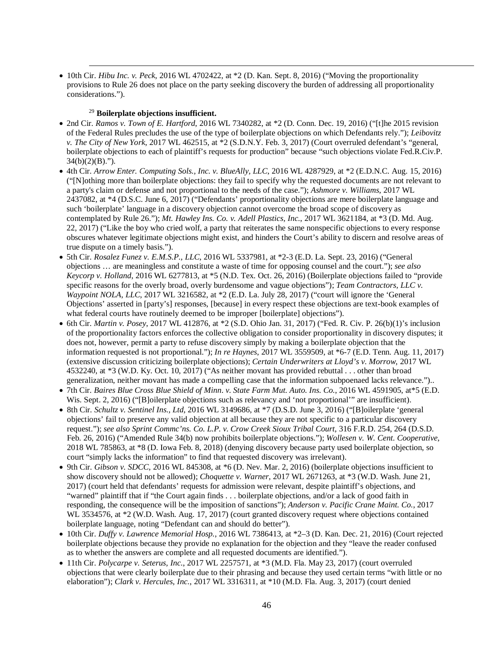• 10th Cir. *Hibu Inc. v. Peck*, 2016 WL 4702422, at \*2 (D. Kan. Sept. 8, 2016) ("Moving the proportionality provisions to Rule 26 does not place on the party seeking discovery the burden of addressing all proportionality considerations.").

## <sup>29</sup> **Boilerplate objections insufficient.**

- 2nd Cir. *Ramos v. Town of E. Hartford*, 2016 WL 7340282, at \*2 (D. Conn. Dec. 19, 2016) ("[t]he 2015 revision of the Federal Rules precludes the use of the type of boilerplate objections on which Defendants rely."); *Leibovitz v. The City of New York*, 2017 WL 462515, at \*2 (S.D.N.Y. Feb. 3, 2017) (Court overruled defendant's "general, boilerplate objections to each of plaintiff's requests for production" because "such objections violate Fed.R.Civ.P.  $34(b)(2)(B)$ .").
- 4th Cir. *Arrow Enter. Computing Sols., Inc. v. BlueAlly, LLC*, 2016 WL 4287929, at \*2 (E.D.N.C. Aug. 15, 2016) ("[N]othing more than boilerplate objections: they fail to specify why the requested documents are not relevant to a party's claim or defense and not proportional to the needs of the case."); *Ashmore v. Williams*, 2017 WL 2437082, at \*4 (D.S.C. June 6, 2017) ("Defendants' proportionality objections are mere boilerplate language and such 'boilerplate' language in a discovery objection cannot overcome the broad scope of discovery as contemplated by Rule 26."); *Mt. Hawley Ins. Co. v. Adell Plastics, Inc.*, 2017 WL 3621184, at \*3 (D. Md. Aug. 22, 2017) ("Like the boy who cried wolf, a party that reiterates the same nonspecific objections to every response obscures whatever legitimate objections might exist, and hinders the Court's ability to discern and resolve areas of true dispute on a timely basis.").
- 5th Cir. *Rosalez Funez v. E.M.S.P., LLC*, 2016 WL 5337981, at \*2-3 (E.D. La. Sept. 23, 2016) ("General objections … are meaningless and constitute a waste of time for opposing counsel and the court."); *see also Keycorp v. Holland*, 2016 WL 6277813, at \*5 (N.D. Tex. Oct. 26, 2016) (Boilerplate objections failed to "provide specific reasons for the overly broad, overly burdensome and vague objections"); *Team Contractors, LLC v. Waypoint NOLA, LLC,* 2017 WL 3216582, at  $*2$  (E.D. La. July 28, 2017) ("court will ignore the 'General Objections' asserted in [party's] responses, [because] in every respect these objections are text-book examples of what federal courts have routinely deemed to be improper [boilerplate] objections").
- 6th Cir. *Martin v. Posey*, 2017 WL 412876, at \*2 (S.D. Ohio Jan. 31, 2017) ("Fed. R. Civ. P. 26(b)(1)'s inclusion of the proportionality factors enforces the collective obligation to consider proportionality in discovery disputes; it does not, however, permit a party to refuse discovery simply by making a boilerplate objection that the information requested is not proportional."); *In re Haynes*, 2017 WL 3559509, at \*6-7 (E.D. Tenn. Aug. 11, 2017) (extensive discussion criticizing boilerplate objections); *Certain Underwriters at Lloyd's v. Morrow*, 2017 WL 4532240, at \*3 (W.D. Ky. Oct. 10, 2017) ("As neither movant has provided rebuttal . . . other than broad generalization, neither movant has made a compelling case that the information subpoenaed lacks relevance.")..
- 7th Cir. *Baires Blue Cross Blue Shield of Minn*. *v. State Farm Mut. Auto. Ins. Co.*, 2016 WL 4591905, at\*5 (E.D. Wis. Sept. 2, 2016) ("[B]oilerplate objections such as relevancy and 'not proportional'" are insufficient).
- 8th Cir. *Schultz v. Sentinel Ins., Ltd*, 2016 WL 3149686, at \*7 (D.S.D. June 3, 2016) ("[B]oilerplate 'general objections' fail to preserve any valid objection at all because they are not specific to a particular discovery request."); *see also Sprint Commc'ns. Co. L.P. v. Crow Creek Sioux Tribal Court*, 316 F.R.D. 254, 264 (D.S.D. Feb. 26, 2016) ("Amended Rule 34(b) now prohibits boilerplate objections."); *Wollesen v. W. Cent. Cooperative*, 2018 WL 785863, at \*8 (D. Iowa Feb. 8, 2018) (denying discovery because party used boilerplate objection, so court "simply lacks the information" to find that requested discovery was irrelevant).
- 9th Cir. *Gibson v. SDCC*, 2016 WL 845308, at \*6 (D. Nev. Mar. 2, 2016) (boilerplate objections insufficient to show discovery should not be allowed); *Choquette v. Warner*, 2017 WL 2671263, at \*3 (W.D. Wash. June 21, 2017) (court held that defendants' requests for admission were relevant, despite plaintiff's objections, and "warned" plaintiff that if "the Court again finds . . . boilerplate objections, and/or a lack of good faith in responding, the consequence will be the imposition of sanctions"); *Anderson v. Pacific Crane Maint. Co.*, 2017 WL 3534576, at  $*2$  (W.D. Wash. Aug. 17, 2017) (court granted discovery request where objections contained boilerplate language, noting "Defendant can and should do better").
- 10th Cir. *Duffy v. Lawrence Memorial Hosp.*, 2016 WL 7386413, at \*2–3 (D. Kan. Dec. 21, 2016) (Court rejected boilerplate objections because they provide no explanation for the objection and they "leave the reader confused as to whether the answers are complete and all requested documents are identified.").
- 11th Cir. *Polycarpe v. Seterus, Inc.*, 2017 WL 2257571, at \*3 (M.D. Fla. May 23, 2017) (court overruled objections that were clearly boilerplate due to their phrasing and because they used certain terms "with little or no elaboration"); *Clark v. Hercules, Inc.*, 2017 WL 3316311, at \*10 (M.D. Fla. Aug. 3, 2017) (court denied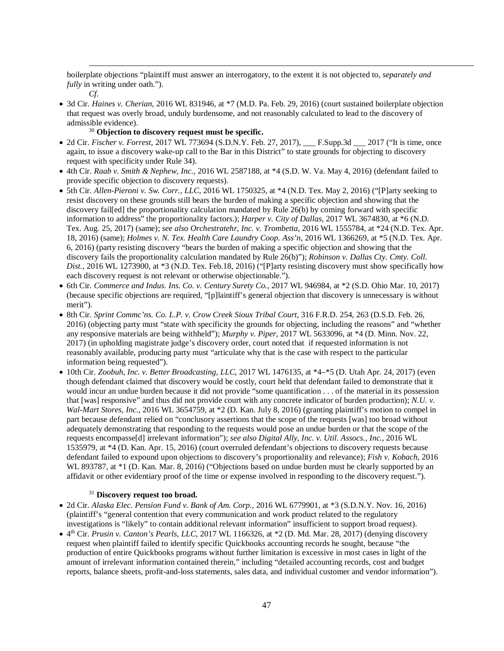boilerplate objections "plaintiff must answer an interrogatory, to the extent it is not objected to, *separately and fully* in writing under oath.").

*Cf*.

 $\overline{a}$ 

• 3d Cir. *Haines v. Cherian*, 2016 WL 831946, at \*7 (M.D. Pa. Feb. 29, 2016) (court sustained boilerplate objection that request was overly broad, unduly burdensome, and not reasonably calculated to lead to the discovery of admissible evidence).

# <sup>30</sup> **Objection to discovery request must be specific.**

- 2d Cir. *Fischer v. Forrest*, 2017 WL 773694 (S.D.N.Y. Feb. 27, 2017), \_\_\_ F.Supp.3d \_\_\_ 2017 ("It is time, once again, to issue a discovery wake-up call to the Bar in this District" to state grounds for objecting to discovery request with specificity under Rule 34).
- 4th Cir. *Raab v. Smith & Nephew, Inc.*, 2016 WL 2587188, at \*4 (S.D. W. Va. May 4, 2016) (defendant failed to provide specific objection to discovery requests).
- 5th Cir. *Allen-Pieroni v. Sw. Corr., LLC*, 2016 WL 1750325, at \*4 (N.D. Tex. May 2, 2016) ("[P]arty seeking to resist discovery on these grounds still bears the burden of making a specific objection and showing that the discovery fail[ed] the proportionality calculation mandated by Rule 26(b) by coming forward with specific information to address" the proportionality factors.); *Harper v. City of Dallas*, 2017 WL 3674830, at \*6 (N.D. Tex. Aug. 25, 2017) (same); *see also Orchestratehr, Inc. v. Trombetta*, 2016 WL 1555784, at \*24 (N.D. Tex. Apr. 18, 2016) (same); *Holmes v. N. Tex. Health Care Laundry Coop. Ass'n*, 2016 WL 1366269, at \*5 (N.D. Tex. Apr. 6, 2016) (party resisting discovery "bears the burden of making a specific objection and showing that the discovery fails the proportionality calculation mandated by Rule 26(b)"); *Robinson v. Dallas Cty. Cmty. Coll. Dist.*, 2016 WL 1273900, at \*3 (N.D. Tex. Feb.18, 2016) ("[P]arty resisting discovery must show specifically how each discovery request is not relevant or otherwise objectionable.").
- 6th Cir. *Commerce and Indus. Ins. Co. v. Century Surety Co.*, 2017 WL 946984, at \*2 (S.D. Ohio Mar. 10, 2017) (because specific objections are required, "[p]laintiff's general objection that discovery is unnecessary is without merit").
- 8th Cir. *Sprint Commc'ns. Co. L.P. v. Crow Creek Sioux Tribal Court*, 316 F.R.D. 254, 263 (D.S.D. Feb. 26, 2016) (objecting party must "state with specificity the grounds for objecting, including the reasons" and "whether any responsive materials are being withheld"); *Murphy v. Piper*, 2017 WL 5633096, at \*4 (D. Minn. Nov. 22, 2017) (in upholding magistrate judge's discovery order, court noted that if requested information is not reasonably available, producing party must "articulate why that is the case with respect to the particular information being requested").
- 10th Cir. *Zoobuh, Inc. v. Better Broadcasting, LLC*, 2017 WL 1476135, at \*4–\*5 (D. Utah Apr. 24, 2017) (even though defendant claimed that discovery would be costly, court held that defendant failed to demonstrate that it would incur an undue burden because it did not provide "some quantification . . . of the material in its possession that [was] responsive" and thus did not provide court with any concrete indicator of burden production); *N.U. v. Wal-Mart Stores*, *Inc.*, 2016 WL 3654759, at \*2 (D. Kan. July 8, 2016) (granting plaintiff's motion to compel in part because defendant relied on "conclusory assertions that the scope of the requests [was] too broad without adequately demonstrating that responding to the requests would pose an undue burden or that the scope of the requests encompasse[d] irrelevant information"); *see also Digital Ally, Inc. v. Util. Assocs., Inc.*, 2016 WL 1535979, at \*4 (D. Kan. Apr. 15, 2016) (court overruled defendant's objections to discovery requests because defendant failed to expound upon objections to discovery's proportionality and relevance); *Fish v. Kobach*, 2016 WL 893787, at  $*1$  (D. Kan. Mar. 8, 2016) ("Objections based on undue burden must be clearly supported by an affidavit or other evidentiary proof of the time or expense involved in responding to the discovery request.").

# <sup>31</sup> **Discovery request too broad.**

- 2d Cir. *Alaska Elec. Pension Fund v. Bank of Am. Corp.*, 2016 WL 6779901, at \*3 (S.D.N.Y. Nov. 16, 2016) (plaintiff's "general contention that every communication and work product related to the regulatory investigations is "likely" to contain additional relevant information" insufficient to support broad request).
- $\bullet$  4<sup>th</sup> Cir. *Prusin v. Canton's Pearls, LLC*, 2017 WL 1166326, at  $*2$  (D. Md. Mar. 28, 2017) (denying discovery request when plaintiff failed to identify specific Quickbooks accounting records he sought, because "the production of entire Quickbooks programs without further limitation is excessive in most cases in light of the amount of irrelevant information contained therein," including "detailed accounting records, cost and budget reports, balance sheets, profit-and-loss statements, sales data, and individual customer and vendor information").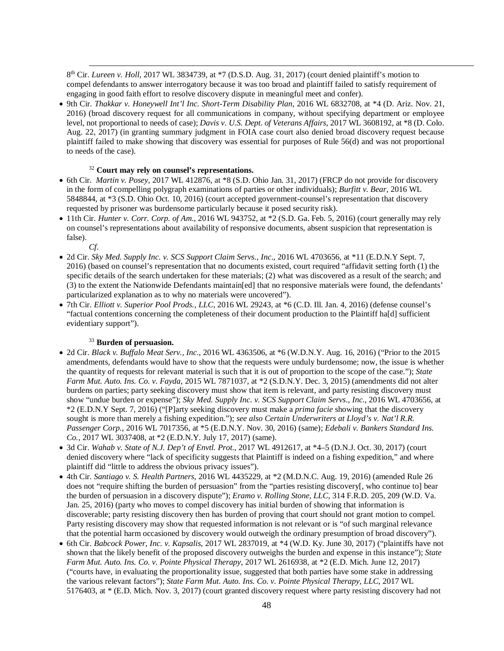8<sup>th</sup> Cir. *Lureen v. Holl*, 2017 WL 3834739, at \*7 (D.S.D. Aug. 31, 2017) (court denied plaintiff's motion to compel defendants to answer interrogatory because it was too broad and plaintiff failed to satisfy requirement of engaging in good faith effort to resolve discovery dispute in meaningful meet and confer).

• 9th Cir. *Thakkar v. Honeywell Int'l Inc. Short-Term Disability Plan*, 2016 WL 6832708, at \*4 (D. Ariz. Nov. 21, 2016) (broad discovery request for all communications in company, without specifying department or employee level, not proportional to needs of case); *Davis v. U.S. Dept. of Veterans Affairs*, 2017 WL 3608192, at \*8 (D. Colo. Aug. 22, 2017) (in granting summary judgment in FOIA case court also denied broad discovery request because plaintiff failed to make showing that discovery was essential for purposes of Rule 56(d) and was not proportional to needs of the case).

## <sup>32</sup> **Court may rely on counsel's representations.**

- 6th Cir. *Martin v. Posey*, 2017 WL 412876, at \*8 (S.D. Ohio Jan. 31, 2017) (FRCP do not provide for discovery in the form of compelling polygraph examinations of parties or other individuals); *Burfitt v. Bear*, 2016 WL 5848844, at \*3 (S.D. Ohio Oct. 10, 2016) (court accepted government-counsel's representation that discovery requested by prisoner was burdensome particularly because it posed security risk).
- 11th Cir. *Hunter v. Corr. Corp. of Am*., 2016 WL 943752, at \*2 (S.D. Ga. Feb. 5, 2016) (court generally may rely on counsel's representations about availability of responsive documents, absent suspicion that representation is false).
	- *Cf*.

 $\overline{a}$ 

- 2d Cir. *Sky Med. Supply Inc. v. SCS Support Claim Servs., Inc*., 2016 WL 4703656, at \*11 (E.D.N.Y Sept. 7, 2016) (based on counsel's representation that no documents existed, court required "affidavit setting forth (1) the specific details of the search undertaken for these materials; (2) what was discovered as a result of the search; and (3) to the extent the Nationwide Defendants maintain[ed] that no responsive materials were found, the defendants' particularized explanation as to why no materials were uncovered").
- 7th Cir. *Elliott v. Superior Pool Prods., LLC*, 2016 WL 29243, at \*6 (C.D. Ill. Jan. 4, 2016) (defense counsel's "factual contentions concerning the completeness of their document production to the Plaintiff ha[d] sufficient evidentiary support").

# <sup>33</sup> **Burden of persuasion.**

- 2d Cir. *Black v. Buffalo Meat Serv., Inc.*, 2016 WL 4363506, at \*6 (W.D.N.Y. Aug. 16, 2016) ("Prior to the 2015 amendments, defendants would have to show that the requests were unduly burdensome; now, the issue is whether the quantity of requests for relevant material is such that it is out of proportion to the scope of the case."); *State Farm Mut. Auto. Ins. Co. v. Fayda*, 2015 WL 7871037, at \*2 (S.D.N.Y. Dec. 3, 2015) (amendments did not alter burdens on parties; party seeking discovery must show that item is relevant, and party resisting discovery must show "undue burden or expense"); *Sky Med. Supply Inc. v. SCS Support Claim Servs*.*, Inc*., 2016 WL 4703656, at \*2 (E.D.N.Y Sept. 7, 2016) ("[P]arty seeking discovery must make a *prima facie* showing that the discovery sought is more than merely a fishing expedition."); *see also Certain Underwriters at Lloyd's v. Nat'l R.R. Passenger Corp.*, 2016 WL 7017356, at \*5 (E.D.N.Y. Nov. 30, 2016) (same); *Edebali v. Bankers Standard Ins. Co.*, 2017 WL 3037408, at \*2 (E.D.N.Y. July 17, 2017) (same).
- 3d Cir. *Wahab v. State of N.J. Dep't of Envtl. Prot.*, 2017 WL 4912617, at \*4–5 (D.N.J. Oct. 30, 2017) (court denied discovery where "lack of specificity suggests that Plaintiff is indeed on a fishing expedition," and where plaintiff did "little to address the obvious privacy issues").
- 4th Cir. *Santiago v. S. Health Partners*, 2016 WL 4435229, at \*2 (M.D.N.C. Aug. 19, 2016) (amended Rule 26 does not "require shifting the burden of persuasion" from the "parties resisting discovery[, who continue to] bear the burden of persuasion in a discovery dispute"); *Eramo v. Rolling Stone, LLC*, 314 F.R.D. 205, 209 (W.D. Va. Jan. 25, 2016) (party who moves to compel discovery has initial burden of showing that information is discoverable; party resisting discovery then has burden of proving that court should not grant motion to compel. Party resisting discovery may show that requested information is not relevant or is "of such marginal relevance that the potential harm occasioned by discovery would outweigh the ordinary presumption of broad discovery").
- 6th Cir. *Babcock Power, Inc. v. Kapsalis*, 2017 WL 2837019, at \*4 (W.D. Ky. June 30, 2017) ("plaintiffs have not shown that the likely benefit of the proposed discovery outweighs the burden and expense in this instance"); *State Farm Mut. Auto. Ins. Co. v. Pointe Physical Therapy*, 2017 WL 2616938, at \*2 (E.D. Mich. June 12, 2017) ("courts have, in evaluating the proportionality issue, suggested that both parties have some stake in addressing the various relevant factors"); *State Farm Mut. Auto. Ins. Co. v. Pointe Physical Therapy, LLC*, 2017 WL 5176403, at \* (E.D. Mich. Nov. 3, 2017) (court granted discovery request where party resisting discovery had not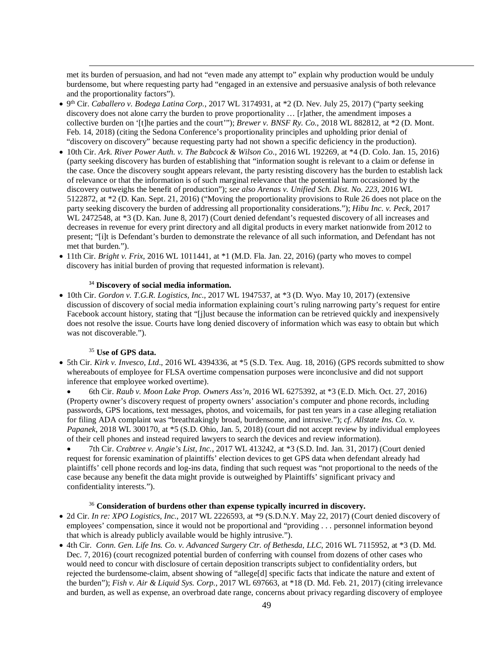met its burden of persuasion, and had not "even made any attempt to" explain why production would be unduly burdensome, but where requesting party had "engaged in an extensive and persuasive analysis of both relevance and the proportionality factors").

- 9th Cir. *Caballero v. Bodega Latina Corp.*, 2017 WL 3174931, at \*2 (D. Nev. July 25, 2017) ("party seeking discovery does not alone carry the burden to prove proportionality … [r]ather, the amendment imposes a collective burden on '[t]he parties and the court'"); *Brewer v. BNSF Ry. Co.*, 2018 WL 882812, at \*2 (D. Mont. Feb. 14, 2018) (citing the Sedona Conference's proportionality principles and upholding prior denial of "discovery on discovery" because requesting party had not shown a specific deficiency in the production).
- 10th Cir. *Ark. River Power Auth. v. The Babcock & Wilson Co*., 2016 WL 192269, at \*4 (D. Colo. Jan. 15, 2016) (party seeking discovery has burden of establishing that "information sought is relevant to a claim or defense in the case. Once the discovery sought appears relevant, the party resisting discovery has the burden to establish lack of relevance or that the information is of such marginal relevance that the potential harm occasioned by the discovery outweighs the benefit of production"); *see also Arenas v. Unified Sch. Dist. No. 223*, 2016 WL 5122872, at \*2 (D. Kan. Sept. 21, 2016) ("Moving the proportionality provisions to Rule 26 does not place on the party seeking discovery the burden of addressing all proportionality considerations."); *Hibu Inc. v. Peck*, 2017 WL 2472548, at \*3 (D. Kan. June 8, 2017) (Court denied defendant's requested discovery of all increases and decreases in revenue for every print directory and all digital products in every market nationwide from 2012 to present; "[i]t is Defendant's burden to demonstrate the relevance of all such information, and Defendant has not met that burden.").
- 11th Cir. *Bright v. Frix*, 2016 WL 1011441, at \*1 (M.D. Fla. Jan. 22, 2016) (party who moves to compel discovery has initial burden of proving that requested information is relevant).

# <sup>34</sup> **Discovery of social media information.**

• 10th Cir. *Gordon v. T.G.R. Logistics, Inc.*, 2017 WL 1947537, at \*3 (D. Wyo. May 10, 2017) (extensive discussion of discovery of social media information explaining court's ruling narrowing party's request for entire Facebook account history, stating that "[j]ust because the information can be retrieved quickly and inexpensively does not resolve the issue. Courts have long denied discovery of information which was easy to obtain but which was not discoverable.").

# <sup>35</sup> **Use of GPS data.**

 $\overline{a}$ 

• 5th Cir. *Kirk v. Invesco, Ltd*., 2016 WL 4394336, at \*5 (S.D. Tex. Aug. 18, 2016) (GPS records submitted to show whereabouts of employee for FLSA overtime compensation purposes were inconclusive and did not support inference that employee worked overtime).

• 6th Cir. *Raub v. Moon Lake Prop. Owners Ass'n*, 2016 WL 6275392, at \*3 (E.D. Mich. Oct. 27, 2016) (Property owner's discovery request of property owners' association's computer and phone records, including passwords, GPS locations, text messages, photos, and voicemails, for past ten years in a case alleging retaliation for filing ADA complaint was "breathtakingly broad, burdensome, and intrusive."); *cf. Allstate Ins. Co. v. Papanek*, 2018 WL 300170, at \*5 (S.D. Ohio, Jan. 5, 2018) (court did not accept review by individual employees of their cell phones and instead required lawyers to search the devices and review information).

• 7th Cir. *Crabtree v. Angie's List, Inc.*, 2017 WL 413242, at \*3 (S.D. Ind. Jan. 31, 2017) (Court denied request for forensic examination of plaintiffs' election devices to get GPS data when defendant already had plaintiffs' cell phone records and log-ins data, finding that such request was "not proportional to the needs of the case because any benefit the data might provide is outweighed by Plaintiffs' significant privacy and confidentiality interests.").

### <sup>36</sup> **Consideration of burdens other than expense typically incurred in discovery.**

- 2d Cir. *In re: XPO Logistics, Inc.*, 2017 WL 2226593, at \*9 (S.D.N.Y. May 22, 2017) (Court denied discovery of employees' compensation, since it would not be proportional and "providing . . . personnel information beyond that which is already publicly available would be highly intrusive.").
- 4th Cir. *Conn. Gen. Life Ins. Co. v. Advanced Surgery Ctr. of Bethesda, LLC*, 2016 WL 7115952, at \*3 (D. Md. Dec. 7, 2016) (court recognized potential burden of conferring with counsel from dozens of other cases who would need to concur with disclosure of certain deposition transcripts subject to confidentiality orders, but rejected the burdensome-claim, absent showing of "allege[d] specific facts that indicate the nature and extent of the burden"); *Fish v. Air & Liquid Sys. Corp.*, 2017 WL 697663, at \*18 (D. Md. Feb. 21, 2017) (citing irrelevance and burden, as well as expense, an overbroad date range, concerns about privacy regarding discovery of employee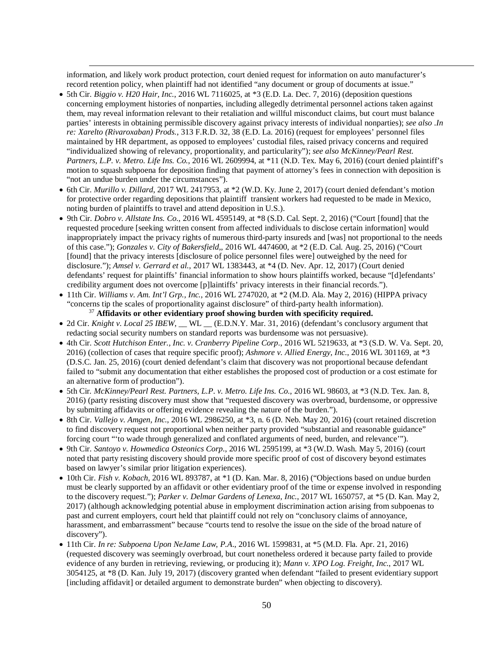information, and likely work product protection, court denied request for information on auto manufacturer's record retention policy, when plaintiff had not identified "any document or group of documents at issue."

- 5th Cir. *Biggio v. H20 Hair, Inc.*, 2016 WL 7116025, at \*3 (E.D. La. Dec. 7, 2016) (deposition questions concerning employment histories of nonparties, including allegedly detrimental personnel actions taken against them, may reveal information relevant to their retaliation and willful misconduct claims, but court must balance parties' interests in obtaining permissible discovery against privacy interests of individual nonparties); *see also* .*In re: Xarelto (Rivaroxaban) Prods.*, 313 F.R.D. 32, 38 (E.D. La. 2016) (request for employees' personnel files maintained by HR department, as opposed to employees' custodial files, raised privacy concerns and required "individualized showing of relevancy, proportionality, and particularity"); *see also McKinney/Pearl Rest. Partners, L.P. v. Metro. Life Ins. Co.*, 2016 WL 2609994, at \*11 (N.D. Tex. May 6, 2016) (court denied plaintiff's motion to squash subpoena for deposition finding that payment of attorney's fees in connection with deposition is "not an undue burden under the circumstances").
- 6th Cir. *Murillo v. Dillard*, 2017 WL 2417953, at \*2 (W.D. Ky. June 2, 2017) (court denied defendant's motion for protective order regarding depositions that plaintiff transient workers had requested to be made in Mexico, noting burden of plaintiffs to travel and attend deposition in U.S.).
- 9th Cir. *Dobro v. Allstate Ins. Co.*, 2016 WL 4595149, at \*8 (S.D. Cal. Sept. 2, 2016) ("Court [found] that the requested procedure [seeking written consent from affected individuals to disclose certain information] would inappropriately impact the privacy rights of numerous third-party insureds and [was] not proportional to the needs of this case."); *Gonzales v. City of Bakersfield*,, 2016 WL 4474600, at \*2 (E.D. Cal. Aug. 25, 2016) ("Court [found] that the privacy interests [disclosure of police personnel files were] outweighed by the need for disclosure."); *Amsel v. Gerrard et al.*, 2017 WL 1383443, at \*4 (D. Nev. Apr. 12, 2017) (Court denied defendants' request for plaintiffs' financial information to show hours plaintiffs worked, because "[d]efendants' credibility argument does not overcome [p]laintiffs' privacy interests in their financial records.").
- 11th Cir. *Williams v. Am. Int'l Grp., Inc.*, 2016 WL 2747020, at \*2 (M.D. Ala. May 2, 2016) (HIPPA privacy "concerns tip the scales of proportionality against disclosure" of third-party health information). <sup>37</sup> **Affidavits or other evidentiary proof showing burden with specificity required.**
- 2d Cir. *Knight v. Local 25 IBEW*, \_\_ WL \_\_ (E.D.N.Y. Mar. 31, 2016) (defendant's conclusory argument that redacting social security numbers on standard reports was burdensome was not persuasive).
- 4th Cir. *Scott Hutchison Enter., Inc. v. Cranberry Pipeline Corp*., 2016 WL 5219633, at \*3 (S.D. W. Va. Sept. 20, 2016) (collection of cases that require specific proof); *Ashmore v. Allied Energy, Inc.*, 2016 WL 301169, at \*3 (D.S.C. Jan. 25, 2016) (court denied defendant's claim that discovery was not proportional because defendant failed to "submit any documentation that either establishes the proposed cost of production or a cost estimate for an alternative form of production").
- 5th Cir*. McKinney/Pearl Rest. Partners, L.P*. *v. Metro. Life Ins. Co.*, 2016 WL 98603, at \*3 (N.D. Tex. Jan. 8, 2016) (party resisting discovery must show that "requested discovery was overbroad, burdensome, or oppressive by submitting affidavits or offering evidence revealing the nature of the burden.").
- 8th Cir. *Vallejo v. Amgen, Inc.*, 2016 WL 2986250, at \*3, n. 6 (D. Neb. May 20, 2016) (court retained discretion to find discovery request not proportional when neither party provided "substantial and reasonable guidance" forcing court "'to wade through generalized and conflated arguments of need, burden, and relevance'").
- 9th Cir. *Santoyo v. Howmedica Osteonics Corp*., 2016 WL 2595199, at \*3 (W.D. Wash. May 5, 2016) (court noted that party resisting discovery should provide more specific proof of cost of discovery beyond estimates based on lawyer's similar prior litigation experiences).
- 10th Cir. *Fish v. Kobach*, 2016 WL 893787, at \*1 (D. Kan. Mar. 8, 2016) ("Objections based on undue burden must be clearly supported by an affidavit or other evidentiary proof of the time or expense involved in responding to the discovery request."); *Parker v. Delmar Gardens of Lenexa, Inc.*, 2017 WL 1650757, at \*5 (D. Kan. May 2, 2017) (although acknowledging potential abuse in employment discrimination action arising from subpoenas to past and current employers, court held that plaintiff could not rely on "conclusory claims of annoyance, harassment, and embarrassment" because "courts tend to resolve the issue on the side of the broad nature of discovery").
- 11th Cir. *In re: Subpoena Upon NeJame Law, P.A*., 2016 WL 1599831, at \*5 (M.D. Fla. Apr. 21, 2016) (requested discovery was seemingly overbroad, but court nonetheless ordered it because party failed to provide evidence of any burden in retrieving, reviewing, or producing it); *Mann v. XPO Log. Freight, Inc.*, 2017 WL 3054125, at \*8 (D. Kan. July 19, 2017) (discovery granted when defendant "failed to present evidentiary support [including affidavit] or detailed argument to demonstrate burden" when objecting to discovery).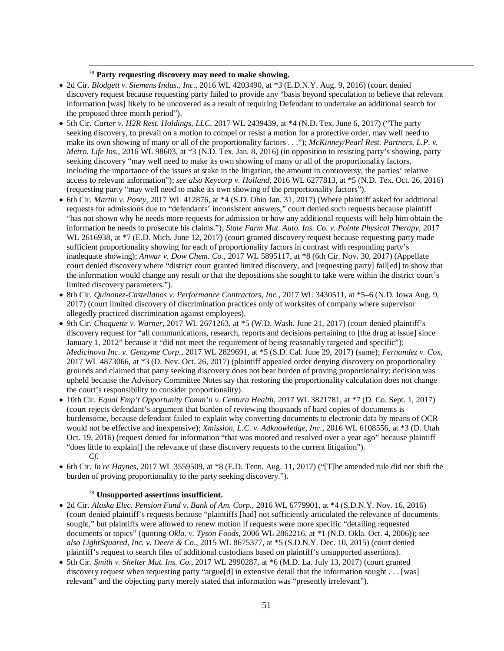# <sup>38</sup> **Party requesting discovery may need to make showing.**

 $\overline{a}$ 

- 2d Cir. *Blodgett v. Siemens Indus., Inc.*, 2016 WL 4203490, at \*3 (E.D.N.Y. Aug. 9, 2016) (court denied discovery request because requesting party failed to provide any "basis beyond speculation to believe that relevant information [was] likely to be uncovered as a result of requiring Defendant to undertake an additional search for the proposed three month period").
- 5th Cir. *Carter v. H2R Rest. Holdings, LLC*, 2017 WL 2439439, at \*4 (N.D. Tex. June 6, 2017) ("The party seeking discovery, to prevail on a motion to compel or resist a motion for a protective order, may well need to make its own showing of many or all of the proportionality factors . . ."); *McKinney/Pearl Rest. Partners, L.P*. *v. Metro. Life Ins.*, 2016 WL 98603, at \*3 (N.D. Tex. Jan. 8, 2016) (in opposition to resisting party's showing, party seeking discovery "may well need to make its own showing of many or all of the proportionality factors, including the importance of the issues at stake in the litigation, the amount in controversy, the parties' relative access to relevant information"); *see also Keycorp v. Holland*, 2016 WL 6277813, at \*5 (N.D. Tex. Oct. 26, 2016) (requesting party "may well need to make its own showing of the proportionality factors").
- 6th Cir. *Martin v. Posey*, 2017 WL 412876, at \*4 (S.D. Ohio Jan. 31, 2017) (Where plaintiff asked for additional requests for admissions due to "defendants' inconsistent answers," court denied such requests because plaintiff "has not shown why he needs more requests for admission or how any additional requests will help him obtain the information he needs to prosecute his claims."); *State Farm Mut. Auto. Ins. Co. v. Pointe Physical Therapy*, 2017 WL 2616938, at \*7 (E.D. Mich. June 12, 2017) (court granted discovery request because requesting party made sufficient proportionality showing for each of proportionality factors in contrast with responding party's inadequate showing); *Anwar v. Dow Chem. Co.*, 2017 WL 5895117, at \*8 (6th Cir. Nov. 30, 2017) (Appellate court denied discovery where "district court granted limited discovery, and [requesting party] fail[ed] to show that the information would change any result or that the depositions she sought to take were within the district court's limited discovery parameters.").
- 8th Cir. *Quinonez-Castellanos v. Performance Contractors, Inc.*, 2017 WL 3430511, at \*5–6 (N.D. Iowa Aug. 9, 2017) (court limited discovery of discrimination practices only of worksites of company where supervisor allegedly practiced discrimination against employees).
- 9th Cir. *Choquette v. Warner*, 2017 WL 2671263, at \*5 (W.D. Wash. June 21, 2017) (court denied plaintiff's discovery request for "all communications, research, reports and decisions pertaining to [the drug at issue] since January 1, 2012" because it "did not meet the requirement of being reasonably targeted and specific"); *Medicinova Inc. v. Genzyme Corp.*, 2017 WL 2829691, at \*5 (S.D. Cal. June 29, 2017) (same); *Fernandez v. Cox*, 2017 WL 4873066, at \*3 (D. Nev. Oct. 26, 2017) (plaintiff appealed order denying discovery on proportionality grounds and claimed that party seeking discovery does not bear burden of proving proportionality; decision was upheld because the Advisory Committee Notes say that restoring the proportionality calculation does not change the court's responsibility to consider proportionality).
- 10th Cir. *Equal Emp't Opportunity Comm'n v. Centura Health*, 2017 WL 3821781, at \*7 (D. Co. Sept. 1, 2017) (court rejects defendant's argument that burden of reviewing thousands of hard copies of documents is burdensome, because defendant failed to explain why converting documents to electronic data by means of OCR would not be effective and inexpensive); *Xmission, L.C. v. Adknowledge, Inc.*, 2016 WL 6108556, at \*3 (D. Utah Oct. 19, 2016) (request denied for information "that was mooted and resolved over a year ago" because plaintiff "does little to explain[] the relevance of these discovery requests to the current litigation"). *Cf.*
- 6th Cir. *In re Haynes*, 2017 WL 3559509, at \*8 (E.D. Tenn. Aug. 11, 2017) ("[T]he amended rule did not shift the burden of proving proportionality to the party seeking discovery.").

## <sup>39</sup> **Unsupported assertions insufficient.**

- 2d Cir. *Alaska Elec. Pension Fund v. Bank of Am. Corp.*, 2016 WL 6779901, at \*4 (S.D.N.Y. Nov. 16, 2016) (court denied plaintiff's requests because "plaintiffs [had] not sufficiently articulated the relevance of documents sought," but plaintiffs were allowed to renew motion if requests were more specific "detailing requested documents or topics" (quoting *Okla. v. Tyson Foods*, 2006 WL 2862216, at \*1 (N.D. Okla. Oct. 4, 2006)); *see also LightSquared, Inc. v. Deere & Co*., 2015 WL 8675377, at \*5 (S.D.N.Y. Dec. 10, 2015) (court denied plaintiff's request to search files of additional custodians based on plaintiff's unsupported assertions).
- 5th Cir. *Smith v. Shelter Mut. Ins. Co.*, 2017 WL 2990287, at \*6 (M.D. La. July 13, 2017) (court granted discovery request when requesting party "argue[d] in extensive detail that the information sought . . . [was] relevant" and the objecting party merely stated that information was "presently irrelevant").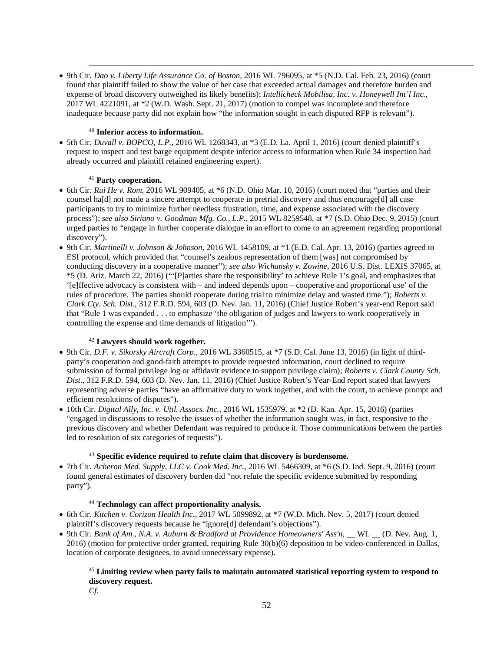• 9th Cir. *Dao v. Liberty Life Assurance Co. of Boston*, 2016 WL 796095, at \*5 (N.D. Cal. Feb. 23, 2016) (court found that plaintiff failed to show the value of her case that exceeded actual damages and therefore burden and expense of broad discovery outweighed its likely benefits); *Intellicheck Mobilisa, Inc. v. Honeywell Int'l Inc.*, 2017 WL 4221091, at \*2 (W.D. Wash. Sept. 21, 2017) (motion to compel was incomplete and therefore inadequate because party did not explain how "the information sought in each disputed RFP is relevant").

## <sup>40</sup> **Inferior access to information.**

• 5th Cir. *Duvall v. BOPCO, L.P.*, 2016 WL 1268343, at \*3 (E.D. La. April 1, 2016) (court denied plaintiff's request to inspect and test barge equipment despite inferior access to information when Rule 34 inspection had already occurred and plaintiff retained engineering expert).

# <sup>41</sup> **Party cooperation.**

 $\overline{a}$ 

- 6th Cir. *Rui He v. Rom*, 2016 WL 909405, at \*6 (N.D. Ohio Mar. 10, 2016) (court noted that "parties and their counsel ha[d] not made a sincere attempt to cooperate in pretrial discovery and thus encourage[d] all case participants to try to minimize further needless frustration, time, and expense associated with the discovery process"); *see also Siriano v. Goodman Mfg. Co., L.P*., 2015 WL 8259548, at \*7 (S.D. Ohio Dec. 9, 2015) (court urged parties to "engage in further cooperate dialogue in an effort to come to an agreement regarding proportional discovery").
- 9th Cir. *Martinelli v. Johnson & Johnson*, 2016 WL 1458109, at \*1 (E.D. Cal. Apr. 13, 2016) (parties agreed to ESI protocol, which provided that "counsel's zealous representation of them [was] not compromised by conducting discovery in a cooperative manner"); *see also Wichansky v. Zowine*, 2016 U.S. Dist. LEXIS 37065, at \*5 (D. Ariz. March 22, 2016) ("'[P]arties share the responsibility' to achieve Rule 1's goal, and emphasizes that '[e]ffective advocacy is consistent with – and indeed depends upon – cooperative and proportional use' of the rules of procedure. The parties should cooperate during trial to minimize delay and wasted time."); *Roberts v. Clark Cty. Sch. Dist*., 312 F.R.D. 594, 603 (D. Nev. Jan. 11, 2016) (Chief Justice Robert's year-end Report said that "Rule 1 was expanded . . . to emphasize 'the obligation of judges and lawyers to work cooperatively in controlling the expense and time demands of litigation'").

# <sup>42</sup> **Lawyers should work together.**

- 9th Cir. *D.F. v. Sikorsky Aircraft Corp.*, 2016 WL 3360515, at \*7 (S.D. Cal. June 13, 2016) (in light of thirdparty's cooperation and good-faith attempts to provide requested information, court declined to require submission of formal privilege log or affidavit evidence to support privilege claim); *Roberts v. Clark County Sch. Dist*., 312 F.R.D. 594, 603 (D. Nev. Jan. 11, 2016) (Chief Justice Robert's Year-End report stated that lawyers representing adverse parties "have an affirmative duty to work together, and with the court, to achieve prompt and efficient resolutions of disputes").
- 10th Cir. *Digital Ally, Inc. v. Util. Assocs. Inc.*, 2016 WL 1535979, at \*2 (D. Kan. Apr. 15, 2016) (parties "engaged in discussions to resolve the issues of whether the information sought was, in fact, responsive to the previous discovery and whether Defendant was required to produce it. Those communications between the parties led to resolution of six categories of requests").

# <sup>43</sup> **Specific evidence required to refute claim that discovery is burdensome.**

• 7th Cir. *Acheron Med. Supply, LLC v. Cook Med. Inc*., 2016 WL 5466309, at \*6 (S.D. Ind. Sept. 9, 2016) (court found general estimates of discovery burden did "not refute the specific evidence submitted by responding party").

# <sup>44</sup> **Technology can affect proportionality analysis.**

- 6th Cir. *Kitchen v. Corizon Health Inc.*, 2017 WL 5099892, at \*7 (W.D. Mich. Nov. 5, 2017) (court denied plaintiff's discovery requests because he "ignore[d] defendant's objections").
- 9th Cir. *Bank of Am., N.A. v. Auburn & Bradford at Providence Homeowners' Ass'n*, \_\_ WL \_\_ (D. Nev. Aug. 1, 2016) (motion for protective order granted, requiring Rule 30(b)(6) deposition to be video-conferenced in Dallas, location of corporate designees, to avoid unnecessary expense).

<sup>45</sup> **Limiting review when party fails to maintain automated statistical reporting system to respond to discovery request.** *Cf.*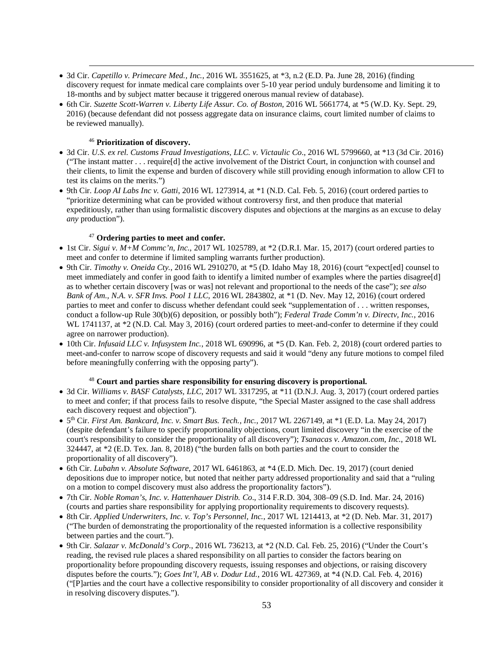- 3d Cir. *Capetillo v. Primecare Med., Inc.*, 2016 WL 3551625, at \*3, n.2 (E.D. Pa. June 28, 2016) (finding discovery request for inmate medical care complaints over 5-10 year period unduly burdensome and limiting it to 18-months and by subject matter because it triggered onerous manual review of database).
- 6th Cir. *Suzette Scott-Warren v. Liberty Life Assur. Co. of Boston,* 2016 WL 5661774, at \*5 (W.D. Ky. Sept. 29, 2016) (because defendant did not possess aggregate data on insurance claims, court limited number of claims to be reviewed manually).

## <sup>46</sup> **Prioritization of discovery.**

 $\overline{a}$ 

- 3d Cir. *U.S. ex rel. Customs Fraud Investigations, LLC. v. Victaulic Co*., 2016 WL 5799660, at \*13 (3d Cir. 2016) ("The instant matter . . . require[d] the active involvement of the District Court, in conjunction with counsel and their clients, to limit the expense and burden of discovery while still providing enough information to allow CFI to test its claims on the merits.")
- 9th Cir. *Loop AI Labs Inc v. Gatti*, 2016 WL 1273914, at \*1 (N.D. Cal. Feb. 5, 2016) (court ordered parties to "prioritize determining what can be provided without controversy first, and then produce that material expeditiously, rather than using formalistic discovery disputes and objections at the margins as an excuse to delay *any* production").

## <sup>47</sup> **Ordering parties to meet and confer.**

- 1st Cir. *Sigui v. M+M Commc'n, Inc.*, 2017 WL 1025789, at \*2 (D.R.I. Mar. 15, 2017) (court ordered parties to meet and confer to determine if limited sampling warrants further production).
- 9th Cir. *Timothy v. Oneida Cty.*, 2016 WL 2910270, at \*5 (D. Idaho May 18, 2016) (court "expect[ed] counsel to meet immediately and confer in good faith to identify a limited number of examples where the parties disagree[d] as to whether certain discovery [was or was] not relevant and proportional to the needs of the case"); *see also Bank of Am., N.A. v. SFR Invs. Pool 1 LLC*, 2016 WL 2843802, at \*1 (D. Nev. May 12, 2016) (court ordered parties to meet and confer to discuss whether defendant could seek "supplementation of . . . written responses, conduct a follow-up Rule 30(b)(6) deposition, or possibly both"); *Federal Trade Comm'n v. Directv, Inc.*, 2016 WL 1741137, at  $*2$  (N.D. Cal. May 3, 2016) (court ordered parties to meet-and-confer to determine if they could agree on narrower production).
- 10th Cir. *Infusaid LLC v. Infusystem Inc.*, 2018 WL 690996, at \*5 (D. Kan. Feb. 2, 2018) (court ordered parties to meet-and-confer to narrow scope of discovery requests and said it would "deny any future motions to compel filed before meaningfully conferring with the opposing party").

# <sup>48</sup> **Court and parties share responsibility for ensuring discovery is proportional.**

- 3d Cir. *Williams v. BASF Catalysts, LLC*, 2017 WL 3317295, at \*11 (D.N.J. Aug. 3, 2017) (court ordered parties to meet and confer; if that process fails to resolve dispute, "the Special Master assigned to the case shall address each discovery request and objection").
- 5th Cir. *First Am. Bankcard, Inc. v. Smart Bus. Tech., Inc.*, 2017 WL 2267149, at \*1 (E.D. La. May 24, 2017) (despite defendant's failure to specify proportionality objections, court limited discovery "in the exercise of the court's responsibility to consider the proportionality of all discovery"); *Tsanacas v. Amazon.com, Inc.*, 2018 WL 324447, at \*2 (E.D. Tex. Jan. 8, 2018) ("the burden falls on both parties and the court to consider the proportionality of all discovery").
- 6th Cir. *Lubahn v. Absolute Software*, 2017 WL 6461863, at \*4 (E.D. Mich. Dec. 19, 2017) (court denied depositions due to improper notice, but noted that neither party addressed proportionality and said that a "ruling on a motion to compel discovery must also address the proportionality factors").
- 7th Cir. *Noble Roman's, Inc. v. Hattenhauer Distrib. Co*., 314 F.R.D. 304, 308–09 (S.D. Ind. Mar. 24, 2016) (courts and parties share responsibility for applying proportionality requirements to discovery requests).
- 8th Cir. *Applied Underwriters, Inc. v. Top's Personnel, Inc.*, 2017 WL 1214413, at \*2 (D. Neb. Mar. 31, 2017) ("The burden of demonstrating the proportionality of the requested information is a collective responsibility between parties and the court.").
- 9th Cir. *Salazar v. McDonald's Corp*., 2016 WL 736213, at \*2 (N.D. Cal. Feb. 25, 2016) ("Under the Court's reading, the revised rule places a shared responsibility on all parties to consider the factors bearing on proportionality before propounding discovery requests, issuing responses and objections, or raising discovery disputes before the courts."); *Goes Int'l, AB v. Dodur Ltd.*, 2016 WL 427369, at \*4 (N.D. Cal. Feb. 4, 2016) ("[P]arties and the court have a collective responsibility to consider proportionality of all discovery and consider it in resolving discovery disputes.").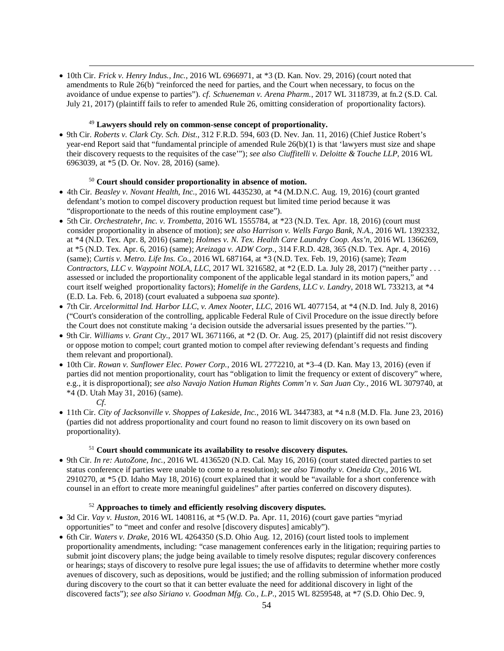• 10th Cir. *Frick v. Henry Indus., Inc.*, 2016 WL 6966971, at \*3 (D. Kan. Nov. 29, 2016) (court noted that amendments to Rule 26(b) "reinforced the need for parties, and the Court when necessary, to focus on the avoidance of undue expense to parties"). *cf. Schueneman v. Arena Pharm.*, 2017 WL 3118739, at fn.2 (S.D. Cal. July 21, 2017) (plaintiff fails to refer to amended Rule 26, omitting consideration of proportionality factors).

## <sup>49</sup> **Lawyers should rely on common-sense concept of proportionality.**

• 9th Cir. *Roberts v. Clark Cty. Sch. Dist*., 312 F.R.D. 594, 603 (D. Nev. Jan. 11, 2016) (Chief Justice Robert's year-end Report said that "fundamental principle of amended Rule 26(b)(1) is that 'lawyers must size and shape their discovery requests to the requisites of the case'"); *see also Ciuffitelli v. Deloitte & Touche LLP*, 2016 WL 6963039, at \*5 (D. Or. Nov. 28, 2016) (same).

# <sup>50</sup> **Court should consider proportionality in absence of motion.**

- 4th Cir. *Beasley v. Novant Health, Inc*., 2016 WL 4435230, at \*4 (M.D.N.C. Aug. 19, 2016) (court granted defendant's motion to compel discovery production request but limited time period because it was "disproportionate to the needs of this routine employment case").
- 5th Cir. *Orchestratehr, Inc. v. Trombetta*, 2016 WL 1555784, at \*23 (N.D. Tex. Apr. 18, 2016) (court must consider proportionality in absence of motion); *see also Harrison v. Wells Fargo Bank, N.A*., 2016 WL 1392332, at \*4 (N.D. Tex. Apr. 8, 2016) (same); *Holmes v. N. Tex. Health Care Laundry Coop. Ass'n*, 2016 WL 1366269, at \*5 (N.D. Tex. Apr. 6, 2016) (same); *Areizaga v. ADW Corp*., 314 F.R.D. 428, 365 (N.D. Tex. Apr. 4, 2016) (same); *Curtis v. Metro. Life Ins. Co.*, 2016 WL 687164, at \*3 (N.D. Tex. Feb. 19, 2016) (same); *Team Contractors, LLC v. Waypoint NOLA, LLC,* 2017 WL 3216582, at  $*2$  (E.D. La. July 28, 2017) ("neither party . . . assessed or included the proportionality component of the applicable legal standard in its motion papers," and court itself weighed proportionality factors); *Homelife in the Gardens, LLC v. Landry*, 2018 WL 733213, at \*4 (E.D. La. Feb. 6, 2018) (court evaluated a subpoena *sua sponte*).
- 7th Cir. *Arcelormittal Ind. Harbor LLC*, *v. Amex Nooter, LLC*, 2016 WL 4077154, at \*4 (N.D. Ind. July 8, 2016) ("Court's consideration of the controlling, applicable Federal Rule of Civil Procedure on the issue directly before the Court does not constitute making 'a decision outside the adversarial issues presented by the parties.'").
- 9th Cir. *Williams v. Grant Cty.*, 2017 WL 3671166, at \*2 (D. Or. Aug. 25, 2017) (plaintiff did not resist discovery or oppose motion to compel; court granted motion to compel after reviewing defendant's requests and finding them relevant and proportional).
- 10th Cir. *Rowan v. Sunflower Elec. Power Corp.*, 2016 WL 2772210, at \*3–4 (D. Kan. May 13, 2016) (even if parties did not mention proportionality, court has "obligation to limit the frequency or extent of discovery" where, e.g., it is disproportional); *see also Navajo Nation Human Rights Comm'n v. San Juan Cty.*, 2016 WL 3079740, at \*4 (D. Utah May 31, 2016) (same).
	- *Cf.*

 $\overline{a}$ 

• 11th Cir. *City of Jacksonville v. Shoppes of Lakeside, Inc.*, 2016 WL 3447383, at \*4 n.8 (M.D. Fla. June 23, 2016) (parties did not address proportionality and court found no reason to limit discovery on its own based on proportionality).

### <sup>51</sup> **Court should communicate its availability to resolve discovery disputes.**

• 9th Cir. *In re: AutoZone, Inc.*, 2016 WL 4136520 (N.D. Cal. May 16, 2016) (court stated directed parties to set status conference if parties were unable to come to a resolution); *see also Timothy v. Oneida Cty.*, 2016 WL 2910270, at \*5 (D. Idaho May 18, 2016) (court explained that it would be "available for a short conference with counsel in an effort to create more meaningful guidelines" after parties conferred on discovery disputes).

### <sup>52</sup> **Approaches to timely and efficiently resolving discovery disputes.**

- 3d Cir. *Vay v. Huston*, 2016 WL 1408116, at \*5 (W.D. Pa. Apr. 11, 2016) (court gave parties "myriad opportunities" to "meet and confer and resolve [discovery disputes] amicably").
- 6th Cir. *Waters v. Drake*, 2016 WL 4264350 (S.D. Ohio Aug. 12, 2016) (court listed tools to implement proportionality amendments, including: "case management conferences early in the litigation; requiring parties to submit joint discovery plans; the judge being available to timely resolve disputes; regular discovery conferences or hearings; stays of discovery to resolve pure legal issues; the use of affidavits to determine whether more costly avenues of discovery, such as depositions, would be justified; and the rolling submission of information produced during discovery to the court so that it can better evaluate the need for additional discovery in light of the discovered facts"); *see also Siriano v. Goodman Mfg. Co., L.P*., 2015 WL 8259548, at \*7 (S.D. Ohio Dec. 9,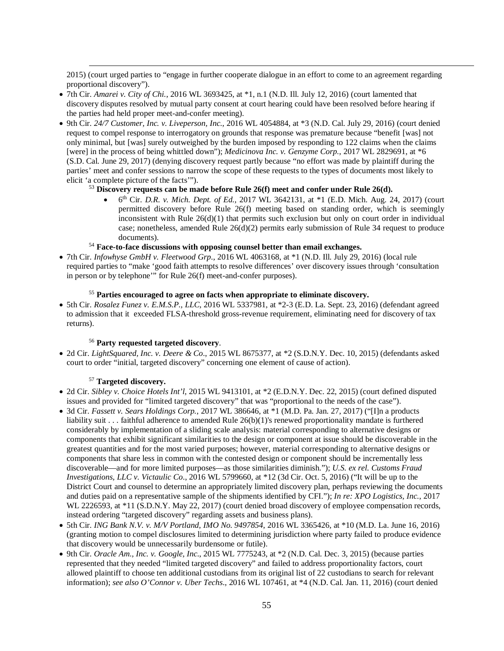2015) (court urged parties to "engage in further cooperate dialogue in an effort to come to an agreement regarding proportional discovery").

- 7th Cir. *Amarei v. City of Chi.*, 2016 WL 3693425, at \*1, n.1 (N.D. Ill. July 12, 2016) (court lamented that discovery disputes resolved by mutual party consent at court hearing could have been resolved before hearing if the parties had held proper meet-and-confer meeting).
- 9th Cir. *24/7 Customer, Inc. v. Liveperson, Inc.*, 2016 WL 4054884, at \*3 (N.D. Cal. July 29, 2016) (court denied request to compel response to interrogatory on grounds that response was premature because "benefit [was] not only minimal, but [was] surely outweighed by the burden imposed by responding to 122 claims when the claims [were] in the process of being whittled down"); *Medicinova Inc. v. Genzyme Corp.*, 2017 WL 2829691, at \*6 (S.D. Cal. June 29, 2017) (denying discovery request partly because "no effort was made by plaintiff during the parties' meet and confer sessions to narrow the scope of these requests to the types of documents most likely to elicit 'a complete picture of the facts'").

# <sup>53</sup> **Discovery requests can be made before Rule 26(f) meet and confer under Rule 26(d).**

- $6<sup>th</sup>$  Cir. *D.R. v. Mich. Dept. of Ed.*, 2017 WL 3642131, at  $*1$  (E.D. Mich. Aug. 24, 2017) (court permitted discovery before Rule 26(f) meeting based on standing order, which is seemingly inconsistent with Rule  $26(d)(1)$  that permits such exclusion but only on court order in individual case; nonetheless, amended Rule 26(d)(2) permits early submission of Rule 34 request to produce documents).
- <sup>54</sup> **Face-to-face discussions with opposing counsel better than email exchanges.**
- 7th Cir. *Infowhyse GmbH v. Fleetwood Grp*., 2016 WL 4063168, at \*1 (N.D. Ill. July 29, 2016) (local rule required parties to "make 'good faith attempts to resolve differences' over discovery issues through 'consultation in person or by telephone'" for Rule 26(f) meet-and-confer purposes).

### <sup>55</sup> **Parties encouraged to agree on facts when appropriate to eliminate discovery.**

• 5th Cir. *Rosalez Funez v. E.M.S.P., LLC*, 2016 WL 5337981, at \*2-3 (E.D. La. Sept. 23, 2016) (defendant agreed to admission that it exceeded FLSA-threshold gross-revenue requirement, eliminating need for discovery of tax returns).

# <sup>56</sup> **Party requested targeted discovery**.

• 2d Cir. *LightSquared, Inc. v. Deere & Co*., 2015 WL 8675377, at \*2 (S.D.N.Y. Dec. 10, 2015) (defendants asked court to order "initial, targeted discovery" concerning one element of cause of action).

### <sup>57</sup> **Targeted discovery.**

- 2d Cir. *Sibley v. Choice Hotels Int'l*, 2015 WL 9413101, at \*2 (E.D.N.Y. Dec. 22, 2015) (court defined disputed issues and provided for "limited targeted discovery" that was "proportional to the needs of the case").
- 3d Cir. *Fassett v. Sears Holdings Corp.*, 2017 WL 386646, at \*1 (M.D. Pa. Jan. 27, 2017) ("[I]n a products liability suit . . . faithful adherence to amended Rule 26(b)(1)'s renewed proportionality mandate is furthered considerably by implementation of a sliding scale analysis: material corresponding to alternative designs or components that exhibit significant similarities to the design or component at issue should be discoverable in the greatest quantities and for the most varied purposes; however, material corresponding to alternative designs or components that share less in common with the contested design or component should be incrementally less discoverable—and for more limited purposes—as those similarities diminish."); *U.S. ex rel. Customs Fraud Investigations, LLC v. Victaulic Co*., 2016 WL 5799660, at \*12 (3d Cir. Oct. 5, 2016) ("It will be up to the District Court and counsel to determine an appropriately limited discovery plan, perhaps reviewing the documents and duties paid on a representative sample of the shipments identified by CFI."); *In re: XPO Logistics, Inc.*, 2017 WL 2226593, at \*11 (S.D.N.Y. May 22, 2017) (court denied broad discovery of employee compensation records, instead ordering "targeted discovery" regarding assets and business plans).
- 5th Cir. *ING Bank N.V. v. M/V Portland, IMO No. 9497854*, 2016 WL 3365426, at \*10 (M.D. La. June 16, 2016) (granting motion to compel disclosures limited to determining jurisdiction where party failed to produce evidence that discovery would be unnecessarily burdensome or futile).
- 9th Cir. *Oracle Am., Inc. v. Google, Inc*., 2015 WL 7775243, at \*2 (N.D. Cal. Dec. 3, 2015) (because parties represented that they needed "limited targeted discovery" and failed to address proportionality factors, court allowed plaintiff to choose ten additional custodians from its original list of 22 custodians to search for relevant information); *see also O'Connor v. Uber Techs*., 2016 WL 107461, at \*4 (N.D. Cal. Jan. 11, 2016) (court denied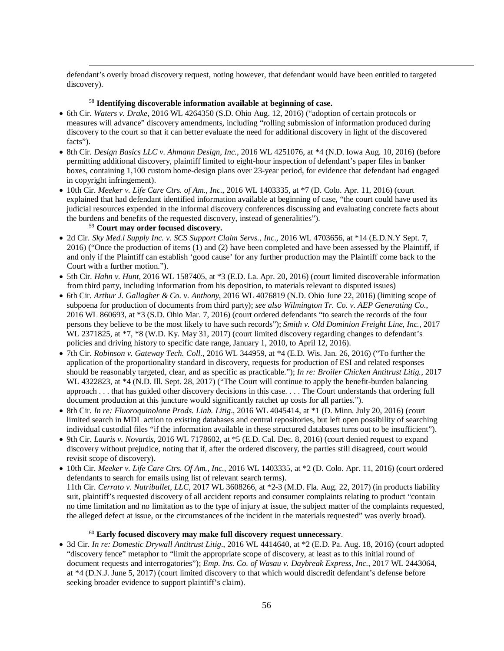defendant's overly broad discovery request, noting however, that defendant would have been entitled to targeted discovery).

### <sup>58</sup> **Identifying discoverable information available at beginning of case.**

- 6th Cir. *Waters v. Drake*, 2016 WL 4264350 (S.D. Ohio Aug. 12, 2016) ("adoption of certain protocols or measures will advance" discovery amendments, including "rolling submission of information produced during discovery to the court so that it can better evaluate the need for additional discovery in light of the discovered facts").
- 8th Cir. *Design Basics LLC v. Ahmann Design, Inc.*, 2016 WL 4251076, at \*4 (N.D. Iowa Aug. 10, 2016) (before permitting additional discovery, plaintiff limited to eight-hour inspection of defendant's paper files in banker boxes, containing 1,100 custom home-design plans over 23-year period, for evidence that defendant had engaged in copyright infringement).
- 10th Cir. *Meeker v. Life Care Ctrs. of Am., Inc.*, 2016 WL 1403335, at \*7 (D. Colo. Apr. 11, 2016) (court explained that had defendant identified information available at beginning of case, "the court could have used its judicial resources expended in the informal discovery conferences discussing and evaluating concrete facts about the burdens and benefits of the requested discovery, instead of generalities").

## <sup>59</sup> **Court may order focused discovery.**

 $\overline{a}$ 

- 2d Cir. *Sky Med.l Supply Inc. v. SCS Support Claim Servs., Inc*., 2016 WL 4703656, at \*14 (E.D.N.Y Sept. 7, 2016) ("Once the production of items (1) and (2) have been completed and have been assessed by the Plaintiff, if and only if the Plaintiff can establish 'good cause' for any further production may the Plaintiff come back to the Court with a further motion.").
- 5th Cir. *Hahn v. Hunt*, 2016 WL 1587405, at \*3 (E.D. La. Apr. 20, 2016) (court limited discoverable information from third party, including information from his deposition, to materials relevant to disputed issues)
- 6th Cir. *Arthur J. Gallagher & Co. v. Anthony*, 2016 WL 4076819 (N.D. Ohio June 22, 2016) (limiting scope of subpoena for production of documents from third party); *see also Wilmington Tr. Co. v. AEP Generating Co.*, 2016 WL 860693, at \*3 (S.D. Ohio Mar. 7, 2016) (court ordered defendants "to search the records of the four persons they believe to be the most likely to have such records"); *Smith v. Old Dominion Freight Line, Inc.*, 2017 WL 2371825, at \*7, \*8 (W.D. Ky. May 31, 2017) (court limited discovery regarding changes to defendant's policies and driving history to specific date range, January 1, 2010, to April 12, 2016).
- 7th Cir. *Robinson v. Gateway Tech. Coll.*, 2016 WL 344959, at \*4 (E.D. Wis. Jan. 26, 2016) ("To further the application of the proportionality standard in discovery, requests for production of ESI and related responses should be reasonably targeted, clear, and as specific as practicable."); *In re: Broiler Chicken Antitrust Litig.*, 2017 WL 4322823, at \*4 (N.D. Ill. Sept. 28, 2017) ("The Court will continue to apply the benefit-burden balancing approach . . . that has guided other discovery decisions in this case. . . . The Court understands that ordering full document production at this juncture would significantly ratchet up costs for all parties.").
- 8th Cir. *In re: Fluoroquinolone Prods. Liab. Litig*., 2016 WL 4045414, at \*1 (D. Minn. July 20, 2016) (court limited search in MDL action to existing databases and central repositories, but left open possibility of searching individual custodial files "if the information available in these structured databases turns out to be insufficient").
- 9th Cir. *Lauris v. Novartis*, 2016 WL 7178602, at \*5 (E.D. Cal. Dec. 8, 2016) (court denied request to expand discovery without prejudice, noting that if, after the ordered discovery, the parties still disagreed, court would revisit scope of discovery).
- 10th Cir. *Meeker v. Life Care Ctrs. Of Am., Inc.*, 2016 WL 1403335, at \*2 (D. Colo. Apr. 11, 2016) (court ordered defendants to search for emails using list of relevant search terms).

11th Cir. *Cerrato v. Nutribullet, LLC*, 2017 WL 3608266, at \*2-3 (M.D. Fla. Aug. 22, 2017) (in products liability suit, plaintiff's requested discovery of all accident reports and consumer complaints relating to product "contain no time limitation and no limitation as to the type of injury at issue, the subject matter of the complaints requested, the alleged defect at issue, or the circumstances of the incident in the materials requested" was overly broad).

### <sup>60</sup> **Early focused discovery may make full discovery request unnecessary**.

• 3d Cir. *In re: Domestic Drywall Antitrust Litig*., 2016 WL 4414640, at \*2 (E.D. Pa. Aug. 18, 2016) (court adopted "discovery fence" metaphor to "limit the appropriate scope of discovery, at least as to this initial round of document requests and interrogatories"); *Emp. Ins. Co. of Wasau v. Daybreak Express, Inc.*, 2017 WL 2443064, at \*4 (D.N.J. June 5, 2017) (court limited discovery to that which would discredit defendant's defense before seeking broader evidence to support plaintiff's claim).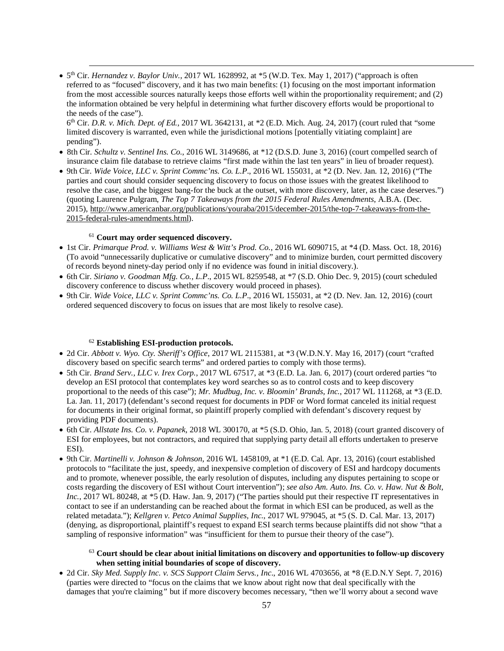•  $5<sup>th</sup>$  Cir. *Hernandez v. Baylor Univ.*, 2017 WL 1628992, at  $*$  5 (W.D. Tex. May 1, 2017) ("approach is often referred to as "focused" discovery, and it has two main benefits: (1) focusing on the most important information from the most accessible sources naturally keeps those efforts well within the proportionality requirement; and (2) the information obtained be very helpful in determining what further discovery efforts would be proportional to the needs of the case").

6th Cir. *D.R. v. Mich. Dept. of Ed.*, 2017 WL 3642131, at \*2 (E.D. Mich. Aug. 24, 2017) (court ruled that "some limited discovery is warranted, even while the jurisdictional motions [potentially vitiating complaint] are pending").

- 8th Cir. *Schultz v. Sentinel Ins. Co.*, 2016 WL 3149686, at \*12 (D.S.D. June 3, 2016) (court compelled search of insurance claim file database to retrieve claims "first made within the last ten years" in lieu of broader request).
- 9th Cir. *Wide Voice, LLC v. Sprint Commc'ns. Co. L.P*., 2016 WL 155031, at \*2 (D. Nev. Jan. 12, 2016) ("The parties and court should consider sequencing discovery to focus on those issues with the greatest likelihood to resolve the case, and the biggest bang-for the buck at the outset, with more discovery, later, as the case deserves.") (quoting Laurence Pulgram, *The Top 7 Takeaways from the 2015 Federal Rules Amendments*, A.B.A. (Dec. 2015), [http://www.americanbar.org/publications/youraba/2015/december-2015/the-top-7-takeaways-from-the-](http://www.americanbar.org/publications/youraba/2015/december-2015/the-top-7-takeaways-from-the-2015-federal-rules-amendments.html)[2015-federal-rules-amendments.html\)](http://www.americanbar.org/publications/youraba/2015/december-2015/the-top-7-takeaways-from-the-2015-federal-rules-amendments.html).

## <sup>61</sup> **Court may order sequenced discovery.**

 $\overline{a}$ 

- 1st Cir. *Primarque Prod. v. Williams West & Witt's Prod. Co.*, 2016 WL 6090715, at \*4 (D. Mass. Oct. 18, 2016) (To avoid "unnecessarily duplicative or cumulative discovery" and to minimize burden, court permitted discovery of records beyond ninety-day period only if no evidence was found in initial discovery.).
- 6th Cir. *Siriano v. Goodman Mfg. Co., L.P*., 2015 WL 8259548, at \*7 (S.D. Ohio Dec. 9, 2015) (court scheduled discovery conference to discuss whether discovery would proceed in phases).
- 9th Cir. *Wide Voice, LLC v. Sprint Commc'ns. Co. L.P*., 2016 WL 155031, at \*2 (D. Nev. Jan. 12, 2016) (court ordered sequenced discovery to focus on issues that are most likely to resolve case).

#### <sup>62</sup> **Establishing ESI-production protocols.**

- 2d Cir. *Abbott v. Wyo. Cty. Sheriff's Office*, 2017 WL 2115381, at \*3 (W.D.N.Y. May 16, 2017) (court "crafted discovery based on specific search terms" and ordered parties to comply with those terms).
- 5th Cir. *Brand Serv., LLC v. Irex Corp.*, 2017 WL 67517, at \*3 (E.D. La. Jan. 6, 2017) (court ordered parties "to develop an ESI protocol that contemplates key word searches so as to control costs and to keep discovery proportional to the needs of this case"); *Mr. Mudbug, Inc. v. Bloomin' Brands, Inc.*, 2017 WL 111268, at \*3 (E.D. La. Jan. 11, 2017) (defendant's second request for documents in PDF or Word format canceled its initial request for documents in their original format, so plaintiff properly complied with defendant's discovery request by providing PDF documents).
- 6th Cir. *Allstate Ins. Co. v. Papanek*, 2018 WL 300170, at \*5 (S.D. Ohio, Jan. 5, 2018) (court granted discovery of ESI for employees, but not contractors, and required that supplying party detail all efforts undertaken to preserve ESI).
- 9th Cir. *Martinelli v. Johnson & Johnson*, 2016 WL 1458109, at \*1 (E.D. Cal. Apr. 13, 2016) (court established protocols to "facilitate the just, speedy, and inexpensive completion of discovery of ESI and hardcopy documents and to promote, whenever possible, the early resolution of disputes, including any disputes pertaining to scope or costs regarding the discovery of ESI without Court intervention"); *see also Am. Auto. Ins. Co. v. Haw. Nut & Bolt, Inc.*, 2017 WL 80248, at \*5 (D. Haw. Jan. 9, 2017) ("The parties should put their respective IT representatives in contact to see if an understanding can be reached about the format in which ESI can be produced, as well as the related metadata."); *Kellgren v. Petco Animal Supplies, Inc.*, 2017 WL 979045, at \*5 (S. D. Cal. Mar. 13, 2017) (denying, as disproportional, plaintiff's request to expand ESI search terms because plaintiffs did not show "that a sampling of responsive information" was "insufficient for them to pursue their theory of the case").

## <sup>63</sup> **Court should be clear about initial limitations on discovery and opportunities to follow-up discovery when setting initial boundaries of scope of discovery.**

• 2d Cir. *Sky Med. Supply Inc. v. SCS Support Claim Servs., Inc*., 2016 WL 4703656, at \*8 (E.D.N.Y Sept. 7, 2016) (parties were directed to "focus on the claims that we know about right now that deal specifically with the damages that you're claiming*"* but if more discovery becomes necessary, "then we'll worry about a second wave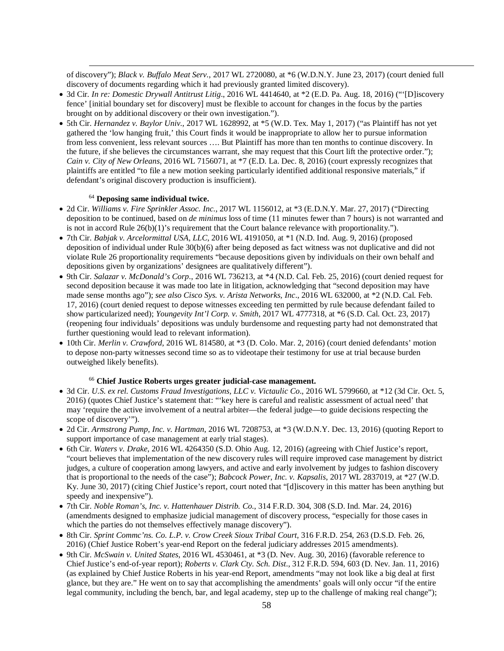of discovery"); *Black v. Buffalo Meat Serv.*, 2017 WL 2720080, at \*6 (W.D.N.Y. June 23, 2017) (court denied full discovery of documents regarding which it had previously granted limited discovery).

- 3d Cir*. In re: Domestic Drywall Antitrust Litig*., 2016 WL 4414640, at \*2 (E.D. Pa. Aug. 18, 2016) ("'[D]iscovery fence' [initial boundary set for discovery] must be flexible to account for changes in the focus by the parties brought on by additional discovery or their own investigation.").
- 5th Cir. *Hernandez v. Baylor Univ.*, 2017 WL 1628992, at \*5 (W.D. Tex. May 1, 2017) ("as Plaintiff has not yet gathered the 'low hanging fruit,' this Court finds it would be inappropriate to allow her to pursue information from less convenient, less relevant sources …. But Plaintiff has more than ten months to continue discovery. In the future, if she believes the circumstances warrant, she may request that this Court lift the protective order."); *Cain v. City of New Orleans*, 2016 WL 7156071, at \*7 (E.D. La. Dec. 8, 2016) (court expressly recognizes that plaintiffs are entitled "to file a new motion seeking particularly identified additional responsive materials," if defendant's original discovery production is insufficient).

# <sup>64</sup> **Deposing same individual twice.**

 $\overline{a}$ 

- 2d Cir. *Williams v. Fire Sprinkler Assoc. Inc.*, 2017 WL 1156012, at \*3 (E.D.N.Y. Mar. 27, 2017) ("Directing deposition to be continued, based on *de minimus* loss of time (11 minutes fewer than 7 hours) is not warranted and is not in accord Rule 26(b)(1)'s requirement that the Court balance relevance with proportionality.").
- 7th Cir. *Babjak v. Arcelormittal USA, LLC*, 2016 WL 4191050, at \*1 (N.D. Ind. Aug. 9, 2016) (proposed deposition of individual under Rule 30(b)(6) after being deposed as fact witness was not duplicative and did not violat[e Rule 26](https://1.next.westlaw.com/Link/Document/FullText?findType=L&pubNum=1000600&cite=USFRCPR26&originatingDoc=I8fc486005e9811e6a6699ce8baa114cf&refType=LQ&originationContext=document&transitionType=DocumentItem&contextData=(sc.Search)) proportionality requirements "because depositions given by individuals on their own behalf and depositions given by organizations' designees are qualitatively different").
- 9th Cir. *Salazar v. McDonald's Corp*., 2016 WL 736213, at \*4 (N.D. Cal. Feb. 25, 2016) (court denied request for second deposition because it was made too late in litigation, acknowledging that "second deposition may have made sense months ago"); *see also Cisco Sys. v. Arista Networks, Inc*., 2016 WL 632000, at \*2 (N.D. Cal. Feb. 17, 2016) (court denied request to depose witnesses exceeding ten permitted by rule because defendant failed to show particularized need); *Youngevity Int'l Corp. v. Smith*, 2017 WL 4777318, at \*6 (S.D. Cal. Oct. 23, 2017) (reopening four individuals' depositions was unduly burdensome and requesting party had not demonstrated that further questioning would lead to relevant information).
- 10th Cir. *Merlin v. Crawford*, 2016 WL 814580, at \*3 (D. Colo. Mar. 2, 2016) (court denied defendants' motion to depose non-party witnesses second time so as to videotape their testimony for use at trial because burden outweighed likely benefits).

## <sup>66</sup> **Chief Justice Roberts urges greater judicial-case management.**

- 3d Cir. *U.S. ex rel. Customs Fraud Investigations, LLC v. Victaulic Co*., 2016 WL 5799660, at \*12 (3d Cir. Oct. 5, 2016) (quotes Chief Justice's statement that: "'key here is careful and realistic assessment of actual need' that may 'require the active involvement of a neutral arbiter—the federal judge—to guide decisions respecting the scope of discovery'").
- 2d Cir. *Armstrong Pump, Inc. v. Hartman*, 2016 WL 7208753, at \*3 (W.D.N.Y. Dec. 13, 2016) (quoting Report to support importance of case management at early trial stages).
- 6th Cir. *Waters v. Drake*, 2016 WL 4264350 (S.D. Ohio Aug. 12, 2016) (agreeing with Chief Justice's report, "court believes that implementation of the new discovery rules will require improved case management by district judges, a culture of cooperation among lawyers, and active and early involvement by judges to fashion discovery that is proportional to the needs of the case"); *Babcock Power, Inc. v. Kapsalis*, 2017 WL 2837019, at \*27 (W.D. Ky. June 30, 2017) (citing Chief Justice's report, court noted that "[d]iscovery in this matter has been anything but speedy and inexpensive").
- 7th Cir. *Noble Roman's, Inc. v. Hattenhauer Distrib. Co.*, 314 F.R.D. 304, 308 (S.D. Ind. Mar. 24, 2016) (amendments designed to emphasize judicial management of discovery process, "especially for those cases in which the parties do not themselves effectively manage discovery").
- 8th Cir. *Sprint Commc'ns. Co. L.P. v. Crow Creek Sioux Tribal Court*, 316 F.R.D. 254, 263 (D.S.D. Feb. 26, 2016) (Chief Justice Robert's year-end Report on the federal judiciary addresses 2015 amendments).
- 9th Cir. *McSwain v. United States*, 2016 WL 4530461, at \*3 (D. Nev. Aug. 30, 2016) (favorable reference to Chief Justice's end-of-year report); *Roberts v. Clark Cty. Sch. Dist*., 312 F.R.D. 594, 603 (D. Nev. Jan. 11, 2016) (as explained by Chief Justice Roberts in his year-end Report, amendments "may not look like a big deal at first glance, but they are." He went on to say that accomplishing the amendments' goals will only occur "if the entire legal community, including the bench, bar, and legal academy, step up to the challenge of making real change");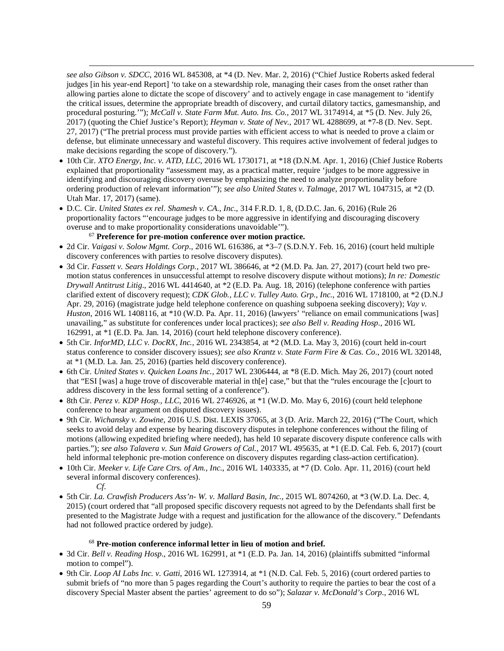*see also Gibson v. SDCC*, 2016 WL 845308, at \*4 (D. Nev. Mar. 2, 2016) ("Chief Justice Roberts asked federal judges [in his year-end Report] 'to take on a stewardship role, managing their cases from the onset rather than allowing parties alone to dictate the scope of discovery' and to actively engage in case management to 'identify the critical issues, determine the appropriate breadth of discovery, and curtail dilatory tactics, gamesmanship, and procedural posturing.'"); *McCall v. State Farm Mut. Auto. Ins. Co.*, 2017 WL 3174914, at \*5 (D. Nev. July 26, 2017) (quoting the Chief Justice's Report); *Heyman v. State of Nev.*, 2017 WL 4288699, at \*7-8 (D. Nev. Sept. 27, 2017) ("The pretrial process must provide parties with efficient access to what is needed to prove a claim or defense, but eliminate unnecessary and wasteful discovery. This requires active involvement of federal judges to make decisions regarding the scope of discovery.").

- 10th Cir. *XTO Energy, Inc. v. ATD, LLC*, 2016 WL 1730171, at \*18 (D.N.M. Apr. 1, 2016) (Chief Justice Roberts explained that proportionality "assessment may, as a practical matter, require 'judges to be more aggressive in identifying and discouraging discovery overuse by emphasizing the need to analyze proportionality before ordering production of relevant information'"); *see also United States v. Talmage*, 2017 WL 1047315, at \*2 (D. Utah Mar. 17, 2017) (same).
- D.C. Cir. *United States ex rel. Shamesh v. CA., Inc*., 314 F.R.D. 1, 8, (D.D.C. Jan. 6, 2016) (Rule 26 proportionality factors "'encourage judges to be more aggressive in identifying and discouraging discovery overuse and to make proportionality considerations unavoidable'").

## <sup>67</sup> **Preference for pre-motion conference over motion practice.**

- 2d Cir. *Vaigasi v. Solow Mgmt. Corp*., 2016 WL 616386, at \*3–7 (S.D.N.Y. Feb. 16, 2016) (court held multiple discovery conferences with parties to resolve discovery disputes).
- 3d Cir. *Fassett v. Sears Holdings Corp.*, 2017 WL 386646, at \*2 (M.D. Pa. Jan. 27, 2017) (court held two premotion status conferences in unsuccessful attempt to resolve discovery dispute without motions); *In re: Domestic Drywall Antitrust Litig*., 2016 WL 4414640, at \*2 (E.D. Pa. Aug. 18, 2016) (telephone conference with parties clarified extent of discovery request); *CDK Glob., LLC v. Tulley Auto. Grp., Inc.*, 2016 WL 1718100, at \*2 (D.N.J Apr. 29, 2016) (magistrate judge held telephone conference on quashing subpoena seeking discovery); *Vay v. Huston*, 2016 WL 1408116, at \*10 (W.D. Pa. Apr. 11, 2016) (lawyers' "reliance on email communications [was] unavailing," as substitute for conferences under local practices); *see also Bell v. Reading Hosp*., 2016 WL 162991, at \*1 (E.D. Pa. Jan. 14, 2016) (court held telephone discovery conference).
- 5th Cir. *InforMD, LLC v. DocRX, Inc.*, 2016 WL 2343854, at \*2 (M.D. La. May 3, 2016) (court held in-court status conference to consider discovery issues); *see also Krantz v. State Farm Fire & Cas. Co*., 2016 WL 320148, at \*1 (M.D. La. Jan. 25, 2016) (parties held discovery conference).
- 6th Cir. *United States v. Quicken Loans Inc.*, 2017 WL 2306444, at \*8 (E.D. Mich. May 26, 2017) (court noted that "ESI [was] a huge trove of discoverable material in th[e] case," but that the "rules encourage the [c]ourt to address discovery in the less formal setting of a conference").
- 8th Cir. *Perez v. KDP Hosp., LLC*, 2016 WL 2746926, at \*1 (W.D. Mo. May 6, 2016) (court held telephone conference to hear argument on disputed discovery issues).
- 9th Cir. *Wichansky v. Zowine*, 2016 U.S. Dist. LEXIS 37065, at 3 (D. Ariz. March 22, 2016) ("The Court, which seeks to avoid delay and expense by hearing discovery disputes in telephone conferences without the filing of motions (allowing expedited briefing where needed), has held 10 separate discovery dispute conference calls with parties."); *see also Talavera v. Sun Maid Growers of Cal.*, 2017 WL 495635, at \*1 (E.D. Cal. Feb. 6, 2017) (court held informal telephonic pre-motion conference on discovery disputes regarding class-action certification).
- 10th Cir. *Meeker v. Life Care Ctrs. of Am., Inc.*, 2016 WL 1403335, at \*7 (D. Colo. Apr. 11, 2016) (court held several informal discovery conferences).
	- *Cf.*

 $\overline{a}$ 

• 5th Cir. *La. Crawfish Producers Ass'n- W. v. Mallard Basin, Inc*., 2015 WL 8074260, at \*3 (W.D. La. Dec. 4, 2015) (court ordered that "all proposed specific discovery requests not agreed to by the Defendants shall first be presented to the Magistrate Judge with a request and justification for the allowance of the discovery." Defendants had not followed practice ordered by judge).

### <sup>68</sup> **Pre-motion conference informal letter in lieu of motion and brief.**

- 3d Cir. *Bell v. Reading Hosp*., 2016 WL 162991, at \*1 (E.D. Pa. Jan. 14, 2016) (plaintiffs submitted "informal motion to compel").
- 9th Cir. *Loop AI Labs Inc. v. Gatti*, 2016 WL 1273914, at \*1 (N.D. Cal. Feb. 5, 2016) (court ordered parties to submit briefs of "no more than 5 pages regarding the Court's authority to require the parties to bear the cost of a discovery Special Master absent the parties' agreement to do so"); *Salazar v. McDonald's Corp*., 2016 WL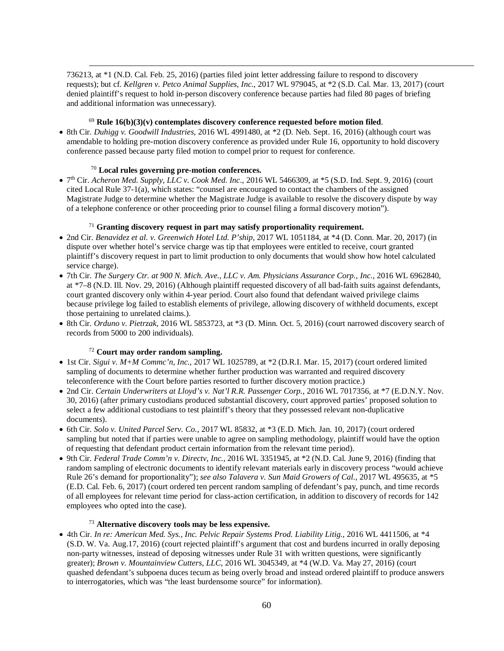736213, at \*1 (N.D. Cal. Feb. 25, 2016) (parties filed joint letter addressing failure to respond to discovery requests); but cf. *Kellgren v. Petco Animal Supplies, Inc.*, 2017 WL 979045, at \*2 (S.D. Cal. Mar. 13, 2017) (court denied plaintiff's request to hold in-person discovery conference because parties had filed 80 pages of briefing and additional information was unnecessary).

# <sup>69</sup> **Rule 16(b)(3)(v) contemplates discovery conference requested before motion filed**.

• 8th Cir. *Duhigg v. Goodwill Industries*, 2016 WL 4991480, at \*2 (D. Neb. Sept. 16, 2016) (although court was amendable to holding pre-motion discovery conference as provided under Rule 16, opportunity to hold discovery conference passed because party filed motion to compel prior to request for conference.

# <sup>70</sup> **Local rules governing pre-motion conferences.**

 $\overline{a}$ 

• 7th Cir. *Acheron Med. Supply, LLC v. Cook Med. Inc*., 2016 WL 5466309, at \*5 (S.D. Ind. Sept. 9, 2016) (court cited Local Rule 37-1(a), which states: "counsel are encouraged to contact the chambers of the assigned Magistrate Judge to determine whether the Magistrate Judge is available to resolve the discovery dispute by way of a telephone conference or other proceeding prior to counsel filing a formal discovery motion").

# <sup>71</sup> **Granting discovery request in part may satisfy proportionality requirement.**

- 2nd Cir. *Benavidez et al. v. Greenwich Hotel Ltd. P'ship*, 2017 WL 1051184, at \*4 (D. Conn. Mar. 20, 2017) (in dispute over whether hotel's service charge was tip that employees were entitled to receive, court granted plaintiff's discovery request in part to limit production to only documents that would show how hotel calculated service charge).
- 7th Cir. *The Surgery Ctr. at 900 N. Mich. Ave., LLC v. Am. Physicians Assurance Corp., Inc.*, 2016 WL 6962840, at \*7–8 (N.D. Ill. Nov. 29, 2016) (Although plaintiff requested discovery of all bad-faith suits against defendants, court granted discovery only within 4-year period. Court also found that defendant waived privilege claims because privilege log failed to establish elements of privilege, allowing discovery of withheld documents, except those pertaining to unrelated claims.).
- 8th Cir. *Orduno v. Pietrzak*, 2016 WL 5853723, at \*3 (D. Minn. Oct. 5, 2016) (court narrowed discovery search of records from 5000 to 200 individuals).

### <sup>72</sup> **Court may order random sampling.**

- 1st Cir. *Sigui v. M+M Commc'n, Inc.*, 2017 WL 1025789, at \*2 (D.R.I. Mar. 15, 2017) (court ordered limited sampling of documents to determine whether further production was warranted and required discovery teleconference with the Court before parties resorted to further discovery motion practice.)
- 2nd Cir. *Certain Underwriters at Lloyd's v. Nat'l R.R. Passenger Corp.*, 2016 WL 7017356, at \*7 (E.D.N.Y. Nov. 30, 2016) (after primary custodians produced substantial discovery, court approved parties' proposed solution to select a few additional custodians to test plaintiff's theory that they possessed relevant non-duplicative documents).
- 6th Cir. *Solo v. United Parcel Serv. Co.*, 2017 WL 85832, at \*3 (E.D. Mich. Jan. 10, 2017) (court ordered sampling but noted that if parties were unable to agree on sampling methodology, plaintiff would have the option of requesting that defendant product certain information from the relevant time period).
- 9th Cir. *Federal Trade Comm'n v. Directv, Inc.*, 2016 WL 3351945, at \*2 (N.D. Cal. June 9, 2016) (finding that random sampling of electronic documents to identify relevant materials early in discovery process "would achieve Rule 26's demand for proportionality"); *see also Talavera v. Sun Maid Growers of Cal.*, 2017 WL 495635, at \*5 (E.D. Cal. Feb. 6, 2017) (court ordered ten percent random sampling of defendant's pay, punch, and time records of all employees for relevant time period for class-action certification, in addition to discovery of records for 142 employees who opted into the case).

# <sup>73</sup> **Alternative discovery tools may be less expensive.**

• 4th Cir. *In re: American Med. Sys., Inc. Pelvic Repair Systems Prod. Liability Litig.*, 2016 WL 4411506, at \*4 (S.D. W. Va. Aug.17, 2016) (court rejected plaintiff's argument that cost and burdens incurred in orally deposing non-party witnesses, instead of deposing witnesses under Rule 31 with written questions, were significantly greater); *Brown v. Mountainview Cutters, LLC*, 2016 WL 3045349, at \*4 (W.D. Va. May 27, 2016) (court quashed defendant's subpoena duces tecum as being overly broad and instead ordered plaintiff to produce answers to interrogatories, which was "the least burdensome source" for information).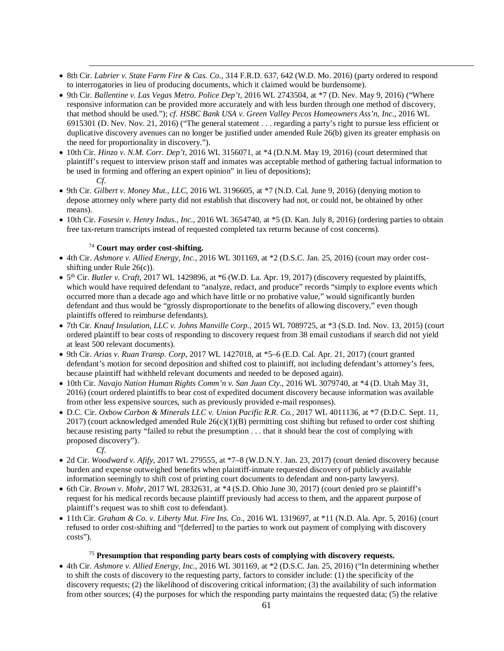- 8th Cir. *Labrier v. State Farm Fire & Cas. Co.*, 314 F.R.D. 637, 642 (W.D. Mo. 2016) (party ordered to respond to interrogatories in lieu of producing documents, which it claimed would be burdensome).
- 9th Cir. *Ballentine v. Las Vegas Metro. Police Dep't*, 2016 WL 2743504, at \*7 (D. Nev. May 9, 2016) ("Where responsive information can be provided more accurately and with less burden through one method of discovery, that method should be used."); *cf. HSBC Bank USA v. Green Valley Pecos Homeowners Ass'n, Inc.*, 2016 WL 6915301 (D. Nev. Nov. 21, 2016) ("The general statement . . . regarding a party's right to pursue less efficient or duplicative discovery avenues can no longer be justified under amended Rule 26(b) given its greater emphasis on the need for proportionality in discovery.").
- 10th Cir. *Hinzo v. N.M. Corr. Dep't*, 2016 WL 3156071, at \*4 (D.N.M. May 19, 2016) (court determined that plaintiff's request to interview prison staff and inmates was acceptable method of gathering factual information to be used in forming and offering an expert opinion" in lieu of depositions); *Cf.*
- 9th Cir. *Gilbert v. Money Mut., LLC*, 2016 WL 3196605, at \*7 (N.D. Cal. June 9, 2016) (denying motion to depose attorney only where party did not establish that discovery had not, or could not, be obtained by other means).
- 10th Cir. *Fasesin v. Henry Indus., Inc.*, 2016 WL 3654740, at \*5 (D. Kan. July 8, 2016) (ordering parties to obtain free tax-return transcripts instead of requested completed tax returns because of cost concerns)*.*

# <sup>74</sup> **Court may order cost-shifting.**

- 4th Cir. *Ashmore v. Allied Energy, Inc.*, 2016 WL 301169, at \*2 (D.S.C. Jan. 25, 2016) (court may order costshifting under Rule 26(c)).
- $\bullet$  5<sup>th</sup> Cir. *Butler v. Craft*, 2017 WL 1429896, at \*6 (W.D. La. Apr. 19, 2017) (discovery requested by plaintiffs, which would have required defendant to "analyze, redact, and produce" records "simply to explore events which occurred more than a decade ago and which have little or no probative value," would significantly burden defendant and thus would be "grossly disproportionate to the benefits of allowing discovery," even though plaintiffs offered to reimburse defendants).
- 7th Cir. *Knauf Insulation, LLC v. Johns Manville Corp.*, 2015 WL 7089725, at \*3 (S.D. Ind. Nov. 13, 2015) (court ordered plaintiff to bear costs of responding to discovery request from 38 email custodians if search did not yield at least 500 relevant documents).
- 9th Cir. *Arias v. Ruan Transp. Corp*, 2017 WL 1427018, at \*5–6 (E.D. Cal. Apr. 21, 2017) (court granted defendant's motion for second deposition and shifted cost to plaintiff, not including defendant's attorney's fees, because plaintiff had withheld relevant documents and needed to be deposed again).
- 10th Cir. *Navajo Nation Human Rights Comm'n v. San Juan Cty.*, 2016 WL 3079740, at \*4 (D. Utah May 31, 2016) (court ordered plaintiffs to bear cost of expedited document discovery because information was available from other less expensive sources, such as previously provided e-mail responses).
- D.C. Cir. *Oxbow Carbon & Minerals LLC v. Union Pacific R.R. Co.*, 2017 WL 4011136, at \*7 (D.D.C. Sept. 11, 2017) (court acknowledged amended Rule 26(c)(1)(B) permitting cost shifting but refused to order cost shifting because resisting party "failed to rebut the presumption . . . that it should bear the cost of complying with proposed discovery").
	- *Cf.*

 $\overline{a}$ 

- 2d Cir. *Woodward v. Afify*, 2017 WL 279555, at \*7–8 (W.D.N.Y. Jan. 23, 2017) (court denied discovery because burden and expense outweighed benefits when plaintiff-inmate requested discovery of publicly available information seemingly to shift cost of printing court documents to defendant and non-party lawyers).
- 6th Cir. *Brown v. Mohr*, 2017 WL 2832631, at \*4 (S.D. Ohio June 30, 2017) (court denied pro se plaintiff's request for his medical records because plaintiff previously had access to them, and the apparent purpose of plaintiff's request was to shift cost to defendant).
- 11th Cir. *Graham & Co. v. Liberty Mut. Fire Ins. Co.*, 2016 WL 1319697, at \*11 (N.D. Ala. Apr. 5, 2016) (court refused to order cost-shifting and "[deferred] to the parties to work out payment of complying with discovery costs").

### <sup>75</sup> **Presumption that responding party bears costs of complying with discovery requests.**

• 4th Cir. *Ashmore v. Allied Energy, Inc.*, 2016 WL 301169, at \*2 (D.S.C. Jan. 25, 2016) ("In determining whether to shift the costs of discovery to the requesting party, factors to consider include: (1) the specificity of the discovery requests; (2) the likelihood of discovering critical information; (3) the availability of such information from other sources; (4) the purposes for which the responding party maintains the requested data; (5) the relative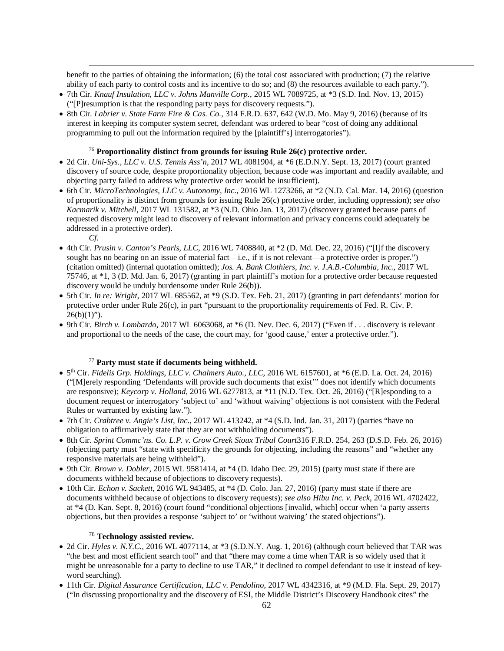benefit to the parties of obtaining the information; (6) the total cost associated with production; (7) the relative ability of each party to control costs and its incentive to do so; and (8) the resources available to each party.").

- 7th Cir. *Knauf Insulation, LLC v. Johns Manville Corp.*, 2015 WL 7089725, at \*3 (S.D. Ind. Nov. 13, 2015) ("[P]resumption is that the responding party pays for discovery requests.").
- 8th Cir. *Labrier v. State Farm Fire & Cas. Co.*, 314 F.R.D. 637, 642 (W.D. Mo. May 9, 2016) (because of its interest in keeping its computer system secret, defendant was ordered to bear "cost of doing any additional programming to pull out the information required by the [plaintiff's] interrogatories").

# <sup>76</sup> **Proportionality distinct from grounds for issuing Rule 26(c) protective order.**

- 2d Cir. *Uni-Sys., LLC v. U.S. Tennis Ass'n*, 2017 WL 4081904, at \*6 (E.D.N.Y. Sept. 13, 2017) (court granted discovery of source code, despite proportionality objection, because code was important and readily available, and objecting party failed to address why protective order would be insufficient).
- 6th Cir. *MicroTechnologies, LLC v. Autonomy, Inc*., 2016 WL 1273266, at \*2 (N.D. Cal. Mar. 14, 2016) (question of proportionality is distinct from grounds for issuing Rule 26(c) protective order, including oppression); *see also Kacmarik v. Mitchell*, 2017 WL 131582, at \*3 (N.D. Ohio Jan. 13, 2017) (discovery granted because parts of requested discovery might lead to discovery of relevant information and privacy concerns could adequately be addressed in a protective order).
	- *Cf.*

 $\overline{a}$ 

- 4th Cir. *Prusin v. Canton's Pearls, LLC*, 2016 WL 7408840, at \*2 (D. Md. Dec. 22, 2016) ("[I]f the discovery sought has no bearing on an issue of material fact—i.e., if it is not relevant—a protective order is proper.") (citation omitted) (internal quotation omitted); *Jos. A. Bank Clothiers, Inc. v. J.A.B.-Columbia, Inc.*, 2017 WL 75746, at \*1, 3 (D. Md. Jan. 6, 2017) (granting in part plaintiff's motion for a protective order because requested discovery would be unduly burdensome under Rule 26(b)).
- 5th Cir. *In re: Wright*, 2017 WL 685562, at \*9 (S.D. Tex. Feb. 21, 2017) (granting in part defendants' motion for protective order under Rule 26(c), in part "pursuant to the proportionality requirements of Fed. R. Civ. P.  $26(b)(1)$ ").
- 9th Cir. *Birch v. Lombardo*, 2017 WL 6063068, at \*6 (D. Nev. Dec. 6, 2017) ("Even if . . . discovery is relevant and proportional to the needs of the case, the court may, for 'good cause,' enter a protective order.").

# <sup>77</sup> **Party must state if documents being withheld.**

- 5th Cir. *Fidelis Grp. Holdings, LLC v. Chalmers Auto., LLC*, 2016 WL 6157601, at \*6 (E.D. La. Oct. 24, 2016) ("[M]erely responding 'Defendants will provide such documents that exist'" does not identify which documents are responsive); *Keycorp v. Holland*, 2016 WL 6277813, at \*11 (N.D. Tex. Oct. 26, 2016) ("[R]esponding to a document request or interrogatory 'subject to' and 'without waiving' objections is not consistent with the Federal Rules or warranted by existing law.").
- 7th Cir. *Crabtree v. Angie's List, Inc.*, 2017 WL 413242, at \*4 (S.D. Ind. Jan. 31, 2017) (parties "have no obligation to affirmatively state that they are not withholding documents").
- 8th Cir. *Sprint Commc'ns. Co. L.P. v. Crow Creek Sioux Tribal Court*316 F.R.D. 254, 263 (D.S.D. Feb. 26, 2016) (objecting party must "state with specificity the grounds for objecting, including the reasons" and "whether any responsive materials are being withheld").
- 9th Cir. *Brown v. Dobler*, 2015 WL 9581414, at \*4 (D. Idaho Dec. 29, 2015) (party must state if there are documents withheld because of objections to discovery requests).
- 10th Cir. *Echon v. Sackett*, 2016 WL 943485, at \*4 (D. Colo. Jan. 27, 2016) (party must state if there are documents withheld because of objections to discovery requests); *see also Hibu Inc. v. Peck*, 2016 WL 4702422, at \*4 (D. Kan. Sept. 8, 2016) (court found "conditional objections [invalid, which] occur when 'a party asserts objections, but then provides a response 'subject to' or 'without waiving' the stated objections").

### <sup>78</sup> **Technology assisted review.**

- 2d Cir. *Hyles v. N.Y.C.*, 2016 WL 4077114, at \*3 (S.D.N.Y. Aug. 1, 2016) (although court believed that TAR was "the best and most efficient search tool" and that "there may come a time when TAR is so widely used that it might be unreasonable for a party to decline to use TAR," it declined to compel defendant to use it instead of keyword searching).
- 11th Cir. *Digital Assurance Certification, LLC v. Pendolino*, 2017 WL 4342316, at \*9 (M.D. Fla. Sept. 29, 2017) ("In discussing proportionality and the discovery of ESI, the Middle District's Discovery Handbook cites" the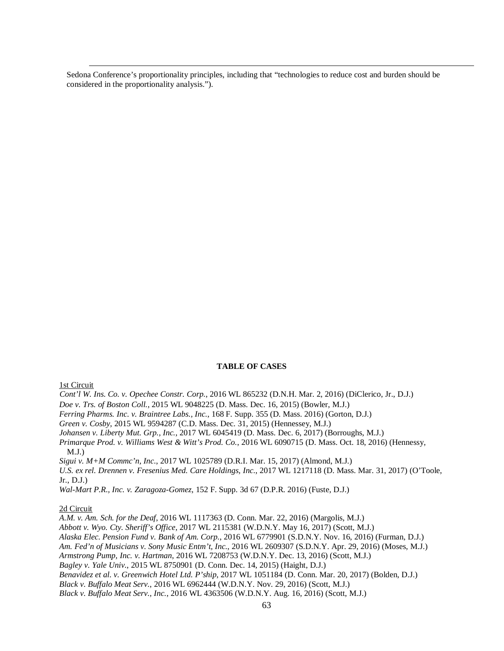Sedona Conference's proportionality principles, including that "technologies to reduce cost and burden should be considered in the proportionality analysis.").

# **TABLE OF CASES**

1st Circuit

 $\overline{a}$ 

*Cont'l W. Ins. Co. v. Opechee Constr. Corp.*, 2016 WL 865232 (D.N.H. Mar. 2, 2016) (DiClerico, Jr., D.J.)

*Doe v. Trs. of Boston Coll.*, 2015 WL 9048225 (D. Mass. Dec. 16, 2015) (Bowler, M.J.)

*Ferring Pharms. Inc. v. Braintree Labs., Inc.*, 168 F. Supp. 355 (D. Mass. 2016) (Gorton, D.J.)

*Green v. Cosby*, 2015 WL 9594287 (C.D. Mass. Dec. 31, 2015) (Hennessey, M.J.)

*Johansen v. Liberty Mut. Grp., Inc.*, 2017 WL 6045419 (D. Mass. Dec. 6, 2017) (Borroughs, M.J.)

*Primarque Prod. v. Williams West & Witt's Prod. Co.*, 2016 WL 6090715 (D. Mass. Oct. 18, 2016) (Hennessy, M.J.)

*Sigui v. M+M Commc'n, Inc.*, 2017 WL 1025789 (D.R.I. Mar. 15, 2017) (Almond, M.J.)

*U.S. ex rel. Drennen v. Fresenius Med. Care Holdings, Inc.*, 2017 WL 1217118 (D. Mass. Mar. 31, 2017) (O'Toole, Jr., D.J.)

*Wal-Mart P.R., Inc. v. Zaragoza-Gomez*, 152 F. Supp. 3d 67 (D.P.R. 2016) (Fuste, D.J.)

## 2d Circuit

*A.M. v. Am. Sch. for the Deaf*, 2016 WL 1117363 (D. Conn. Mar. 22, 2016) (Margolis, M.J.) *Abbott v. Wyo. Cty. Sheriff's Office*, 2017 WL 2115381 (W.D.N.Y. May 16, 2017) (Scott, M.J.) *Alaska Elec. Pension Fund v. Bank of Am. Corp.*, 2016 WL 6779901 (S.D.N.Y. Nov. 16, 2016) (Furman, D.J.) *Am. Fed'n of Musicians v. Sony Music Entm't, Inc.*, 2016 WL 2609307 (S.D.N.Y. Apr. 29, 2016) (Moses, M.J.) *Armstrong Pump, Inc. v. Hartman*, 2016 WL 7208753 (W.D.N.Y. Dec. 13, 2016) (Scott, M.J.) *Bagley v. Yale Univ.*, 2015 WL 8750901 (D. Conn. Dec. 14, 2015) (Haight, D.J.) *Benavidez et al. v. Greenwich Hotel Ltd. P'ship*, 2017 WL 1051184 (D. Conn. Mar. 20, 2017) (Bolden, D.J.) *Black v. Buffalo Meat Serv.*, 2016 WL 6962444 (W.D.N.Y. Nov. 29, 2016) (Scott, M.J.) *Black v. Buffalo Meat Serv., Inc.*, 2016 WL 4363506 (W.D.N.Y. Aug. 16, 2016) (Scott, M.J.)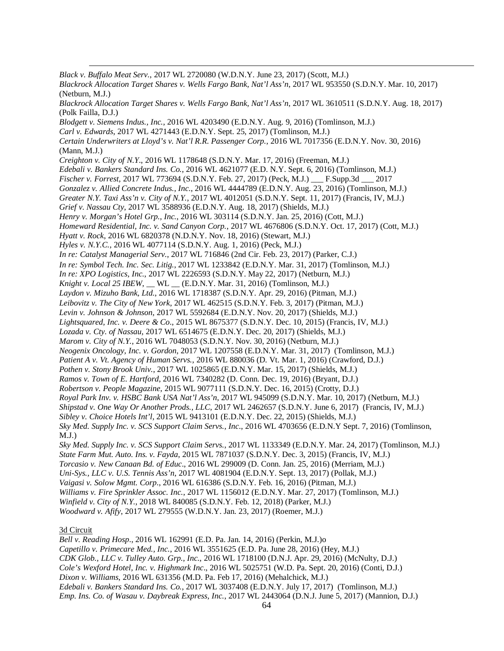$\overline{a}$ *Black v. Buffalo Meat Serv.*, 2017 WL 2720080 (W.D.N.Y. June 23, 2017) (Scott, M.J.) *Blackrock Allocation Target Shares v. Wells Fargo Bank, Nat'l Ass'n*, 2017 WL 953550 (S.D.N.Y. Mar. 10, 2017) (Netburn, M.J.) *Blackrock Allocation Target Shares v. Wells Fargo Bank, Nat'l Ass'n*, 2017 WL 3610511 (S.D.N.Y. Aug. 18, 2017) (Polk Failla, D.J.) *Blodgett v. Siemens Indus., Inc.*, 2016 WL 4203490 (E.D.N.Y. Aug. 9, 2016) (Tomlinson, M.J.) *Carl v. Edwards*, 2017 WL 4271443 (E.D.N.Y. Sept. 25, 2017) (Tomlinson, M.J.) *Certain Underwriters at Lloyd's v. Nat'l R.R. Passenger Corp.*, 2016 WL 7017356 (E.D.N.Y. Nov. 30, 2016) (Mann, M.J.) *Creighton v. City of N.Y*., 2016 WL 1178648 (S.D.N.Y. Mar. 17, 2016) (Freeman, M.J.) *Edebali v. Bankers Standard Ins. Co.*, 2016 WL 4621077 (E.D. N.Y. Sept. 6, 2016) (Tomlinson, M.J.) *Fischer v. Forrest*, 2017 WL 773694 (S.D.N.Y. Feb. 27, 2017) (Peck, M.J.) \_\_\_ F.Supp.3d \_\_\_ 2017 *Gonzalez v. Allied Concrete Indus., Inc*., 2016 WL 4444789 (E.D.N.Y. Aug. 23, 2016) (Tomlinson, M.J.) *Greater N.Y. Taxi Ass'n v. City of N.Y.*, 2017 WL 4012051 (S.D.N.Y. Sept. 11, 2017) (Francis, IV, M.J.) *Grief v. Nassau Cty*, 2017 WL 3588936 (E.D.N.Y. Aug. 18, 2017) (Shields, M.J.) *Henry v. Morgan's Hotel Grp., Inc.*, 2016 WL 303114 (S.D.N.Y. Jan. 25, 2016) (Cott, M.J.) *Homeward Residential, Inc. v. Sand Canyon Corp.*, 2017 WL 4676806 (S.D.N.Y. Oct. 17, 2017) (Cott, M.J.) *Hyatt v. Rock*, 2016 WL 6820378 (N.D.N.Y. Nov. 18, 2016) (Stewart, M.J.) *Hyles v. N.Y.C.*, 2016 WL 4077114 (S.D.N.Y. Aug. 1, 2016) (Peck, M.J.) *In re: Catalyst Managerial Serv.*, 2017 WL 716846 (2nd Cir. Feb. 23, 2017) (Parker, C.J.) *In re: Symbol Tech. Inc. Sec. Litig.*, 2017 WL 1233842 (E.D.N.Y. Mar. 31, 2017) (Tomlinson, M.J.) *In re: XPO Logistics, Inc.*, 2017 WL 2226593 (S.D.N.Y. May 22, 2017) (Netburn, M.J.) *Knight v. Local 25 IBEW*, \_\_ WL \_\_ (E.D.N.Y. Mar. 31, 2016) (Tomlinson, M.J.) *Laydon v. Mizuho Bank, Ltd*., 2016 WL 1718387 (S.D.N.Y. Apr. 29, 2016) (Pitman, M.J.) *Leibovitz v. The City of New York*, 2017 WL 462515 (S.D.N.Y. Feb. 3, 2017) (Pitman, M.J.) *Levin v. Johnson & Johnson*, 2017 WL 5592684 (E.D.N.Y. Nov. 20, 2017) (Shields, M.J.) *Lightsquared, Inc. v. Deere & Co*., 2015 WL 8675377 (S.D.N.Y. Dec. 10, 2015) (Francis, IV, M.J.) *Lozada v. Cty. of Nassau*, 2017 WL 6514675 (E.D.N.Y. Dec. 20, 2017) (Shields, M.J.) *Marom v. City of N.Y.*, 2016 WL 7048053 (S.D.N.Y. Nov. 30, 2016) (Netburn, M.J.) *Neogenix Oncology, Inc. v. Gordon*, 2017 WL 1207558 (E.D.N.Y. Mar. 31, 2017) (Tomlinson, M.J.) *Patient A v. Vt. Agency of Human Servs.*, 2016 WL 880036 (D. Vt. Mar. 1, 2016) (Crawford, D.J.) *Pothen v. Stony Brook Univ.*, 2017 WL 1025865 (E.D.N.Y. Mar. 15, 2017) (Shields, M.J.) *Ramos v. Town of E. Hartford*, 2016 WL 7340282 (D. Conn. Dec. 19, 2016) (Bryant, D.J.) *Robertson v. People Magazine*, 2015 WL 9077111 (S.D.N.Y. Dec. 16, 2015) (Crotty, D.J.) *Royal Park Inv. v. HSBC Bank USA Nat'l Ass'n*, 2017 WL 945099 (S.D.N.Y. Mar. 10, 2017) (Netburn, M.J.) *Shipstad v. One Way Or Another Prods., LLC*, 2017 WL 2462657 (S.D.N.Y. June 6, 2017) (Francis, IV, M.J.) *Sibley v. Choice Hotels Int'l*, 2015 WL 9413101 (E.D.N.Y. Dec. 22, 2015) (Shields, M.J.) *Sky Med. Supply Inc. v. SCS Support Claim Servs., Inc*., 2016 WL 4703656 (E.D.N.Y Sept. 7, 2016) (Tomlinson,  $M.J.$ ) *Sky Med. Supply Inc. v. SCS Support Claim Servs.*, 2017 WL 1133349 (E.D.N.Y. Mar. 24, 2017) (Tomlinson, M.J.) *State Farm Mut. Auto. Ins. v. Fayda*, 2015 WL 7871037 (S.D.N.Y. Dec. 3, 2015) (Francis, IV, M.J.) *Torcasio v. New Canaan Bd. of Educ*., 2016 WL 299009 (D. Conn. Jan. 25, 2016) (Merriam, M.J.) *Uni-Sys., LLC v. U.S. Tennis Ass'n*, 2017 WL 4081904 (E.D.N.Y. Sept. 13, 2017) (Pollak, M.J.) *Vaigasi v. Solow Mgmt. Corp*., 2016 WL 616386 (S.D.N.Y. Feb. 16, 2016) (Pitman, M.J.) *Williams v. Fire Sprinkler Assoc. Inc.*, 2017 WL 1156012 (E.D.N.Y. Mar. 27, 2017) (Tomlinson, M.J.) *Winfield v. City of N.Y.*, 2018 WL 840085 (S.D.N.Y. Feb. 12, 2018) (Parker, M.J.)

*Woodward v. Afify*, 2017 WL 279555 (W.D.N.Y. Jan. 23, 2017) (Roemer, M.J.)

# 3d Circuit

*Bell v. Reading Hosp*., 2016 WL 162991 (E.D. Pa. Jan. 14, 2016) (Perkin, M.J.)o *Capetillo v. Primecare Med., Inc.*, 2016 WL 3551625 (E.D. Pa. June 28, 2016) (Hey, M.J.) *CDK Glob., LLC v. Tulley Auto. Grp., Inc.*, 2016 WL 1718100 (D.N.J. Apr. 29, 2016) (McNulty, D.J.) *Cole's Wexford Hotel, Inc. v. Highmark Inc*., 2016 WL 5025751 (W.D. Pa. Sept. 20, 2016) (Conti, D.J.) *Dixon v. Williams*, 2016 WL 631356 (M.D. Pa. Feb 17, 2016) (Mehalchick, M.J.) *Edebali v. Bankers Standard Ins. Co.*, 2017 WL 3037408 (E.D.N.Y. July 17, 2017) (Tomlinson, M.J.) *Emp. Ins. Co. of Wasau v. Daybreak Express, Inc.*, 2017 WL 2443064 (D.N.J. June 5, 2017) (Mannion, D.J.)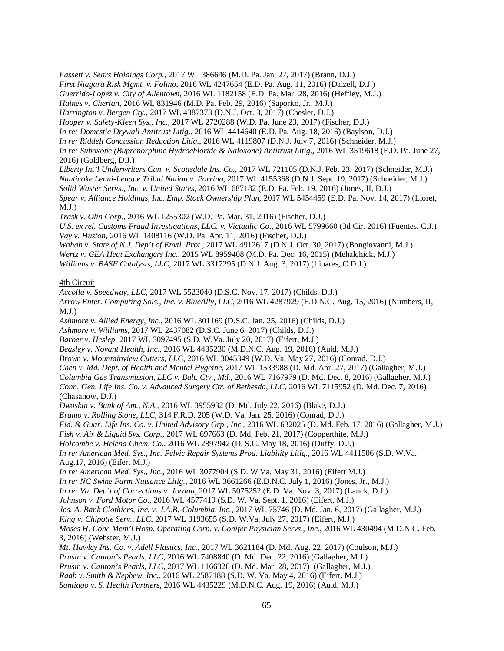$\overline{a}$ *Fassett v. Sears Holdings Corp.*, 2017 WL 386646 (M.D. Pa. Jan. 27, 2017) (Brann, D.J.)

*First Niagara Risk Mgmt. v. Folino*, 2016 WL 4247654 (E.D. Pa. Aug. 11, 2016) (Dalzell, D.J.)

*Guerrido-Lopez v. City of Allentown*, 2016 WL 1182158 (E.D. Pa. Mar. 28, 2016) (Heffley, M.J.)

*Haines v. Cherian*, 2016 WL 831946 (M.D. Pa. Feb. 29, 2016) (Saporito, Jr., M.J.)

*Harrington v. Bergen Cty.*, 2017 WL 4387373 (D.N.J. Oct. 3, 2017) (Chesler, D.J.)

*Hooper v. Safety-Kleen Sys., Inc.*, 2017 WL 2720288 (W.D. Pa. June 23, 2017) (Fischer, D.J.)

*In re: Domestic Drywall Antitrust Litig*., 2016 WL 4414640 (E.D. Pa. Aug. 18, 2016) (Baylson, D.J.)

*In re: Riddell Concussion Reduction Litig.*, 2016 WL 4119807 (D.N.J. July 7, 2016) (Schneider, M.J.)

*In re: Suboxone (Buprenorphine Hydrochloride & Naloxone) Antitrust Litig.*, 2016 WL 3519618 (E.D. Pa. June 27, 2016) (Goldberg, D.J.)

*Liberty Int'l Underwriters Can. v. Scottsdale Ins. Co.*, 2017 WL 721105 (D.N.J. Feb. 23, 2017) (Schneider, M.J.) *Nanticoke Lenni-Lenape Tribal Nation v. Porrino*, 2017 WL 4155368 (D.N.J. Sept. 19, 2017) (Schneider, M.J.) *Solid Waster Servs., Inc. v. United States*, 2016 WL 687182 (E.D. Pa. Feb. 19, 2016) (Jones, II, D.J.) *Spear v. Alliance Holdings, Inc. Emp. Stock Ownership Plan*, 2017 WL 5454459 (E.D. Pa. Nov. 14, 2017) (Lloret, M.J.)

*Trask v. Olin Corp*., 2016 WL 1255302 (W.D. Pa. Mar. 31, 2016) (Fischer, D.J.)

*U.S. ex rel. Customs Fraud Investigations, LLC. v. Victaulic Co*., 2016 WL 5799660 (3d Cir. 2016) (Fuentes, C.J.) *Vay v. Huston*, 2016 WL 1408116 (W.D. Pa. Apr. 11, 2016) (Fischer, D.J.)

*Wahab v. State of N.J. Dep't of Envtl. Prot.*, 2017 WL 4912617 (D.N.J. Oct. 30, 2017) (Bongiovanni, M.J.)

*Wertz v. GEA Heat Exchangers Inc*., 2015 WL 8959408 (M.D. Pa. Dec. 16, 2015) (Mehalchick, M.J.)

*Williams v. BASF Catalysts, LLC*, 2017 WL 3317295 (D.N.J. Aug. 3, 2017) (Linares, C.D.J.)

# 4th Circuit

*Accolla v. Speedway, LLC*, 2017 WL 5523040 (D.S.C. Nov. 17, 2017) (Childs, D.J.)

*Arrow Enter. Computing Sols., Inc. v. BlueAlly*, *LLC*, 2016 WL 4287929 (E.D.N.C. Aug. 15, 2016) (Numbers, II,  $M.J.$ )

*Ashmore v. Allied Energy, Inc.*, 2016 WL 301169 (D.S.C. Jan. 25, 2016) (Childs, D.J.)

*Ashmore v. Williams*, 2017 WL 2437082 (D.S.C. June 6, 2017) (Childs, D.J.)

*Barber v. Heslep*, 2017 WL 3097495 (S.D. W.Va. July 20, 2017) (Eifert, M.J.)

*Beasley v. Novant Health, Inc*., 2016 WL 4435230 (M.D.N.C. Aug. 19, 2016) (Auld, M.J.)

*Brown v. Mountainview Cutters, LLC*, 2016 WL 3045349 (W.D. Va. May 27, 2016) (Conrad, D.J.)

*Chen v. Md. Dept. of Health and Mental Hygeine*, 2017 WL 1533988 (D. Md. Apr. 27, 2017) (Gallagher, M.J.)

*Columbia Gas Transmission, LLC v. Balt. Cty., Md.*, 2016 WL 7167979 (D. Md. Dec. 8, 2016) (Gallagher, M.J.) *Conn. Gen. Life Ins. Co. v. Advanced Surgery Ctr. of Bethesda, LLC*, 2016 WL 7115952 (D. Md. Dec. 7, 2016)

(Chasanow, D.J.)

*Dwoskin v. Bank of Am., N.A.*, 2016 WL 3955932 (D. Md. July 22, 2016) (Blake, D.J.)

*Eramo v. Rolling Stone, LLC*, 314 F.R.D. 205 (W.D. Va. Jan. 25, 2016) (Conrad, D.J.)

*Fid. & Guar. Life Ins. Co. v. United Advisory Grp., Inc*., 2016 WL 632025 (D. Md. Feb. 17, 2016) (Gallagher, M.J.)

*Fish v. Air & Liquid Sys. Corp.*, 2017 WL 697663 (D. Md. Feb. 21, 2017) (Copperthite, M.J.)

*Holcombe v. Helena Chem. Co.*, 2016 WL 2897942 (D. S.C. May 18, 2016) (Duffy, D.J.)

*In re: American Med. Sys., Inc. Pelvic Repair Systems Prod. Liability Litig.*, 2016 WL 4411506 (S.D. W.Va. Aug.17, 2016) (Eifert M.J.)

*In re: American Med. Sys., Inc.*, 2016 WL 3077904 (S.D. W.Va. May 31, 2016) (Eifert M.J.)

*In re: NC Swine Farm Nuisance Litig.*, 2016 WL 3661266 (E.D.N.C. July 1, 2016) (Jones, Jr., M.J.)

*In re: Va. Dep't of Corrections v. Jordan*, 2017 WL 5075252 (E.D. Va. Nov. 3, 2017) (Lauck, D.J.)

*Johnson v. Ford Motor Co*., 2016 WL 4577419 (S.D. W. Va. Sept. 1, 2016) (Eifert, M.J.)

*Jos. A. Bank Clothiers, Inc. v. J.A.B.-Columbia, Inc.*, 2017 WL 75746 (D. Md. Jan. 6, 2017) (Gallagher, M.J.)

*King v. Chipotle Serv., LLC*, 2017 WL 3193655 (S.D. W.Va. July 27, 2017) (Eifert, M.J.)

*Moses H. Cone Mem'l Hosp. Operating Corp. v. Conifer Physician Servs*.*, Inc.*, 2016 WL 430494 (M.D.N.C. Feb. 3, 2016) (Webster, M.J.)

*Mt. Hawley Ins. Co. v. Adell Plastics, Inc.*, 2017 WL 3621184 (D. Md. Aug. 22, 2017) (Coulson, M.J.)

*Prusin v. Canton's Pearls, LLC*, 2016 WL 7408840 (D. Md. Dec. 22, 2016) (Gallagher, M.J.)

*Prusin v. Canton's Pearls, LLC*, 2017 WL 1166326 (D. Md. Mar. 28, 2017) (Gallagher, M.J.)

*Raab v. Smith & Nephew, Inc.*, 2016 WL 2587188 (S.D. W. Va. May 4, 2016) (Eifert, M.J.)

*Santiago v. S. Health Partners*, 2016 WL 4435229 (M.D.N.C. Aug. 19, 2016) (Auld, M.J.)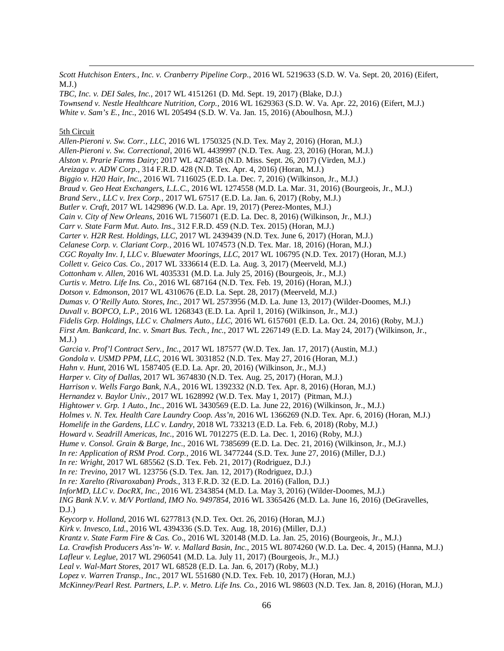*Scott Hutchison Enters., Inc. v. Cranberry Pipeline Corp*., 2016 WL 5219633 (S.D. W. Va. Sept. 20, 2016) (Eifert,  $M.L.$ 

*TBC, Inc. v. DEI Sales, Inc.*, 2017 WL 4151261 (D. Md. Sept. 19, 2017) (Blake, D.J.) *Townsend v. Nestle Healthcare Nutrition, Corp.*, 2016 WL 1629363 (S.D. W. Va. Apr. 22, 2016) (Eifert, M.J.) *White v. Sam's E., Inc*., 2016 WL 205494 (S.D. W. Va. Jan. 15, 2016) (Aboulhosn, M.J.)

#### 5th Circuit

 $\overline{a}$ 

*Allen-Pieroni v. Sw. Corr., LLC*, 2016 WL 1750325 (N.D. Tex. May 2, 2016) (Horan, M.J.) *Allen-Pieroni v. Sw. Correctional*, 2016 WL 4439997 (N.D. Tex. Aug. 23, 2016) (Horan, M.J.) *Alston v. Prarie Farms Dairy*; 2017 WL 4274858 (N.D. Miss. Sept. 26, 2017) (Virden, M.J.) *Areizaga v. ADW Corp*., 314 F.R.D. 428 (N.D. Tex. Apr. 4, 2016) (Horan, M.J.) *Biggio v. H20 Hair, Inc.*, 2016 WL 7116025 (E.D. La. Dec. 7, 2016) (Wilkinson, Jr., M.J.) *Braud v. Geo Heat Exchangers, L.L.C.*, 2016 WL 1274558 (M.D. La. Mar. 31, 2016) (Bourgeois, Jr., M.J.) *Brand Serv., LLC v. Irex Corp.*, 2017 WL 67517 (E.D. La. Jan. 6, 2017) (Roby, M.J.) *Butler v. Craft*, 2017 WL 1429896 (W.D. La. Apr. 19, 2017) (Perez-Montes, M.J.) *Cain v. City of New Orleans*, 2016 WL 7156071 (E.D. La. Dec. 8, 2016) (Wilkinson, Jr., M.J.) *Carr v. State Farm Mut. Auto. Ins*., 312 F.R.D. 459 (N.D. Tex. 2015) (Horan, M.J.) *Carter v. H2R Rest. Holdings, LLC*, 2017 WL 2439439 (N.D. Tex. June 6, 2017) (Horan, M.J.) *Celanese Corp. v. Clariant Corp.*, 2016 WL 1074573 (N.D. Tex. Mar. 18, 2016) (Horan, M.J.) *CGC Royalty Inv. I, LLC v. Bluewater Moorings, LLC*, 2017 WL 106795 (N.D. Tex. 2017) (Horan, M.J.) *Collett v. Geico Cas. Co.*, 2017 WL 3336614 (E.D. La. Aug. 3, 2017) (Meerveld, M.J.) *Cottonham v. Allen*, 2016 WL 4035331 (M.D. La. July 25, 2016) (Bourgeois, Jr., M.J.) *Curtis v. Metro. Life Ins. Co.*, 2016 WL 687164 (N.D. Tex. Feb. 19, 2016) (Horan, M.J.) *Dotson v. Edmonson*, 2017 WL 4310676 (E.D. La. Sept. 28, 2017) (Meerveld, M.J.) *Dumas v. O'Reilly Auto. Stores, Inc.*, 2017 WL 2573956 (M.D. La. June 13, 2017) (Wilder-Doomes, M.J.) *Duvall v. BOPCO, L.P.*, 2016 WL 1268343 (E.D. La. April 1, 2016) (Wilkinson, Jr., M.J.) *Fidelis Grp. Holdings, LLC v. Chalmers Auto., LLC*, 2016 WL 6157601 (E.D. La. Oct. 24, 2016) (Roby, M.J.) *First Am. Bankcard, Inc. v. Smart Bus. Tech., Inc.*, 2017 WL 2267149 (E.D. La. May 24, 2017) (Wilkinson, Jr., M.J.) *Garcia v. Prof'l Contract Serv., Inc.*, 2017 WL 187577 (W.D. Tex. Jan. 17, 2017) (Austin, M.J.) *Gondola v. USMD PPM, LLC*, 2016 WL 3031852 (N.D. Tex. May 27, 2016 (Horan, M.J.) *Hahn v. Hunt*, 2016 WL 1587405 (E.D. La. Apr. 20, 2016) (Wilkinson, Jr., M.J.) *Harper v. City of Dallas*, 2017 WL 3674830 (N.D. Tex. Aug. 25, 2017) (Horan, M.J.) *Harrison v. Wells Fargo Bank, N.A.*, 2016 WL 1392332 (N.D. Tex. Apr. 8, 2016) (Horan, M.J.) *Hernandez v. Baylor Univ.*, 2017 WL 1628992 (W.D. Tex. May 1, 2017) (Pitman, M.J.) *Hightower v. Grp. 1 Auto., Inc.*, 2016 WL 3430569 (E.D. La. June 22, 2016) (Wilkinson, Jr., M.J.) *Holmes v. N. Tex. Health Care Laundry Coop. Ass'n*, 2016 WL 1366269 (N.D. Tex. Apr. 6, 2016) (Horan, M.J.) *Homelife in the Gardens, LLC v. Landry*, 2018 WL 733213 (E.D. La. Feb. 6, 2018) (Roby, M.J.) *Howard v. Seadrill Americas, Inc.*, 2016 WL 7012275 (E.D. La. Dec. 1, 2016) (Roby, M.J.) *Hume v. Consol. Grain & Barge, Inc.*, 2016 WL 7385699 (E.D. La. Dec. 21, 2016) (Wilkinson, Jr., M.J.) *In re: Application of RSM Prod. Corp.*, 2016 WL 3477244 (S.D. Tex. June 27, 2016) (Miller, D.J.) *In re: Wright*, 2017 WL 685562 (S.D. Tex. Feb. 21, 2017) (Rodriguez, D.J.) *In re: Trevino*, 2017 WL 123756 (S.D. Tex. Jan. 12, 2017) (Rodriguez, D.J.) *In re: Xarelto (Rivaroxaban) Prods.*, 313 F.R.D. 32 (E.D. La. 2016) (Fallon, D.J.) *InforMD, LLC v. DocRX, Inc.*, 2016 WL 2343854 (M.D. La. May 3, 2016) (Wilder-Doomes, M.J.) *ING Bank N.V. v. M/V Portland, IMO No. 9497854*, 2016 WL 3365426 (M.D. La. June 16, 2016) (DeGravelles,  $D.J.$ ) *Keycorp v. Holland*, 2016 WL 6277813 (N.D. Tex. Oct. 26, 2016) (Horan, M.J.) *Kirk v. Invesco, Ltd*., 2016 WL 4394336 (S.D. Tex. Aug. 18, 2016) (Miller, D.J.) *Krantz v. State Farm Fire & Cas. Co*., 2016 WL 320148 (M.D. La. Jan. 25, 2016) (Bourgeois, Jr., M.J.) *La. Crawfish Producers Ass'n- W. v. Mallard Basin, Inc*., 2015 WL 8074260 (W.D. La. Dec. 4, 2015) (Hanna, M.J.) *Lafleur v. Leglue*, 2017 WL 2960541 (M.D. La. July 11, 2017) (Bourgeois, Jr., M.J.) *Leal v. Wal-Mart Stores*, 2017 WL 68528 (E.D. La. Jan. 6, 2017) (Roby, M.J.) *Lopez v. Warren Transp., Inc.*, 2017 WL 551680 (N.D. Tex. Feb. 10, 2017) (Horan, M.J.)

*McKinney/Pearl Rest. Partners, L.P*. *v. Metro. Life Ins. Co.*, 2016 WL 98603 (N.D. Tex. Jan. 8, 2016) (Horan, M.J.)

66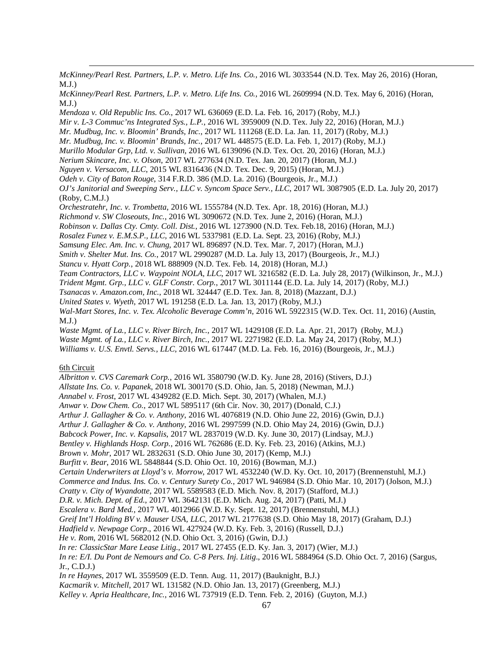*McKinney/Pearl Rest. Partners, L.P. v. Metro. Life Ins. Co.*, 2016 WL 3033544 (N.D. Tex. May 26, 2016) (Horan, M.J.)

| McKinney/Pearl Rest. Partners, L.P. v. Metro. Life Ins. Co., 2016 WL 2609994 (N.D. Tex. May 6, 2016) (Horan, |  |  |  |  |
|--------------------------------------------------------------------------------------------------------------|--|--|--|--|
| M.J.                                                                                                         |  |  |  |  |

*Mendoza v. Old Republic Ins. Co.*, 2017 WL 636069 (E.D. La. Feb. 16, 2017) (Roby, M.J.)

*Mir v. L-3 Commuc'ns Integrated Sys., L.P.*, 2016 WL 3959009 (N.D. Tex. July 22, 2016) (Horan, M.J.)

*Mr. Mudbug, Inc. v. Bloomin' Brands, Inc.*, 2017 WL 111268 (E.D. La. Jan. 11, 2017) (Roby, M.J.)

*Mr. Mudbug, Inc. v. Bloomin' Brands, Inc.*, 2017 WL 448575 (E.D. La. Feb. 1, 2017) (Roby, M.J.)

- *Murillo Modular Grp, Ltd. v. Sullivan*, 2016 WL 6139096 (N.D. Tex. Oct. 20, 2016) (Horan, M.J.)
- *Nerium Skincare, Inc. v. Olson*, 2017 WL 277634 (N.D. Tex. Jan. 20, 2017) (Horan, M.J.)

*Nguyen v. Versacom, LLC*, 2015 WL 8316436 (N.D. Tex. Dec. 9, 2015) (Horan, M.J.)

*Odeh v. City of Baton Rouge*, 314 F.R.D. 386 (M.D. La. 2016) (Bourgeois, Jr., M.J.)

*OJ's Janitorial and Sweeping Serv., LLC v. Syncom Space Serv., LLC*, 2017 WL 3087905 (E.D. La. July 20, 2017) (Roby, C.M.J.)

*Orchestratehr, Inc. v. Trombetta*, 2016 WL 1555784 (N.D. Tex. Apr. 18, 2016) (Horan, M.J.)

*Richmond v. SW Closeouts, Inc.*, 2016 WL 3090672 (N.D. Tex. June 2, 2016) (Horan, M.J.)

*Robinson v. Dallas Cty. Cmty. Coll. Dist.*, 2016 WL 1273900 (N.D. Tex. Feb.18, 2016) (Horan, M.J.)

*Rosalez Funez v. E.M.S.P., LLC*, 2016 WL 5337981 (E.D. La. Sept. 23, 2016) (Roby, M.J.)

*Samsung Elec. Am. Inc. v. Chung*, 2017 WL 896897 (N.D. Tex. Mar. 7, 2017) (Horan, M.J.)

*Smith v. Shelter Mut. Ins. Co.*, 2017 WL 2990287 (M.D. La. July 13, 2017) (Bourgeois, Jr., M.J.)

*Stancu v. Hyatt Corp.*, 2018 WL 888909 (N.D. Tex. Feb. 14, 2018) (Horan, M.J.)

*Team Contractors, LLC v. Waypoint NOLA, LLC*, 2017 WL 3216582 (E.D. La. July 28, 2017) (Wilkinson, Jr., M.J.)

*Trident Mgmt. Grp., LLC v. GLF Constr. Corp.*, 2017 WL 3011144 (E.D. La. July 14, 2017) (Roby, M.J.)

*Tsanacas v. Amazon.com, Inc.*, 2018 WL 324447 (E.D. Tex. Jan. 8, 2018) (Mazzant, D.J.)

*United States v. Wyeth*, 2017 WL 191258 (E.D. La. Jan. 13, 2017) (Roby, M.J.)

*Wal-Mart Stores, Inc. v. Tex. Alcoholic Beverage Comm'n,* 2016 WL 5922315 (W.D. Tex. Oct. 11, 2016) (Austin, M.J.)

*Waste Mgmt. of La., LLC v. River Birch, Inc.*, 2017 WL 1429108 (E.D. La. Apr. 21, 2017) (Roby, M.J.) *Waste Mgmt. of La., LLC v. River Birch, Inc.*, 2017 WL 2271982 (E.D. La. May 24, 2017) (Roby, M.J.) *Williams v. U.S. Envtl. Servs., LLC*, 2016 WL 617447 (M.D. La. Feb. 16, 2016) (Bourgeois, Jr., M.J.)

### 6th Circuit

 $\overline{a}$ 

*Albritton v. CVS Caremark Corp.*, 2016 WL 3580790 (W.D. Ky. June 28, 2016) (Stivers, D.J.) *Allstate Ins. Co. v. Papanek*, 2018 WL 300170 (S.D. Ohio, Jan. 5, 2018) (Newman, M.J.) *Annabel v. Frost*, 2017 WL 4349282 (E.D. Mich. Sept. 30, 2017) (Whalen, M.J.) *Anwar v. Dow Chem. Co.*, 2017 WL 5895117 (6th Cir. Nov. 30, 2017) (Donald, C.J.) *Arthur J. Gallagher & Co. v. Anthony*, 2016 WL 4076819 (N.D. Ohio June 22, 2016) (Gwin, D.J.) *Arthur J. Gallagher & Co. v. Anthony*, 2016 WL 2997599 (N.D. Ohio May 24, 2016) (Gwin, D.J.) *Babcock Power, Inc. v. Kapsalis*, 2017 WL 2837019 (W.D. Ky. June 30, 2017) (Lindsay, M.J.) *Bentley v. Highlands Hosp. Corp.*, 2016 WL 762686 (E.D. Ky. Feb. 23, 2016) (Atkins, M.J.) *Brown v. Mohr*, 2017 WL 2832631 (S.D. Ohio June 30, 2017) (Kemp, M.J.) *Burfitt v. Bear*, 2016 WL 5848844 (S.D. Ohio Oct. 10, 2016) (Bowman, M.J.) *Certain Underwriters at Lloyd's v. Morrow*, 2017 WL 4532240 (W.D. Ky. Oct. 10, 2017) (Brennenstuhl, M.J.) *Commerce and Indus. Ins. Co. v. Century Surety Co.*, 2017 WL 946984 (S.D. Ohio Mar. 10, 2017) (Jolson, M.J.) *Cratty v. City of Wyandotte*, 2017 WL 5589583 (E.D. Mich. Nov. 8, 2017) (Stafford, M.J.) *D.R. v. Mich. Dept. of Ed.*, 2017 WL 3642131 (E.D. Mich. Aug. 24, 2017) (Patti, M.J.) *Escalera v. Bard Med.*, 2017 WL 4012966 (W.D. Ky. Sept. 12, 2017) (Brennenstuhl, M.J.) *Greif Int'l Holding BV v. Mauser USA, LLC*, 2017 WL 2177638 (S.D. Ohio May 18, 2017) (Graham, D.J.) *Hadfield v. Newpage Corp*., 2016 WL 427924 (W.D. Ky. Feb. 3, 2016) (Russell, D.J.) *He v. Rom*, 2016 WL 5682012 (N.D. Ohio Oct. 3, 2016) (Gwin, D.J.) *In re: ClassicStar Mare Lease Litig.*, 2017 WL 27455 (E.D. Ky. Jan. 3, 2017) (Wier, M.J.) *In re: E/I. Du Pont de Nemours and Co. C-8 Pers. Inj. Litig*., 2016 WL 5884964 (S.D. Ohio Oct. 7, 2016) (Sargus, Jr., C.D.J.) *In re Haynes*, 2017 WL 3559509 (E.D. Tenn. Aug. 11, 2017) (Bauknight, B.J.) *Kacmarik v. Mitchell*, 2017 WL 131582 (N.D. Ohio Jan. 13, 2017) (Greenberg, M.J.)

*Kelley v. Apria Healthcare, Inc.*, 2016 WL 737919 (E.D. Tenn. Feb. 2, 2016) (Guyton, M.J.)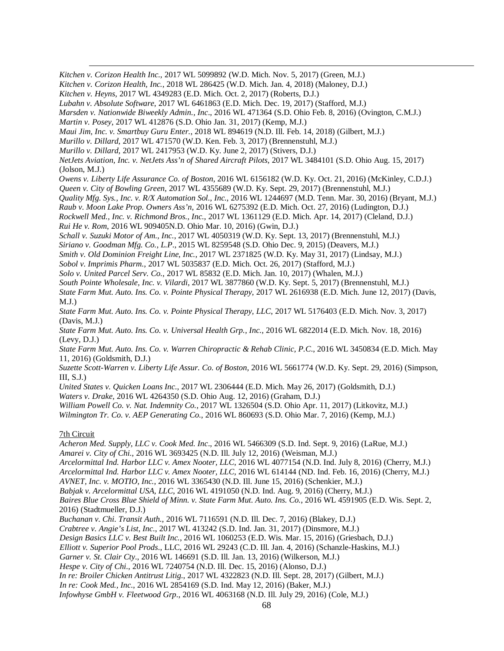$\overline{a}$ *Kitchen v. Corizon Health Inc.*, 2017 WL 5099892 (W.D. Mich. Nov. 5, 2017) (Green, M.J.)

*Kitchen v. Corizon Health, Inc.*, 2018 WL 286425 (W.D. Mich. Jan. 4, 2018) (Maloney, D.J.)

*Kitchen v. Heyns*, 2017 WL 4349283 (E.D. Mich. Oct. 2, 2017) (Roberts, D.J.)

*Lubahn v. Absolute Software*, 2017 WL 6461863 (E.D. Mich. Dec. 19, 2017) (Stafford, M.J.)

*Marsden v. Nationwide Biweekly Admin., Inc*., 2016 WL 471364 (S.D. Ohio Feb. 8, 2016) (Ovington, C.M.J.)

*Martin v. Posey*, 2017 WL 412876 (S.D. Ohio Jan. 31, 2017) (Kemp, M.J.)

*Maui Jim, Inc. v. Smartbuy Guru Enter.*, 2018 WL 894619 (N.D. Ill. Feb. 14, 2018) (Gilbert, M.J.)

*Murillo v. Dillard*, 2017 WL 471570 (W.D. Ken. Feb. 3, 2017) (Brennenstuhl, M.J.)

*Murillo v. Dillard*, 2017 WL 2417953 (W.D. Ky. June 2, 2017) (Stivers, D.J.)

*NetJets Aviation, Inc. v. NetJets Ass'n of Shared Aircraft Pilots*, 2017 WL 3484101 (S.D. Ohio Aug. 15, 2017) (Jolson, M.J.)

*Owens v. Liberty Life Assurance Co. of Boston*, 2016 WL 6156182 (W.D. Ky. Oct. 21, 2016) (McKinley, C.D.J.)

*Queen v. City of Bowling Green*, 2017 WL 4355689 (W.D. Ky. Sept. 29, 2017) (Brennenstuhl, M.J.)

*Quality Mfg. Sys., Inc. v. R/X Automation Sol., Inc.*, 2016 WL 1244697 (M.D. Tenn. Mar. 30, 2016) (Bryant, M.J.)

*Raub v. Moon Lake Prop. Owners Ass'n*, 2016 WL 6275392 (E.D. Mich. Oct. 27, 2016) (Ludington, D.J.)

*Rockwell Med., Inc. v. Richmond Bros., Inc.*, 2017 WL 1361129 (E.D. Mich. Apr. 14, 2017) (Cleland, D.J.)

*Rui He v. Rom*, 2016 WL 909405N.D. Ohio Mar. 10, 2016) (Gwin, D.J.)

*Schall v. Suzuki Motor of Am., Inc.*, 2017 WL 4050319 (W.D. Ky. Sept. 13, 2017) (Brennenstuhl, M.J.)

*Siriano v. Goodman Mfg. Co., L.P*., 2015 WL 8259548 (S.D. Ohio Dec. 9, 2015) (Deavers, M.J.)

*Smith v. Old Dominion Freight Line, Inc.*, 2017 WL 2371825 (W.D. Ky. May 31, 2017) (Lindsay, M.J.)

*Sobol v. Imprimis Pharm.*, 2017 WL 5035837 (E.D. Mich. Oct. 26, 2017) (Stafford, M.J.)

*Solo v. United Parcel Serv. Co.*, 2017 WL 85832 (E.D. Mich. Jan. 10, 2017) (Whalen, M.J.)

*South Pointe Wholesale, Inc. v. Vilardi*, 2017 WL 3877860 (W.D. Ky. Sept. 5, 2017) (Brennenstuhl, M.J.)

*State Farm Mut. Auto. Ins. Co. v. Pointe Physical Therapy*, 2017 WL 2616938 (E.D. Mich. June 12, 2017) (Davis,  $M.J.$ )

*State Farm Mut. Auto. Ins. Co. v. Pointe Physical Therapy, LLC*, 2017 WL 5176403 (E.D. Mich. Nov. 3, 2017) (Davis, M.J.)

*State Farm Mut. Auto. Ins. Co. v. Universal Health Grp., Inc.*, 2016 WL 6822014 (E.D. Mich. Nov. 18, 2016) (Levy, D.J.)

*State Farm Mut. Auto. Ins. Co. v. Warren Chiropractic & Rehab Clinic, P.C*., 2016 WL 3450834 (E.D. Mich. May 11, 2016) (Goldsmith, D.J.)

*Suzette Scott-Warren v. Liberty Life Assur. Co. of Boston,* 2016 WL 5661774 (W.D. Ky. Sept. 29, 2016) (Simpson, III, S.J.)

*United States v. Quicken Loans Inc.*, 2017 WL 2306444 (E.D. Mich. May 26, 2017) (Goldsmith, D.J.)

*Waters v. Drake*, 2016 WL 4264350 (S.D. Ohio Aug. 12, 2016) (Graham, D.J.)

*William Powell Co. v. Nat. Indemnity Co.*, 2017 WL 1326504 (S.D. Ohio Apr. 11, 2017) (Litkovitz, M.J.)

*Wilmington Tr. Co. v. AEP Generating Co.*, 2016 WL 860693 (S.D. Ohio Mar. 7, 2016) (Kemp, M.J.)

# 7th Circuit

*Acheron Med. Supply, LLC v. Cook Med. Inc*., 2016 WL 5466309 (S.D. Ind. Sept. 9, 2016) (LaRue, M.J.) *Amarei v. City of Chi.*, 2016 WL 3693425 (N.D. Ill. July 12, 2016) (Weisman, M.J.)

*Arcelormittal Ind. Harbor LLC v. Amex Nooter, LLC*, 2016 WL 4077154 (N.D. Ind. July 8, 2016) (Cherry, M.J.) *Arcelormittal Ind. Harbor LLC v. Amex Nooter, LLC*, 2016 WL 614144 (ND. Ind. Feb. 16, 2016) (Cherry, M.J.)

*AVNET, Inc. v. MOTIO, Inc.*, 2016 WL 3365430 (N.D. Ill. June 15, 2016) (Schenkier, M.J.)

*Babjak v. Arcelormittal USA, LLC*, 2016 WL 4191050 (N.D. Ind. Aug. 9, 2016) (Cherry, M.J.)

*Baires Blue Cross Blue Shield of Minn*. *v. State Farm Mut. Auto. Ins. Co.*, 2016 WL 4591905 (E.D. Wis. Sept. 2, 2016) (Stadtmueller, D.J.)

*Buchanan v. Chi. Transit Auth.*, 2016 WL 7116591 (N.D. Ill. Dec. 7, 2016) (Blakey, D.J.)

*Crabtree v. Angie's List, Inc.*, 2017 WL 413242 (S.D. Ind. Jan. 31, 2017) (Dinsmore, M.J.)

*Design Basics LLC v. Best Built Inc.*, 2016 WL 1060253 (E.D. Wis. Mar. 15, 2016) (Griesbach, D.J.)

*Elliott v. Superior Pool Prods*., LLC, 2016 WL 29243 (C.D. Ill. Jan. 4, 2016) (Schanzle-Haskins, M.J.)

*Garner v. St. Clair Cty*., 2016 WL 146691 (S.D. Ill. Jan. 13, 2016) (Wilkerson, M.J.)

*Hespe v. City of Chi.*, 2016 WL 7240754 (N.D. Ill. Dec. 15, 2016) (Alonso, D.J.)

*In re: Broiler Chicken Antitrust Litig.*, 2017 WL 4322823 (N.D. Ill. Sept. 28, 2017) (Gilbert, M.J.)

*In re: Cook Med., Inc.*, 2016 WL 2854169 (S.D. Ind. May 12, 2016) (Baker, M.J.)

*Infowhyse GmbH v. Fleetwood Grp*., 2016 WL 4063168 (N.D. Ill. July 29, 2016) (Cole, M.J.)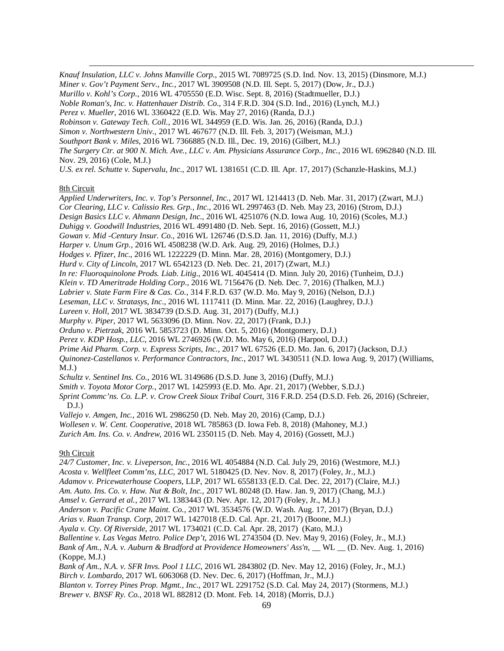*Knauf Insulation, LLC v. Johns Manville Corp.*, 2015 WL 7089725 (S.D. Ind. Nov. 13, 2015) (Dinsmore, M.J.) *Miner v. Gov't Payment Serv., Inc.*, 2017 WL 3909508 (N.D. Ill. Sept. 5, 2017) (Dow, Jr., D.J.) *Murillo v. Kohl's Corp*., 2016 WL 4705550 (E.D. Wisc. Sept. 8, 2016) (Stadtmueller, D.J.) *Noble Roman's, Inc. v. Hattenhauer Distrib. Co*., 314 F.R.D. 304 (S.D. Ind., 2016) (Lynch, M.J.) *Perez v. Mueller*, 2016 WL 3360422 (E.D. Wis. May 27, 2016) (Randa, D.J.) *Robinson v. Gateway Tech. Coll.*, 2016 WL 344959 (E.D. Wis. Jan. 26, 2016) (Randa, D.J.) *Simon v. Northwestern Univ.*, 2017 WL 467677 (N.D. Ill. Feb. 3, 2017) (Weisman, M.J.) *Southport Bank v. Miles*, 2016 WL 7366885 (N.D. Ill., Dec. 19, 2016) (Gilbert, M.J.) *The Surgery Ctr. at 900 N. Mich. Ave., LLC v. Am. Physicians Assurance Corp., Inc.*, 2016 WL 6962840 (N.D. Ill. Nov. 29, 2016) (Cole, M.J.) *U.S. ex rel. Schutte v. Supervalu, Inc.*, 2017 WL 1381651 (C.D. Ill. Apr. 17, 2017) (Schanzle-Haskins, M.J.)

# 8th Circuit

 $\overline{a}$ 

*Applied Underwriters, Inc. v. Top's Personnel, Inc.*, 2017 WL 1214413 (D. Neb. Mar. 31, 2017) (Zwart, M.J.) *Cor Clearing, LLC v. Calissio Res. Grp., Inc.*, 2016 WL 2997463 (D. Neb. May 23, 2016) (Strom, D.J.) *Design Basics LLC v. Ahmann Design, Inc.*, 2016 WL 4251076 (N.D. Iowa Aug. 10, 2016) (Scoles, M.J.) *Duhigg v. Goodwill Industries*, 2016 WL 4991480 (D. Neb. Sept. 16, 2016) (Gossett, M.J.) *Gowan v. Mid -Century Insur. Co.*, 2016 WL 126746 (D.S.D. Jan. 11, 2016) (Duffy, M.J.) *Harper v. Unum Grp.*, 2016 WL 4508238 (W.D. Ark. Aug. 29, 2016) (Holmes, D.J.) *Hodges v. Pfizer, Inc*., 2016 WL 1222229 (D. Minn. Mar. 28, 2016) (Montgomery, D.J.) *Hurd v. City of Lincoln*, 2017 WL 6542123 (D. Neb. Dec. 21, 2017) (Zwart, M.J.) *In re: Fluoroquinolone Prods. Liab. Litig*., 2016 WL 4045414 (D. Minn. July 20, 2016) (Tunheim, D.J.) *Klein v. TD Ameritrade Holding Corp.*, 2016 WL 7156476 (D. Neb. Dec. 7, 2016) (Thalken, M.J.) *Labrier v. State Farm Fire & Cas. Co.*, 314 F.R.D. 637 (W.D. Mo. May 9, 2016) (Nelson, D.J.) *Leseman, LLC v. Stratasys, Inc*., 2016 WL 1117411 (D. Minn. Mar. 22, 2016) (Laughrey, D.J.) *Lureen v. Holl*, 2017 WL 3834739 (D.S.D. Aug. 31, 2017) (Duffy, M.J.) *Murphy v. Piper*, 2017 WL 5633096 (D. Minn. Nov. 22, 2017) (Frank, D.J.) *Orduno v. Pietrzak*, 2016 WL 5853723 (D. Minn. Oct. 5, 2016) (Montgomery, D.J.) *Perez v. KDP Hosp., LLC*, 2016 WL 2746926 (W.D. Mo. May 6, 2016) (Harpool, D.J.) *Prime Aid Pharm. Corp. v. Express Scripts, Inc.*, 2017 WL 67526 (E.D. Mo. Jan. 6, 2017) (Jackson, D.J.) *Quinonez-Castellanos v. Performance Contractors, Inc.*, 2017 WL 3430511 (N.D. Iowa Aug. 9, 2017) (Williams,  $M.J.$ ) *Schultz v. Sentinel Ins. Co.*, 2016 WL 3149686 (D.S.D. June 3, 2016) (Duffy, M.J.) *Smith v. Toyota Motor Corp.*, 2017 WL 1425993 (E.D. Mo. Apr. 21, 2017) (Webber, S.D.J.) *Sprint Commc'ns. Co. L.P. v. Crow Creek Sioux Tribal Court*, 316 F.R.D. 254 (D.S.D. Feb. 26, 2016) (Schreier,  $D.J.$ ) *Vallejo v. Amgen, Inc.*, 2016 WL 2986250 (D. Neb. May 20, 2016) (Camp, D.J.) *Wollesen v. W. Cent. Cooperative*, 2018 WL 785863 (D. Iowa Feb. 8, 2018) (Mahoney, M.J.) *Zurich Am. Ins. Co. v. Andrew*, 2016 WL 2350115 (D. Neb. May 4, 2016) (Gossett, M.J.)

# 9th Circuit

*24/7 Customer, Inc. v. Liveperson, Inc.*, 2016 WL 4054884 (N.D. Cal. July 29, 2016) (Westmore, M.J.) *Acosta v. Wellfleet Comm'ns, LLC*, 2017 WL 5180425 (D. Nev. Nov. 8, 2017) (Foley, Jr., M.J.) *Adamov v. Pricewaterhouse Coopers*, LLP, 2017 WL 6558133 (E.D. Cal. Dec. 22, 2017) (Claire, M.J.) *Am. Auto. Ins. Co. v. Haw. Nut & Bolt, Inc.*, 2017 WL 80248 (D. Haw. Jan. 9, 2017) (Chang, M.J.) *Amsel v. Gerrard et al.*, 2017 WL 1383443 (D. Nev. Apr. 12, 2017) (Foley, Jr., M.J.) *Anderson v. Pacific Crane Maint. Co.*, 2017 WL 3534576 (W.D. Wash. Aug. 17, 2017) (Bryan, D.J.) *Arias v. Ruan Transp. Corp*, 2017 WL 1427018 (E.D. Cal. Apr. 21, 2017) (Boone, M.J.) *Ayala v. Cty. Of Riverside*, 2017 WL 1734021 (C.D. Cal. Apr. 28, 2017) (Kato, M.J.) *Ballentine v. Las Vegas Metro. Police Dep't*, 2016 WL 2743504 (D. Nev. May 9, 2016) (Foley, Jr., M.J.) *Bank of Am., N.A. v. Auburn & Bradford at Providence Homeowners' Ass'n*, \_\_ WL \_\_ (D. Nev. Aug. 1, 2016) (Koppe, M.J.) *Bank of Am., N.A. v. SFR Invs. Pool 1 LLC*, 2016 WL 2843802 (D. Nev. May 12, 2016) (Foley, Jr., M.J.) *Birch v. Lombardo*, 2017 WL 6063068 (D. Nev. Dec. 6, 2017) (Hoffman, Jr., M.J.) *Blanton v. Torrey Pines Prop. Mgmt., Inc.*, 2017 WL 2291752 (S.D. Cal. May 24, 2017) (Stormens, M.J.) *Brewer v. BNSF Ry. Co.*, 2018 WL 882812 (D. Mont. Feb. 14, 2018) (Morris, D.J.)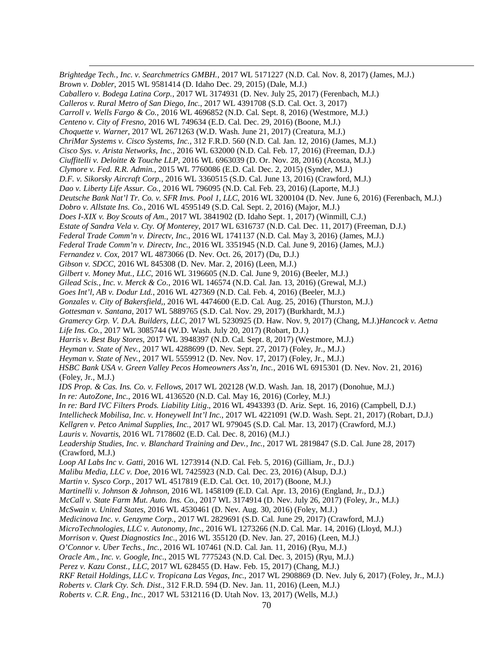$\overline{a}$ *Brightedge Tech., Inc. v. Searchmetrics GMBH.*, 2017 WL 5171227 (N.D. Cal. Nov. 8, 2017) (James, M.J.) *Brown v. Dobler*, 2015 WL 9581414 (D. Idaho Dec. 29, 2015) (Dale, M.J.) *Caballero v. Bodega Latina Corp.*, 2017 WL 3174931 (D. Nev. July 25, 2017) (Ferenbach, M.J.) *Calleros v. Rural Metro of San Diego, Inc*., 2017 WL 4391708 (S.D. Cal. Oct. 3, 2017) *Carroll v. Wells Fargo & Co.*, 2016 WL 4696852 (N.D. Cal. Sept. 8, 2016) (Westmore, M.J.) *Centeno v. City of Fresno*, 2016 WL 749634 (E.D. Cal. Dec. 29, 2016) (Boone, M.J.) *Choquette v. Warner*, 2017 WL 2671263 (W.D. Wash. June 21, 2017) (Creatura, M.J.) *ChriMar Systems v. Cisco Systems, Inc.*, 312 F.R.D. 560 (N.D. Cal. Jan. 12, 2016) (James, M.J.) *Cisco Sys. v. Arista Networks, Inc*., 2016 WL 632000 (N.D. Cal. Feb. 17, 2016) (Freeman, D.J.) *Ciuffitelli v. Deloitte & Touche LLP*, 2016 WL 6963039 (D. Or. Nov. 28, 2016) (Acosta, M.J.) *Clymore v. Fed. R.R. Admin.*, 2015 WL 7760086 (E.D. Cal. Dec. 2, 2015) (Synder, M.J.) *D.F. v. Sikorsky Aircraft Corp.*, 2016 WL 3360515 (S.D. Cal. June 13, 2016) (Crawford, M.J.) *Dao v. Liberty Life Assur. Co.*, 2016 WL 796095 (N.D. Cal. Feb. 23, 2016) (Laporte, M.J.) *Deutsche Bank Nat'l Tr. Co. v. SFR Invs. Pool 1, LLC*, 2016 WL 3200104 (D. Nev. June 6, 2016) (Ferenbach, M.J.) *Dobro v. Allstate Ins. Co.*, 2016 WL 4595149 (S.D. Cal. Sept. 2, 2016) (Major, M.J.) *Does I-XIX v. Boy Scouts of Am.*, 2017 WL 3841902 (D. Idaho Sept. 1, 2017) (Winmill, C.J.) *Estate of Sandra Vela v. Cty. Of Monterey*, 2017 WL 6316737 (N.D. Cal. Dec. 11, 2017) (Freeman, D.J.) *Federal Trade Comm'n v. Directv, Inc.*, 2016 WL 1741137 (N.D. Cal. May 3, 2016) (James, M.J.) *Federal Trade Comm'n v. Directv, Inc.*, 2016 WL 3351945 (N.D. Cal. June 9, 2016) (James, M.J.) *Fernandez v. Cox*, 2017 WL 4873066 (D. Nev. Oct. 26, 2017) (Du, D.J.) *Gibson v. SDCC*, 2016 WL 845308 (D. Nev. Mar. 2, 2016) (Leen, M.J.) *Gilbert v. Money Mut., LLC*, 2016 WL 3196605 (N.D. Cal. June 9, 2016) (Beeler, M.J.) *Gilead Scis., Inc. v. Merck & Co*., 2016 WL 146574 (N.D. Cal. Jan. 13, 2016) (Grewal, M.J.) *Goes Int'l, AB v. Dodur Ltd.*, 2016 WL 427369 (N.D. Cal. Feb. 4, 2016) (Beeler, M.J.) *Gonzales v. City of Bakersfield*,, 2016 WL 4474600 (E.D. Cal. Aug. 25, 2016) (Thurston, M.J.) *Gottesman v. Santana*, 2017 WL 5889765 (S.D. Cal. Nov. 29, 2017) (Burkhardt, M.J.) *Gramercy Grp. V. D.A. Builders, LLC*, 2017 WL 5230925 (D. Haw. Nov. 9, 2017) (Chang, M.J.)*Hancock v. Aetna Life Ins. Co.*, 2017 WL 3085744 (W.D. Wash. July 20, 2017) (Robart, D.J.) *Harris v. Best Buy Stores*, 2017 WL 3948397 (N.D. Cal. Sept. 8, 2017) (Westmore, M.J.) *Heyman v. State of Nev.*, 2017 WL 4288699 (D. Nev. Sept. 27, 2017) (Foley, Jr., M.J.) *Heyman v. State of Nev.*, 2017 WL 5559912 (D. Nev. Nov. 17, 2017) (Foley, Jr., M.J.) *HSBC Bank USA v. Green Valley Pecos Homeowners Ass'n, Inc.*, 2016 WL 6915301 (D. Nev. Nov. 21, 2016) (Foley, Jr., M.J.) *IDS Prop. & Cas. Ins. Co. v. Fellows*, 2017 WL 202128 (W.D. Wash. Jan. 18, 2017) (Donohue, M.J.) *In re: AutoZone, Inc.*, 2016 WL 4136520 (N.D. Cal. May 16, 2016) (Corley, M.J.) *In re: Bard IVC Filters Prods. Liability Litig*., 2016 WL 4943393 (D. Ariz. Sept. 16, 2016) (Campbell, D.J.) *Intellicheck Mobilisa, Inc. v. Honeywell Int'l Inc.*, 2017 WL 4221091 (W.D. Wash. Sept. 21, 2017) (Robart, D.J.) *Kellgren v. Petco Animal Supplies, Inc.*, 2017 WL 979045 (S.D. Cal. Mar. 13, 2017) (Crawford, M.J.) *Lauris v. Novartis*, 2016 WL 7178602 (E.D. Cal. Dec. 8, 2016) (M.J.) *Leadership Studies, Inc. v. Blanchard Training and Dev., Inc.*, 2017 WL 2819847 (S.D. Cal. June 28, 2017) (Crawford, M.J.) *Loop AI Labs Inc v. Gatti*, 2016 WL 1273914 (N.D. Cal. Feb. 5, 2016) (Gilliam, Jr., D.J.) *Malibu Media, LLC v. Doe*, 2016 WL 7425923 (N.D. Cal. Dec. 23, 2016) (Alsup, D.J.) *Martin v. Sysco Corp.*, 2017 WL 4517819 (E.D. Cal. Oct. 10, 2017) (Boone, M.J.) *Martinelli v. Johnson & Johnson*, 2016 WL 1458109 (E.D. Cal. Apr. 13, 2016) (England, Jr., D.J.) *McCall v. State Farm Mut. Auto. Ins. Co.*, 2017 WL 3174914 (D. Nev. July 26, 2017) (Foley, Jr., M.J.) *McSwain v. United States*, 2016 WL 4530461 (D. Nev. Aug. 30, 2016) (Foley, M.J.) *Medicinova Inc. v. Genzyme Corp.*, 2017 WL 2829691 (S.D. Cal. June 29, 2017) (Crawford, M.J.) *MicroTechnologies, LLC v. Autonomy, Inc*., 2016 WL 1273266 (N.D. Cal. Mar. 14, 2016) (Lloyd, M.J.) *Morrison v. Quest Diagnostics Inc*., 2016 WL 355120 (D. Nev. Jan. 27, 2016) (Leen, M.J.) *O'Connor v. Uber Techs*., *Inc.*, 2016 WL 107461 (N.D. Cal. Jan. 11, 2016) (Ryu, M.J.) *Oracle Am., Inc. v. Google, Inc*., 2015 WL 7775243 (N.D. Cal. Dec. 3, 2015) (Ryu, M.J.) *Perez v. Kazu Const., LLC*, 2017 WL 628455 (D. Haw. Feb. 15, 2017) (Chang, M.J.) *RKF Retail Holdings, LLC v. Tropicana Las Vegas, Inc.*, 2017 WL 2908869 (D. Nev. July 6, 2017) (Foley, Jr., M.J.) *Roberts v. Clark Cty. Sch. Dist*., 312 F.R.D. 594 (D. Nev. Jan. 11, 2016) (Leen, M.J.) *Roberts v. C.R. Eng., Inc.*, 2017 WL 5312116 (D. Utah Nov. 13, 2017) (Wells, M.J.)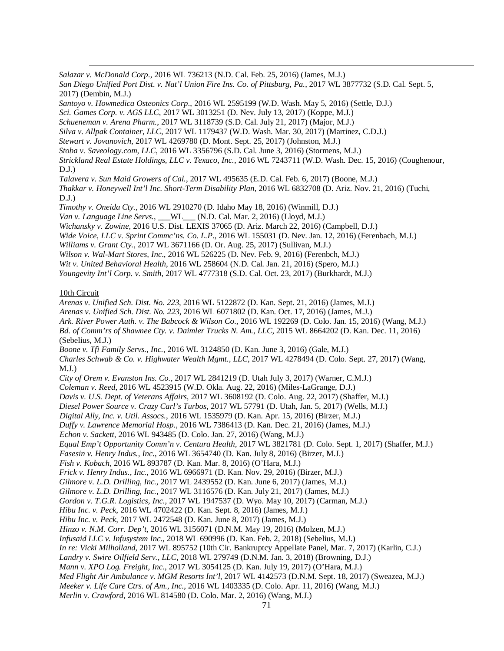$\overline{a}$ *Salazar v. McDonald Corp*., 2016 WL 736213 (N.D. Cal. Feb. 25, 2016) (James, M.J.)

*San Diego Unified Port Dist. v. Nat'l Union Fire Ins. Co. of Pittsburg, Pa.*, 2017 WL 3877732 (S.D. Cal. Sept. 5, 2017) (Dembin, M.J.)

*Santoyo v. Howmedica Osteonics Corp*., 2016 WL 2595199 (W.D. Wash. May 5, 2016) (Settle, D.J.)

- *Sci. Games Corp. v. AGS LLC*, 2017 WL 3013251 (D. Nev. July 13, 2017) (Koppe, M.J.)
- *Schueneman v. Arena Pharm.*, 2017 WL 3118739 (S.D. Cal. July 21, 2017) (Major, M.J.)

*Silva v. Allpak Container, LLC*, 2017 WL 1179437 (W.D. Wash. Mar. 30, 2017) (Martinez, C.D.J.)

*Stewart v. Jovanovich*, 2017 WL 4269780 (D. Mont. Sept. 25, 2017) (Johnston, M.J.)

*Stoba v. Saveology.com, LLC*, 2016 WL 3356796 (S.D. Cal. June 3, 2016) (Stormens, M.J.)

*Strickland Real Estate Holdings, LLC v. Texaco, Inc.*, 2016 WL 7243711 (W.D. Wash. Dec. 15, 2016) (Coughenour,  $D.J.$ )

*Talavera v. Sun Maid Growers of Cal.*, 2017 WL 495635 (E.D. Cal. Feb. 6, 2017) (Boone, M.J.)

*Thakkar v. Honeywell Int'l Inc. Short-Term Disability Plan*, 2016 WL 6832708 (D. Ariz. Nov. 21, 2016) (Tuchi,  $D.J.$ )

*Timothy v. Oneida Cty.*, 2016 WL 2910270 (D. Idaho May 18, 2016) (Winmill, D.J.)

*Van v. Language Line Servs.*, \_\_\_WL\_\_\_ (N.D. Cal. Mar. 2, 2016) (Lloyd, M.J.)

*Wichansky v. Zowine*, 2016 U.S. Dist. LEXIS 37065 (D. Ariz. March 22, 2016) (Campbell, D.J.)

*Wide Voice, LLC v. Sprint Commc'ns. Co. L.P*., 2016 WL 155031 (D. Nev. Jan. 12, 2016) (Ferenbach, M.J.)

*Williams v. Grant Cty.*, 2017 WL 3671166 (D. Or. Aug. 25, 2017) (Sullivan, M.J.)

*Wilson v. Wal-Mart Stores, Inc*., 2016 WL 526225 (D. Nev. Feb. 9, 2016) (Ferenbch, M.J.)

*Wit v. United Behavioral Health*, 2016 WL 258604 (N.D. Cal. Jan. 21, 2016) (Spero, M.J.)

*Youngevity Int'l Corp. v. Smith*, 2017 WL 4777318 (S.D. Cal. Oct. 23, 2017) (Burkhardt, M.J.)

# 10th Circuit

*Arenas v. Unified Sch. Dist. No. 223*, 2016 WL 5122872 (D. Kan. Sept. 21, 2016) (James, M.J.) *Arenas v. Unified Sch. Dist. No. 223*, 2016 WL 6071802 (D. Kan. Oct. 17, 2016) (James, M.J.) *Ark. River Power Auth. v. The Babcock & Wilson Co*., 2016 WL 192269 (D. Colo. Jan. 15, 2016) (Wang, M.J.) *Bd. of Comm'rs of Shawnee Cty. v. Daimler Trucks N. Am., LLC*, 2015 WL 8664202 (D. Kan. Dec. 11, 2016) (Sebelius, M.J.) *Boone v. Tfi Family Servs., Inc.*, 2016 WL 3124850 (D. Kan. June 3, 2016) (Gale, M.J.) *Charles Schwab & Co. v. Highwater Wealth Mgmt., LLC*, 2017 WL 4278494 (D. Colo. Sept. 27, 2017) (Wang,  $M.J.$ ) *City of Orem v. Evanston Ins. Co.*, 2017 WL 2841219 (D. Utah July 3, 2017) (Warner, C.M.J.) *Coleman v. Reed*, 2016 WL 4523915 (W.D. Okla. Aug. 22, 2016) (Miles-LaGrange, D.J.) *Davis v. U.S. Dept. of Veterans Affairs*, 2017 WL 3608192 (D. Colo. Aug. 22, 2017) (Shaffer, M.J.) *Diesel Power Source v. Crazy Carl's Turbos*, 2017 WL 57791 (D. Utah, Jan. 5, 2017) (Wells, M.J.) *Digital Ally, Inc. v. Util. Assocs.*, 2016 WL 1535979 (D. Kan. Apr. 15, 2016) (Birzer, M.J.) *Duffy v. Lawrence Memorial Hosp.*, 2016 WL 7386413 (D. Kan. Dec. 21, 2016) (James, M.J.) *Echon v. Sackett*, 2016 WL 943485 (D. Colo. Jan. 27, 2016) (Wang, M.J.) *Equal Emp't Opportunity Comm'n v. Centura Health*, 2017 WL 3821781 (D. Colo. Sept. 1, 2017) (Shaffer, M.J.) *Fasesin v. Henry Indus., Inc.*, 2016 WL 3654740 (D. Kan. July 8, 2016) (Birzer, M.J.) *Fish v. Kobach*, 2016 WL 893787 (D. Kan. Mar. 8, 2016) (O'Hara, M.J.) *Frick v. Henry Indus., Inc.*, 2016 WL 6966971 (D. Kan. Nov. 29, 2016) (Birzer, M.J.) *Gilmore v. L.D. Drilling, Inc.*, 2017 WL 2439552 (D. Kan. June 6, 2017) (James, M.J.) *Gilmore v. L.D. Drilling, Inc.*, 2017 WL 3116576 (D. Kan. July 21, 2017) (James, M.J.) *Gordon v. T.G.R. Logistics, Inc.*, 2017 WL 1947537 (D. Wyo. May 10, 2017) (Carman, M.J.) *Hibu Inc. v. Peck*, 2016 WL 4702422 (D. Kan. Sept. 8, 2016) (James, M.J.) *Hibu Inc. v. Peck*, 2017 WL 2472548 (D. Kan. June 8, 2017) (James, M.J.) *Hinzo v. N.M. Corr. Dep't*, 2016 WL 3156071 (D.N.M. May 19, 2016) (Molzen, M.J.) *Infusaid LLC v. Infusystem Inc.*, 2018 WL 690996 (D. Kan. Feb. 2, 2018) (Sebelius, M.J.) *In re: Vicki Milholland*, 2017 WL 895752 (10th Cir. Bankruptcy Appellate Panel, Mar. 7, 2017) (Karlin, C.J.) *Landry v. Swire Oilfield Serv., LLC*, 2018 WL 279749 (D.N.M. Jan. 3, 2018) (Browning, D.J.) *Mann v. XPO Log. Freight, Inc.*, 2017 WL 3054125 (D. Kan. July 19, 2017) (O'Hara, M.J.) *Med Flight Air Ambulance v. MGM Resorts Int'l*, 2017 WL 4142573 (D.N.M. Sept. 18, 2017) (Sweazea, M.J.) *Meeker v. Life Care Ctrs. of Am., Inc.*, 2016 WL 1403335 (D. Colo. Apr. 11, 2016) (Wang, M.J.) *Merlin v. Crawford*, 2016 WL 814580 (D. Colo. Mar. 2, 2016) (Wang, M.J.)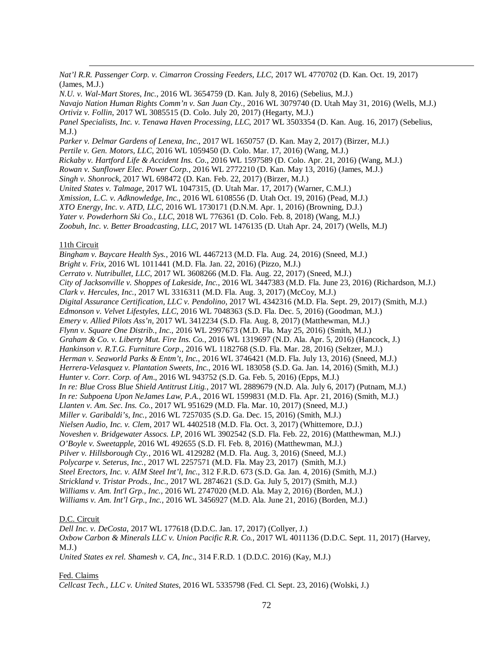*Nat'l R.R. Passenger Corp. v. Cimarron Crossing Feeders, LLC*, 2017 WL 4770702 (D. Kan. Oct. 19, 2017) (James, M.J.)

*N.U. v. Wal-Mart Stores*, *Inc.*, 2016 WL 3654759 (D. Kan. July 8, 2016) (Sebelius, M.J.)

*Navajo Nation Human Rights Comm'n v. San Juan Cty.,* 2016 WL 3079740 (D. Utah May 31, 2016) (Wells, M.J.) *Ortiviz v. Follin*, 2017 WL 3085515 (D. Colo. July 20, 2017) (Hegarty, M.J.)

*Panel Specialists, Inc. v. Tenawa Haven Processing, LLC*, 2017 WL 3503354 (D. Kan. Aug. 16, 2017) (Sebelius, M.J.)

*Parker v. Delmar Gardens of Lenexa, Inc.*, 2017 WL 1650757 (D. Kan. May 2, 2017) (Birzer, M.J.)

*Pertile v. Gen. Motors, LLC*, 2016 WL 1059450 (D. Colo. Mar. 17, 2016) (Wang, M.J.)

*Rickaby v. Hartford Life & Accident Ins. Co*., 2016 WL 1597589 (D. Colo. Apr. 21, 2016) (Wang, M.J.)

*Rowan v. Sunflower Elec. Power Corp.*, 2016 WL 2772210 (D. Kan. May 13, 2016) (James, M.J.)

*Singh v. Shonrock*, 2017 WL 698472 (D. Kan. Feb. 22, 2017) (Birzer, M.J.)

*United States v. Talmage*, 2017 WL 1047315, (D. Utah Mar. 17, 2017) (Warner, C.M.J.)

*Xmission, L.C. v. Adknowledge, Inc.*, 2016 WL 6108556 (D. Utah Oct. 19, 2016) (Pead, M.J.)

*XTO Energy, Inc. v. ATD, LLC*, 2016 WL 1730171 (D.N.M. Apr. 1, 2016) (Browning, D.J.)

*Yater v. Powderhorn Ski Co., LLC*, 2018 WL 776361 (D. Colo. Feb. 8, 2018) (Wang, M.J.)

*Zoobuh, Inc. v. Better Broadcasting, LLC*, 2017 WL 1476135 (D. Utah Apr. 24, 2017) (Wells, M.J)

## 11th Circuit

 $\overline{a}$ 

*Bingham v. Baycare Health Sys.*, 2016 WL 4467213 (M.D. Fla. Aug. 24, 2016) (Sneed, M.J.) *Bright v. Frix*, 2016 WL 1011441 (M.D. Fla. Jan. 22, 2016) (Pizzo, M.J.) *Cerrato v. Nutribullet, LLC*, 2017 WL 3608266 (M.D. Fla. Aug. 22, 2017) (Sneed, M.J.) *City of Jacksonville v. Shoppes of Lakeside, Inc.*, 2016 WL 3447383 (M.D. Fla. June 23, 2016) (Richardson, M.J.) *Clark v. Hercules, Inc.*, 2017 WL 3316311 (M.D. Fla. Aug. 3, 2017) (McCoy, M.J.) *Digital Assurance Certification, LLC v. Pendolino*, 2017 WL 4342316 (M.D. Fla. Sept. 29, 2017) (Smith, M.J.) *Edmonson v. Velvet Lifestyles, LLC*, 2016 WL 7048363 (S.D. Fla. Dec. 5, 2016) (Goodman, M.J.) *Emery v. Allied Pilots Ass'n*, 2017 WL 3412234 (S.D. Fla. Aug. 8, 2017) (Matthewman, M.J.) *Flynn v. Square One Distrib., Inc.*, 2016 WL 2997673 (M.D. Fla. May 25, 2016) (Smith, M.J.) *Graham & Co. v. Liberty Mut. Fire Ins. Co.*, 2016 WL 1319697 (N.D. Ala. Apr. 5, 2016) (Hancock, J.) *Hankinson v. R.T.G. Furniture Corp*., 2016 WL 1182768 (S.D. Fla. Mar. 28, 2016) (Seltzer, M.J.) *Herman v. Seaworld Parks & Entm't, Inc.*, 2016 WL 3746421 (M.D. Fla. July 13, 2016) (Sneed, M.J.) *Herrera-Velasquez v. Plantation Sweets, Inc.*, 2016 WL 183058 (S.D. Ga. Jan. 14, 2016) (Smith, M.J.) *Hunter v. Corr. Corp. of Am*., 2016 WL 943752 (S.D. Ga. Feb. 5, 2016) (Epps, M.J.) *In re: Blue Cross Blue Shield Antitrust Litig.*, 2017 WL 2889679 (N.D. Ala. July 6, 2017) (Putnam, M.J.) *In re: Subpoena Upon NeJames Law, P.A.*, 2016 WL 1599831 (M.D. Fla. Apr. 21, 2016) (Smith, M.J.) *Llanten v. Am. Sec. Ins. Co.*, 2017 WL 951629 (M.D. Fla. Mar. 10, 2017) (Sneed, M.J.) *Miller v. Garibaldi's, Inc.*, 2016 WL 7257035 (S.D. Ga. Dec. 15, 2016) (Smith, M.J.) *Nielsen Audio, Inc. v. Clem*, 2017 WL 4402518 (M.D. Fla. Oct. 3, 2017) (Whittemore, D.J.) *Noveshen v. Bridgewater Assocs. LP*, 2016 WL 3902542 (S.D. Fla. Feb. 22, 2016) (Matthewman, M.J.) *O'Boyle v. Sweetapple*, 2016 WL 492655 (S.D. Fl. Feb. 8, 2016) (Matthewman, M.J.) *Pilver v. Hillsborough Cty.*, 2016 WL 4129282 (M.D. Fla. Aug. 3, 2016) (Sneed, M.J.) *Polycarpe v. Seterus, Inc.*, 2017 WL 2257571 (M.D. Fla. May 23, 2017) (Smith, M.J.) *Steel Erectors, Inc. v. AIM Steel Int'l, Inc*., 312 F.R.D. 673 (S.D. Ga. Jan. 4, 2016) (Smith, M.J.) *Strickland v. Tristar Prods., Inc.*, 2017 WL 2874621 (S.D. Ga. July 5, 2017) (Smith, M.J.) *Williams v. Am. Int'l Grp., Inc.*, 2016 WL 2747020 (M.D. Ala. May 2, 2016) (Borden, M.J.) *Williams v. Am. Int'l Grp., Inc.*, 2016 WL 3456927 (M.D. Ala. June 21, 2016) (Borden, M.J.)

## D.C. Circuit

*Dell Inc. v. DeCosta*, 2017 WL 177618 (D.D.C. Jan. 17, 2017) (Collyer, J.) *Oxbow Carbon & Minerals LLC v. Union Pacific R.R. Co.*, 2017 WL 4011136 (D.D.C. Sept. 11, 2017) (Harvey, M.J.)

*United States ex rel. Shamesh v. CA, Inc*., 314 F.R.D. 1 (D.D.C. 2016) (Kay, M.J.)

#### Fed. Claims

*Cellcast Tech., LLC v. United States*, 2016 WL 5335798 (Fed. Cl. Sept. 23, 2016) (Wolski, J.)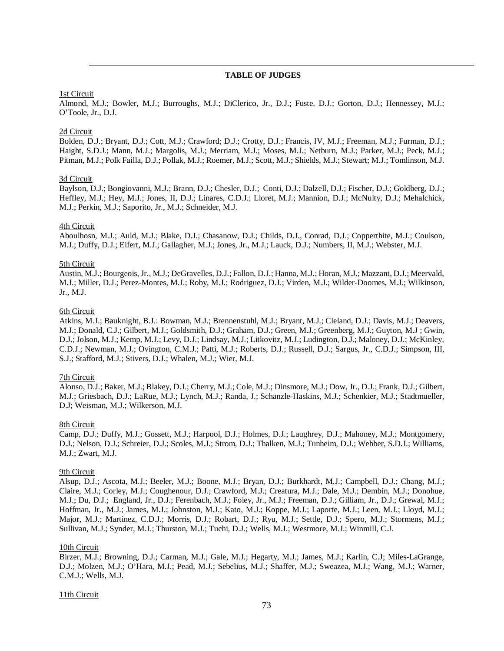# **TABLE OF JUDGES**

## 1st Circuit

 $\overline{a}$ 

Almond, M.J.; Bowler, M.J.; Burroughs, M.J.; DiClerico, Jr., D.J.; Fuste, D.J.; Gorton, D.J.; Hennessey, M.J.; O'Toole, Jr., D.J.

## 2d Circuit

Bolden, D.J.; Bryant, D.J.; Cott, M.J.; Crawford; D.J.; Crotty, D.J.; Francis, IV, M.J.; Freeman, M.J.; Furman, D.J.; Haight, S.D.J.; Mann, M.J.; Margolis, M.J.; Merriam, M.J.; Moses, M.J.; Netburn, M.J.; Parker, M.J.; Peck, M.J.; Pitman, M.J.; Polk Failla, D.J.; Pollak, M.J.; Roemer, M.J.; Scott, M.J.; Shields, M.J.; Stewart; M.J.; Tomlinson, M.J.

#### 3d Circuit

Baylson, D.J.; Bongiovanni, M.J.; Brann, D.J.; Chesler, D.J.; Conti, D.J.; Dalzell, D.J.; Fischer, D.J.; Goldberg, D.J.; Heffley, M.J.; Hey, M.J.; Jones, II, D.J.; Linares, C.D.J.; Lloret, M.J.; Mannion, D.J.; McNulty, D.J.; Mehalchick, M.J.; Perkin, M.J.; Saporito, Jr., M.J.; Schneider, M.J.

# 4th Circuit

Aboulhosn, M.J.; Auld, M.J.; Blake, D.J.; Chasanow, D.J.; Childs, D.J., Conrad, D.J.; Copperthite, M.J.; Coulson, M.J.; Duffy, D.J.; Eifert, M.J.; Gallagher, M.J.; Jones, Jr., M.J.; Lauck, D.J.; Numbers, II, M.J.; Webster, M.J.

# 5th Circuit

Austin, M.J.; Bourgeois, Jr., M.J.; DeGravelles, D.J.; Fallon, D.J.; Hanna, M.J.; Horan, M.J.; Mazzant, D.J.; Meervald, M.J.; Miller, D.J.; Perez-Montes, M.J.; Roby, M.J.; Rodriguez, D.J.; Virden, M.J.; Wilder-Doomes, M.J.; Wilkinson, Jr., M.J.

#### 6th Circuit

Atkins, M.J.; Bauknight, B.J.: Bowman, M.J.; Brennenstuhl, M.J.; Bryant, M.J.; Cleland, D.J.; Davis, M.J.; Deavers, M.J.; Donald, C.J.; Gilbert, M.J.; Goldsmith, D.J.; Graham, D.J.; Green, M.J.; Greenberg, M.J.; Guyton, M.J ; Gwin, D.J.; Jolson, M.J.; Kemp, M.J.; Levy, D.J.; Lindsay, M.J.; Litkovitz, M.J.; Ludington, D.J.; Maloney, D.J.; McKinley, C.D.J.; Newman, M.J.; Ovington, C.M.J.; Patti, M.J.; Roberts, D.J.; Russell, D.J.; Sargus, Jr., C.D.J.; Simpson, III, S.J.; Stafford, M.J.; Stivers, D.J.; Whalen, M.J.; Wier, M.J.

## 7th Circuit

Alonso, D.J.; Baker, M.J.; Blakey, D.J.; Cherry, M.J.; Cole, M.J.; Dinsmore, M.J.; Dow, Jr., D.J.; Frank, D.J.; Gilbert, M.J.; Griesbach, D.J.; LaRue, M.J.; Lynch, M.J.; Randa, J.; Schanzle-Haskins, M.J.; Schenkier, M.J.; Stadtmueller, D.J; Weisman, M.J.; Wilkerson, M.J.

#### 8th Circuit

Camp, D.J.; Duffy, M.J.; Gossett, M.J.; Harpool, D.J.; Holmes, D.J.; Laughrey, D.J.; Mahoney, M.J.; Montgomery, D.J.; Nelson, D.J.; Schreier, D.J.; Scoles, M.J.; Strom, D.J.; Thalken, M.J.; Tunheim, D.J.; Webber, S.D.J.; Williams, M.J.; Zwart, M.J.

#### 9th Circuit

Alsup, D.J.; Ascota, M.J.; Beeler, M.J.; Boone, M.J.; Bryan, D.J.; Burkhardt, M.J.; Campbell, D.J.; Chang, M.J.; Claire, M.J.; Corley, M.J.; Coughenour, D.J.; Crawford, M.J.; Creatura, M.J.; Dale, M.J.; Dembin, M.J.; Donohue, M.J.; Du, D.J.; England, Jr., D.J.; Ferenbach, M.J.; Foley, Jr., M.J.; Freeman, D.J.; Gilliam, Jr., D.J.; Grewal, M.J.; Hoffman, Jr., M.J.; James, M.J.; Johnston, M.J.; Kato, M.J.; Koppe, M.J.; Laporte, M.J.; Leen, M.J.; Lloyd, M.J.; Major, M.J.; Martinez, C.D.J.; Morris, D.J.; Robart, D.J.; Ryu, M.J.; Settle, D.J.; Spero, M.J.; Stormens, M.J.; Sullivan, M.J.; Synder, M.J.; Thurston, M.J.; Tuchi, D.J.; Wells, M.J.; Westmore, M.J.; Winmill, C.J.

### 10th Circuit

Birzer, M.J.; Browning, D.J.; Carman, M.J.; Gale, M.J.; Hegarty, M.J.; James, M.J.; Karlin, C.J; Miles-LaGrange, D.J.; Molzen, M.J.; O'Hara, M.J.; Pead, M.J.; Sebelius, M.J.; Shaffer, M.J.; Sweazea, M.J.; Wang, M.J.; Warner, C.M.J.; Wells, M.J.

#### 11th Circuit